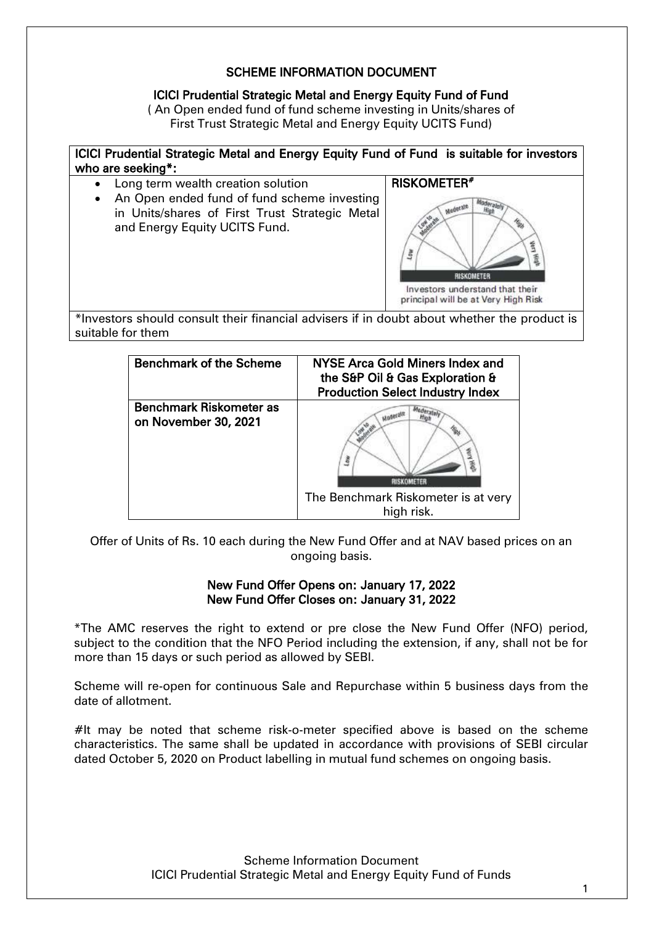# SCHEME INFORMATION DOCUMENT

# ICICI Prudential Strategic Metal and Energy Equity Fund of Fund

( An Open ended fund of fund scheme investing in Units/shares of First Trust Strategic Metal and Energy Equity UCITS Fund)



| <b>Benchmark of the Scheme</b> | NYSE Arca Gold Miners Index and<br>the S&P Oil & Gas Exploration &<br><b>Production Select Industry Index</b> |
|--------------------------------|---------------------------------------------------------------------------------------------------------------|
| Benchmark Riskometer as        | The Benchmark Riskometer is at very                                                                           |
| on November 30, 2021           | high risk.                                                                                                    |

Offer of Units of Rs. 10 each during the New Fund Offer and at NAV based prices on an ongoing basis.

## New Fund Offer Opens on: January 17, 2022 New Fund Offer Closes on: January 31, 2022

\*The AMC reserves the right to extend or pre close the New Fund Offer (NFO) period, subject to the condition that the NFO Period including the extension, if any, shall not be for more than 15 days or such period as allowed by SEBI.

Scheme will re-open for continuous Sale and Repurchase within 5 business days from the date of allotment.

 $#$ It may be noted that scheme risk-o-meter specified above is based on the scheme characteristics. The same shall be updated in accordance with provisions of SEBI circular dated October 5, 2020 on Product labelling in mutual fund schemes on ongoing basis.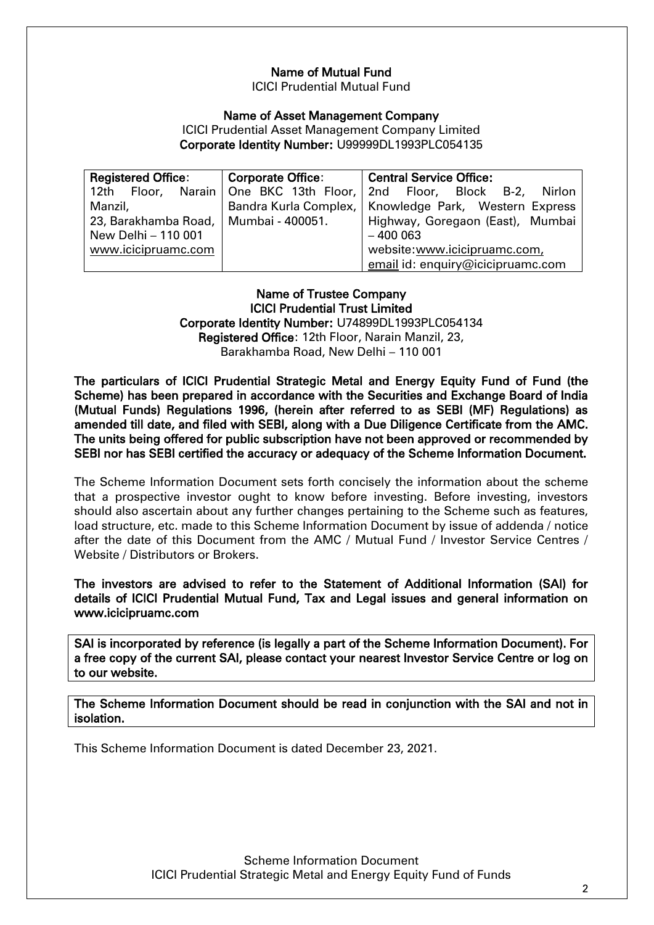# Name of Mutual Fund

ICICI Prudential Mutual Fund

#### Name of Asset Management Company

ICICI Prudential Asset Management Company Limited Corporate Identity Number: U99999DL1993PLC054135

| <b>Registered Office:</b><br>Corporate Office: |  | <b>Central Service Office:</b>                                         |
|------------------------------------------------|--|------------------------------------------------------------------------|
|                                                |  | 12th Floor, Narain One BKC 13th Floor, 2nd Floor, Block B-2,<br>Nirlon |
| Manzil,                                        |  | Bandra Kurla Complex,   Knowledge Park, Western Express                |
| 23, Barakhamba Road,   Mumbai - 400051.        |  | Highway, Goregaon (East), Mumbai                                       |
| New Delhi - 110 001                            |  | $-400003$                                                              |
| www.icicipruamc.com                            |  | website:www.icicipruamc.com,                                           |
|                                                |  | email id: enquiry@icicipruamc.com                                      |

#### Name of Trustee Company ICICI Prudential Trust Limited Corporate Identity Number: U74899DL1993PLC054134 Registered Office: 12th Floor, Narain Manzil, 23, Barakhamba Road, New Delhi – 110 001

The particulars of ICICI Prudential Strategic Metal and Energy Equity Fund of Fund (the Scheme) has been prepared in accordance with the Securities and Exchange Board of India (Mutual Funds) Regulations 1996, (herein after referred to as SEBI (MF) Regulations) as amended till date, and filed with SEBI, along with a Due Diligence Certificate from the AMC. The units being offered for public subscription have not been approved or recommended by SEBI nor has SEBI certified the accuracy or adequacy of the Scheme Information Document.

The Scheme Information Document sets forth concisely the information about the scheme that a prospective investor ought to know before investing. Before investing, investors should also ascertain about any further changes pertaining to the Scheme such as features, load structure, etc. made to this Scheme Information Document by issue of addenda / notice after the date of this Document from the AMC / Mutual Fund / Investor Service Centres / Website / Distributors or Brokers.

The investors are advised to refer to the Statement of Additional Information (SAI) for details of ICICI Prudential Mutual Fund, Tax and Legal issues and general information on www.icicipruamc.com

SAI is incorporated by reference (is legally a part of the Scheme Information Document). For a free copy of the current SAI, please contact your nearest Investor Service Centre or log on to our website.

The Scheme Information Document should be read in conjunction with the SAI and not in isolation.

This Scheme Information Document is dated December 23, 2021.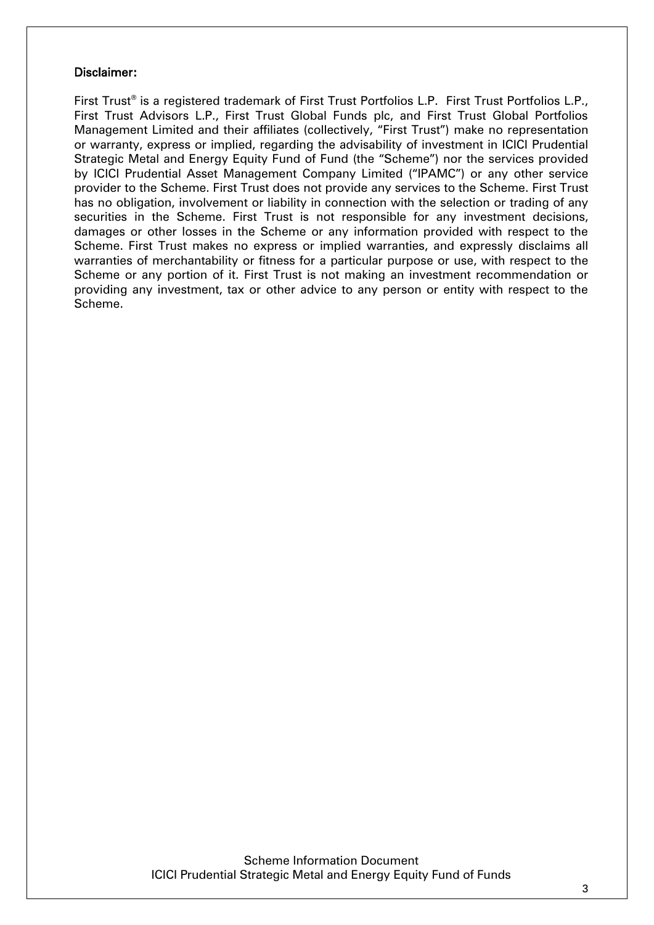#### Disclaimer:

First Trust® is a registered trademark of First Trust Portfolios L.P. First Trust Portfolios L.P., First Trust Advisors L.P., First Trust Global Funds plc, and First Trust Global Portfolios Management Limited and their affiliates (collectively, "First Trust") make no representation or warranty, express or implied, regarding the advisability of investment in ICICI Prudential Strategic Metal and Energy Equity Fund of Fund (the "Scheme") nor the services provided by ICICI Prudential Asset Management Company Limited ("IPAMC") or any other service provider to the Scheme. First Trust does not provide any services to the Scheme. First Trust has no obligation, involvement or liability in connection with the selection or trading of any securities in the Scheme. First Trust is not responsible for any investment decisions, damages or other losses in the Scheme or any information provided with respect to the Scheme. First Trust makes no express or implied warranties, and expressly disclaims all warranties of merchantability or fitness for a particular purpose or use, with respect to the Scheme or any portion of it. First Trust is not making an investment recommendation or providing any investment, tax or other advice to any person or entity with respect to the Scheme.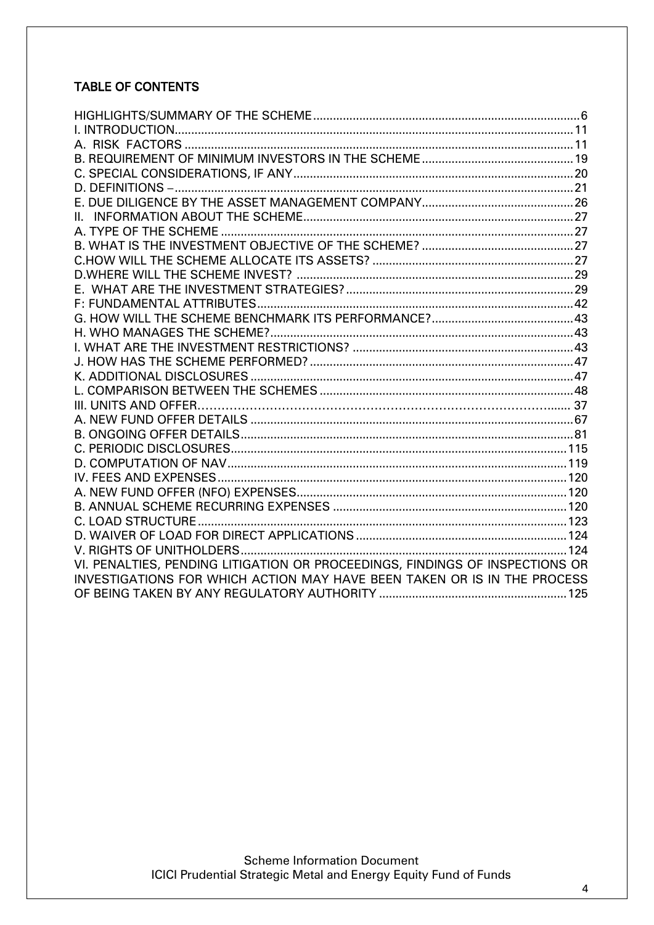# **TABLE OF CONTENTS**

| VI. PENALTIES, PENDING LITIGATION OR PROCEEDINGS, FINDINGS OF INSPECTIONS OR |  |
|------------------------------------------------------------------------------|--|
| INVESTIGATIONS FOR WHICH ACTION MAY HAVE BEEN TAKEN OR IS IN THE PROCESS     |  |
|                                                                              |  |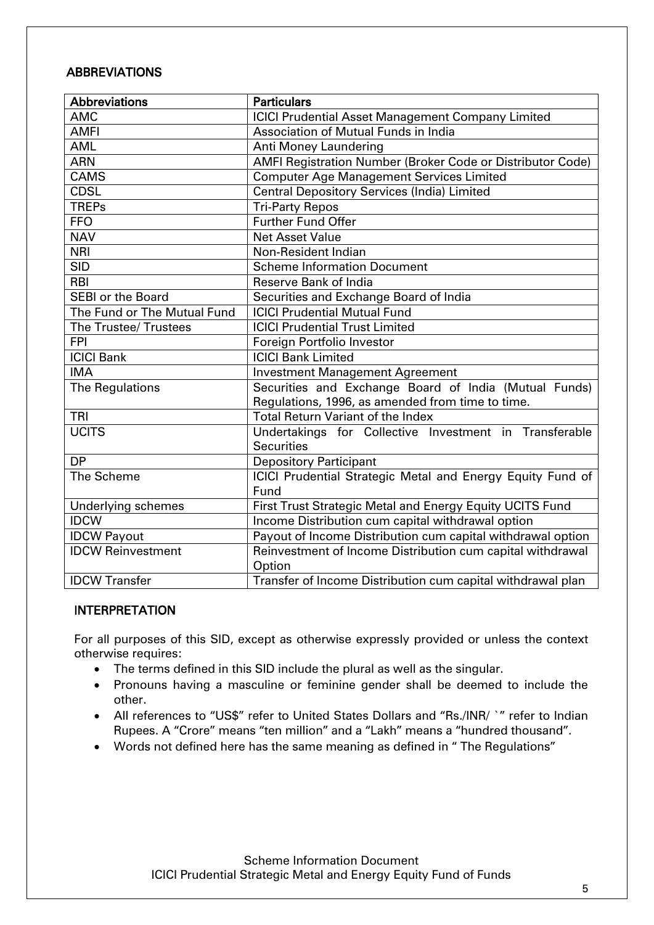# ABBREVIATIONS

| <b>Abbreviations</b>        | <b>Particulars</b>                                          |
|-----------------------------|-------------------------------------------------------------|
| <b>AMC</b>                  | <b>ICICI Prudential Asset Management Company Limited</b>    |
| <b>AMFI</b>                 | Association of Mutual Funds in India                        |
| <b>AML</b>                  | Anti Money Laundering                                       |
| <b>ARN</b>                  | AMFI Registration Number (Broker Code or Distributor Code)  |
| <b>CAMS</b>                 | <b>Computer Age Management Services Limited</b>             |
| <b>CDSL</b>                 | <b>Central Depository Services (India) Limited</b>          |
| <b>TREPs</b>                | <b>Tri-Party Repos</b>                                      |
| <b>FFO</b>                  | <b>Further Fund Offer</b>                                   |
| <b>NAV</b>                  | <b>Net Asset Value</b>                                      |
| <b>NRI</b>                  | Non-Resident Indian                                         |
| <b>SID</b>                  | <b>Scheme Information Document</b>                          |
| <b>RBI</b>                  | <b>Reserve Bank of India</b>                                |
| <b>SEBI or the Board</b>    | Securities and Exchange Board of India                      |
| The Fund or The Mutual Fund | <b>ICICI Prudential Mutual Fund</b>                         |
| The Trustee/ Trustees       | <b>ICICI Prudential Trust Limited</b>                       |
| <b>FPI</b>                  | Foreign Portfolio Investor                                  |
| <b>ICICI Bank</b>           | <b>ICICI Bank Limited</b>                                   |
| <b>IMA</b>                  | <b>Investment Management Agreement</b>                      |
| The Regulations             | Securities and Exchange Board of India (Mutual Funds)       |
|                             | Regulations, 1996, as amended from time to time.            |
| <b>TRI</b>                  | <b>Total Return Variant of the Index</b>                    |
| <b>UCITS</b>                | Undertakings for Collective Investment in Transferable      |
|                             | <b>Securities</b>                                           |
| <b>DP</b>                   | <b>Depository Participant</b>                               |
| The Scheme                  | ICICI Prudential Strategic Metal and Energy Equity Fund of  |
|                             | Fund                                                        |
| <b>Underlying schemes</b>   | First Trust Strategic Metal and Energy Equity UCITS Fund    |
| <b>IDCW</b>                 | Income Distribution cum capital withdrawal option           |
| <b>IDCW Payout</b>          | Payout of Income Distribution cum capital withdrawal option |
| <b>IDCW Reinvestment</b>    | Reinvestment of Income Distribution cum capital withdrawal  |
|                             | Option                                                      |
| <b>IDCW Transfer</b>        | Transfer of Income Distribution cum capital withdrawal plan |

## INTERPRETATION

For all purposes of this SID, except as otherwise expressly provided or unless the context otherwise requires:

- The terms defined in this SID include the plural as well as the singular.
- Pronouns having a masculine or feminine gender shall be deemed to include the other.
- All references to "US\$" refer to United States Dollars and "Rs./INR/ `" refer to Indian Rupees. A "Crore" means "ten million" and a "Lakh" means a "hundred thousand".
- <span id="page-4-0"></span>Words not defined here has the same meaning as defined in " The Regulations"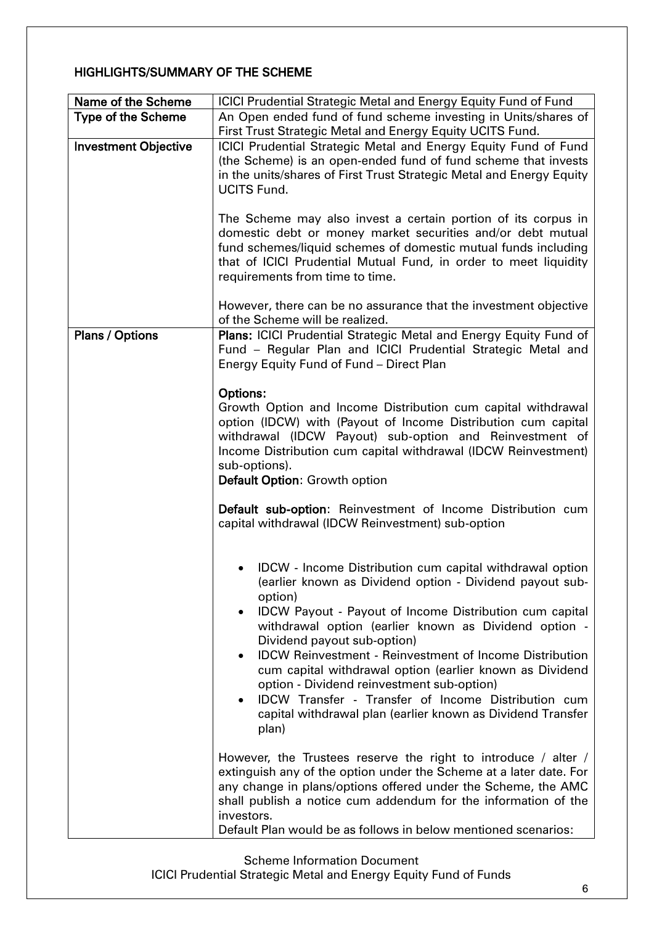# HIGHLIGHTS/SUMMARY OF THE SCHEME

| Name of the Scheme          | ICICI Prudential Strategic Metal and Energy Equity Fund of Fund                                                                                                                                                                                                                                                                                                                                                                                                                                                                                                                                                                      |
|-----------------------------|--------------------------------------------------------------------------------------------------------------------------------------------------------------------------------------------------------------------------------------------------------------------------------------------------------------------------------------------------------------------------------------------------------------------------------------------------------------------------------------------------------------------------------------------------------------------------------------------------------------------------------------|
| <b>Type of the Scheme</b>   | An Open ended fund of fund scheme investing in Units/shares of                                                                                                                                                                                                                                                                                                                                                                                                                                                                                                                                                                       |
|                             | First Trust Strategic Metal and Energy Equity UCITS Fund.                                                                                                                                                                                                                                                                                                                                                                                                                                                                                                                                                                            |
| <b>Investment Objective</b> | ICICI Prudential Strategic Metal and Energy Equity Fund of Fund<br>(the Scheme) is an open-ended fund of fund scheme that invests<br>in the units/shares of First Trust Strategic Metal and Energy Equity<br><b>UCITS Fund.</b>                                                                                                                                                                                                                                                                                                                                                                                                      |
|                             | The Scheme may also invest a certain portion of its corpus in<br>domestic debt or money market securities and/or debt mutual<br>fund schemes/liquid schemes of domestic mutual funds including<br>that of ICICI Prudential Mutual Fund, in order to meet liquidity<br>requirements from time to time.                                                                                                                                                                                                                                                                                                                                |
|                             | However, there can be no assurance that the investment objective<br>of the Scheme will be realized.                                                                                                                                                                                                                                                                                                                                                                                                                                                                                                                                  |
| <b>Plans / Options</b>      | Plans: ICICI Prudential Strategic Metal and Energy Equity Fund of<br>Fund - Regular Plan and ICICI Prudential Strategic Metal and<br>Energy Equity Fund of Fund - Direct Plan                                                                                                                                                                                                                                                                                                                                                                                                                                                        |
|                             | <b>Options:</b><br>Growth Option and Income Distribution cum capital withdrawal<br>option (IDCW) with (Payout of Income Distribution cum capital<br>withdrawal (IDCW Payout) sub-option and Reinvestment of<br>Income Distribution cum capital withdrawal (IDCW Reinvestment)<br>sub-options).<br>Default Option: Growth option                                                                                                                                                                                                                                                                                                      |
|                             | Default sub-option: Reinvestment of Income Distribution cum<br>capital withdrawal (IDCW Reinvestment) sub-option                                                                                                                                                                                                                                                                                                                                                                                                                                                                                                                     |
|                             | IDCW - Income Distribution cum capital withdrawal option<br>(earlier known as Dividend option - Dividend payout sub-<br>option)<br>IDCW Payout - Payout of Income Distribution cum capital<br>$\bullet$<br>withdrawal option (earlier known as Dividend option -<br>Dividend payout sub-option)<br><b>IDCW Reinvestment - Reinvestment of Income Distribution</b><br>$\bullet$<br>cum capital withdrawal option (earlier known as Dividend<br>option - Dividend reinvestment sub-option)<br>IDCW Transfer - Transfer of Income Distribution cum<br>$\bullet$<br>capital withdrawal plan (earlier known as Dividend Transfer<br>plan) |
|                             | However, the Trustees reserve the right to introduce / alter /<br>extinguish any of the option under the Scheme at a later date. For<br>any change in plans/options offered under the Scheme, the AMC<br>shall publish a notice cum addendum for the information of the<br>investors.<br>Default Plan would be as follows in below mentioned scenarios:                                                                                                                                                                                                                                                                              |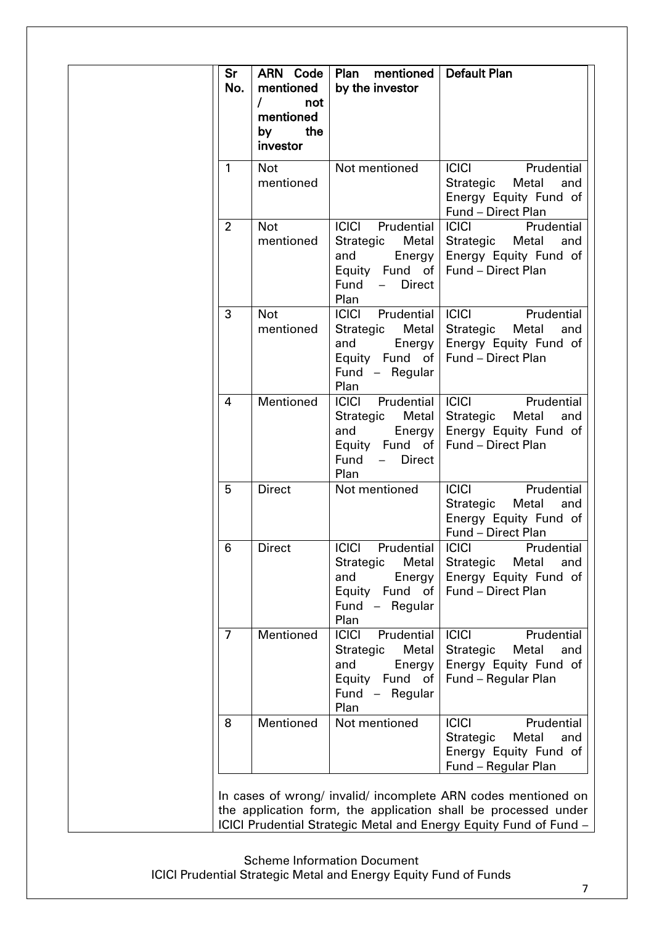| Sr<br>No.      | <b>ARN</b> Code<br>mentioned<br>not<br>mentioned<br>the<br>by<br>investor | Plan<br>mentioned<br>by the investor                                                                                        | <b>Default Plan</b>                                                                                                  |
|----------------|---------------------------------------------------------------------------|-----------------------------------------------------------------------------------------------------------------------------|----------------------------------------------------------------------------------------------------------------------|
| 1              | <b>Not</b><br>mentioned                                                   | Not mentioned                                                                                                               | <b>ICICI</b><br>Prudential<br>Strategic<br>Metal<br>and<br>Energy Equity Fund of<br>Fund - Direct Plan               |
| $\overline{2}$ | <b>Not</b><br>mentioned                                                   | <b>ICICI</b><br>Prudential<br>Strategic<br><b>Metal</b><br>and<br>Energy<br>Equity Fund of<br><b>Direct</b><br>Fund<br>Plan | <b>ICICI</b><br>Prudential<br>Strategic<br>Metal<br>and<br>Energy Equity Fund of<br>Fund - Direct Plan               |
| 3              | <b>Not</b><br>mentioned                                                   | <b>ICICI</b><br>Prudential<br><b>Metal</b><br>Strategic<br>and<br>Energy<br>Equity Fund of<br>Fund - Regular<br>Plan        | <b>ICICI</b><br>Prudential<br>Strategic<br>Metal<br>and<br>Energy Equity Fund of<br><b>Fund - Direct Plan</b>        |
| 4              | Mentioned                                                                 | <b>ICICI</b><br>Prudential<br><b>Metal</b><br>Strategic<br>Energy<br>and<br>Equity Fund of<br>Fund<br><b>Direct</b><br>Plan | <b>ICICI</b><br>Prudential<br>Strategic<br>Metal<br>and<br>Energy Equity Fund of<br>Fund - Direct Plan               |
| 5              | <b>Direct</b>                                                             | Not mentioned                                                                                                               | Prudential<br><b>ICICI</b><br>Metal<br>Strategic<br>and<br>Energy Equity Fund of<br>Fund - Direct Plan               |
| 6              | <b>Direct</b>                                                             | <b>ICICI</b><br>Prudential<br>Strategic<br>Metal<br>and<br>Energy<br>Equity Fund of<br>Fund - Regular<br>Plan               | <b>ICICI</b><br>Prudential<br><b>Strategic</b><br>Metal<br>and<br>Energy Equity Fund of<br><b>Fund - Direct Plan</b> |
| 7              | Mentioned                                                                 | <b>ICICI</b><br>Prudential<br>Strategic<br>Metal<br>Energy<br>and<br>Equity Fund of<br>Fund - Regular<br>Plan               | <b>ICICI</b><br>Prudential<br>Strategic<br>Metal<br>and<br>Energy Equity Fund of<br>Fund - Regular Plan              |
| 8              | Mentioned                                                                 | Not mentioned                                                                                                               | <b>ICICI</b><br>Prudential<br>Strategic<br>Metal<br>and<br>Energy Equity Fund of<br>Fund - Regular Plan              |

the application form, the application shall be processed under ICICI Prudential Strategic Metal and Energy Equity Fund of Fund –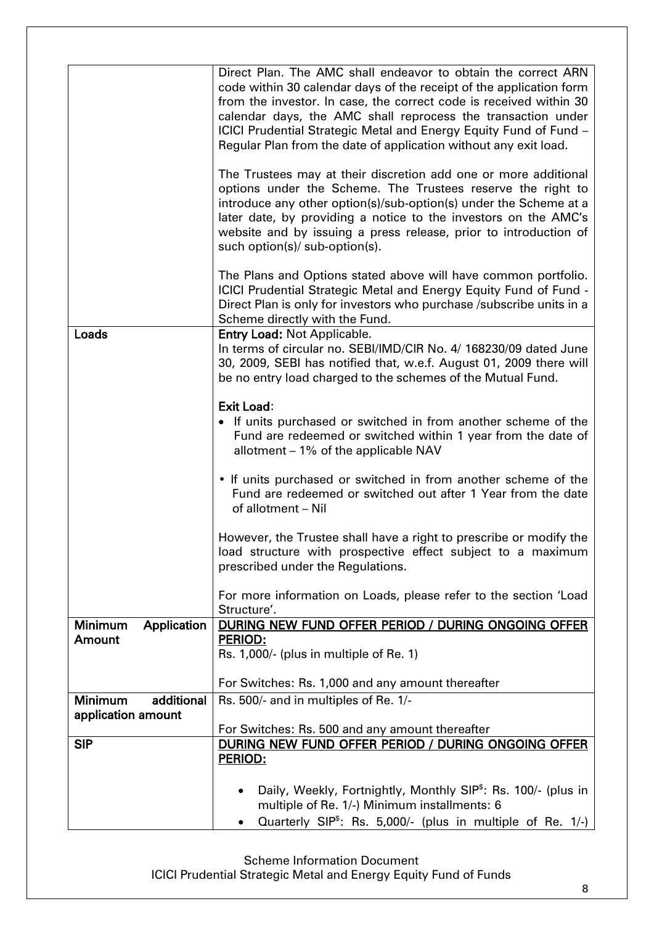|                               | Direct Plan. The AMC shall endeavor to obtain the correct ARN                           |
|-------------------------------|-----------------------------------------------------------------------------------------|
|                               | code within 30 calendar days of the receipt of the application form                     |
|                               | from the investor. In case, the correct code is received within 30                      |
|                               | calendar days, the AMC shall reprocess the transaction under                            |
|                               | ICICI Prudential Strategic Metal and Energy Equity Fund of Fund -                       |
|                               | Regular Plan from the date of application without any exit load.                        |
|                               |                                                                                         |
|                               | The Trustees may at their discretion add one or more additional                         |
|                               | options under the Scheme. The Trustees reserve the right to                             |
|                               | introduce any other option(s)/sub-option(s) under the Scheme at a                       |
|                               | later date, by providing a notice to the investors on the AMC's                         |
|                               | website and by issuing a press release, prior to introduction of                        |
|                               | such option(s)/ sub-option(s).                                                          |
|                               |                                                                                         |
|                               | The Plans and Options stated above will have common portfolio.                          |
|                               | ICICI Prudential Strategic Metal and Energy Equity Fund of Fund -                       |
|                               | Direct Plan is only for investors who purchase / subscribe units in a                   |
|                               | Scheme directly with the Fund.                                                          |
| Loads                         | <b>Entry Load: Not Applicable.</b>                                                      |
|                               | In terms of circular no. SEBI/IMD/CIR No. 4/ 168230/09 dated June                       |
|                               | 30, 2009, SEBI has notified that, w.e.f. August 01, 2009 there will                     |
|                               | be no entry load charged to the schemes of the Mutual Fund.                             |
|                               | <b>Exit Load:</b>                                                                       |
|                               | • If units purchased or switched in from another scheme of the                          |
|                               | Fund are redeemed or switched within 1 year from the date of                            |
|                               | allotment - 1% of the applicable NAV                                                    |
|                               |                                                                                         |
|                               | • If units purchased or switched in from another scheme of the                          |
|                               | Fund are redeemed or switched out after 1 Year from the date                            |
|                               | of allotment - Nil                                                                      |
|                               |                                                                                         |
|                               | However, the Trustee shall have a right to prescribe or modify the                      |
|                               | load structure with prospective effect subject to a maximum                             |
|                               | prescribed under the Regulations.                                                       |
|                               | For more information on Loads, please refer to the section 'Load                        |
|                               | Structure'.                                                                             |
| <b>Minimum</b><br>Application | DURING NEW FUND OFFER PERIOD / DURING ONGOING OFFER                                     |
| Amount                        | <b>PERIOD:</b>                                                                          |
|                               | Rs. 1,000/- (plus in multiple of Re. 1)                                                 |
|                               |                                                                                         |
|                               | For Switches: Rs. 1,000 and any amount thereafter                                       |
| additional<br><b>Minimum</b>  | Rs. 500/- and in multiples of Re. 1/-                                                   |
| application amount            |                                                                                         |
|                               | For Switches: Rs. 500 and any amount thereafter                                         |
| <b>SIP</b>                    | DURING NEW FUND OFFER PERIOD / DURING ONGOING OFFER                                     |
|                               | <b>PERIOD:</b>                                                                          |
|                               |                                                                                         |
|                               | Daily, Weekly, Fortnightly, Monthly SIP <sup>\$</sup> : Rs. 100/- (plus in<br>$\bullet$ |
|                               | multiple of Re. 1/-) Minimum installments: 6                                            |
|                               | Quarterly SIP <sup>\$</sup> : Rs. 5,000/- (plus in multiple of Re. 1/-)                 |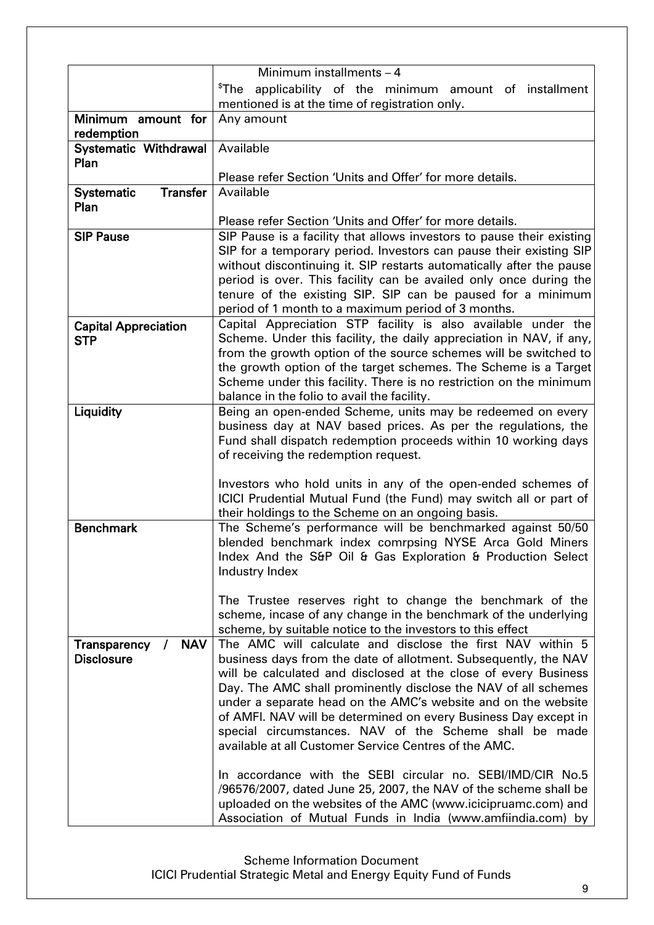| Minimum installments - 4             |                                                                                                                           |  |
|--------------------------------------|---------------------------------------------------------------------------------------------------------------------------|--|
|                                      |                                                                                                                           |  |
|                                      | $^{\$}$ The<br>applicability of the minimum amount of installment                                                         |  |
|                                      | mentioned is at the time of registration only.                                                                            |  |
| Minimum amount for                   | Any amount                                                                                                                |  |
| redemption                           | Available                                                                                                                 |  |
| Systematic Withdrawal<br>Plan        |                                                                                                                           |  |
|                                      | Please refer Section 'Units and Offer' for more details.                                                                  |  |
| <b>Transfer</b><br><b>Systematic</b> | Available                                                                                                                 |  |
| Plan                                 |                                                                                                                           |  |
|                                      | Please refer Section 'Units and Offer' for more details.                                                                  |  |
| <b>SIP Pause</b>                     | SIP Pause is a facility that allows investors to pause their existing                                                     |  |
|                                      | SIP for a temporary period. Investors can pause their existing SIP                                                        |  |
|                                      | without discontinuing it. SIP restarts automatically after the pause                                                      |  |
|                                      | period is over. This facility can be availed only once during the                                                         |  |
|                                      | tenure of the existing SIP. SIP can be paused for a minimum                                                               |  |
|                                      | period of 1 month to a maximum period of 3 months.                                                                        |  |
| <b>Capital Appreciation</b>          | Capital Appreciation STP facility is also available under the                                                             |  |
| <b>STP</b>                           | Scheme. Under this facility, the daily appreciation in NAV, if any,                                                       |  |
|                                      | from the growth option of the source schemes will be switched to                                                          |  |
|                                      | the growth option of the target schemes. The Scheme is a Target                                                           |  |
|                                      | Scheme under this facility. There is no restriction on the minimum                                                        |  |
|                                      | balance in the folio to avail the facility.                                                                               |  |
| Liquidity                            | Being an open-ended Scheme, units may be redeemed on every                                                                |  |
|                                      | business day at NAV based prices. As per the regulations, the                                                             |  |
|                                      | Fund shall dispatch redemption proceeds within 10 working days                                                            |  |
|                                      | of receiving the redemption request.                                                                                      |  |
|                                      | Investors who hold units in any of the open-ended schemes of                                                              |  |
|                                      | ICICI Prudential Mutual Fund (the Fund) may switch all or part of                                                         |  |
|                                      | their holdings to the Scheme on an ongoing basis.                                                                         |  |
| <b>Benchmark</b>                     | The Scheme's performance will be benchmarked against 50/50                                                                |  |
|                                      | blended benchmark index comrpsing NYSE Arca Gold Miners                                                                   |  |
|                                      | Index And the S&P Oil & Gas Exploration & Production Select                                                               |  |
|                                      | Industry Index                                                                                                            |  |
|                                      |                                                                                                                           |  |
|                                      | The Trustee reserves right to change the benchmark of the                                                                 |  |
|                                      | scheme, incase of any change in the benchmark of the underlying                                                           |  |
|                                      | scheme, by suitable notice to the investors to this effect                                                                |  |
| / NAV<br>Transparency                | The AMC will calculate and disclose the first NAV within 5                                                                |  |
| <b>Disclosure</b>                    | business days from the date of allotment. Subsequently, the NAV                                                           |  |
|                                      | will be calculated and disclosed at the close of every Business                                                           |  |
|                                      | Day. The AMC shall prominently disclose the NAV of all schemes                                                            |  |
|                                      | under a separate head on the AMC's website and on the website                                                             |  |
|                                      | of AMFI. NAV will be determined on every Business Day except in<br>special circumstances. NAV of the Scheme shall be made |  |
|                                      | available at all Customer Service Centres of the AMC.                                                                     |  |
|                                      |                                                                                                                           |  |
|                                      | In accordance with the SEBI circular no. SEBI/IMD/CIR No.5                                                                |  |
|                                      | /96576/2007, dated June 25, 2007, the NAV of the scheme shall be                                                          |  |
|                                      | uploaded on the websites of the AMC (www.icicipruamc.com) and                                                             |  |
|                                      | Association of Mutual Funds in India (www.amfiindia.com) by                                                               |  |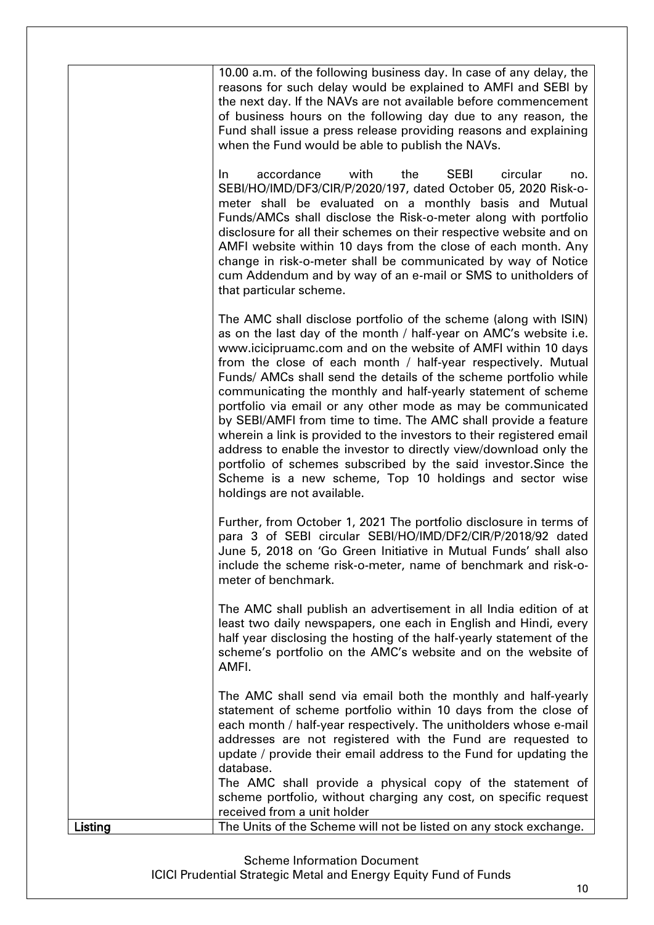| Listing | scheme portfolio, without charging any cost, on specific request<br>received from a unit holder<br>The Units of the Scheme will not be listed on any stock exchange.                                                                                                                                                                                                                                                                                                                                                                                                                                                                                                                                                                                                                                                                                       |
|---------|------------------------------------------------------------------------------------------------------------------------------------------------------------------------------------------------------------------------------------------------------------------------------------------------------------------------------------------------------------------------------------------------------------------------------------------------------------------------------------------------------------------------------------------------------------------------------------------------------------------------------------------------------------------------------------------------------------------------------------------------------------------------------------------------------------------------------------------------------------|
|         | The AMC shall send via email both the monthly and half-yearly<br>statement of scheme portfolio within 10 days from the close of<br>each month / half-year respectively. The unitholders whose e-mail<br>addresses are not registered with the Fund are requested to<br>update / provide their email address to the Fund for updating the<br>database.<br>The AMC shall provide a physical copy of the statement of                                                                                                                                                                                                                                                                                                                                                                                                                                         |
|         | The AMC shall publish an advertisement in all India edition of at<br>least two daily newspapers, one each in English and Hindi, every<br>half year disclosing the hosting of the half-yearly statement of the<br>scheme's portfolio on the AMC's website and on the website of<br>AMFI.                                                                                                                                                                                                                                                                                                                                                                                                                                                                                                                                                                    |
|         | Further, from October 1, 2021 The portfolio disclosure in terms of<br>para 3 of SEBI circular SEBI/HO/IMD/DF2/CIR/P/2018/92 dated<br>June 5, 2018 on 'Go Green Initiative in Mutual Funds' shall also<br>include the scheme risk-o-meter, name of benchmark and risk-o-<br>meter of benchmark.                                                                                                                                                                                                                                                                                                                                                                                                                                                                                                                                                             |
|         | The AMC shall disclose portfolio of the scheme (along with ISIN)<br>as on the last day of the month / half-year on AMC's website i.e.<br>www.icicipruamc.com and on the website of AMFI within 10 days<br>from the close of each month / half-year respectively. Mutual<br>Funds/ AMCs shall send the details of the scheme portfolio while<br>communicating the monthly and half-yearly statement of scheme<br>portfolio via email or any other mode as may be communicated<br>by SEBI/AMFI from time to time. The AMC shall provide a feature<br>wherein a link is provided to the investors to their registered email<br>address to enable the investor to directly view/download only the<br>portfolio of schemes subscribed by the said investor. Since the<br>Scheme is a new scheme, Top 10 holdings and sector wise<br>holdings are not available. |
|         | accordance<br>with<br>the<br><b>SEBI</b><br>In.<br>circular<br>no.<br>SEBI/HO/IMD/DF3/CIR/P/2020/197, dated October 05, 2020 Risk-o-<br>meter shall be evaluated on a monthly basis and Mutual<br>Funds/AMCs shall disclose the Risk-o-meter along with portfolio<br>disclosure for all their schemes on their respective website and on<br>AMFI website within 10 days from the close of each month. Any<br>change in risk-o-meter shall be communicated by way of Notice<br>cum Addendum and by way of an e-mail or SMS to unitholders of<br>that particular scheme.                                                                                                                                                                                                                                                                                     |
|         | 10.00 a.m. of the following business day. In case of any delay, the<br>reasons for such delay would be explained to AMFI and SEBI by<br>the next day. If the NAVs are not available before commencement<br>of business hours on the following day due to any reason, the<br>Fund shall issue a press release providing reasons and explaining<br>when the Fund would be able to publish the NAVs.                                                                                                                                                                                                                                                                                                                                                                                                                                                          |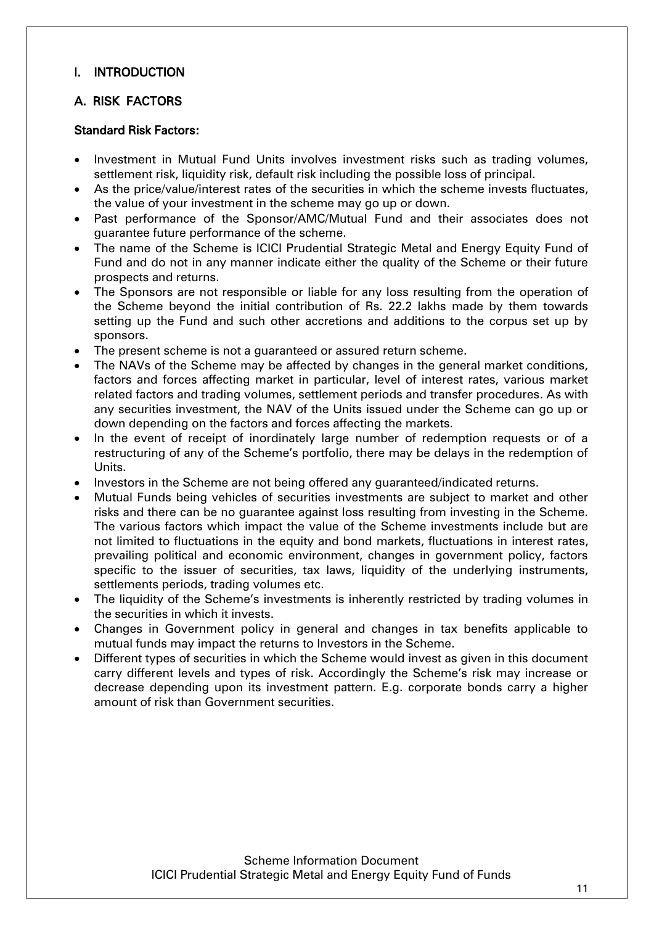# <span id="page-10-0"></span>I. INTRODUCTION

# <span id="page-10-1"></span>A. RISK FACTORS

#### Standard Risk Factors:

- Investment in Mutual Fund Units involves investment risks such as trading volumes, settlement risk, liquidity risk, default risk including the possible loss of principal.
- As the price/value/interest rates of the securities in which the scheme invests fluctuates, the value of your investment in the scheme may go up or down.
- Past performance of the Sponsor/AMC/Mutual Fund and their associates does not guarantee future performance of the scheme.
- The name of the Scheme is ICICI Prudential Strategic Metal and Energy Equity Fund of Fund and do not in any manner indicate either the quality of the Scheme or their future prospects and returns.
- The Sponsors are not responsible or liable for any loss resulting from the operation of the Scheme beyond the initial contribution of Rs. 22.2 lakhs made by them towards setting up the Fund and such other accretions and additions to the corpus set up by sponsors.
- The present scheme is not a guaranteed or assured return scheme.
- The NAVs of the Scheme may be affected by changes in the general market conditions, factors and forces affecting market in particular, level of interest rates, various market related factors and trading volumes, settlement periods and transfer procedures. As with any securities investment, the NAV of the Units issued under the Scheme can go up or down depending on the factors and forces affecting the markets.
- In the event of receipt of inordinately large number of redemption requests or of a restructuring of any of the Scheme's portfolio, there may be delays in the redemption of Units.
- Investors in the Scheme are not being offered any guaranteed/indicated returns.
- Mutual Funds being vehicles of securities investments are subject to market and other risks and there can be no guarantee against loss resulting from investing in the Scheme. The various factors which impact the value of the Scheme investments include but are not limited to fluctuations in the equity and bond markets, fluctuations in interest rates, prevailing political and economic environment, changes in government policy, factors specific to the issuer of securities, tax laws, liquidity of the underlying instruments, settlements periods, trading volumes etc.
- The liquidity of the Scheme's investments is inherently restricted by trading volumes in the securities in which it invests.
- Changes in Government policy in general and changes in tax benefits applicable to mutual funds may impact the returns to Investors in the Scheme.
- Different types of securities in which the Scheme would invest as given in this document carry different levels and types of risk. Accordingly the Scheme's risk may increase or decrease depending upon its investment pattern. E.g. corporate bonds carry a higher amount of risk than Government securities.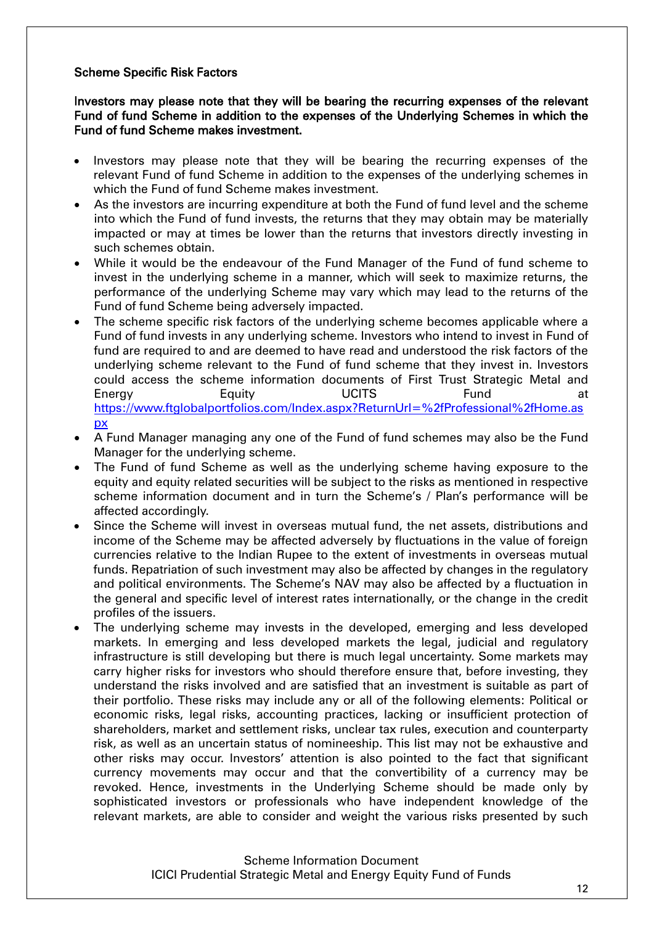## Scheme Specific Risk Factors

Investors may please note that they will be bearing the recurring expenses of the relevant Fund of fund Scheme in addition to the expenses of the Underlying Schemes in which the Fund of fund Scheme makes investment.

- Investors may please note that they will be bearing the recurring expenses of the relevant Fund of fund Scheme in addition to the expenses of the underlying schemes in which the Fund of fund Scheme makes investment.
- As the investors are incurring expenditure at both the Fund of fund level and the scheme into which the Fund of fund invests, the returns that they may obtain may be materially impacted or may at times be lower than the returns that investors directly investing in such schemes obtain.
- While it would be the endeavour of the Fund Manager of the Fund of fund scheme to invest in the underlying scheme in a manner, which will seek to maximize returns, the performance of the underlying Scheme may vary which may lead to the returns of the Fund of fund Scheme being adversely impacted.
- The scheme specific risk factors of the underlying scheme becomes applicable where a Fund of fund invests in any underlying scheme. Investors who intend to invest in Fund of fund are required to and are deemed to have read and understood the risk factors of the underlying scheme relevant to the Fund of fund scheme that they invest in. Investors could access the scheme information documents of First Trust Strategic Metal and Energy Equity UCITS Fund at [https://www.ftglobalportfolios.com/Index.aspx?ReturnUrl=%2fProfessional%2fHome.as](https://www.ftglobalportfolios.com/Index.aspx?ReturnUrl=%2fProfessional%2fHome.aspx) [px](https://www.ftglobalportfolios.com/Index.aspx?ReturnUrl=%2fProfessional%2fHome.aspx)
- A Fund Manager managing any one of the Fund of fund schemes may also be the Fund Manager for the underlying scheme.
- The Fund of fund Scheme as well as the underlying scheme having exposure to the equity and equity related securities will be subject to the risks as mentioned in respective scheme information document and in turn the Scheme's / Plan's performance will be affected accordingly.
- Since the Scheme will invest in overseas mutual fund, the net assets, distributions and income of the Scheme may be affected adversely by fluctuations in the value of foreign currencies relative to the Indian Rupee to the extent of investments in overseas mutual funds. Repatriation of such investment may also be affected by changes in the regulatory and political environments. The Scheme's NAV may also be affected by a fluctuation in the general and specific level of interest rates internationally, or the change in the credit profiles of the issuers.
- The underlying scheme may invests in the developed, emerging and less developed markets. In emerging and less developed markets the legal, judicial and regulatory infrastructure is still developing but there is much legal uncertainty. Some markets may carry higher risks for investors who should therefore ensure that, before investing, they understand the risks involved and are satisfied that an investment is suitable as part of their portfolio. These risks may include any or all of the following elements: Political or economic risks, legal risks, accounting practices, lacking or insufficient protection of shareholders, market and settlement risks, unclear tax rules, execution and counterparty risk, as well as an uncertain status of nomineeship. This list may not be exhaustive and other risks may occur. Investors' attention is also pointed to the fact that significant currency movements may occur and that the convertibility of a currency may be revoked. Hence, investments in the Underlying Scheme should be made only by sophisticated investors or professionals who have independent knowledge of the relevant markets, are able to consider and weight the various risks presented by such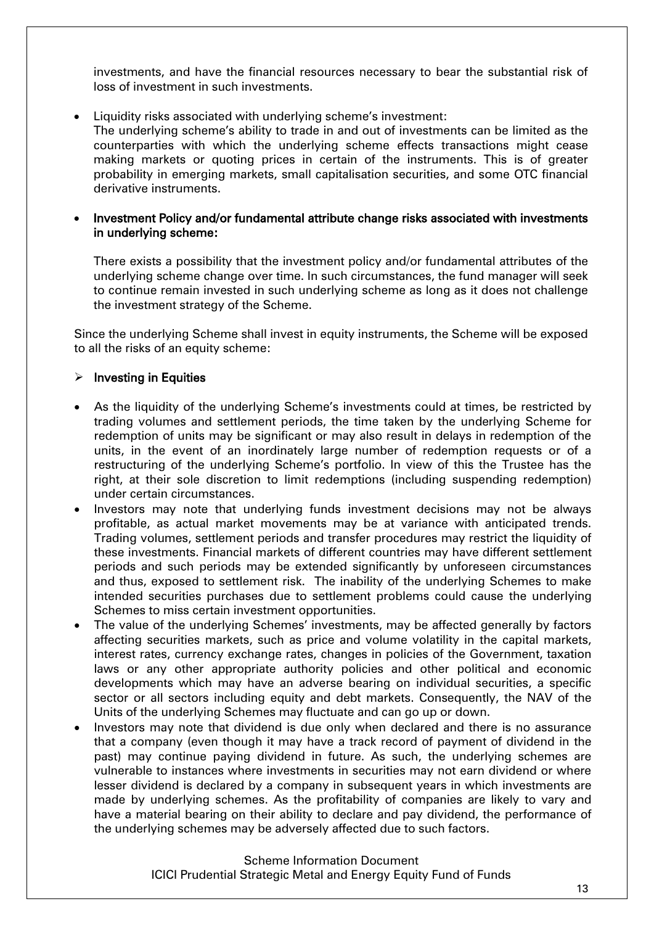investments, and have the financial resources necessary to bear the substantial risk of loss of investment in such investments.

Liquidity risks associated with underlying scheme's investment:

The underlying scheme's ability to trade in and out of investments can be limited as the counterparties with which the underlying scheme effects transactions might cease making markets or quoting prices in certain of the instruments. This is of greater probability in emerging markets, small capitalisation securities, and some OTC financial derivative instruments.

 Investment Policy and/or fundamental attribute change risks associated with investments in underlying scheme:

There exists a possibility that the investment policy and/or fundamental attributes of the underlying scheme change over time. In such circumstances, the fund manager will seek to continue remain invested in such underlying scheme as long as it does not challenge the investment strategy of the Scheme.

Since the underlying Scheme shall invest in equity instruments, the Scheme will be exposed to all the risks of an equity scheme:

#### $\triangleright$  Investing in Equities

- As the liquidity of the underlying Scheme's investments could at times, be restricted by trading volumes and settlement periods, the time taken by the underlying Scheme for redemption of units may be significant or may also result in delays in redemption of the units, in the event of an inordinately large number of redemption requests or of a restructuring of the underlying Scheme's portfolio. In view of this the Trustee has the right, at their sole discretion to limit redemptions (including suspending redemption) under certain circumstances.
- Investors may note that underlying funds investment decisions may not be always profitable, as actual market movements may be at variance with anticipated trends. Trading volumes, settlement periods and transfer procedures may restrict the liquidity of these investments. Financial markets of different countries may have different settlement periods and such periods may be extended significantly by unforeseen circumstances and thus, exposed to settlement risk. The inability of the underlying Schemes to make intended securities purchases due to settlement problems could cause the underlying Schemes to miss certain investment opportunities.
- The value of the underlying Schemes' investments, may be affected generally by factors affecting securities markets, such as price and volume volatility in the capital markets, interest rates, currency exchange rates, changes in policies of the Government, taxation laws or any other appropriate authority policies and other political and economic developments which may have an adverse bearing on individual securities, a specific sector or all sectors including equity and debt markets. Consequently, the NAV of the Units of the underlying Schemes may fluctuate and can go up or down.
- Investors may note that dividend is due only when declared and there is no assurance that a company (even though it may have a track record of payment of dividend in the past) may continue paying dividend in future. As such, the underlying schemes are vulnerable to instances where investments in securities may not earn dividend or where lesser dividend is declared by a company in subsequent years in which investments are made by underlying schemes. As the profitability of companies are likely to vary and have a material bearing on their ability to declare and pay dividend, the performance of the underlying schemes may be adversely affected due to such factors.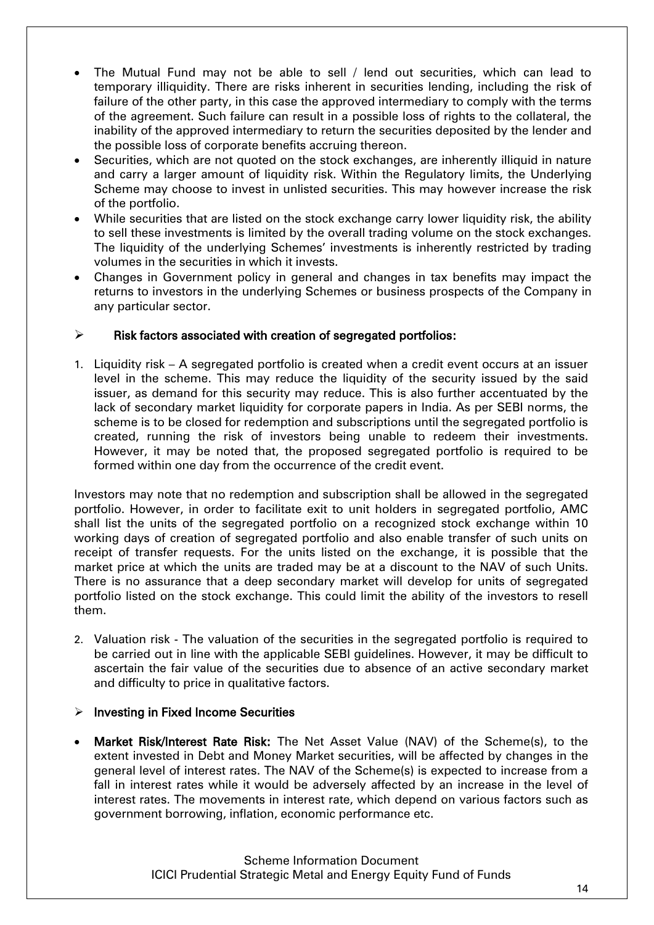- The Mutual Fund may not be able to sell / lend out securities, which can lead to temporary illiquidity. There are risks inherent in securities lending, including the risk of failure of the other party, in this case the approved intermediary to comply with the terms of the agreement. Such failure can result in a possible loss of rights to the collateral, the inability of the approved intermediary to return the securities deposited by the lender and the possible loss of corporate benefits accruing thereon.
- Securities, which are not quoted on the stock exchanges, are inherently illiquid in nature and carry a larger amount of liquidity risk. Within the Regulatory limits, the Underlying Scheme may choose to invest in unlisted securities. This may however increase the risk of the portfolio.
- While securities that are listed on the stock exchange carry lower liquidity risk, the ability to sell these investments is limited by the overall trading volume on the stock exchanges. The liquidity of the underlying Schemes' investments is inherently restricted by trading volumes in the securities in which it invests.
- Changes in Government policy in general and changes in tax benefits may impact the returns to investors in the underlying Schemes or business prospects of the Company in any particular sector.

## $\triangleright$  Risk factors associated with creation of segregated portfolios:

1. Liquidity risk – A segregated portfolio is created when a credit event occurs at an issuer level in the scheme. This may reduce the liquidity of the security issued by the said issuer, as demand for this security may reduce. This is also further accentuated by the lack of secondary market liquidity for corporate papers in India. As per SEBI norms, the scheme is to be closed for redemption and subscriptions until the segregated portfolio is created, running the risk of investors being unable to redeem their investments. However, it may be noted that, the proposed segregated portfolio is required to be formed within one day from the occurrence of the credit event.

Investors may note that no redemption and subscription shall be allowed in the segregated portfolio. However, in order to facilitate exit to unit holders in segregated portfolio, AMC shall list the units of the segregated portfolio on a recognized stock exchange within 10 working days of creation of segregated portfolio and also enable transfer of such units on receipt of transfer requests. For the units listed on the exchange, it is possible that the market price at which the units are traded may be at a discount to the NAV of such Units. There is no assurance that a deep secondary market will develop for units of segregated portfolio listed on the stock exchange. This could limit the ability of the investors to resell them.

2. Valuation risk - The valuation of the securities in the segregated portfolio is required to be carried out in line with the applicable SEBI guidelines. However, it may be difficult to ascertain the fair value of the securities due to absence of an active secondary market and difficulty to price in qualitative factors.

## $\triangleright$  Investing in Fixed Income Securities

 Market Risk/Interest Rate Risk: The Net Asset Value (NAV) of the Scheme(s), to the extent invested in Debt and Money Market securities, will be affected by changes in the general level of interest rates. The NAV of the Scheme(s) is expected to increase from a fall in interest rates while it would be adversely affected by an increase in the level of interest rates. The movements in interest rate, which depend on various factors such as government borrowing, inflation, economic performance etc.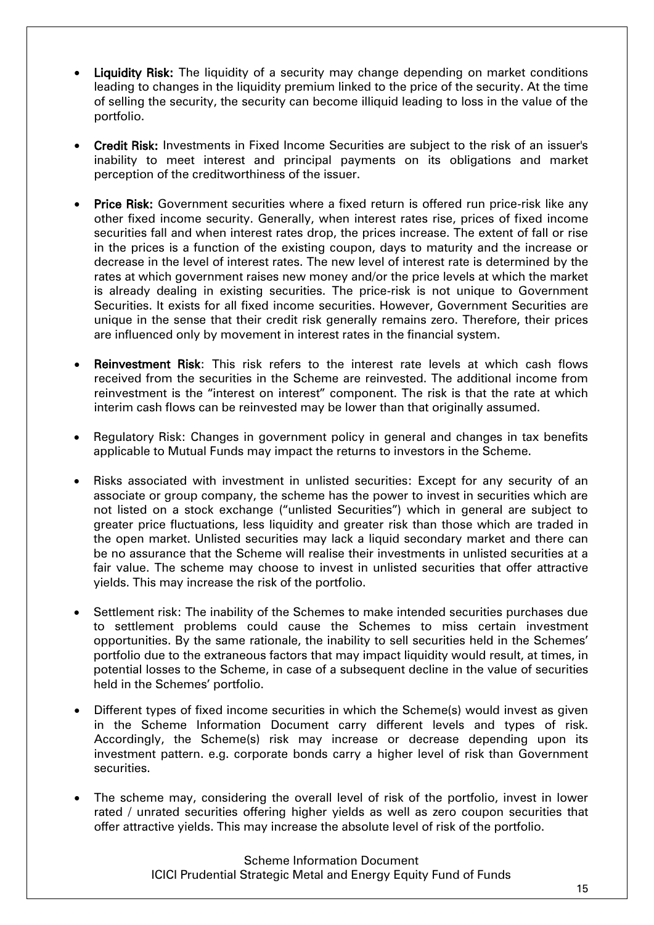- Liquidity Risk: The liquidity of a security may change depending on market conditions leading to changes in the liquidity premium linked to the price of the security. At the time of selling the security, the security can become illiquid leading to loss in the value of the portfolio.
- Credit Risk: Investments in Fixed Income Securities are subject to the risk of an issuer's inability to meet interest and principal payments on its obligations and market perception of the creditworthiness of the issuer.
- Price Risk: Government securities where a fixed return is offered run price-risk like any other fixed income security. Generally, when interest rates rise, prices of fixed income securities fall and when interest rates drop, the prices increase. The extent of fall or rise in the prices is a function of the existing coupon, days to maturity and the increase or decrease in the level of interest rates. The new level of interest rate is determined by the rates at which government raises new money and/or the price levels at which the market is already dealing in existing securities. The price-risk is not unique to Government Securities. It exists for all fixed income securities. However, Government Securities are unique in the sense that their credit risk generally remains zero. Therefore, their prices are influenced only by movement in interest rates in the financial system.
- Reinvestment Risk: This risk refers to the interest rate levels at which cash flows received from the securities in the Scheme are reinvested. The additional income from reinvestment is the "interest on interest" component. The risk is that the rate at which interim cash flows can be reinvested may be lower than that originally assumed.
- Regulatory Risk: Changes in government policy in general and changes in tax benefits applicable to Mutual Funds may impact the returns to investors in the Scheme.
- Risks associated with investment in unlisted securities: Except for any security of an associate or group company, the scheme has the power to invest in securities which are not listed on a stock exchange ("unlisted Securities") which in general are subject to greater price fluctuations, less liquidity and greater risk than those which are traded in the open market. Unlisted securities may lack a liquid secondary market and there can be no assurance that the Scheme will realise their investments in unlisted securities at a fair value. The scheme may choose to invest in unlisted securities that offer attractive yields. This may increase the risk of the portfolio.
- Settlement risk: The inability of the Schemes to make intended securities purchases due to settlement problems could cause the Schemes to miss certain investment opportunities. By the same rationale, the inability to sell securities held in the Schemes' portfolio due to the extraneous factors that may impact liquidity would result, at times, in potential losses to the Scheme, in case of a subsequent decline in the value of securities held in the Schemes' portfolio.
- Different types of fixed income securities in which the Scheme(s) would invest as given in the Scheme Information Document carry different levels and types of risk. Accordingly, the Scheme(s) risk may increase or decrease depending upon its investment pattern. e.g. corporate bonds carry a higher level of risk than Government securities.
- The scheme may, considering the overall level of risk of the portfolio, invest in lower rated / unrated securities offering higher yields as well as zero coupon securities that offer attractive yields. This may increase the absolute level of risk of the portfolio.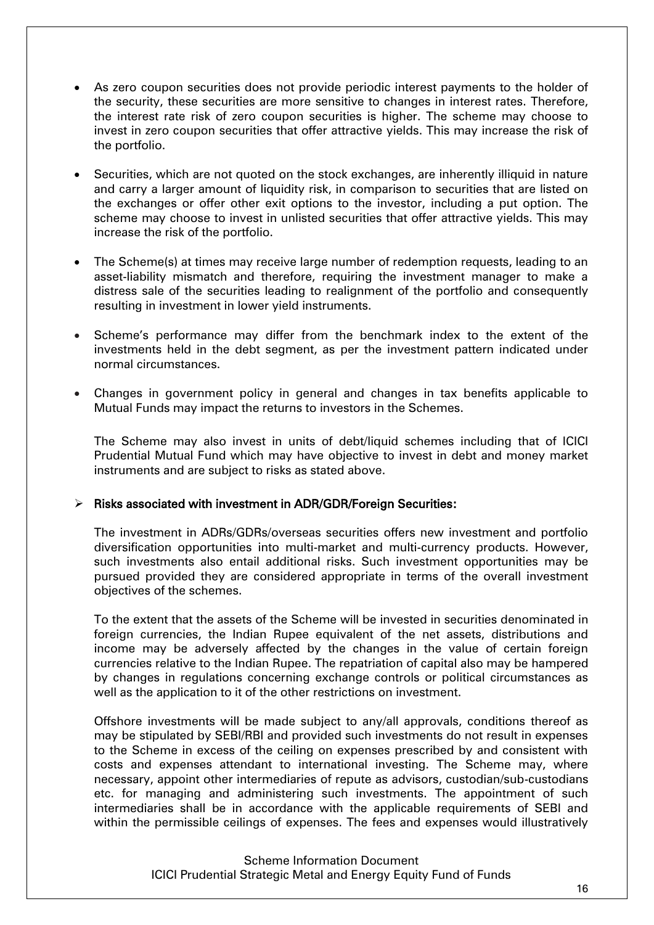- As zero coupon securities does not provide periodic interest payments to the holder of the security, these securities are more sensitive to changes in interest rates. Therefore, the interest rate risk of zero coupon securities is higher. The scheme may choose to invest in zero coupon securities that offer attractive yields. This may increase the risk of the portfolio.
- Securities, which are not quoted on the stock exchanges, are inherently illiquid in nature and carry a larger amount of liquidity risk, in comparison to securities that are listed on the exchanges or offer other exit options to the investor, including a put option. The scheme may choose to invest in unlisted securities that offer attractive yields. This may increase the risk of the portfolio.
- The Scheme(s) at times may receive large number of redemption requests, leading to an asset-liability mismatch and therefore, requiring the investment manager to make a distress sale of the securities leading to realignment of the portfolio and consequently resulting in investment in lower yield instruments.
- Scheme's performance may differ from the benchmark index to the extent of the investments held in the debt segment, as per the investment pattern indicated under normal circumstances.
- Changes in government policy in general and changes in tax benefits applicable to Mutual Funds may impact the returns to investors in the Schemes.

The Scheme may also invest in units of debt/liquid schemes including that of ICICI Prudential Mutual Fund which may have objective to invest in debt and money market instruments and are subject to risks as stated above.

#### $\triangleright$  Risks associated with investment in ADR/GDR/Foreign Securities:

The investment in ADRs/GDRs/overseas securities offers new investment and portfolio diversification opportunities into multi-market and multi-currency products. However, such investments also entail additional risks. Such investment opportunities may be pursued provided they are considered appropriate in terms of the overall investment objectives of the schemes.

To the extent that the assets of the Scheme will be invested in securities denominated in foreign currencies, the Indian Rupee equivalent of the net assets, distributions and income may be adversely affected by the changes in the value of certain foreign currencies relative to the Indian Rupee. The repatriation of capital also may be hampered by changes in regulations concerning exchange controls or political circumstances as well as the application to it of the other restrictions on investment.

Offshore investments will be made subject to any/all approvals, conditions thereof as may be stipulated by SEBI/RBI and provided such investments do not result in expenses to the Scheme in excess of the ceiling on expenses prescribed by and consistent with costs and expenses attendant to international investing. The Scheme may, where necessary, appoint other intermediaries of repute as advisors, custodian/sub-custodians etc. for managing and administering such investments. The appointment of such intermediaries shall be in accordance with the applicable requirements of SEBI and within the permissible ceilings of expenses. The fees and expenses would illustratively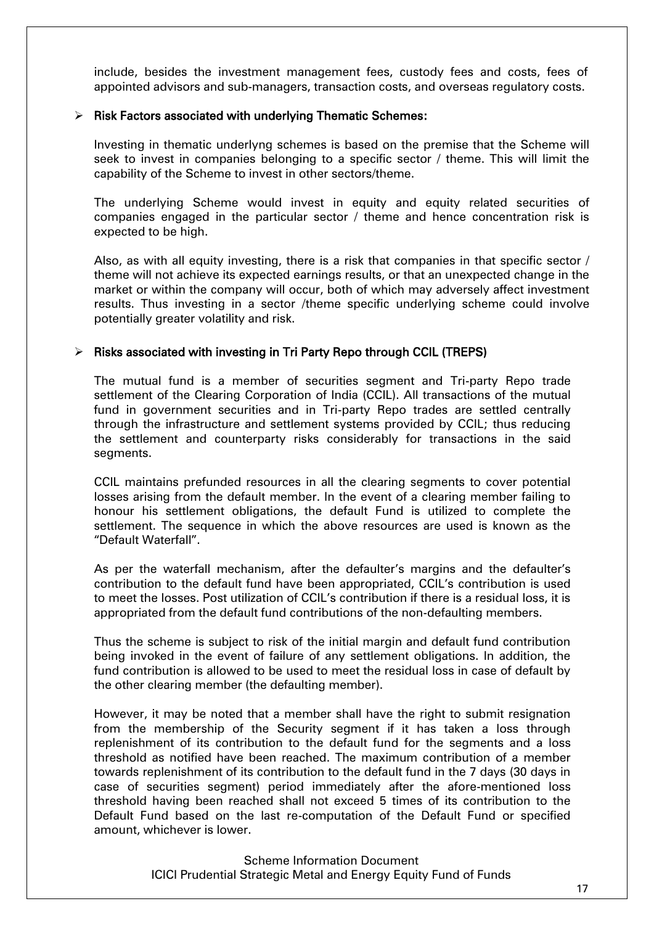include, besides the investment management fees, custody fees and costs, fees of appointed advisors and sub-managers, transaction costs, and overseas regulatory costs.

#### $\triangleright$  Risk Factors associated with underlying Thematic Schemes:

Investing in thematic underlyng schemes is based on the premise that the Scheme will seek to invest in companies belonging to a specific sector / theme. This will limit the capability of the Scheme to invest in other sectors/theme.

The underlying Scheme would invest in equity and equity related securities of companies engaged in the particular sector / theme and hence concentration risk is expected to be high.

Also, as with all equity investing, there is a risk that companies in that specific sector / theme will not achieve its expected earnings results, or that an unexpected change in the market or within the company will occur, both of which may adversely affect investment results. Thus investing in a sector /theme specific underlying scheme could involve potentially greater volatility and risk.

#### $\triangleright$  Risks associated with investing in Tri Party Repo through CCIL (TREPS)

The mutual fund is a member of securities segment and Tri-party Repo trade settlement of the Clearing Corporation of India (CCIL). All transactions of the mutual fund in government securities and in Tri-party Repo trades are settled centrally through the infrastructure and settlement systems provided by CCIL; thus reducing the settlement and counterparty risks considerably for transactions in the said segments.

CCIL maintains prefunded resources in all the clearing segments to cover potential losses arising from the default member. In the event of a clearing member failing to honour his settlement obligations, the default Fund is utilized to complete the settlement. The sequence in which the above resources are used is known as the "Default Waterfall".

As per the waterfall mechanism, after the defaulter's margins and the defaulter's contribution to the default fund have been appropriated, CCIL's contribution is used to meet the losses. Post utilization of CCIL's contribution if there is a residual loss, it is appropriated from the default fund contributions of the non-defaulting members.

Thus the scheme is subject to risk of the initial margin and default fund contribution being invoked in the event of failure of any settlement obligations. In addition, the fund contribution is allowed to be used to meet the residual loss in case of default by the other clearing member (the defaulting member).

However, it may be noted that a member shall have the right to submit resignation from the membership of the Security segment if it has taken a loss through replenishment of its contribution to the default fund for the segments and a loss threshold as notified have been reached. The maximum contribution of a member towards replenishment of its contribution to the default fund in the 7 days (30 days in case of securities segment) period immediately after the afore-mentioned loss threshold having been reached shall not exceed 5 times of its contribution to the Default Fund based on the last re-computation of the Default Fund or specified amount, whichever is lower.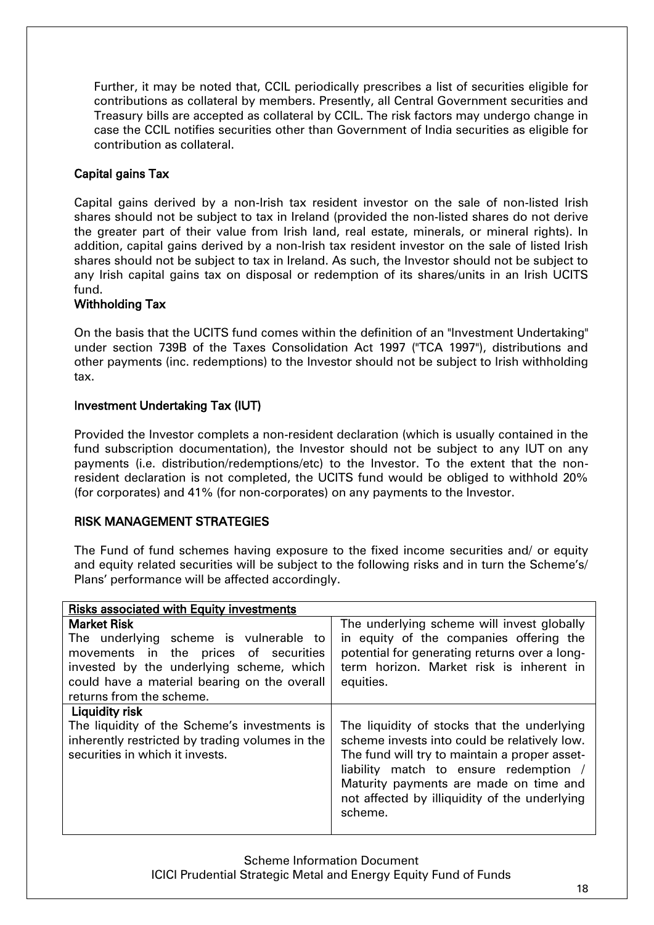Further, it may be noted that, CCIL periodically prescribes a list of securities eligible for contributions as collateral by members. Presently, all Central Government securities and Treasury bills are accepted as collateral by CCIL. The risk factors may undergo change in case the CCIL notifies securities other than Government of India securities as eligible for contribution as collateral.

# Capital gains Tax

Capital gains derived by a non-Irish tax resident investor on the sale of non-listed Irish shares should not be subject to tax in Ireland (provided the non-listed shares do not derive the greater part of their value from Irish land, real estate, minerals, or mineral rights). In addition, capital gains derived by a non-Irish tax resident investor on the sale of listed Irish shares should not be subject to tax in Ireland. As such, the Investor should not be subject to any Irish capital gains tax on disposal or redemption of its shares/units in an Irish UCITS fund.

# Withholding Tax

On the basis that the UCITS fund comes within the definition of an "Investment Undertaking" under section 739B of the Taxes Consolidation Act 1997 ("TCA 1997"), distributions and other payments (inc. redemptions) to the Investor should not be subject to Irish withholding tax.

## Investment Undertaking Tax (IUT)

Provided the Investor complets a non-resident declaration (which is usually contained in the fund subscription documentation), the Investor should not be subject to any IUT on any payments (i.e. distribution/redemptions/etc) to the Investor. To the extent that the nonresident declaration is not completed, the UCITS fund would be obliged to withhold 20% (for corporates) and 41% (for non-corporates) on any payments to the Investor.

## RISK MANAGEMENT STRATEGIES

The Fund of fund schemes having exposure to the fixed income securities and/ or equity and equity related securities will be subject to the following risks and in turn the Scheme's/ Plans' performance will be affected accordingly.

| <b>Risks associated with Equity investments</b>                                                                                                                                                                               |                                                                                                                                                                                                                                                                                              |  |
|-------------------------------------------------------------------------------------------------------------------------------------------------------------------------------------------------------------------------------|----------------------------------------------------------------------------------------------------------------------------------------------------------------------------------------------------------------------------------------------------------------------------------------------|--|
| <b>Market Risk</b><br>The underlying scheme is vulnerable to<br>movements in the prices of securities<br>invested by the underlying scheme, which<br>could have a material bearing on the overall<br>returns from the scheme. | The underlying scheme will invest globally<br>in equity of the companies offering the<br>potential for generating returns over a long-<br>term horizon. Market risk is inherent in<br>equities.                                                                                              |  |
| Liquidity risk<br>The liquidity of the Scheme's investments is<br>inherently restricted by trading volumes in the<br>securities in which it invests.                                                                          | The liquidity of stocks that the underlying<br>scheme invests into could be relatively low.<br>The fund will try to maintain a proper asset-<br>liability match to ensure redemption /<br>Maturity payments are made on time and<br>not affected by illiquidity of the underlying<br>scheme. |  |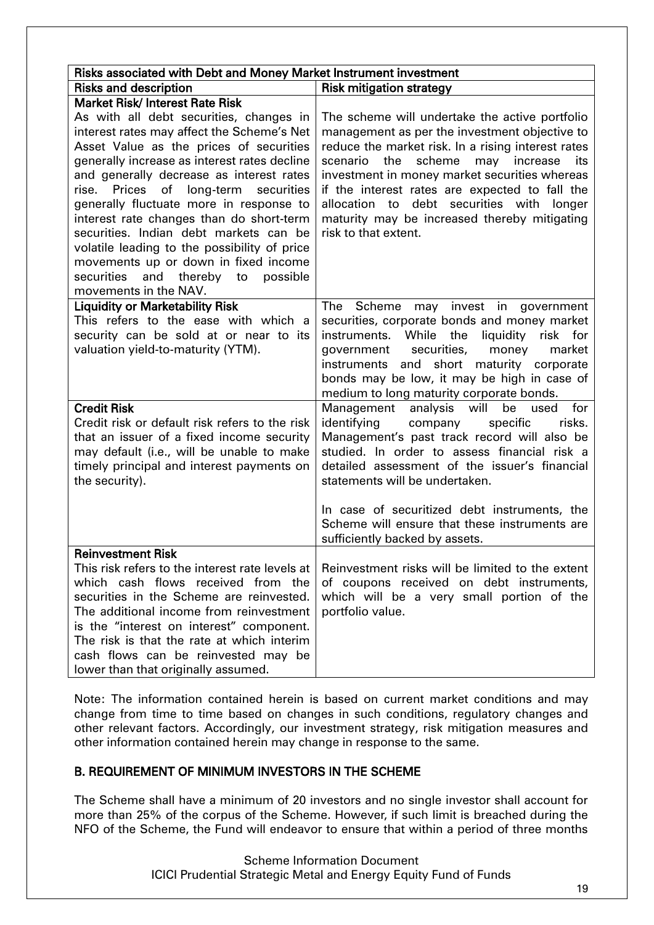<span id="page-18-0"></span>

| Risks associated with Debt and Money Market Instrument investment                                                                                                                                                                                                                                                                                                                                                                                                                                                                               |                                                                                                                                                                                                                                                                                                                                                                                                                                            |  |
|-------------------------------------------------------------------------------------------------------------------------------------------------------------------------------------------------------------------------------------------------------------------------------------------------------------------------------------------------------------------------------------------------------------------------------------------------------------------------------------------------------------------------------------------------|--------------------------------------------------------------------------------------------------------------------------------------------------------------------------------------------------------------------------------------------------------------------------------------------------------------------------------------------------------------------------------------------------------------------------------------------|--|
| <b>Risks and description</b>                                                                                                                                                                                                                                                                                                                                                                                                                                                                                                                    | <b>Risk mitigation strategy</b>                                                                                                                                                                                                                                                                                                                                                                                                            |  |
| <b>Market Risk/Interest Rate Risk</b>                                                                                                                                                                                                                                                                                                                                                                                                                                                                                                           |                                                                                                                                                                                                                                                                                                                                                                                                                                            |  |
| As with all debt securities, changes in<br>interest rates may affect the Scheme's Net<br>Asset Value as the prices of securities<br>generally increase as interest rates decline<br>and generally decrease as interest rates<br>rise. Prices of long-term<br>securities<br>generally fluctuate more in response to<br>interest rate changes than do short-term<br>securities. Indian debt markets can be<br>volatile leading to the possibility of price<br>movements up or down in fixed income<br>possible<br>securities<br>and thereby<br>to | The scheme will undertake the active portfolio<br>management as per the investment objective to<br>reduce the market risk. In a rising interest rates<br>scheme<br>the<br>may<br>increase<br>scenario<br>its<br>investment in money market securities whereas<br>if the interest rates are expected to fall the<br>debt securities with<br>allocation to<br>longer<br>maturity may be increased thereby mitigating<br>risk to that extent. |  |
| movements in the NAV.                                                                                                                                                                                                                                                                                                                                                                                                                                                                                                                           |                                                                                                                                                                                                                                                                                                                                                                                                                                            |  |
| <b>Liquidity or Marketability Risk</b><br>This refers to the ease with which a<br>security can be sold at or near to its<br>valuation yield-to-maturity (YTM).                                                                                                                                                                                                                                                                                                                                                                                  | The Scheme may invest in government<br>securities, corporate bonds and money market<br>liquidity risk for<br>instruments. While the<br>securities,<br>market<br>government<br>money<br>short<br>and<br>maturity corporate<br>instruments<br>bonds may be low, it may be high in case of<br>medium to long maturity corporate bonds.                                                                                                        |  |
| <b>Credit Risk</b><br>Credit risk or default risk refers to the risk<br>that an issuer of a fixed income security<br>may default (i.e., will be unable to make<br>timely principal and interest payments on<br>the security).                                                                                                                                                                                                                                                                                                                   | analysis<br>will<br>for<br>Management<br>be<br>used<br>identifying<br>company<br>specific<br>risks.<br>Management's past track record will also be<br>studied. In order to assess financial risk a<br>detailed assessment of the issuer's financial<br>statements will be undertaken.<br>In case of securitized debt instruments, the<br>Scheme will ensure that these instruments are<br>sufficiently backed by assets.                   |  |
| <b>Reinvestment Risk</b><br>This risk refers to the interest rate levels at<br>which cash flows received from the<br>securities in the Scheme are reinvested.<br>The additional income from reinvestment<br>is the "interest on interest" component.<br>The risk is that the rate at which interim<br>cash flows can be reinvested may be<br>lower than that originally assumed.                                                                                                                                                                | Reinvestment risks will be limited to the extent<br>of coupons received on debt instruments,<br>which will be a very small portion of the<br>portfolio value.                                                                                                                                                                                                                                                                              |  |

Note: The information contained herein is based on current market conditions and may change from time to time based on changes in such conditions, regulatory changes and other relevant factors. Accordingly, our investment strategy, risk mitigation measures and other information contained herein may change in response to the same.

## B. REQUIREMENT OF MINIMUM INVESTORS IN THE SCHEME

The Scheme shall have a minimum of 20 investors and no single investor shall account for more than 25% of the corpus of the Scheme. However, if such limit is breached during the NFO of the Scheme, the Fund will endeavor to ensure that within a period of three months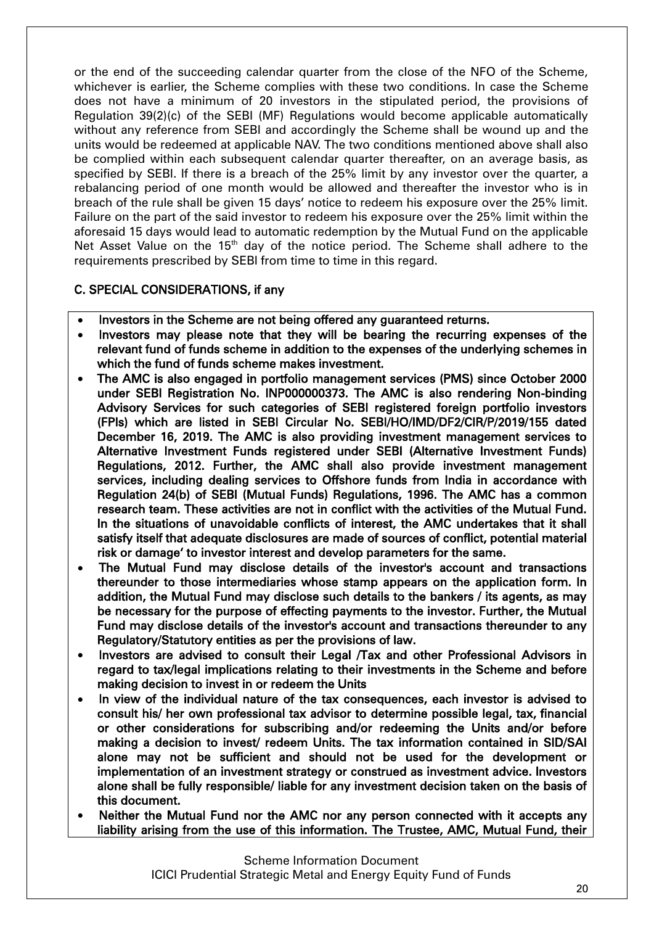or the end of the succeeding calendar quarter from the close of the NFO of the Scheme, whichever is earlier, the Scheme complies with these two conditions. In case the Scheme does not have a minimum of 20 investors in the stipulated period, the provisions of Regulation 39(2)(c) of the SEBI (MF) Regulations would become applicable automatically without any reference from SEBI and accordingly the Scheme shall be wound up and the units would be redeemed at applicable NAV. The two conditions mentioned above shall also be complied within each subsequent calendar quarter thereafter, on an average basis, as specified by SEBI. If there is a breach of the 25% limit by any investor over the quarter, a rebalancing period of one month would be allowed and thereafter the investor who is in breach of the rule shall be given 15 days' notice to redeem his exposure over the 25% limit. Failure on the part of the said investor to redeem his exposure over the 25% limit within the aforesaid 15 days would lead to automatic redemption by the Mutual Fund on the applicable Net Asset Value on the 15<sup>th</sup> day of the notice period. The Scheme shall adhere to the requirements prescribed by SEBI from time to time in this regard.

## <span id="page-19-0"></span>C. SPECIAL CONSIDERATIONS, if any

- Investors in the Scheme are not being offered any guaranteed returns.
- Investors may please note that they will be bearing the recurring expenses of the relevant fund of funds scheme in addition to the expenses of the underlying schemes in which the fund of funds scheme makes investment.
- The AMC is also engaged in portfolio management services (PMS) since October 2000 under SEBI Registration No. INP000000373. The AMC is also rendering Non-binding Advisory Services for such categories of SEBI registered foreign portfolio investors (FPIs) which are listed in SEBI Circular No. SEBI/HO/IMD/DF2/CIR/P/2019/155 dated December 16, 2019. The AMC is also providing investment management services to Alternative Investment Funds registered under SEBI (Alternative Investment Funds) Regulations, 2012. Further, the AMC shall also provide investment management services, including dealing services to Offshore funds from India in accordance with Regulation 24(b) of SEBI (Mutual Funds) Regulations, 1996. The AMC has a common research team. These activities are not in conflict with the activities of the Mutual Fund. In the situations of unavoidable conflicts of interest, the AMC undertakes that it shall satisfy itself that adequate disclosures are made of sources of conflict, potential material risk or damage' to investor interest and develop parameters for the same.
- The Mutual Fund may disclose details of the investor's account and transactions thereunder to those intermediaries whose stamp appears on the application form. In addition, the Mutual Fund may disclose such details to the bankers / its agents, as may be necessary for the purpose of effecting payments to the investor. Further, the Mutual Fund may disclose details of the investor's account and transactions thereunder to any Regulatory/Statutory entities as per the provisions of law.
- Investors are advised to consult their Legal /Tax and other Professional Advisors in regard to tax/legal implications relating to their investments in the Scheme and before making decision to invest in or redeem the Units
- In view of the individual nature of the tax consequences, each investor is advised to consult his/ her own professional tax advisor to determine possible legal, tax, financial or other considerations for subscribing and/or redeeming the Units and/or before making a decision to invest/ redeem Units. The tax information contained in SID/SAI alone may not be sufficient and should not be used for the development or implementation of an investment strategy or construed as investment advice. Investors alone shall be fully responsible/ liable for any investment decision taken on the basis of this document.
- Neither the Mutual Fund nor the AMC nor any person connected with it accepts any liability arising from the use of this information. The Trustee, AMC, Mutual Fund, their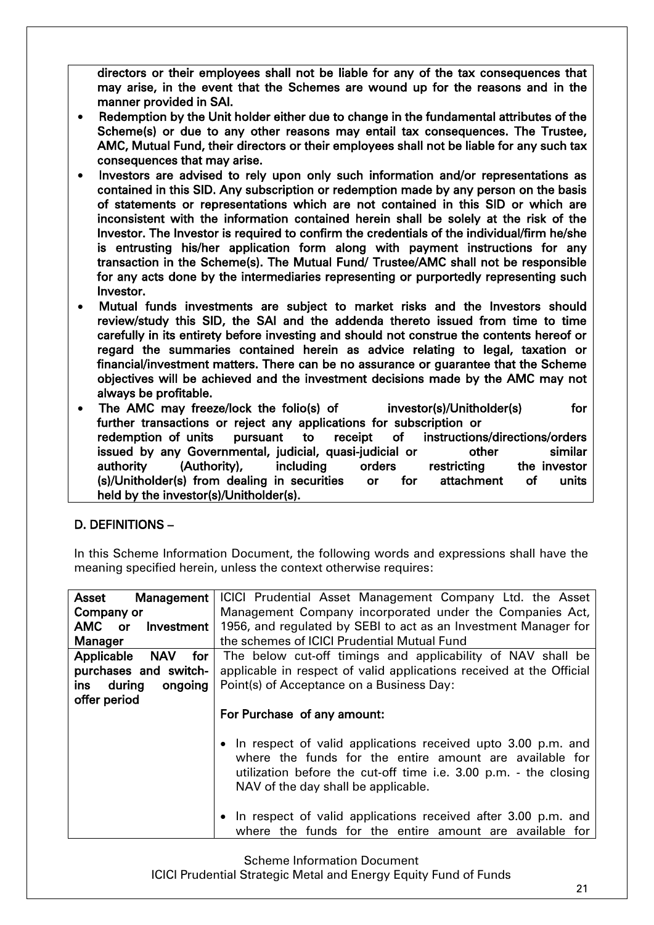directors or their employees shall not be liable for any of the tax consequences that may arise, in the event that the Schemes are wound up for the reasons and in the manner provided in SAI.

- Redemption by the Unit holder either due to change in the fundamental attributes of the Scheme(s) or due to any other reasons may entail tax consequences. The Trustee, AMC, Mutual Fund, their directors or their employees shall not be liable for any such tax consequences that may arise.
- Investors are advised to rely upon only such information and/or representations as contained in this SID. Any subscription or redemption made by any person on the basis of statements or representations which are not contained in this SID or which are inconsistent with the information contained herein shall be solely at the risk of the Investor. The Investor is required to confirm the credentials of the individual/firm he/she is entrusting his/her application form along with payment instructions for any transaction in the Scheme(s). The Mutual Fund/ Trustee/AMC shall not be responsible for any acts done by the intermediaries representing or purportedly representing such Investor.
- Mutual funds investments are subject to market risks and the Investors should review/study this SID, the SAI and the addenda thereto issued from time to time carefully in its entirety before investing and should not construe the contents hereof or regard the summaries contained herein as advice relating to legal, taxation or financial/investment matters. There can be no assurance or guarantee that the Scheme objectives will be achieved and the investment decisions made by the AMC may not always be profitable.
- The AMC may freeze/lock the folio(s) of investor(s)/Unitholder(s) for further transactions or reject any applications for subscription or redemption of units pursuant to receipt of instructions/directions/orders issued by any Governmental, judicial, quasi-judicial or buttor other similar authority (Authority), including orders restricting the investor (s)/Unitholder(s) from dealing in securities or for attachment of units held by the investor(s)/Unitholder(s).

## <span id="page-20-0"></span>D. DEFINITIONS –

In this Scheme Information Document, the following words and expressions shall have the meaning specified herein, unless the context otherwise requires:

| Management<br>Asset             | ICICI Prudential Asset Management Company Ltd. the Asset             |
|---------------------------------|----------------------------------------------------------------------|
| Company or                      | Management Company incorporated under the Companies Act,             |
| AMC or<br>Investment            | 1956, and regulated by SEBI to act as an Investment Manager for      |
| <b>Manager</b>                  | the schemes of ICICI Prudential Mutual Fund                          |
| Applicable<br><b>NAV</b><br>for | The below cut-off timings and applicability of NAV shall be          |
| purchases and switch-           | applicable in respect of valid applications received at the Official |
| during<br>ongoing<br>ins        | Point(s) of Acceptance on a Business Day:                            |
| offer period                    |                                                                      |
|                                 | For Purchase of any amount:                                          |
|                                 |                                                                      |
|                                 | • In respect of valid applications received upto 3.00 p.m. and       |
|                                 | where the funds for the entire amount are available for              |
|                                 | utilization before the cut-off time i.e. 3.00 p.m. - the closing     |
|                                 | NAV of the day shall be applicable.                                  |
|                                 |                                                                      |
|                                 | • In respect of valid applications received after 3.00 p.m. and      |
|                                 | where the funds for the entire amount are available for              |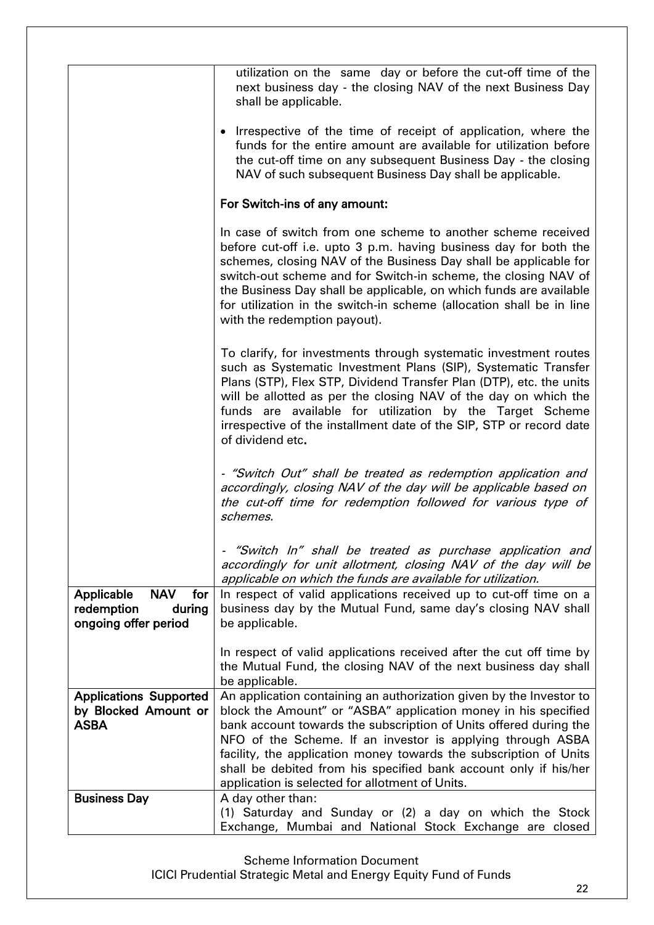|                                                                                 | utilization on the same day or before the cut-off time of the<br>next business day - the closing NAV of the next Business Day<br>shall be applicable.                                                                                                                                                                                                                                                                                                |
|---------------------------------------------------------------------------------|------------------------------------------------------------------------------------------------------------------------------------------------------------------------------------------------------------------------------------------------------------------------------------------------------------------------------------------------------------------------------------------------------------------------------------------------------|
|                                                                                 | • Irrespective of the time of receipt of application, where the<br>funds for the entire amount are available for utilization before<br>the cut-off time on any subsequent Business Day - the closing<br>NAV of such subsequent Business Day shall be applicable.                                                                                                                                                                                     |
|                                                                                 | For Switch-ins of any amount:                                                                                                                                                                                                                                                                                                                                                                                                                        |
|                                                                                 | In case of switch from one scheme to another scheme received<br>before cut-off i.e. upto 3 p.m. having business day for both the<br>schemes, closing NAV of the Business Day shall be applicable for<br>switch-out scheme and for Switch-in scheme, the closing NAV of<br>the Business Day shall be applicable, on which funds are available<br>for utilization in the switch-in scheme (allocation shall be in line<br>with the redemption payout). |
|                                                                                 | To clarify, for investments through systematic investment routes<br>such as Systematic Investment Plans (SIP), Systematic Transfer<br>Plans (STP), Flex STP, Dividend Transfer Plan (DTP), etc. the units<br>will be allotted as per the closing NAV of the day on which the<br>funds are available for utilization by the Target Scheme<br>irrespective of the installment date of the SIP, STP or record date<br>of dividend etc.                  |
|                                                                                 | - "Switch Out" shall be treated as redemption application and<br>accordingly, closing NAV of the day will be applicable based on<br>the cut-off time for redemption followed for various type of<br>schemes.                                                                                                                                                                                                                                         |
|                                                                                 | "Switch In" shall be treated as purchase application and<br>accordingly for unit allotment, closing NAV of the day will be<br>applicable on which the funds are available for utilization.                                                                                                                                                                                                                                                           |
| <b>NAV</b><br>Applicable<br>for<br>redemption<br>during<br>ongoing offer period | In respect of valid applications received up to cut-off time on a<br>business day by the Mutual Fund, same day's closing NAV shall<br>be applicable.                                                                                                                                                                                                                                                                                                 |
|                                                                                 | In respect of valid applications received after the cut off time by<br>the Mutual Fund, the closing NAV of the next business day shall<br>be applicable.                                                                                                                                                                                                                                                                                             |
| <b>Applications Supported</b><br>by Blocked Amount or<br><b>ASBA</b>            | An application containing an authorization given by the Investor to<br>block the Amount" or "ASBA" application money in his specified<br>bank account towards the subscription of Units offered during the<br>NFO of the Scheme. If an investor is applying through ASBA<br>facility, the application money towards the subscription of Units                                                                                                        |
|                                                                                 | shall be debited from his specified bank account only if his/her<br>application is selected for allotment of Units.                                                                                                                                                                                                                                                                                                                                  |
| <b>Business Day</b>                                                             | A day other than:                                                                                                                                                                                                                                                                                                                                                                                                                                    |
|                                                                                 | (1) Saturday and Sunday or (2) a day on which the Stock<br>Exchange, Mumbai and National Stock Exchange are closed                                                                                                                                                                                                                                                                                                                                   |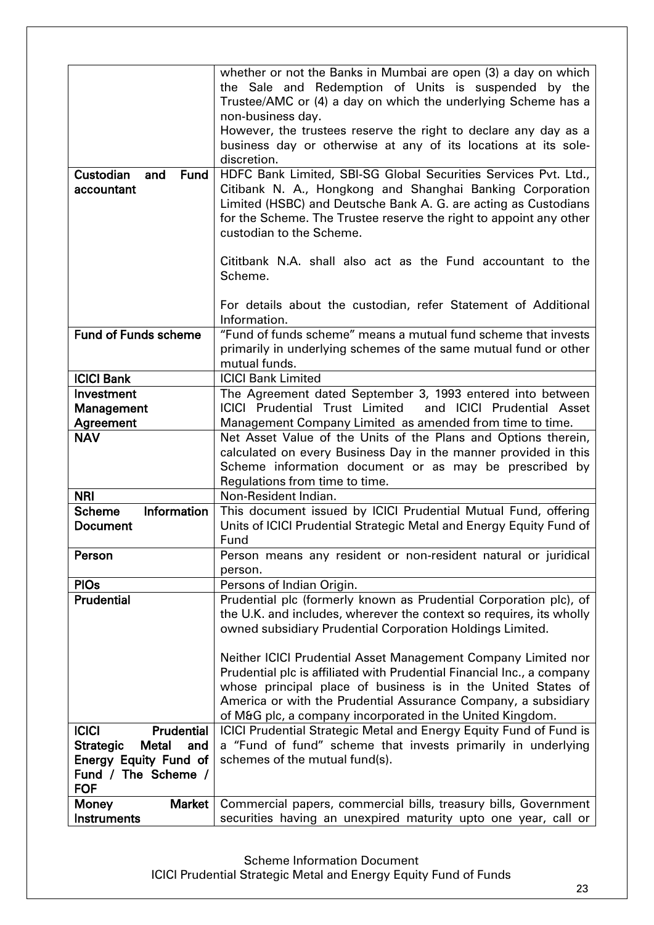|                                         | whether or not the Banks in Mumbai are open (3) a day on which<br>the Sale and Redemption of Units is suspended by the<br>Trustee/AMC or (4) a day on which the underlying Scheme has a |
|-----------------------------------------|-----------------------------------------------------------------------------------------------------------------------------------------------------------------------------------------|
|                                         | non-business day.                                                                                                                                                                       |
|                                         | However, the trustees reserve the right to declare any day as a                                                                                                                         |
|                                         | business day or otherwise at any of its locations at its sole-                                                                                                                          |
|                                         | discretion.                                                                                                                                                                             |
| Custodian<br>and<br>Fund                | HDFC Bank Limited, SBI-SG Global Securities Services Pvt. Ltd.,                                                                                                                         |
| accountant                              | Citibank N. A., Hongkong and Shanghai Banking Corporation                                                                                                                               |
|                                         | Limited (HSBC) and Deutsche Bank A. G. are acting as Custodians                                                                                                                         |
|                                         | for the Scheme. The Trustee reserve the right to appoint any other                                                                                                                      |
|                                         | custodian to the Scheme.                                                                                                                                                                |
|                                         |                                                                                                                                                                                         |
|                                         | Cititbank N.A. shall also act as the Fund accountant to the                                                                                                                             |
|                                         | Scheme.                                                                                                                                                                                 |
|                                         |                                                                                                                                                                                         |
|                                         | For details about the custodian, refer Statement of Additional                                                                                                                          |
|                                         | Information.                                                                                                                                                                            |
| <b>Fund of Funds scheme</b>             | "Fund of funds scheme" means a mutual fund scheme that invests                                                                                                                          |
|                                         | primarily in underlying schemes of the same mutual fund or other                                                                                                                        |
|                                         | mutual funds.                                                                                                                                                                           |
| <b>ICICI Bank</b>                       | <b>ICICI Bank Limited</b>                                                                                                                                                               |
| Investment                              | The Agreement dated September 3, 1993 entered into between                                                                                                                              |
| Management                              | <b>ICICI Prudential Trust Limited</b><br>and ICICI Prudential Asset                                                                                                                     |
| Agreement                               | Management Company Limited as amended from time to time.                                                                                                                                |
| <b>NAV</b>                              | Net Asset Value of the Units of the Plans and Options therein,                                                                                                                          |
|                                         | calculated on every Business Day in the manner provided in this                                                                                                                         |
|                                         | Scheme information document or as may be prescribed by                                                                                                                                  |
|                                         | Regulations from time to time.                                                                                                                                                          |
| <b>NRI</b>                              | Non-Resident Indian.                                                                                                                                                                    |
| Information<br><b>Scheme</b>            | This document issued by ICICI Prudential Mutual Fund, offering                                                                                                                          |
| <b>Document</b>                         | Units of ICICI Prudential Strategic Metal and Energy Equity Fund of                                                                                                                     |
|                                         | Fund                                                                                                                                                                                    |
| Person                                  | Person means any resident or non-resident natural or juridical                                                                                                                          |
|                                         | person.                                                                                                                                                                                 |
| <b>PIOs</b>                             | Persons of Indian Origin.                                                                                                                                                               |
| <b>Prudential</b>                       | Prudential plc (formerly known as Prudential Corporation plc), of                                                                                                                       |
|                                         | the U.K. and includes, wherever the context so requires, its wholly                                                                                                                     |
|                                         | owned subsidiary Prudential Corporation Holdings Limited.                                                                                                                               |
|                                         |                                                                                                                                                                                         |
|                                         | Neither ICICI Prudential Asset Management Company Limited nor                                                                                                                           |
|                                         | Prudential plc is affiliated with Prudential Financial Inc., a company                                                                                                                  |
|                                         | whose principal place of business is in the United States of                                                                                                                            |
|                                         | America or with the Prudential Assurance Company, a subsidiary                                                                                                                          |
|                                         | of M&G plc, a company incorporated in the United Kingdom.                                                                                                                               |
| <b>ICICI</b><br><b>Prudential</b>       | ICICI Prudential Strategic Metal and Energy Equity Fund of Fund is                                                                                                                      |
| <b>Strategic</b><br><b>Metal</b><br>and | a "Fund of fund" scheme that invests primarily in underlying                                                                                                                            |
| <b>Energy Equity Fund of</b>            | schemes of the mutual fund(s).                                                                                                                                                          |
| Fund / The Scheme /                     |                                                                                                                                                                                         |
| <b>FOF</b>                              |                                                                                                                                                                                         |
| Market  <br><b>Money</b>                | Commercial papers, commercial bills, treasury bills, Government                                                                                                                         |
| Instruments                             | securities having an unexpired maturity upto one year, call or                                                                                                                          |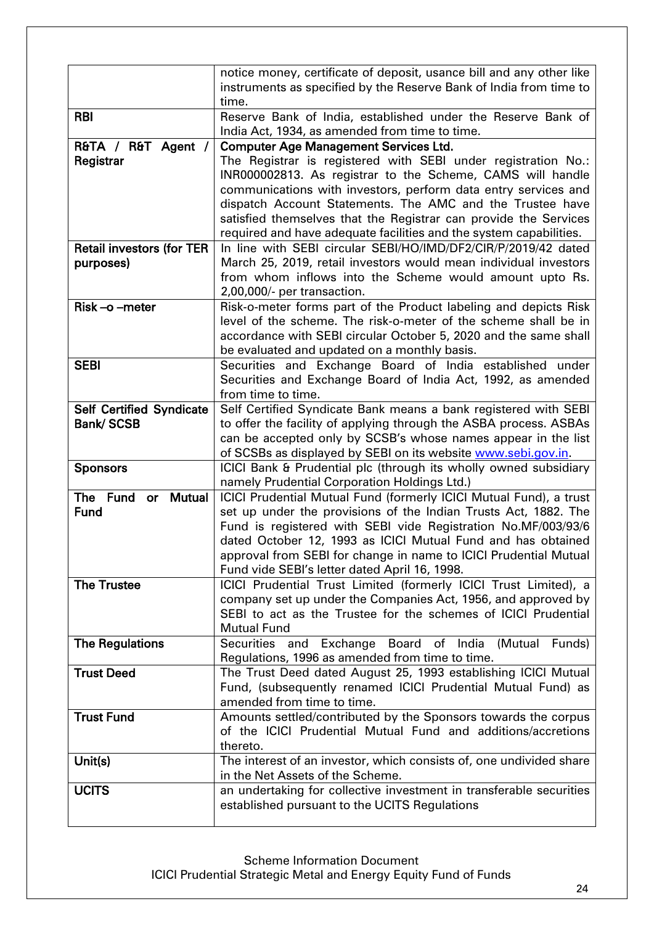|                                  | notice money, certificate of deposit, usance bill and any other like                                               |
|----------------------------------|--------------------------------------------------------------------------------------------------------------------|
|                                  | instruments as specified by the Reserve Bank of India from time to                                                 |
|                                  | time.                                                                                                              |
| <b>RBI</b>                       | Reserve Bank of India, established under the Reserve Bank of                                                       |
|                                  | India Act, 1934, as amended from time to time.                                                                     |
| R&TA / R&T Agent /               | <b>Computer Age Management Services Ltd.</b>                                                                       |
| Registrar                        | The Registrar is registered with SEBI under registration No.:                                                      |
|                                  | INR000002813. As registrar to the Scheme, CAMS will handle                                                         |
|                                  | communications with investors, perform data entry services and                                                     |
|                                  | dispatch Account Statements. The AMC and the Trustee have                                                          |
|                                  | satisfied themselves that the Registrar can provide the Services                                                   |
|                                  | required and have adequate facilities and the system capabilities.                                                 |
| <b>Retail investors (for TER</b> | In line with SEBI circular SEBI/HO/IMD/DF2/CIR/P/2019/42 dated                                                     |
| purposes)                        | March 25, 2019, retail investors would mean individual investors                                                   |
|                                  | from whom inflows into the Scheme would amount upto Rs.                                                            |
|                                  | 2,00,000/- per transaction.                                                                                        |
| Risk-o-meter                     | Risk-o-meter forms part of the Product labeling and depicts Risk                                                   |
|                                  | level of the scheme. The risk-o-meter of the scheme shall be in                                                    |
|                                  | accordance with SEBI circular October 5, 2020 and the same shall                                                   |
|                                  | be evaluated and updated on a monthly basis.                                                                       |
| <b>SEBI</b>                      | Securities and Exchange Board of India established under                                                           |
|                                  | Securities and Exchange Board of India Act, 1992, as amended                                                       |
|                                  | from time to time.                                                                                                 |
| <b>Self Certified Syndicate</b>  | Self Certified Syndicate Bank means a bank registered with SEBI                                                    |
| <b>Bank/SCSB</b>                 | to offer the facility of applying through the ASBA process. ASBAs                                                  |
|                                  | can be accepted only by SCSB's whose names appear in the list                                                      |
|                                  | of SCSBs as displayed by SEBI on its website www.sebi.gov.in.                                                      |
|                                  |                                                                                                                    |
| <b>Sponsors</b>                  | ICICI Bank & Prudential plc (through its wholly owned subsidiary                                                   |
| The Fund<br><b>Mutual</b>        | namely Prudential Corporation Holdings Ltd.)<br>ICICI Prudential Mutual Fund (formerly ICICI Mutual Fund), a trust |
| or<br><b>Fund</b>                |                                                                                                                    |
|                                  | set up under the provisions of the Indian Trusts Act, 1882. The                                                    |
|                                  | Fund is registered with SEBI vide Registration No.MF/003/93/6                                                      |
|                                  | dated October 12, 1993 as ICICI Mutual Fund and has obtained                                                       |
|                                  | approval from SEBI for change in name to ICICI Prudential Mutual                                                   |
|                                  | Fund vide SEBI's letter dated April 16, 1998.                                                                      |
| <b>The Trustee</b>               | ICICI Prudential Trust Limited (formerly ICICI Trust Limited), a                                                   |
|                                  | company set up under the Companies Act, 1956, and approved by                                                      |
|                                  | SEBI to act as the Trustee for the schemes of ICICI Prudential                                                     |
|                                  | <b>Mutual Fund</b>                                                                                                 |
| <b>The Regulations</b>           | Securities and Exchange Board of India<br>(Mutual Funds)                                                           |
|                                  | Regulations, 1996 as amended from time to time.                                                                    |
| <b>Trust Deed</b>                | The Trust Deed dated August 25, 1993 establishing ICICI Mutual                                                     |
|                                  | Fund, (subsequently renamed ICICI Prudential Mutual Fund) as                                                       |
|                                  | amended from time to time.                                                                                         |
| <b>Trust Fund</b>                | Amounts settled/contributed by the Sponsors towards the corpus                                                     |
|                                  | of the ICICI Prudential Mutual Fund and additions/accretions                                                       |
|                                  | thereto.                                                                                                           |
| Unit(s)                          | The interest of an investor, which consists of, one undivided share                                                |
|                                  | in the Net Assets of the Scheme.                                                                                   |
| <b>UCITS</b>                     | an undertaking for collective investment in transferable securities                                                |
|                                  | established pursuant to the UCITS Regulations                                                                      |
|                                  |                                                                                                                    |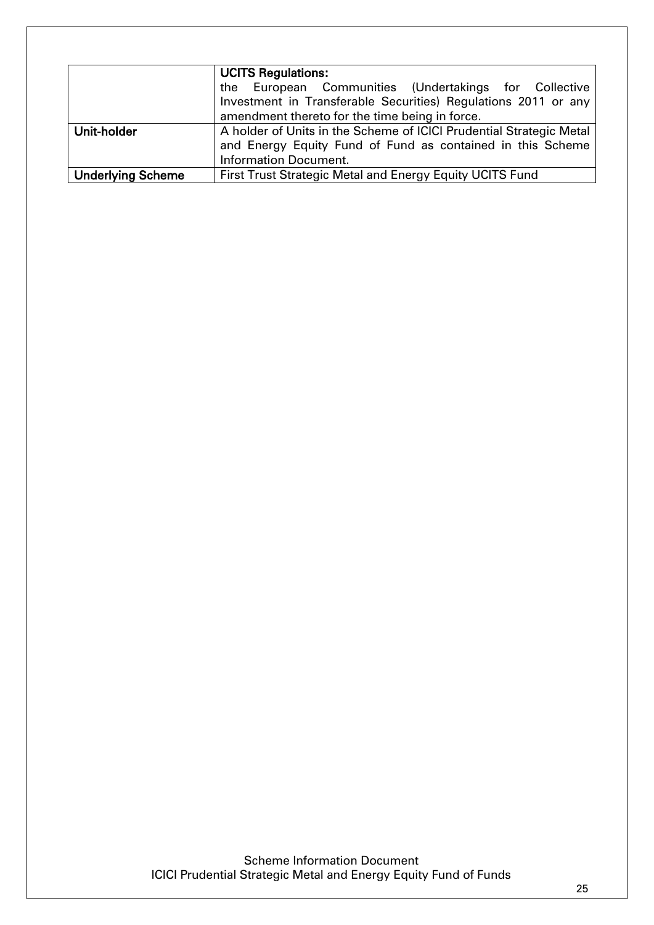|                          | <b>UCITS Regulations:</b><br>the European Communities (Undertakings for Collective<br>Investment in Transferable Securities) Regulations 2011 or any |  |  |  |  |  |
|--------------------------|------------------------------------------------------------------------------------------------------------------------------------------------------|--|--|--|--|--|
|                          | amendment thereto for the time being in force.                                                                                                       |  |  |  |  |  |
| Unit-holder              | A holder of Units in the Scheme of ICICI Prudential Strategic Metal                                                                                  |  |  |  |  |  |
|                          | and Energy Equity Fund of Fund as contained in this Scheme                                                                                           |  |  |  |  |  |
|                          | <b>Information Document.</b>                                                                                                                         |  |  |  |  |  |
| <b>Underlying Scheme</b> | First Trust Strategic Metal and Energy Equity UCITS Fund                                                                                             |  |  |  |  |  |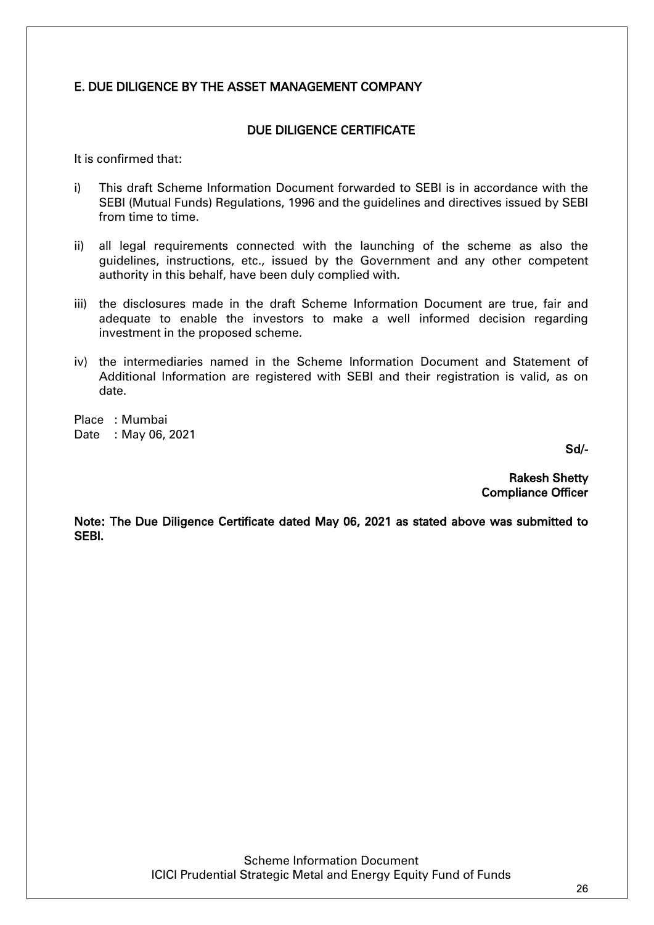# <span id="page-25-0"></span>E. DUE DILIGENCE BY THE ASSET MANAGEMENT COMPANY

#### DUE DILIGENCE CERTIFICATE

It is confirmed that:

- i) This draft Scheme Information Document forwarded to SEBI is in accordance with the SEBI (Mutual Funds) Regulations, 1996 and the guidelines and directives issued by SEBI from time to time.
- ii) all legal requirements connected with the launching of the scheme as also the guidelines, instructions, etc., issued by the Government and any other competent authority in this behalf, have been duly complied with.
- iii) the disclosures made in the draft Scheme Information Document are true, fair and adequate to enable the investors to make a well informed decision regarding investment in the proposed scheme.
- iv) the intermediaries named in the Scheme Information Document and Statement of Additional Information are registered with SEBI and their registration is valid, as on date.

Place : Mumbai Date : May 06, 2021

Sd/-

 Rakesh Shetty Compliance Officer

Note: The Due Diligence Certificate dated May 06, 2021 as stated above was submitted to SEBI.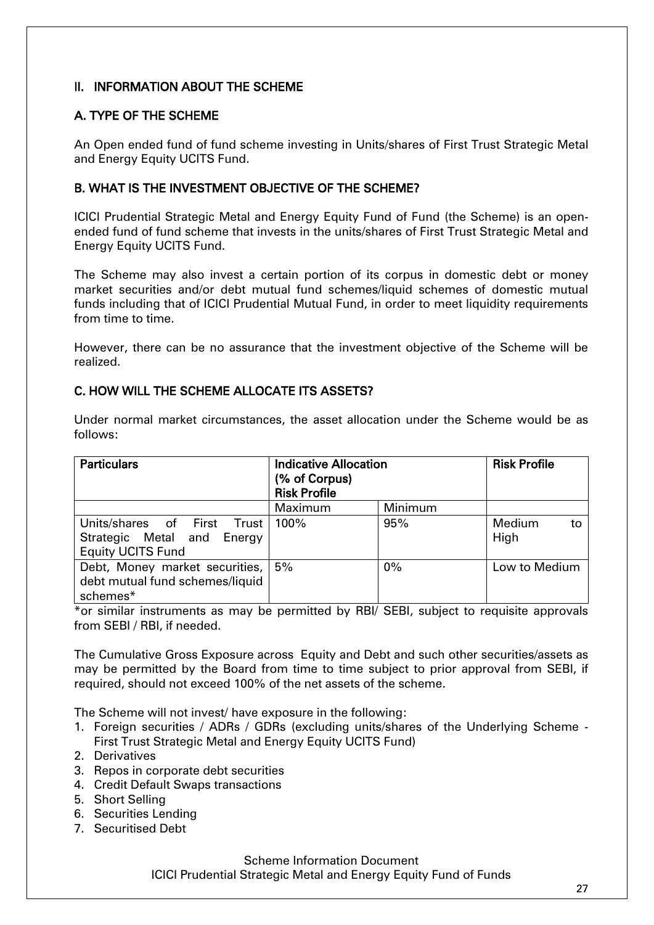# <span id="page-26-0"></span>II. INFORMATION ABOUT THE SCHEME

# <span id="page-26-1"></span>A. TYPE OF THE SCHEME

An Open ended fund of fund scheme investing in Units/shares of First Trust Strategic Metal and Energy Equity UCITS Fund.

## <span id="page-26-2"></span>B. WHAT IS THE INVESTMENT OBJECTIVE OF THE SCHEME?

ICICI Prudential Strategic Metal and Energy Equity Fund of Fund (the Scheme) is an openended fund of fund scheme that invests in the units/shares of First Trust Strategic Metal and Energy Equity UCITS Fund.

The Scheme may also invest a certain portion of its corpus in domestic debt or money market securities and/or debt mutual fund schemes/liquid schemes of domestic mutual funds including that of ICICI Prudential Mutual Fund, in order to meet liquidity requirements from time to time.

However, there can be no assurance that the investment objective of the Scheme will be realized.

## <span id="page-26-3"></span>C. HOW WILL THE SCHEME ALLOCATE ITS ASSETS?

| <b>Particulars</b>              | <b>Indicative Allocation</b><br>(% of Corpus)<br><b>Risk Profile</b> |         | <b>Risk Profile</b> |  |
|---------------------------------|----------------------------------------------------------------------|---------|---------------------|--|
|                                 | <b>Maximum</b>                                                       | Minimum |                     |  |
| Units/shares of First Trust     | 100%                                                                 | 95%     | Medium<br>to        |  |
| Strategic Metal and Energy      |                                                                      |         | High                |  |
| <b>Equity UCITS Fund</b>        |                                                                      |         |                     |  |
| Debt, Money market securities,  | 5%                                                                   | 0%      | Low to Medium       |  |
| debt mutual fund schemes/liquid |                                                                      |         |                     |  |
| schemes*                        |                                                                      |         |                     |  |

Under normal market circumstances, the asset allocation under the Scheme would be as follows:

\*or similar instruments as may be permitted by RBI/ SEBI, subject to requisite approvals from SEBI / RBI, if needed.

The Cumulative Gross Exposure across Equity and Debt and such other securities/assets as may be permitted by the Board from time to time subject to prior approval from SEBI, if required, should not exceed 100% of the net assets of the scheme.

The Scheme will not invest/ have exposure in the following:

- 1. Foreign securities / ADRs / GDRs (excluding units/shares of the Underlying Scheme First Trust Strategic Metal and Energy Equity UCITS Fund)
- 2. Derivatives
- 3. Repos in corporate debt securities
- 4. Credit Default Swaps transactions
- 5. Short Selling
- 6. Securities Lending
- 7. Securitised Debt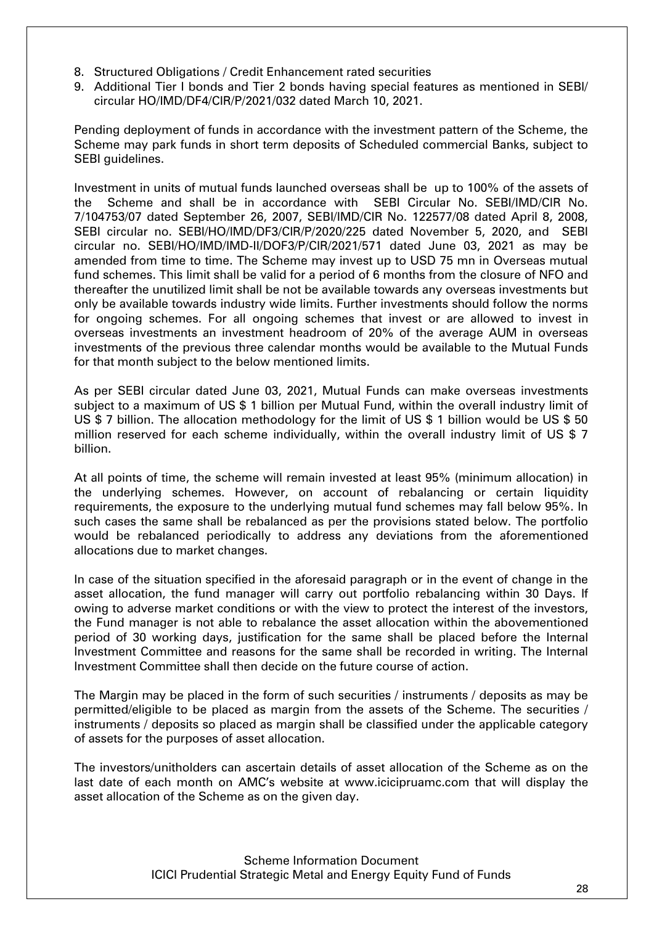- 8. Structured Obligations / Credit Enhancement rated securities
- 9. Additional Tier I bonds and Tier 2 bonds having special features as mentioned in SEBI/ circular HO/IMD/DF4/CIR/P/2021/032 dated March 10, 2021.

Pending deployment of funds in accordance with the investment pattern of the Scheme, the Scheme may park funds in short term deposits of Scheduled commercial Banks, subject to SEBI guidelines.

Investment in units of mutual funds launched overseas shall be up to 100% of the assets of the Scheme and shall be in accordance with SEBI Circular No. SEBI/IMD/CIR No. 7/104753/07 dated September 26, 2007, SEBI/IMD/CIR No. 122577/08 dated April 8, 2008, SEBI circular no. SEBI/HO/IMD/DF3/CIR/P/2020/225 dated November 5, 2020, and SEBI circular no. SEBI/HO/IMD/IMD-II/DOF3/P/CIR/2021/571 dated June 03, 2021 as may be amended from time to time. The Scheme may invest up to USD 75 mn in Overseas mutual fund schemes. This limit shall be valid for a period of 6 months from the closure of NFO and thereafter the unutilized limit shall be not be available towards any overseas investments but only be available towards industry wide limits. Further investments should follow the norms for ongoing schemes. For all ongoing schemes that invest or are allowed to invest in overseas investments an investment headroom of 20% of the average AUM in overseas investments of the previous three calendar months would be available to the Mutual Funds for that month subject to the below mentioned limits.

As per SEBI circular dated June 03, 2021, Mutual Funds can make overseas investments subject to a maximum of US \$ 1 billion per Mutual Fund, within the overall industry limit of US \$ 7 billion. The allocation methodology for the limit of US \$ 1 billion would be US \$ 50 million reserved for each scheme individually, within the overall industry limit of US \$ 7 billion.

At all points of time, the scheme will remain invested at least 95% (minimum allocation) in the underlying schemes. However, on account of rebalancing or certain liquidity requirements, the exposure to the underlying mutual fund schemes may fall below 95%. In such cases the same shall be rebalanced as per the provisions stated below. The portfolio would be rebalanced periodically to address any deviations from the aforementioned allocations due to market changes.

In case of the situation specified in the aforesaid paragraph or in the event of change in the asset allocation, the fund manager will carry out portfolio rebalancing within 30 Days. If owing to adverse market conditions or with the view to protect the interest of the investors, the Fund manager is not able to rebalance the asset allocation within the abovementioned period of 30 working days, justification for the same shall be placed before the Internal Investment Committee and reasons for the same shall be recorded in writing. The Internal Investment Committee shall then decide on the future course of action.

The Margin may be placed in the form of such securities / instruments / deposits as may be permitted/eligible to be placed as margin from the assets of the Scheme. The securities / instruments / deposits so placed as margin shall be classified under the applicable category of assets for the purposes of asset allocation.

The investors/unitholders can ascertain details of asset allocation of the Scheme as on the last date of each month on AMC's website at [www.icicipruamc.com](http://www.pruicici.com/) that will display the asset allocation of the Scheme as on the given day.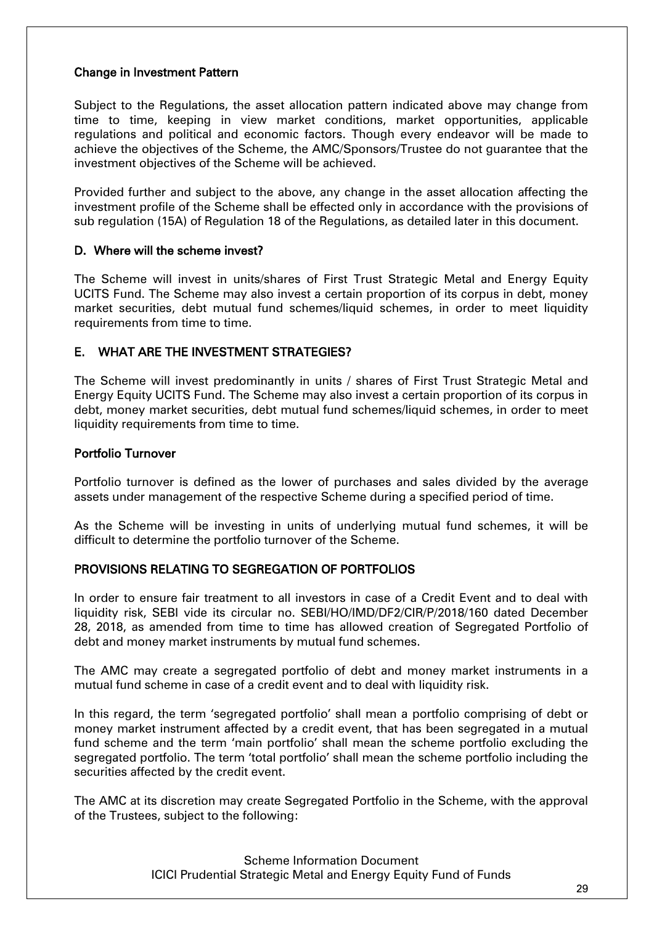#### Change in Investment Pattern

Subject to the Regulations, the asset allocation pattern indicated above may change from time to time, keeping in view market conditions, market opportunities, applicable regulations and political and economic factors. Though every endeavor will be made to achieve the objectives of the Scheme, the AMC/Sponsors/Trustee do not guarantee that the investment objectives of the Scheme will be achieved.

Provided further and subject to the above, any change in the asset allocation affecting the investment profile of the Scheme shall be effected only in accordance with the provisions of sub regulation (15A) of Regulation 18 of the Regulations, as detailed later in this document.

#### <span id="page-28-0"></span>D. Where will the scheme invest?

The Scheme will invest in units/shares of First Trust Strategic Metal and Energy Equity UCITS Fund. The Scheme may also invest a certain proportion of its corpus in debt, money market securities, debt mutual fund schemes/liquid schemes, in order to meet liquidity requirements from time to time.

## <span id="page-28-1"></span>E. WHAT ARE THE INVESTMENT STRATEGIES?

The Scheme will invest predominantly in units / shares of First Trust Strategic Metal and Energy Equity UCITS Fund. The Scheme may also invest a certain proportion of its corpus in debt, money market securities, debt mutual fund schemes/liquid schemes, in order to meet liquidity requirements from time to time.

#### Portfolio Turnover

Portfolio turnover is defined as the lower of purchases and sales divided by the average assets under management of the respective Scheme during a specified period of time.

As the Scheme will be investing in units of underlying mutual fund schemes, it will be difficult to determine the portfolio turnover of the Scheme.

## PROVISIONS RELATING TO SEGREGATION OF PORTFOLIOS

In order to ensure fair treatment to all investors in case of a Credit Event and to deal with liquidity risk, SEBI vide its circular no. SEBI/HO/IMD/DF2/CIR/P/2018/160 dated December 28, 2018, as amended from time to time has allowed creation of Segregated Portfolio of debt and money market instruments by mutual fund schemes.

The AMC may create a segregated portfolio of debt and money market instruments in a mutual fund scheme in case of a credit event and to deal with liquidity risk.

In this regard, the term 'segregated portfolio' shall mean a portfolio comprising of debt or money market instrument affected by a credit event, that has been segregated in a mutual fund scheme and the term 'main portfolio' shall mean the scheme portfolio excluding the segregated portfolio. The term 'total portfolio' shall mean the scheme portfolio including the securities affected by the credit event.

The AMC at its discretion may create Segregated Portfolio in the Scheme, with the approval of the Trustees, subject to the following: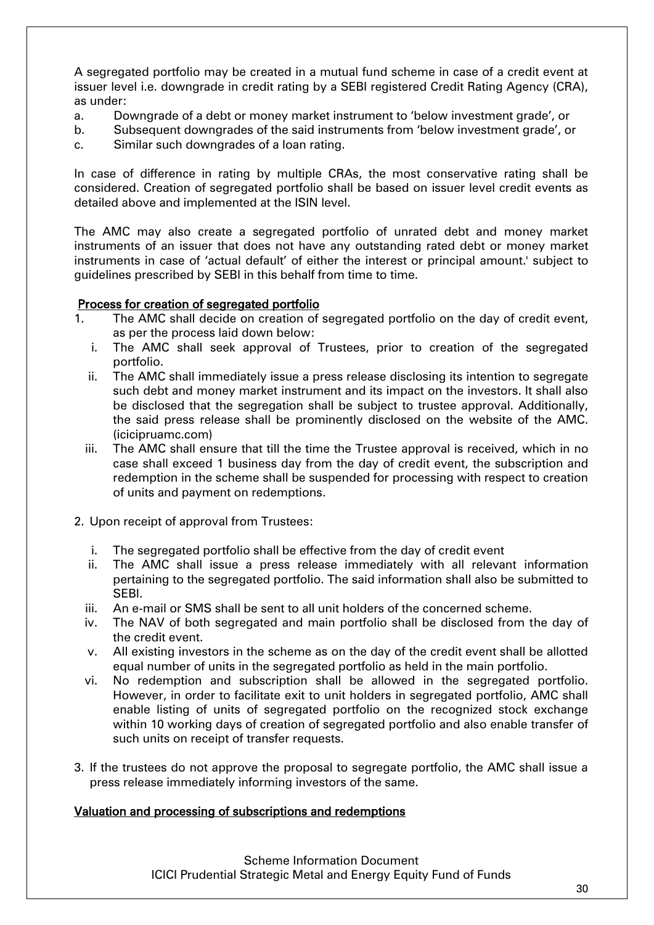A segregated portfolio may be created in a mutual fund scheme in case of a credit event at issuer level i.e. downgrade in credit rating by a SEBI registered Credit Rating Agency (CRA), as under:

- a. Downgrade of a debt or money market instrument to 'below investment grade', or
- b. Subsequent downgrades of the said instruments from 'below investment grade', or
- c. Similar such downgrades of a loan rating.

In case of difference in rating by multiple CRAs, the most conservative rating shall be considered. Creation of segregated portfolio shall be based on issuer level credit events as detailed above and implemented at the ISIN level.

The AMC may also create a segregated portfolio of unrated debt and money market instruments of an issuer that does not have any outstanding rated debt or money market instruments in case of 'actual default' of either the interest or principal amount.' subject to guidelines prescribed by SEBI in this behalf from time to time.

#### Process for creation of segregated portfolio

- 1. The AMC shall decide on creation of segregated portfolio on the day of credit event, as per the process laid down below:
	- i. The AMC shall seek approval of Trustees, prior to creation of the segregated portfolio.
	- ii. The AMC shall immediately issue a press release disclosing its intention to segregate such debt and money market instrument and its impact on the investors. It shall also be disclosed that the segregation shall be subject to trustee approval. Additionally, the said press release shall be prominently disclosed on the website of the AMC. (icicipruamc.com)
	- iii. The AMC shall ensure that till the time the Trustee approval is received, which in no case shall exceed 1 business day from the day of credit event, the subscription and redemption in the scheme shall be suspended for processing with respect to creation of units and payment on redemptions.
- 2. Upon receipt of approval from Trustees:
	- i. The segregated portfolio shall be effective from the day of credit event
	- ii. The AMC shall issue a press release immediately with all relevant information pertaining to the segregated portfolio. The said information shall also be submitted to SEBI.
	- iii. An e-mail or SMS shall be sent to all unit holders of the concerned scheme.
	- iv. The NAV of both segregated and main portfolio shall be disclosed from the day of the credit event.
	- v. All existing investors in the scheme as on the day of the credit event shall be allotted equal number of units in the segregated portfolio as held in the main portfolio.
	- vi. No redemption and subscription shall be allowed in the segregated portfolio. However, in order to facilitate exit to unit holders in segregated portfolio, AMC shall enable listing of units of segregated portfolio on the recognized stock exchange within 10 working days of creation of segregated portfolio and also enable transfer of such units on receipt of transfer requests.
- 3. If the trustees do not approve the proposal to segregate portfolio, the AMC shall issue a press release immediately informing investors of the same.

#### Valuation and processing of subscriptions and redemptions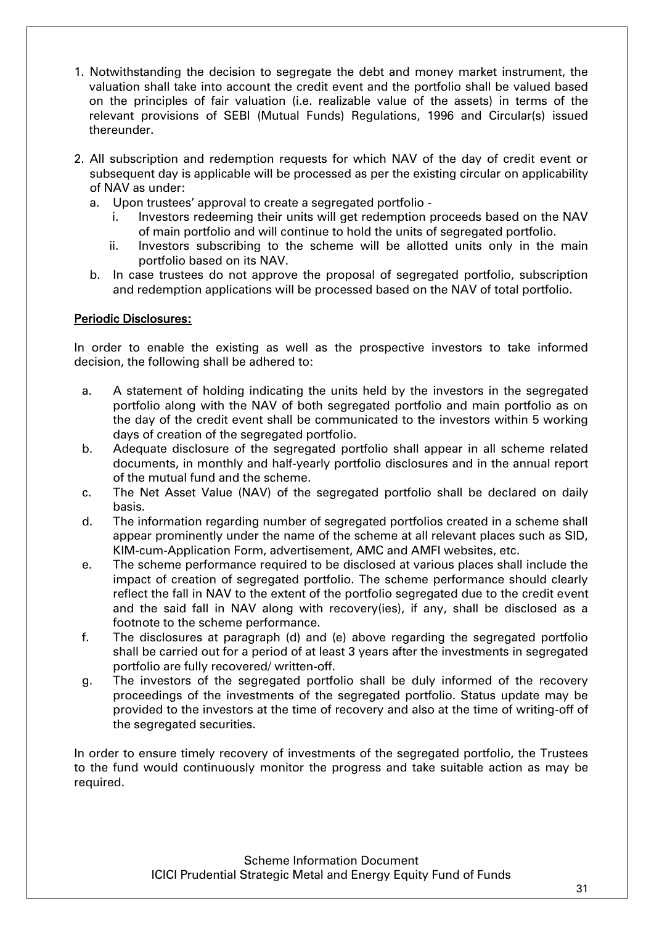- 1. Notwithstanding the decision to segregate the debt and money market instrument, the valuation shall take into account the credit event and the portfolio shall be valued based on the principles of fair valuation (i.e. realizable value of the assets) in terms of the relevant provisions of SEBI (Mutual Funds) Regulations, 1996 and Circular(s) issued thereunder.
- 2. All subscription and redemption requests for which NAV of the day of credit event or subsequent day is applicable will be processed as per the existing circular on applicability of NAV as under:
	- a. Upon trustees' approval to create a segregated portfolio
		- i. Investors redeeming their units will get redemption proceeds based on the NAV of main portfolio and will continue to hold the units of segregated portfolio.
		- ii. Investors subscribing to the scheme will be allotted units only in the main portfolio based on its NAV.
	- b. In case trustees do not approve the proposal of segregated portfolio, subscription and redemption applications will be processed based on the NAV of total portfolio.

#### Periodic Disclosures:

In order to enable the existing as well as the prospective investors to take informed decision, the following shall be adhered to:

- a. A statement of holding indicating the units held by the investors in the segregated portfolio along with the NAV of both segregated portfolio and main portfolio as on the day of the credit event shall be communicated to the investors within 5 working days of creation of the segregated portfolio.
- b. Adequate disclosure of the segregated portfolio shall appear in all scheme related documents, in monthly and half-yearly portfolio disclosures and in the annual report of the mutual fund and the scheme.
- c. The Net Asset Value (NAV) of the segregated portfolio shall be declared on daily basis.
- d. The information regarding number of segregated portfolios created in a scheme shall appear prominently under the name of the scheme at all relevant places such as SID, KIM-cum-Application Form, advertisement, AMC and AMFI websites, etc.
- e. The scheme performance required to be disclosed at various places shall include the impact of creation of segregated portfolio. The scheme performance should clearly reflect the fall in NAV to the extent of the portfolio segregated due to the credit event and the said fall in NAV along with recovery(ies), if any, shall be disclosed as a footnote to the scheme performance.
- f. The disclosures at paragraph (d) and (e) above regarding the segregated portfolio shall be carried out for a period of at least 3 years after the investments in segregated portfolio are fully recovered/ written-off.
- g. The investors of the segregated portfolio shall be duly informed of the recovery proceedings of the investments of the segregated portfolio. Status update may be provided to the investors at the time of recovery and also at the time of writing-off of the segregated securities.

In order to ensure timely recovery of investments of the segregated portfolio, the Trustees to the fund would continuously monitor the progress and take suitable action as may be required.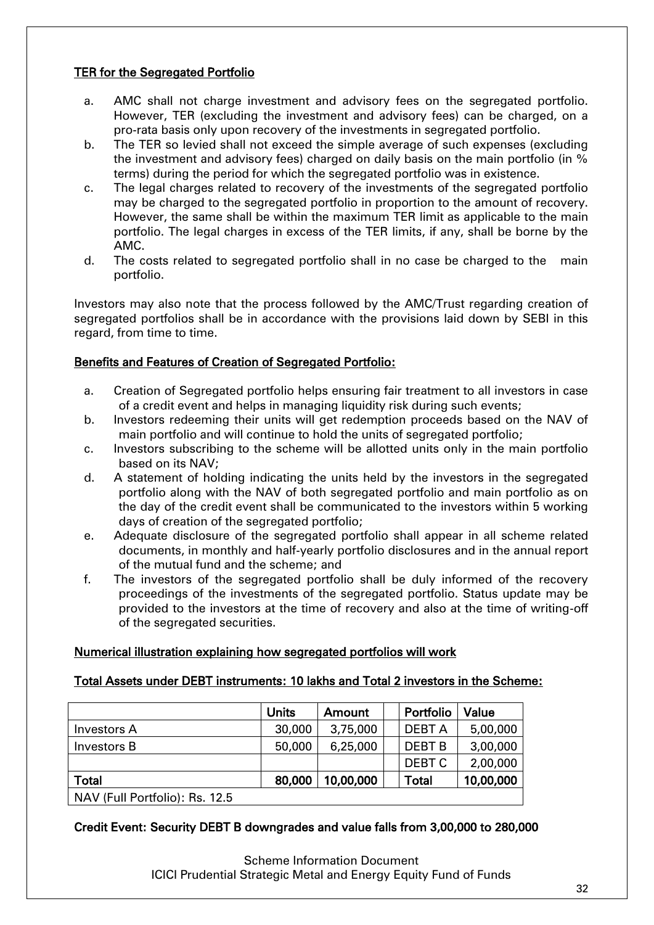# TER for the Segregated Portfolio

- a. AMC shall not charge investment and advisory fees on the segregated portfolio. However, TER (excluding the investment and advisory fees) can be charged, on a pro-rata basis only upon recovery of the investments in segregated portfolio.
- b. The TER so levied shall not exceed the simple average of such expenses (excluding the investment and advisory fees) charged on daily basis on the main portfolio (in % terms) during the period for which the segregated portfolio was in existence.
- c. The legal charges related to recovery of the investments of the segregated portfolio may be charged to the segregated portfolio in proportion to the amount of recovery. However, the same shall be within the maximum TER limit as applicable to the main portfolio. The legal charges in excess of the TER limits, if any, shall be borne by the AMC.
- d. The costs related to segregated portfolio shall in no case be charged to the main portfolio.

Investors may also note that the process followed by the AMC/Trust regarding creation of segregated portfolios shall be in accordance with the provisions laid down by SEBI in this regard, from time to time.

#### Benefits and Features of Creation of Segregated Portfolio:

- a. Creation of Segregated portfolio helps ensuring fair treatment to all investors in case of a credit event and helps in managing liquidity risk during such events;
- b. Investors redeeming their units will get redemption proceeds based on the NAV of main portfolio and will continue to hold the units of segregated portfolio;
- c. Investors subscribing to the scheme will be allotted units only in the main portfolio based on its NAV;
- d. A statement of holding indicating the units held by the investors in the segregated portfolio along with the NAV of both segregated portfolio and main portfolio as on the day of the credit event shall be communicated to the investors within 5 working days of creation of the segregated portfolio;
- e. Adequate disclosure of the segregated portfolio shall appear in all scheme related documents, in monthly and half-yearly portfolio disclosures and in the annual report of the mutual fund and the scheme; and
- f. The investors of the segregated portfolio shall be duly informed of the recovery proceedings of the investments of the segregated portfolio. Status update may be provided to the investors at the time of recovery and also at the time of writing-off of the segregated securities.

## Numerical illustration explaining how segregated portfolios will work

#### Total Assets under DEBT instruments: 10 lakhs and Total 2 investors in the Scheme:

|                                | Units  | Amount    | Portfolio         | Value     |
|--------------------------------|--------|-----------|-------------------|-----------|
| <b>Investors A</b>             | 30,000 | 3,75,000  | <b>DEBT A</b>     | 5,00,000  |
| Investors B                    | 50,000 | 6,25,000  | <b>DEBT B</b>     | 3,00,000  |
|                                |        |           | DEBT <sub>C</sub> | 2,00,000  |
| <b>Total</b>                   | 80,000 | 10,00,000 | <b>Total</b>      | 10,00,000 |
| NAV (Full Portfolio): Rs. 12.5 |        |           |                   |           |

## Credit Event: Security DEBT B downgrades and value falls from 3,00,000 to 280,000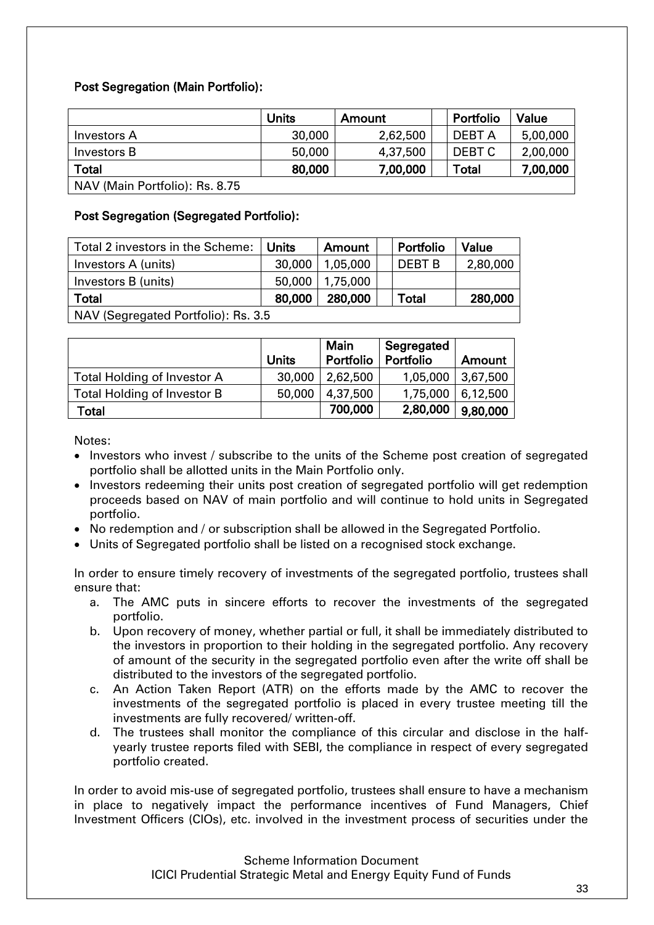# Post Segregation (Main Portfolio):

|                                | <b>Units</b> | Amount   | Portfolio    | Value    |
|--------------------------------|--------------|----------|--------------|----------|
| <b>Investors A</b>             | 30,000       | 2,62,500 | DEBT A       | 5,00,000 |
| Investors B                    | 50,000       | 4,37,500 | DEBT C       | 2,00,000 |
| <b>Total</b>                   | 80,000       | 7,00,000 | <b>Total</b> | 7,00,000 |
| NAV (Main Portfolio): Rs. 8.75 |              |          |              |          |

## Post Segregation (Segregated Portfolio):

| Total 2 investors in the Scheme:    | Units  | Amount   | Portfolio     | Value    |  |
|-------------------------------------|--------|----------|---------------|----------|--|
| Investors A (units)                 | 30,000 | 1,05,000 | <b>DEBT B</b> | 2,80,000 |  |
| Investors B (units)                 | 50,000 | 1,75,000 |               |          |  |
| Total                               | 80,000 | 280,000  | Total         | 280,000  |  |
| NAV (Segregated Portfolio): Rs. 3.5 |        |          |               |          |  |

|                             | <b>Units</b> | <b>Main</b><br>Portfolio | Segregated<br>Portfolio | Amount   |
|-----------------------------|--------------|--------------------------|-------------------------|----------|
| Total Holding of Investor A | 30,000       | 2,62,500                 | 1,05,000                | 3,67,500 |
| Total Holding of Investor B | 50,000       | 4,37,500                 | 1,75,000                | 6,12,500 |
| Total                       |              | 700,000                  | 2,80,000                | 9,80,000 |

Notes:

- Investors who invest / subscribe to the units of the Scheme post creation of segregated portfolio shall be allotted units in the Main Portfolio only.
- Investors redeeming their units post creation of segregated portfolio will get redemption proceeds based on NAV of main portfolio and will continue to hold units in Segregated portfolio.
- No redemption and / or subscription shall be allowed in the Segregated Portfolio.
- Units of Segregated portfolio shall be listed on a recognised stock exchange.

In order to ensure timely recovery of investments of the segregated portfolio, trustees shall ensure that:

- a. The AMC puts in sincere efforts to recover the investments of the segregated portfolio.
- b. Upon recovery of money, whether partial or full, it shall be immediately distributed to the investors in proportion to their holding in the segregated portfolio. Any recovery of amount of the security in the segregated portfolio even after the write off shall be distributed to the investors of the segregated portfolio.
- c. An Action Taken Report (ATR) on the efforts made by the AMC to recover the investments of the segregated portfolio is placed in every trustee meeting till the investments are fully recovered/ written-off.
- d. The trustees shall monitor the compliance of this circular and disclose in the halfyearly trustee reports filed with SEBI, the compliance in respect of every segregated portfolio created.

In order to avoid mis-use of segregated portfolio, trustees shall ensure to have a mechanism in place to negatively impact the performance incentives of Fund Managers, Chief Investment Officers (CIOs), etc. involved in the investment process of securities under the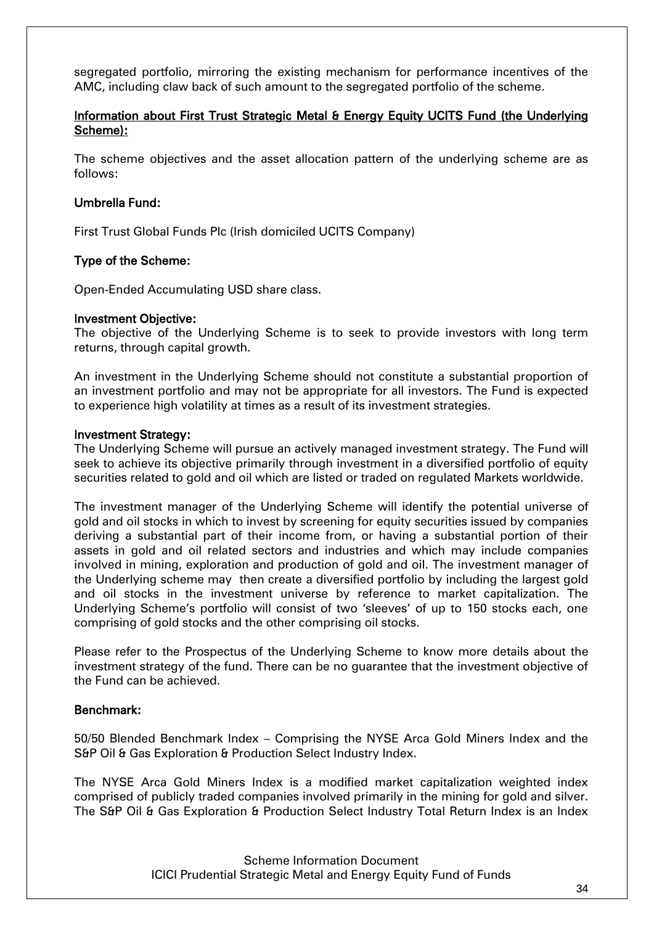segregated portfolio, mirroring the existing mechanism for performance incentives of the AMC, including claw back of such amount to the segregated portfolio of the scheme.

#### Information about First Trust Strategic Metal & Energy Equity UCITS Fund (the Underlying Scheme):

The scheme objectives and the asset allocation pattern of the underlying scheme are as follows:

#### Umbrella Fund:

First Trust Global Funds Plc (Irish domiciled UCITS Company)

#### Type of the Scheme:

Open-Ended Accumulating USD share class.

#### Investment Objective:

The objective of the Underlying Scheme is to seek to provide investors with long term returns, through capital growth.

An investment in the Underlying Scheme should not constitute a substantial proportion of an investment portfolio and may not be appropriate for all investors. The Fund is expected to experience high volatility at times as a result of its investment strategies.

#### Investment Strategy:

The Underlying Scheme will pursue an actively managed investment strategy. The Fund will seek to achieve its objective primarily through investment in a diversified portfolio of equity securities related to gold and oil which are listed or traded on regulated Markets worldwide.

The investment manager of the Underlying Scheme will identify the potential universe of gold and oil stocks in which to invest by screening for equity securities issued by companies deriving a substantial part of their income from, or having a substantial portion of their assets in gold and oil related sectors and industries and which may include companies involved in mining, exploration and production of gold and oil. The investment manager of the Underlying scheme may then create a diversified portfolio by including the largest gold and oil stocks in the investment universe by reference to market capitalization. The Underlying Scheme's portfolio will consist of two 'sleeves' of up to 150 stocks each, one comprising of gold stocks and the other comprising oil stocks.

Please refer to the Prospectus of the Underlying Scheme to know more details about the investment strategy of the fund. There can be no guarantee that the investment objective of the Fund can be achieved.

#### Benchmark:

50/50 Blended Benchmark Index – Comprising the NYSE Arca Gold Miners Index and the S&P Oil & Gas Exploration & Production Select Industry Index.

The NYSE Arca Gold Miners Index is a modified market capitalization weighted index comprised of publicly traded companies involved primarily in the mining for gold and silver. The S&P Oil & Gas Exploration & Production Select Industry Total Return Index is an Index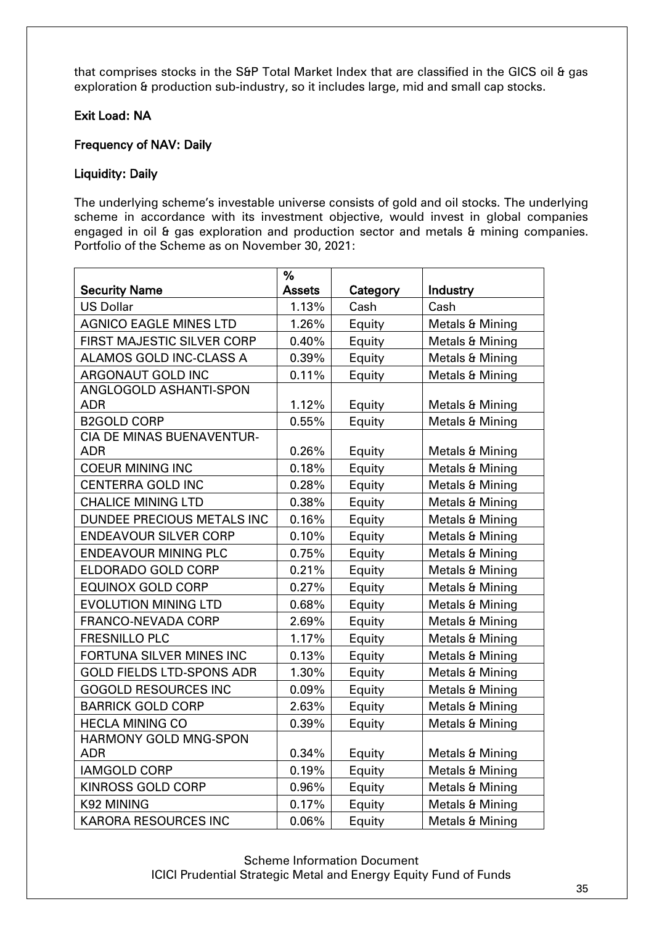that comprises stocks in the S&P Total Market Index that are classified in the GICS oil & gas exploration & production sub-industry, so it includes large, mid and small cap stocks.

## Exit Load: NA

#### Frequency of NAV: Daily

#### Liquidity: Daily

The underlying scheme's investable universe consists of gold and oil stocks. The underlying scheme in accordance with its investment objective, would invest in global companies engaged in oil & gas exploration and production sector and metals & mining companies. Portfolio of the Scheme as on November 30, 2021:

|                                  | %             |          |                 |
|----------------------------------|---------------|----------|-----------------|
| <b>Security Name</b>             | <b>Assets</b> | Category | Industry        |
| <b>US Dollar</b>                 | 1.13%         | Cash     | Cash            |
| <b>AGNICO EAGLE MINES LTD</b>    | 1.26%         | Equity   | Metals & Mining |
| FIRST MAJESTIC SILVER CORP       | 0.40%         | Equity   | Metals & Mining |
| ALAMOS GOLD INC-CLASS A          | 0.39%         | Equity   | Metals & Mining |
| ARGONAUT GOLD INC                | 0.11%         | Equity   | Metals & Mining |
| ANGLOGOLD ASHANTI-SPON           |               |          |                 |
| ADR                              | 1.12%         | Equity   | Metals & Mining |
| <b>B2GOLD CORP</b>               | 0.55%         | Equity   | Metals & Mining |
| CIA DE MINAS BUENAVENTUR-        |               |          |                 |
| <b>ADR</b>                       | 0.26%         | Equity   | Metals & Mining |
| <b>COEUR MINING INC</b>          | 0.18%         | Equity   | Metals & Mining |
| <b>CENTERRA GOLD INC</b>         | 0.28%         | Equity   | Metals & Mining |
| <b>CHALICE MINING LTD</b>        | 0.38%         | Equity   | Metals & Mining |
| DUNDEE PRECIOUS METALS INC       | 0.16%         | Equity   | Metals & Mining |
| <b>ENDEAVOUR SILVER CORP</b>     | 0.10%         | Equity   | Metals & Mining |
| <b>ENDEAVOUR MINING PLC</b>      | 0.75%         | Equity   | Metals & Mining |
| ELDORADO GOLD CORP               | 0.21%         | Equity   | Metals & Mining |
| <b>EQUINOX GOLD CORP</b>         | 0.27%         | Equity   | Metals & Mining |
| <b>EVOLUTION MINING LTD</b>      | 0.68%         | Equity   | Metals & Mining |
| FRANCO-NEVADA CORP               | 2.69%         | Equity   | Metals & Mining |
| <b>FRESNILLO PLC</b>             | 1.17%         | Equity   | Metals & Mining |
| FORTUNA SILVER MINES INC         | 0.13%         | Equity   | Metals & Mining |
| <b>GOLD FIELDS LTD-SPONS ADR</b> | 1.30%         | Equity   | Metals & Mining |
| <b>GOGOLD RESOURCES INC</b>      | 0.09%         | Equity   | Metals & Mining |
| <b>BARRICK GOLD CORP</b>         | 2.63%         | Equity   | Metals & Mining |
| <b>HECLA MINING CO</b>           | 0.39%         | Equity   | Metals & Mining |
| HARMONY GOLD MNG-SPON            |               |          |                 |
| <b>ADR</b>                       | 0.34%         | Equity   | Metals & Mining |
| <b>IAMGOLD CORP</b>              | 0.19%         | Equity   | Metals & Mining |
| <b>KINROSS GOLD CORP</b>         | 0.96%         | Equity   | Metals & Mining |
| K92 MINING                       | 0.17%         | Equity   | Metals & Mining |
| <b>KARORA RESOURCES INC</b>      | 0.06%         | Equity   | Metals & Mining |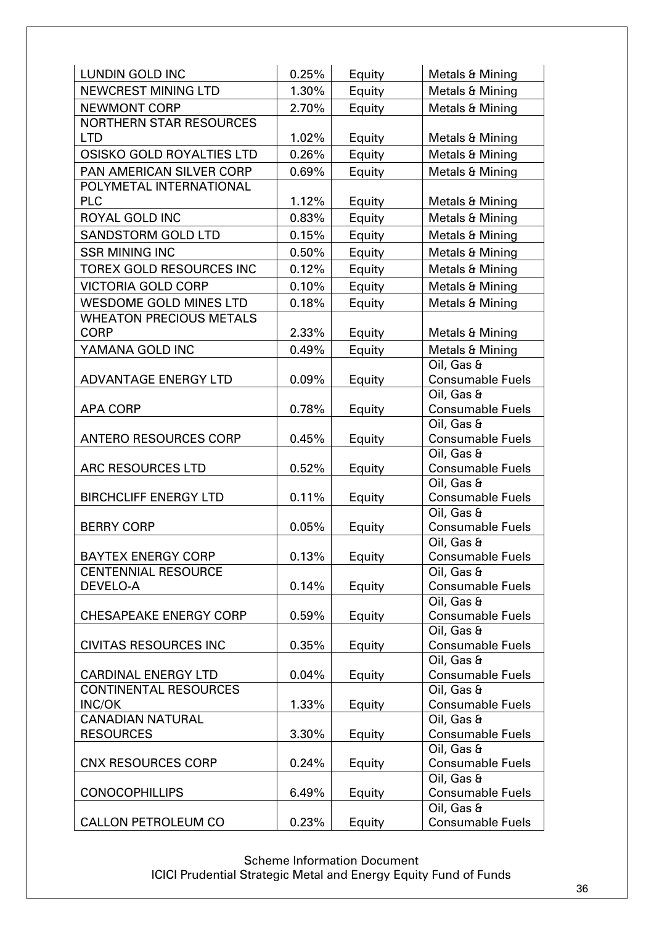| <b>LUNDIN GOLD INC</b>           | 0.25% | Equity | Metals & Mining                       |
|----------------------------------|-------|--------|---------------------------------------|
| <b>NEWCREST MINING LTD</b>       | 1.30% | Equity | Metals & Mining                       |
| <b>NEWMONT CORP</b>              | 2.70% | Equity | Metals & Mining                       |
| <b>NORTHERN STAR RESOURCES</b>   |       |        |                                       |
| <b>LTD</b>                       | 1.02% | Equity | Metals & Mining                       |
| <b>OSISKO GOLD ROYALTIES LTD</b> | 0.26% | Equity | Metals & Mining                       |
| PAN AMERICAN SILVER CORP         | 0.69% | Equity | Metals & Mining                       |
| POLYMETAL INTERNATIONAL          |       |        |                                       |
| <b>PLC</b>                       | 1.12% | Equity | Metals & Mining                       |
| <b>ROYAL GOLD INC</b>            | 0.83% | Equity | Metals & Mining                       |
| <b>SANDSTORM GOLD LTD</b>        | 0.15% | Equity | Metals & Mining                       |
| <b>SSR MINING INC</b>            | 0.50% | Equity | Metals & Mining                       |
| TOREX GOLD RESOURCES INC         | 0.12% | Equity | Metals & Mining                       |
| <b>VICTORIA GOLD CORP</b>        | 0.10% | Equity | Metals & Mining                       |
| <b>WESDOME GOLD MINES LTD</b>    | 0.18% | Equity | Metals & Mining                       |
| <b>WHEATON PRECIOUS METALS</b>   |       |        |                                       |
| <b>CORP</b>                      | 2.33% | Equity | Metals & Mining                       |
| YAMANA GOLD INC                  | 0.49% | Equity | Metals & Mining                       |
|                                  |       |        | Oil, Gas &                            |
| <b>ADVANTAGE ENERGY LTD</b>      | 0.09% | Equity | <b>Consumable Fuels</b>               |
|                                  |       |        | Oil, Gas &                            |
| <b>APA CORP</b>                  | 0.78% | Equity | <b>Consumable Fuels</b>               |
|                                  |       |        | Oil, Gas &                            |
| <b>ANTERO RESOURCES CORP</b>     | 0.45% | Equity | <b>Consumable Fuels</b><br>Oil, Gas & |
| ARC RESOURCES LTD                | 0.52% | Equity | <b>Consumable Fuels</b>               |
|                                  |       |        | Oil, Gas &                            |
| <b>BIRCHCLIFF ENERGY LTD</b>     | 0.11% | Equity | <b>Consumable Fuels</b>               |
|                                  |       |        | Oil, Gas &                            |
| <b>BERRY CORP</b>                | 0.05% | Equity | <b>Consumable Fuels</b>               |
|                                  |       |        | Oil, Gas $\theta$                     |
| <b>BAYTEX ENERGY CORP</b>        | 0.13% | Equity | <b>Consumable Fuels</b>               |
| <b>CENTENNIAL RESOURCE</b>       |       |        | Oil, Gas &                            |
| DEVELO-A                         | 0.14% | Equity | <b>Consumable Fuels</b>               |
| <b>CHESAPEAKE ENERGY CORP</b>    | 0.59% |        | Oil, Gas &<br><b>Consumable Fuels</b> |
|                                  |       | Equity | Oil, Gas &                            |
| <b>CIVITAS RESOURCES INC</b>     | 0.35% | Equity | <b>Consumable Fuels</b>               |
|                                  |       |        | Oil, Gas &                            |
| <b>CARDINAL ENERGY LTD</b>       | 0.04% | Equity | <b>Consumable Fuels</b>               |
| <b>CONTINENTAL RESOURCES</b>     |       |        | Oil, Gas &                            |
| <b>INC/OK</b>                    | 1.33% | Equity | <b>Consumable Fuels</b>               |
| <b>CANADIAN NATURAL</b>          |       |        | Oil, Gas &                            |
| <b>RESOURCES</b>                 | 3.30% | Equity | <b>Consumable Fuels</b>               |
|                                  |       |        | Oil, Gas &                            |
| <b>CNX RESOURCES CORP</b>        | 0.24% | Equity | <b>Consumable Fuels</b>               |
| <b>CONOCOPHILLIPS</b>            | 6.49% |        | Oil, Gas &<br><b>Consumable Fuels</b> |
|                                  |       | Equity | Oil, Gas &                            |
| <b>CALLON PETROLEUM CO</b>       | 0.23% | Equity | <b>Consumable Fuels</b>               |
|                                  |       |        |                                       |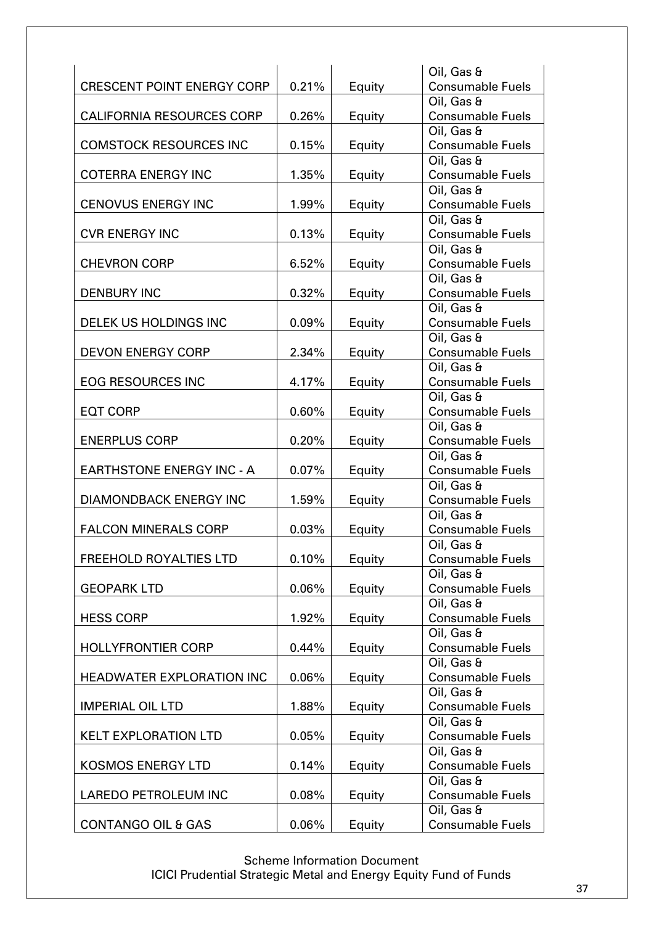|                                   |          |        | Oil, Gas &                            |
|-----------------------------------|----------|--------|---------------------------------------|
| <b>CRESCENT POINT ENERGY CORP</b> | 0.21%    | Equity | <b>Consumable Fuels</b>               |
|                                   |          |        | Oil, Gas &                            |
| <b>CALIFORNIA RESOURCES CORP</b>  | 0.26%    | Equity | <b>Consumable Fuels</b>               |
|                                   |          |        | Oil, Gas &                            |
| <b>COMSTOCK RESOURCES INC</b>     | 0.15%    | Equity | <b>Consumable Fuels</b>               |
|                                   |          |        | Oil, Gas &                            |
| <b>COTERRA ENERGY INC</b>         | 1.35%    | Equity | <b>Consumable Fuels</b>               |
|                                   |          |        | Oil, Gas &                            |
| <b>CENOVUS ENERGY INC</b>         | 1.99%    | Equity | <b>Consumable Fuels</b>               |
|                                   |          |        | Oil, Gas &                            |
| <b>CVR ENERGY INC</b>             | 0.13%    | Equity | <b>Consumable Fuels</b>               |
|                                   |          |        | Oil, Gas &                            |
| <b>CHEVRON CORP</b>               | 6.52%    | Equity | <b>Consumable Fuels</b>               |
|                                   |          |        | Oil, Gas &                            |
| <b>DENBURY INC</b>                | 0.32%    | Equity | <b>Consumable Fuels</b>               |
|                                   |          |        | Oil, Gas &                            |
| <b>DELEK US HOLDINGS INC</b>      | 0.09%    | Equity | <b>Consumable Fuels</b>               |
|                                   |          |        | Oil, Gas &                            |
| <b>DEVON ENERGY CORP</b>          | 2.34%    | Equity | <b>Consumable Fuels</b>               |
|                                   |          |        | Oil, Gas &                            |
| <b>EOG RESOURCES INC</b>          | 4.17%    | Equity | <b>Consumable Fuels</b>               |
|                                   |          |        | Oil, Gas &                            |
| <b>EQT CORP</b>                   | 0.60%    | Equity | <b>Consumable Fuels</b>               |
|                                   |          |        | Oil, Gas &                            |
| <b>ENERPLUS CORP</b>              | 0.20%    | Equity | <b>Consumable Fuels</b>               |
|                                   |          |        | Oil, Gas &                            |
| <b>EARTHSTONE ENERGY INC - A</b>  | 0.07%    | Equity | <b>Consumable Fuels</b>               |
|                                   |          |        | Oil, Gas &                            |
| <b>DIAMONDBACK ENERGY INC</b>     | 1.59%    | Equity | <b>Consumable Fuels</b>               |
|                                   |          |        | Oil, Gas &                            |
| <b>FALCON MINERALS CORP</b>       | 0.03%    | Equity | <b>Consumable Fuels</b>               |
|                                   |          |        | Oil, Gas &                            |
| <b>FREEHOLD ROYALTIES LTD</b>     | $0.10\%$ | Equity | <b>Consumable Fuels</b>               |
|                                   |          |        | Oil, Gas &                            |
| <b>GEOPARK LTD</b>                | 0.06%    | Equity | <b>Consumable Fuels</b>               |
|                                   |          |        | Oil, Gas &                            |
| <b>HESS CORP</b>                  | 1.92%    | Equity | <b>Consumable Fuels</b>               |
|                                   |          |        | Oil, Gas &                            |
| <b>HOLLYFRONTIER CORP</b>         | 0.44%    | Equity | <b>Consumable Fuels</b>               |
|                                   |          |        | Oil, Gas &<br><b>Consumable Fuels</b> |
| <b>HEADWATER EXPLORATION INC</b>  | 0.06%    | Equity | Oil, Gas &                            |
| <b>IMPERIAL OIL LTD</b>           |          |        |                                       |
|                                   | 1.88%    | Equity | <b>Consumable Fuels</b><br>Oil, Gas & |
| <b>KELT EXPLORATION LTD</b>       | 0.05%    |        | <b>Consumable Fuels</b>               |
|                                   |          | Equity | Oil, Gas &                            |
| <b>KOSMOS ENERGY LTD</b>          | 0.14%    | Equity | <b>Consumable Fuels</b>               |
|                                   |          |        | Oil, Gas &                            |
| <b>LAREDO PETROLEUM INC</b>       | 0.08%    | Equity | <b>Consumable Fuels</b>               |
|                                   |          |        | Oil, Gas &                            |
| <b>CONTANGO OIL &amp; GAS</b>     | 0.06%    | Equity | <b>Consumable Fuels</b>               |
|                                   |          |        |                                       |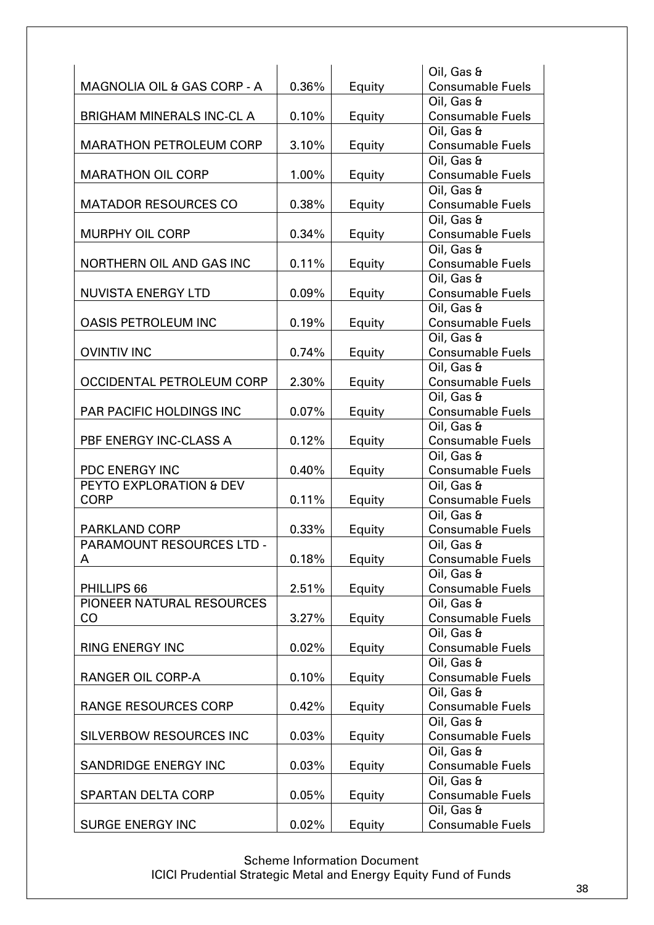|                                  |          |        | Oil, Gas &                            |
|----------------------------------|----------|--------|---------------------------------------|
| MAGNOLIA OIL & GAS CORP - A      | 0.36%    | Equity | <b>Consumable Fuels</b>               |
|                                  |          |        | Oil, Gas &                            |
| <b>BRIGHAM MINERALS INC-CL A</b> | 0.10%    | Equity | <b>Consumable Fuels</b>               |
|                                  |          |        | Oil, Gas &                            |
| <b>MARATHON PETROLEUM CORP</b>   | 3.10%    | Equity | <b>Consumable Fuels</b>               |
|                                  |          |        | Oil, Gas &                            |
| <b>MARATHON OIL CORP</b>         | 1.00%    | Equity | <b>Consumable Fuels</b>               |
|                                  |          |        | Oil, Gas &                            |
| <b>MATADOR RESOURCES CO</b>      | 0.38%    | Equity | <b>Consumable Fuels</b>               |
|                                  |          |        | Oil, Gas &                            |
| <b>MURPHY OIL CORP</b>           | 0.34%    | Equity | <b>Consumable Fuels</b>               |
|                                  |          |        | Oil, Gas &                            |
| NORTHERN OIL AND GAS INC         | 0.11%    | Equity | <b>Consumable Fuels</b>               |
|                                  |          |        | Oil, Gas &                            |
| <b>NUVISTA ENERGY LTD</b>        | 0.09%    | Equity | <b>Consumable Fuels</b>               |
|                                  |          |        | Oil, Gas &                            |
| <b>OASIS PETROLEUM INC</b>       | 0.19%    | Equity | <b>Consumable Fuels</b>               |
|                                  |          |        | Oil, Gas &                            |
| <b>OVINTIV INC</b>               | 0.74%    | Equity | <b>Consumable Fuels</b>               |
|                                  |          |        | Oil, Gas &                            |
| OCCIDENTAL PETROLEUM CORP        | 2.30%    | Equity | <b>Consumable Fuels</b>               |
|                                  |          |        | Oil, Gas &                            |
| <b>PAR PACIFIC HOLDINGS INC</b>  | 0.07%    | Equity | <b>Consumable Fuels</b>               |
|                                  |          |        | Oil, Gas &                            |
| PBF ENERGY INC-CLASS A           | 0.12%    | Equity | <b>Consumable Fuels</b>               |
|                                  |          |        | Oil, Gas &                            |
| <b>PDC ENERGY INC</b>            | 0.40%    | Equity | <b>Consumable Fuels</b>               |
| PEYTO EXPLORATION & DEV          |          |        | Oil, Gas &                            |
| <b>CORP</b>                      | 0.11%    | Equity | <b>Consumable Fuels</b>               |
|                                  |          |        | Oil, Gas &                            |
| <b>PARKLAND CORP</b>             | 0.33%    | Equity | <b>Consumable Fuels</b>               |
| PARAMOUNT RESOURCES LTD -        |          |        | Oil, Gas &                            |
| A                                | $0.18\%$ | Equity | <b>Consumable Fuels</b>               |
|                                  |          |        | Oil, Gas &                            |
| PHILLIPS 66                      | 2.51%    | Equity | <b>Consumable Fuels</b>               |
| PIONEER NATURAL RESOURCES        |          |        | Oil, Gas &                            |
| CO                               | 3.27%    | Equity | <b>Consumable Fuels</b>               |
|                                  |          |        | Oil, Gas &                            |
| <b>RING ENERGY INC</b>           | 0.02%    | Equity | <b>Consumable Fuels</b>               |
| <b>RANGER OIL CORP-A</b>         | 0.10%    |        | Oil, Gas &<br><b>Consumable Fuels</b> |
|                                  |          | Equity | Oil, Gas &                            |
| <b>RANGE RESOURCES CORP</b>      | 0.42%    |        | <b>Consumable Fuels</b>               |
|                                  |          | Equity | Oil, Gas &                            |
| <b>SILVERBOW RESOURCES INC</b>   | 0.03%    | Equity | <b>Consumable Fuels</b>               |
|                                  |          |        | Oil, Gas &                            |
| <b>SANDRIDGE ENERGY INC</b>      | 0.03%    | Equity | <b>Consumable Fuels</b>               |
|                                  |          |        | Oil, Gas &                            |
| <b>SPARTAN DELTA CORP</b>        | 0.05%    | Equity | <b>Consumable Fuels</b>               |
|                                  |          |        | Oil, Gas &                            |
| <b>SURGE ENERGY INC</b>          | 0.02%    |        | <b>Consumable Fuels</b>               |
|                                  |          | Equity |                                       |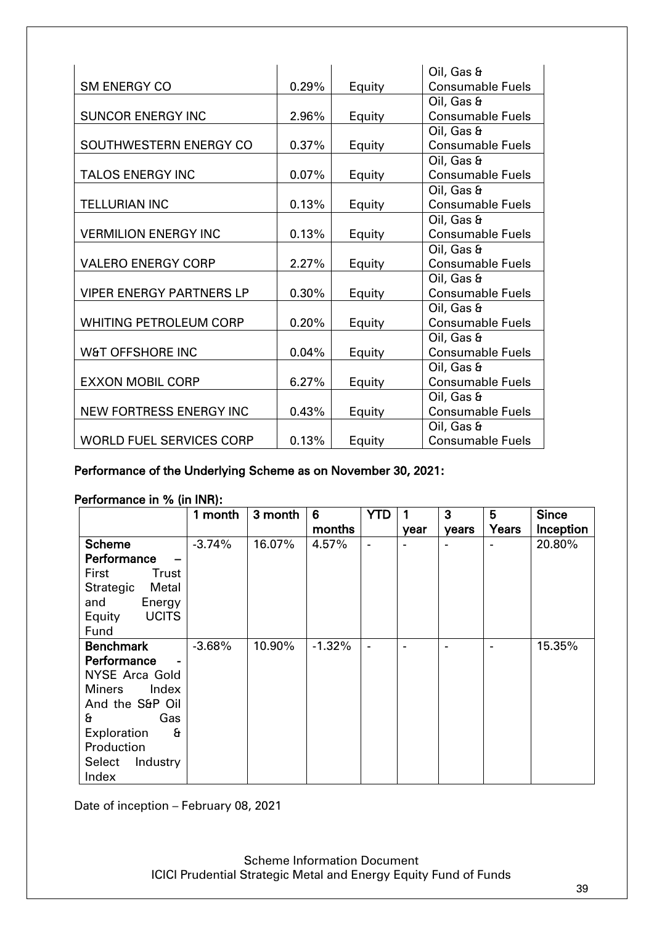|                                 |          |        | Oil, Gas &              |
|---------------------------------|----------|--------|-------------------------|
| <b>SM ENERGY CO</b>             | 0.29%    | Equity | <b>Consumable Fuels</b> |
|                                 |          |        | Oil, Gas &              |
| <b>SUNCOR ENERGY INC</b>        | 2.96%    | Equity | <b>Consumable Fuels</b> |
|                                 |          |        | Oil, Gas &              |
| SOUTHWESTERN ENERGY CO          | 0.37%    | Equity | <b>Consumable Fuels</b> |
|                                 |          |        | Oil, Gas &              |
| <b>TALOS ENERGY INC</b>         | $0.07\%$ | Equity | <b>Consumable Fuels</b> |
|                                 |          |        | Oil, Gas &              |
| <b>TELLURIAN INC</b>            | 0.13%    | Equity | <b>Consumable Fuels</b> |
|                                 |          |        | Oil, Gas &              |
| <b>VERMILION ENERGY INC</b>     | 0.13%    | Equity | <b>Consumable Fuels</b> |
|                                 |          |        | Oil, Gas &              |
| <b>VALERO ENERGY CORP</b>       | 2.27%    | Equity | <b>Consumable Fuels</b> |
|                                 |          |        | Oil, Gas &              |
| <b>VIPER ENERGY PARTNERS LP</b> | 0.30%    | Equity | <b>Consumable Fuels</b> |
|                                 |          |        | Oil, Gas &              |
| <b>WHITING PETROLEUM CORP</b>   | 0.20%    | Equity | <b>Consumable Fuels</b> |
|                                 |          |        | Oil, Gas &              |
| W&T OFFSHORE INC                | 0.04%    | Equity | <b>Consumable Fuels</b> |
|                                 |          |        | Oil, Gas &              |
| <b>EXXON MOBIL CORP</b>         | 6.27%    | Equity | <b>Consumable Fuels</b> |
|                                 |          |        | Oil, Gas &              |
| <b>NEW FORTRESS ENERGY INC</b>  | 0.43%    | Equity | <b>Consumable Fuels</b> |
|                                 |          |        | Oil, Gas &              |
| <b>WORLD FUEL SERVICES CORP</b> | 0.13%    | Equity | <b>Consumable Fuels</b> |

Performance of the Underlying Scheme as on November 30, 2021:

### Performance in % (in INR):

|                        | 1 month  | 3 month | 6        | <b>YTD</b> |      | 3     | 5     | <b>Since</b> |
|------------------------|----------|---------|----------|------------|------|-------|-------|--------------|
|                        |          |         | months   |            | year | years | Years | Inception    |
| <b>Scheme</b>          | $-3.74%$ | 16.07%  | 4.57%    |            |      |       |       | 20.80%       |
| Performance            |          |         |          |            |      |       |       |              |
| First<br>Trust         |          |         |          |            |      |       |       |              |
| Strategic<br>Metal     |          |         |          |            |      |       |       |              |
| and<br>Energy          |          |         |          |            |      |       |       |              |
| <b>UCITS</b><br>Equity |          |         |          |            |      |       |       |              |
| Fund                   |          |         |          |            |      |       |       |              |
| <b>Benchmark</b>       | $-3.68%$ | 10.90%  | $-1.32%$ |            |      |       |       | 15.35%       |
| Performance            |          |         |          |            |      |       |       |              |
| <b>NYSE Arca Gold</b>  |          |         |          |            |      |       |       |              |
| <b>Miners</b><br>Index |          |         |          |            |      |       |       |              |
| And the S&P Oil        |          |         |          |            |      |       |       |              |
| £.<br>Gas              |          |         |          |            |      |       |       |              |
| Exploration<br>£       |          |         |          |            |      |       |       |              |
| Production             |          |         |          |            |      |       |       |              |
| Select<br>Industry     |          |         |          |            |      |       |       |              |
| Index                  |          |         |          |            |      |       |       |              |

Date of inception – February 08, 2021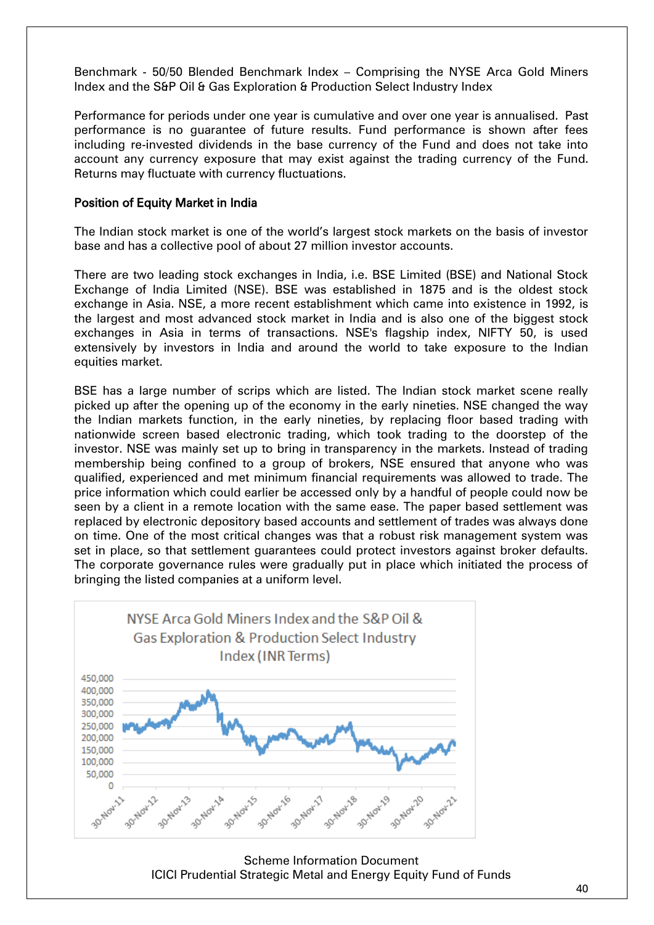Benchmark - 50/50 Blended Benchmark Index – Comprising the NYSE Arca Gold Miners Index and the S&P Oil & Gas Exploration & Production Select Industry Index

Performance for periods under one year is cumulative and over one year is annualised. Past performance is no guarantee of future results. Fund performance is shown after fees including re-invested dividends in the base currency of the Fund and does not take into account any currency exposure that may exist against the trading currency of the Fund. Returns may fluctuate with currency fluctuations.

#### Position of Equity Market in India

The Indian stock market is one of the world's largest stock markets on the basis of investor base and has a collective pool of about 27 million investor accounts.

There are two leading stock exchanges in India, i.e. BSE Limited (BSE) and National Stock Exchange of India Limited (NSE). BSE was established in 1875 and is the oldest stock exchange in Asia. NSE, a more recent establishment which came into existence in 1992, is the largest and most advanced stock market in India and is also one of the biggest stock exchanges in Asia in terms of transactions. NSE's flagship index, NIFTY 50, is used extensively by investors in India and around the world to take exposure to the Indian equities market.

BSE has a large number of scrips which are listed. The Indian stock market scene really picked up after the opening up of the economy in the early nineties. NSE changed the way the Indian markets function, in the early nineties, by replacing floor based trading with nationwide screen based electronic trading, which took trading to the doorstep of the investor. NSE was mainly set up to bring in transparency in the markets. Instead of trading membership being confined to a group of brokers, NSE ensured that anyone who was qualified, experienced and met minimum financial requirements was allowed to trade. The price information which could earlier be accessed only by a handful of people could now be seen by a client in a remote location with the same ease. The paper based settlement was replaced by electronic depository based accounts and settlement of trades was always done on time. One of the most critical changes was that a robust risk management system was set in place, so that settlement guarantees could protect investors against broker defaults. The corporate governance rules were gradually put in place which initiated the process of bringing the listed companies at a uniform level.



Scheme Information Document ICICI Prudential Strategic Metal and Energy Equity Fund of Funds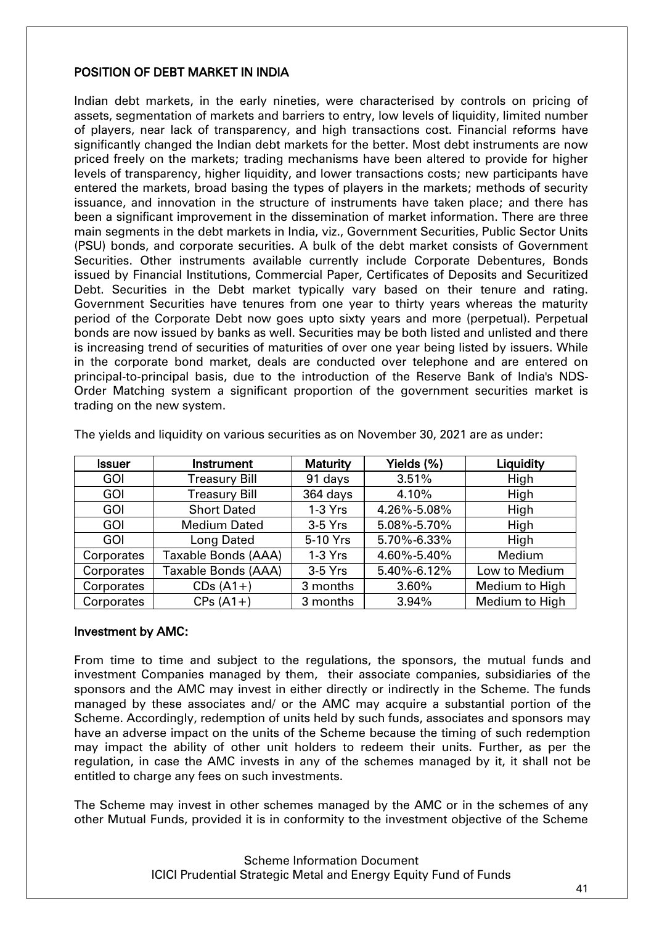### POSITION OF DEBT MARKET IN INDIA

Indian debt markets, in the early nineties, were characterised by controls on pricing of assets, segmentation of markets and barriers to entry, low levels of liquidity, limited number of players, near lack of transparency, and high transactions cost. Financial reforms have significantly changed the Indian debt markets for the better. Most debt instruments are now priced freely on the markets; trading mechanisms have been altered to provide for higher levels of transparency, higher liquidity, and lower transactions costs; new participants have entered the markets, broad basing the types of players in the markets; methods of security issuance, and innovation in the structure of instruments have taken place; and there has been a significant improvement in the dissemination of market information. There are three main segments in the debt markets in India, viz., Government Securities, Public Sector Units (PSU) bonds, and corporate securities. A bulk of the debt market consists of Government Securities. Other instruments available currently include Corporate Debentures, Bonds issued by Financial Institutions, Commercial Paper, Certificates of Deposits and Securitized Debt. Securities in the Debt market typically vary based on their tenure and rating. Government Securities have tenures from one year to thirty years whereas the maturity period of the Corporate Debt now goes upto sixty years and more (perpetual). Perpetual bonds are now issued by banks as well. Securities may be both listed and unlisted and there is increasing trend of securities of maturities of over one year being listed by issuers. While in the corporate bond market, deals are conducted over telephone and are entered on principal-to-principal basis, due to the introduction of the Reserve Bank of India's NDS-Order Matching system a significant proportion of the government securities market is trading on the new system.

| <b>Issuer</b> | Instrument           | <b>Maturity</b> | Yields (%)  | Liquidity      |
|---------------|----------------------|-----------------|-------------|----------------|
| <b>GOI</b>    | <b>Treasury Bill</b> | 91 days         | 3.51%       | High           |
| <b>GOI</b>    | <b>Treasury Bill</b> | 364 days        | 4.10%       | High           |
| <b>GOI</b>    | <b>Short Dated</b>   | 1-3 Yrs         | 4.26%-5.08% | High           |
| <b>GOI</b>    | <b>Medium Dated</b>  | $3-5$ Yrs       | 5.08%-5.70% | High           |
| <b>GOI</b>    | Long Dated           | 5-10 Yrs        | 5.70%-6.33% | High           |
| Corporates    | Taxable Bonds (AAA)  | $1-3$ Yrs       | 4.60%-5.40% | Medium         |
| Corporates    | Taxable Bonds (AAA)  | $3-5$ Yrs       | 5.40%-6.12% | Low to Medium  |
| Corporates    | $CDs(A1+)$           | 3 months        | 3.60%       | Medium to High |
| Corporates    | $CPs(A1+)$           | 3 months        | 3.94%       | Medium to High |

The yields and liquidity on various securities as on November 30, 2021 are as under:

### Investment by AMC:

From time to time and subject to the regulations, the sponsors, the mutual funds and investment Companies managed by them, their associate companies, subsidiaries of the sponsors and the AMC may invest in either directly or indirectly in the Scheme. The funds managed by these associates and/ or the AMC may acquire a substantial portion of the Scheme. Accordingly, redemption of units held by such funds, associates and sponsors may have an adverse impact on the units of the Scheme because the timing of such redemption may impact the ability of other unit holders to redeem their units. Further, as per the regulation, in case the AMC invests in any of the schemes managed by it, it shall not be entitled to charge any fees on such investments.

The Scheme may invest in other schemes managed by the AMC or in the schemes of any other Mutual Funds, provided it is in conformity to the investment objective of the Scheme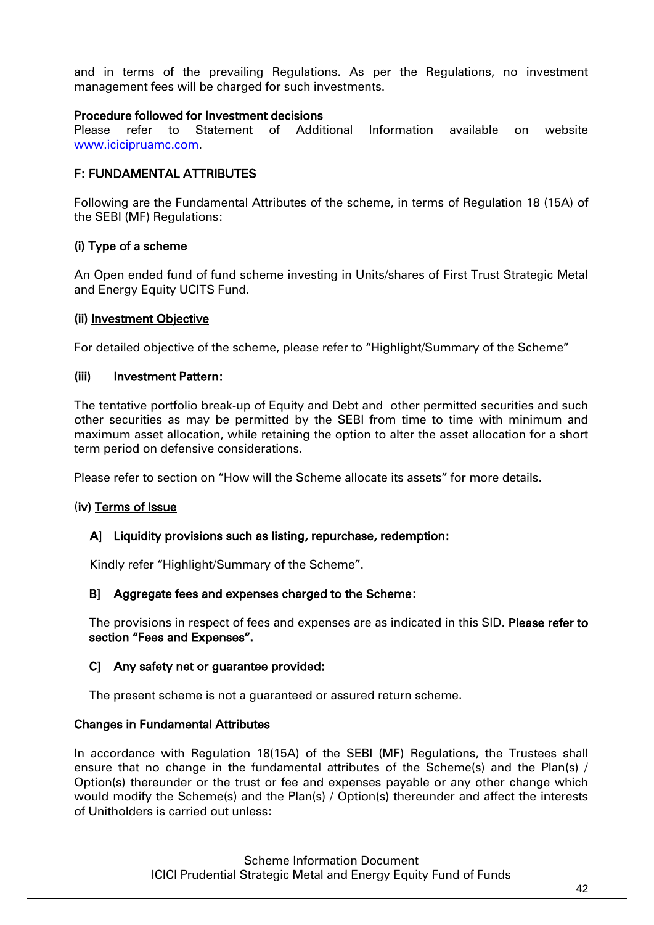and in terms of the prevailing Regulations. As per the Regulations, no investment management fees will be charged for such investments.

### Procedure followed for Investment decisions

Please refer to Statement of Additional Information available on website [www.icicipruamc.com.](http://www.icicipruamc.com/)

### F: FUNDAMENTAL ATTRIBUTES

Following are the Fundamental Attributes of the scheme, in terms of Regulation 18 (15A) of the SEBI (MF) Regulations:

### (i) Type of a scheme

An Open ended fund of fund scheme investing in Units/shares of First Trust Strategic Metal and Energy Equity UCITS Fund.

### (ii) Investment Objective

For detailed objective of the scheme, please refer to "Highlight/Summary of the Scheme"

### (iii) Investment Pattern:

The tentative portfolio break-up of Equity and Debt and other permitted securities and such other securities as may be permitted by the SEBI from time to time with minimum and maximum asset allocation, while retaining the option to alter the asset allocation for a short term period on defensive considerations.

Please refer to section on "How will the Scheme allocate its assets" for more details.

### (iv) Terms of Issue

### A] Liquidity provisions such as listing, repurchase, redemption:

Kindly refer "Highlight/Summary of the Scheme".

### B] Aggregate fees and expenses charged to the Scheme:

The provisions in respect of fees and expenses are as indicated in this SID. Please refer to section "Fees and Expenses".

### C] Any safety net or guarantee provided:

The present scheme is not a guaranteed or assured return scheme.

### Changes in Fundamental Attributes

In accordance with Regulation 18(15A) of the SEBI (MF) Regulations, the Trustees shall ensure that no change in the fundamental attributes of the Scheme(s) and the Plan(s) / Option(s) thereunder or the trust or fee and expenses payable or any other change which would modify the Scheme(s) and the Plan(s) / Option(s) thereunder and affect the interests of Unitholders is carried out unless: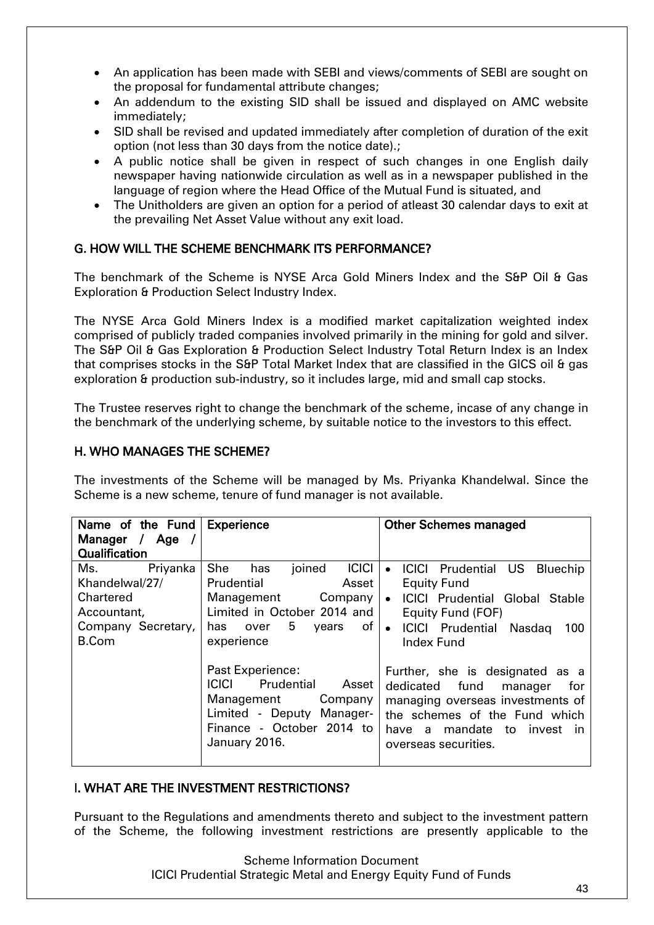- An application has been made with SEBI and views/comments of SEBI are sought on the proposal for fundamental attribute changes;
- An addendum to the existing SID shall be issued and displayed on AMC website immediately;
- SID shall be revised and updated immediately after completion of duration of the exit option (not less than 30 days from the notice date).;
- A public notice shall be given in respect of such changes in one English daily newspaper having nationwide circulation as well as in a newspaper published in the language of region where the Head Office of the Mutual Fund is situated, and
- The Unitholders are given an option for a period of atleast 30 calendar days to exit at the prevailing Net Asset Value without any exit load.

## G. HOW WILL THE SCHEME BENCHMARK ITS PERFORMANCE?

The benchmark of the Scheme is NYSE Arca Gold Miners Index and the S&P Oil & Gas Exploration & Production Select Industry Index.

The NYSE Arca Gold Miners Index is a modified market capitalization weighted index comprised of publicly traded companies involved primarily in the mining for gold and silver. The S&P Oil & Gas Exploration & Production Select Industry Total Return Index is an Index that comprises stocks in the S&P Total Market Index that are classified in the GICS oil & gas exploration & production sub-industry, so it includes large, mid and small cap stocks.

The Trustee reserves right to change the benchmark of the scheme, incase of any change in the benchmark of the underlying scheme, by suitable notice to the investors to this effect.

### H. WHO MANAGES THE SCHEME?

The investments of the Scheme will be managed by Ms. Priyanka Khandelwal. Since the Scheme is a new scheme, tenure of fund manager is not available.

| Name of the Fund                                                                                    | <b>Experience</b>                                                                                                                                                                                                                                                                     | <b>Other Schemes managed</b>                                                                                                                                                                                                                                                                                                                                                |
|-----------------------------------------------------------------------------------------------------|---------------------------------------------------------------------------------------------------------------------------------------------------------------------------------------------------------------------------------------------------------------------------------------|-----------------------------------------------------------------------------------------------------------------------------------------------------------------------------------------------------------------------------------------------------------------------------------------------------------------------------------------------------------------------------|
| Manager / Age /                                                                                     |                                                                                                                                                                                                                                                                                       |                                                                                                                                                                                                                                                                                                                                                                             |
| <b>Qualification</b>                                                                                |                                                                                                                                                                                                                                                                                       |                                                                                                                                                                                                                                                                                                                                                                             |
| Priyanka<br>Ms.<br>Khandelwal/27/<br>Chartered<br>Accountant,<br>Company Secretary,<br><b>B.Com</b> | She<br><b>ICICI</b><br>joined<br>has<br>Prudential<br>Asset<br>Management<br>Company<br>Limited in October 2014 and<br>5<br>of<br>has<br>over<br>years<br>experience<br>Past Experience:<br><b>ICICI</b><br>Prudential<br>Asset<br>Management<br>Company<br>Limited - Deputy Manager- | <b>ICICI Prudential US</b><br>Bluechip<br>$\bullet$<br><b>Equity Fund</b><br><b>ICICI Prudential Global Stable</b><br>$\bullet$<br>Equity Fund (FOF)<br><b>ICICI Prudential Nasdaq</b><br>100<br>$\bullet$<br><b>Index Fund</b><br>Further, she is designated as a<br>dedicated fund<br>manager<br>for<br>managing overseas investments of<br>the schemes of the Fund which |
|                                                                                                     | Finance - October 2014 to<br>January 2016.                                                                                                                                                                                                                                            | have a mandate to invest in<br>overseas securities.                                                                                                                                                                                                                                                                                                                         |

### I. WHAT ARE THE INVESTMENT RESTRICTIONS?

Pursuant to the Regulations and amendments thereto and subject to the investment pattern of the Scheme, the following investment restrictions are presently applicable to the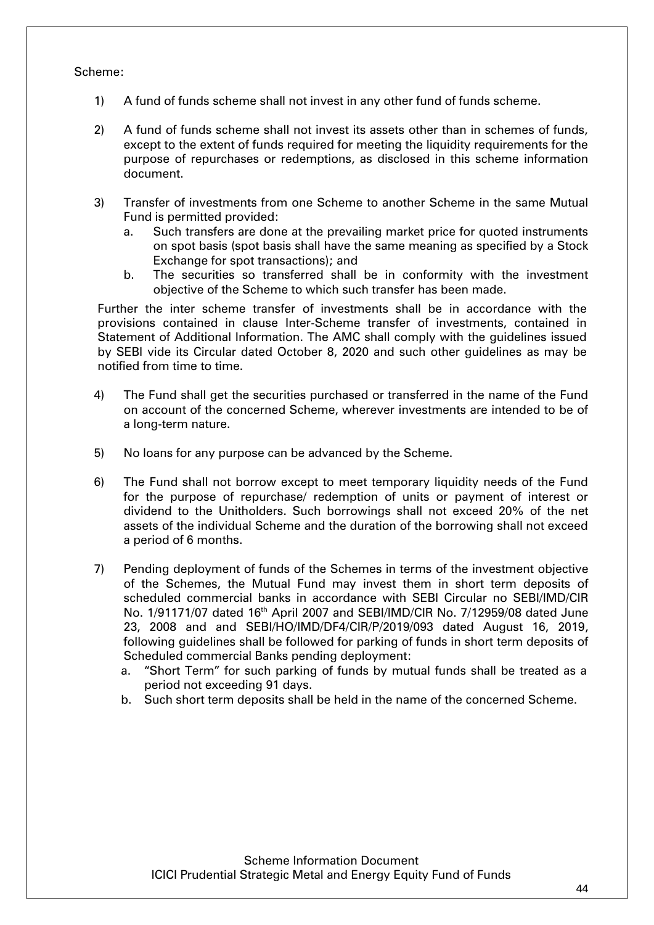#### Scheme:

- 1) A fund of funds scheme shall not invest in any other fund of funds scheme.
- 2) A fund of funds scheme shall not invest its assets other than in schemes of funds, except to the extent of funds required for meeting the liquidity requirements for the purpose of repurchases or redemptions, as disclosed in this scheme information document.
- 3) Transfer of investments from one Scheme to another Scheme in the same Mutual Fund is permitted provided:
	- a. Such transfers are done at the prevailing market price for quoted instruments on spot basis (spot basis shall have the same meaning as specified by a Stock Exchange for spot transactions); and
	- b. The securities so transferred shall be in conformity with the investment objective of the Scheme to which such transfer has been made.

Further the inter scheme transfer of investments shall be in accordance with the provisions contained in clause Inter-Scheme transfer of investments, contained in Statement of Additional Information. The AMC shall comply with the guidelines issued by SEBI vide its Circular dated October 8, 2020 and such other guidelines as may be notified from time to time.

- 4) The Fund shall get the securities purchased or transferred in the name of the Fund on account of the concerned Scheme, wherever investments are intended to be of a long-term nature.
- 5) No loans for any purpose can be advanced by the Scheme.
- 6) The Fund shall not borrow except to meet temporary liquidity needs of the Fund for the purpose of repurchase/ redemption of units or payment of interest or dividend to the Unitholders. Such borrowings shall not exceed 20% of the net assets of the individual Scheme and the duration of the borrowing shall not exceed a period of 6 months.
- 7) Pending deployment of funds of the Schemes in terms of the investment objective of the Schemes, the Mutual Fund may invest them in short term deposits of scheduled commercial banks in accordance with SEBI Circular no SEBI/IMD/CIR No. 1/91171/07 dated 16<sup>th</sup> April 2007 and SEBI/IMD/CIR No. 7/12959/08 dated June 23, 2008 and and SEBI/HO/IMD/DF4/CIR/P/2019/093 dated August 16, 2019, following guidelines shall be followed for parking of funds in short term deposits of Scheduled commercial Banks pending deployment:
	- a. "Short Term" for such parking of funds by mutual funds shall be treated as a period not exceeding 91 days.
	- b. Such short term deposits shall be held in the name of the concerned Scheme.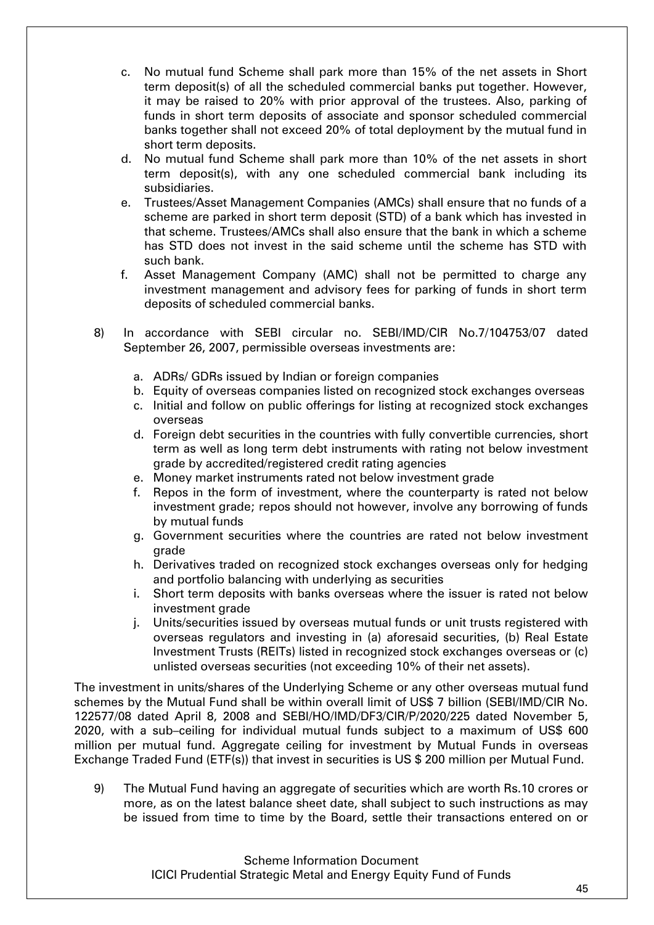- c. No mutual fund Scheme shall park more than 15% of the net assets in Short term deposit(s) of all the scheduled commercial banks put together. However, it may be raised to 20% with prior approval of the trustees. Also, parking of funds in short term deposits of associate and sponsor scheduled commercial banks together shall not exceed 20% of total deployment by the mutual fund in short term deposits.
- d. No mutual fund Scheme shall park more than 10% of the net assets in short term deposit(s), with any one scheduled commercial bank including its subsidiaries.
- e. Trustees/Asset Management Companies (AMCs) shall ensure that no funds of a scheme are parked in short term deposit (STD) of a bank which has invested in that scheme. Trustees/AMCs shall also ensure that the bank in which a scheme has STD does not invest in the said scheme until the scheme has STD with such bank.
- f. Asset Management Company (AMC) shall not be permitted to charge any investment management and advisory fees for parking of funds in short term deposits of scheduled commercial banks.
- 8) In accordance with SEBI circular no. SEBI/IMD/CIR No.7/104753/07 dated September 26, 2007, permissible overseas investments are:
	- a. ADRs/ GDRs issued by Indian or foreign companies
	- b. Equity of overseas companies listed on recognized stock exchanges overseas
	- c. Initial and follow on public offerings for listing at recognized stock exchanges overseas
	- d. Foreign debt securities in the countries with fully convertible currencies, short term as well as long term debt instruments with rating not below investment grade by accredited/registered credit rating agencies
	- e. Money market instruments rated not below investment grade
	- f. Repos in the form of investment, where the counterparty is rated not below investment grade; repos should not however, involve any borrowing of funds by mutual funds
	- g. Government securities where the countries are rated not below investment grade
	- h. Derivatives traded on recognized stock exchanges overseas only for hedging and portfolio balancing with underlying as securities
	- i. Short term deposits with banks overseas where the issuer is rated not below investment grade
	- j. Units/securities issued by overseas mutual funds or unit trusts registered with overseas regulators and investing in (a) aforesaid securities, (b) Real Estate Investment Trusts (REITs) listed in recognized stock exchanges overseas or (c) unlisted overseas securities (not exceeding 10% of their net assets).

The investment in units/shares of the Underlying Scheme or any other overseas mutual fund schemes by the Mutual Fund shall be within overall limit of US\$ 7 billion (SEBI/IMD/CIR No. 122577/08 dated April 8, 2008 and SEBI/HO/IMD/DF3/CIR/P/2020/225 dated November 5, 2020, with a sub–ceiling for individual mutual funds subject to a maximum of US\$ 600 million per mutual fund. Aggregate ceiling for investment by Mutual Funds in overseas Exchange Traded Fund (ETF(s)) that invest in securities is US \$ 200 million per Mutual Fund.

9) The Mutual Fund having an aggregate of securities which are worth Rs.10 crores or more, as on the latest balance sheet date, shall subject to such instructions as may be issued from time to time by the Board, settle their transactions entered on or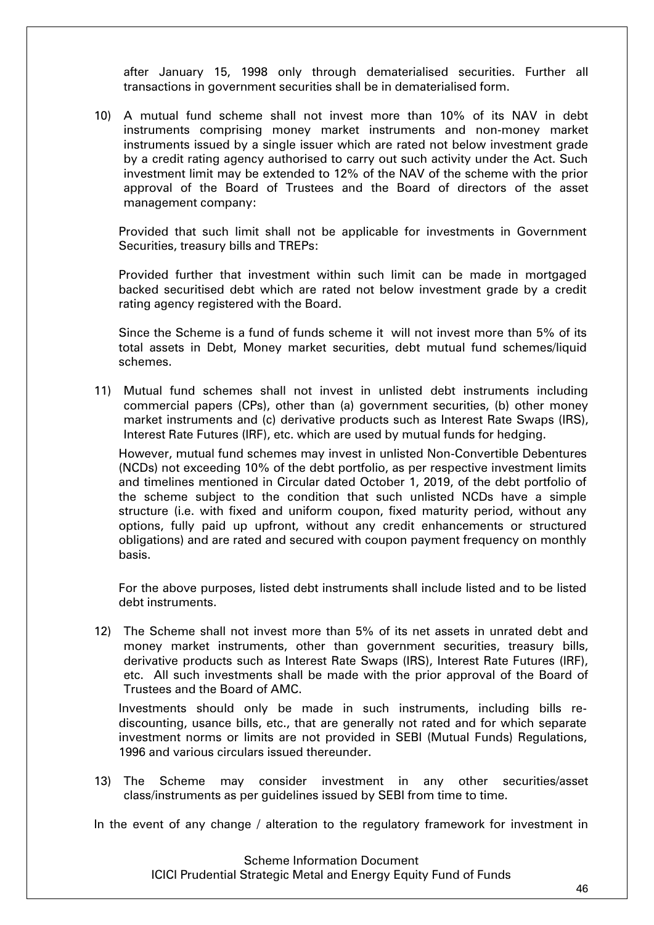after January 15, 1998 only through dematerialised securities. Further all transactions in government securities shall be in dematerialised form.

10) A mutual fund scheme shall not invest more than 10% of its NAV in debt instruments comprising money market instruments and non-money market instruments issued by a single issuer which are rated not below investment grade by a credit rating agency authorised to carry out such activity under the Act. Such investment limit may be extended to 12% of the NAV of the scheme with the prior approval of the Board of Trustees and the Board of directors of the asset management company:

Provided that such limit shall not be applicable for investments in Government Securities, treasury bills and TREPs:

Provided further that investment within such limit can be made in mortgaged backed securitised debt which are rated not below investment grade by a credit rating agency registered with the Board.

Since the Scheme is a fund of funds scheme it will not invest more than 5% of its total assets in Debt, Money market securities, debt mutual fund schemes/liquid schemes.

11) Mutual fund schemes shall not invest in unlisted debt instruments including commercial papers (CPs), other than (a) government securities, (b) other money market instruments and (c) derivative products such as Interest Rate Swaps (IRS), Interest Rate Futures (IRF), etc. which are used by mutual funds for hedging.

However, mutual fund schemes may invest in unlisted Non-Convertible Debentures (NCDs) not exceeding 10% of the debt portfolio, as per respective investment limits and timelines mentioned in Circular dated October 1, 2019, of the debt portfolio of the scheme subject to the condition that such unlisted NCDs have a simple structure (i.e. with fixed and uniform coupon, fixed maturity period, without any options, fully paid up upfront, without any credit enhancements or structured obligations) and are rated and secured with coupon payment frequency on monthly basis.

For the above purposes, listed debt instruments shall include listed and to be listed debt instruments.

12) The Scheme shall not invest more than 5% of its net assets in unrated debt and money market instruments, other than government securities, treasury bills, derivative products such as Interest Rate Swaps (IRS), Interest Rate Futures (IRF), etc. All such investments shall be made with the prior approval of the Board of Trustees and the Board of AMC.

Investments should only be made in such instruments, including bills rediscounting, usance bills, etc., that are generally not rated and for which separate investment norms or limits are not provided in SEBI (Mutual Funds) Regulations, 1996 and various circulars issued thereunder.

13) The Scheme may consider investment in any other securities/asset class/instruments as per guidelines issued by SEBI from time to time.

In the event of any change / alteration to the regulatory framework for investment in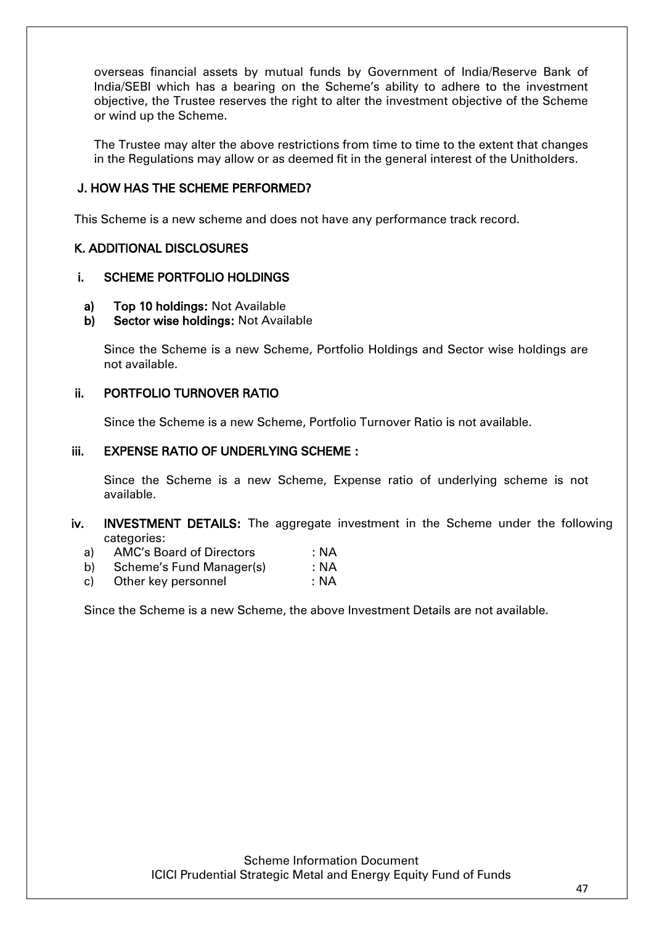overseas financial assets by mutual funds by Government of India/Reserve Bank of India/SEBI which has a bearing on the Scheme's ability to adhere to the investment objective, the Trustee reserves the right to alter the investment objective of the Scheme or wind up the Scheme.

The Trustee may alter the above restrictions from time to time to the extent that changes in the Regulations may allow or as deemed fit in the general interest of the Unitholders.

### J. HOW HAS THE SCHEME PERFORMED?

This Scheme is a new scheme and does not have any performance track record.

### K. ADDITIONAL DISCLOSURES

### i. SCHEME PORTFOLIO HOLDINGS

- a) Top 10 holdings: Not Available
- b) Sector wise holdings: Not Available

Since the Scheme is a new Scheme, Portfolio Holdings and Sector wise holdings are not available.

### ii. PORTFOLIO TURNOVER RATIO

Since the Scheme is a new Scheme, Portfolio Turnover Ratio is not available.

### iii. EXPENSE RATIO OF UNDERLYING SCHEME :

Since the Scheme is a new Scheme, Expense ratio of underlying scheme is not available.

### iv. INVESTMENT DETAILS: The aggregate investment in the Scheme under the following categories:

- a) AMC's Board of Directors : NA
- b) Scheme's Fund Manager(s) : NA
- c) Other key personnel : NA

Since the Scheme is a new Scheme, the above Investment Details are not available.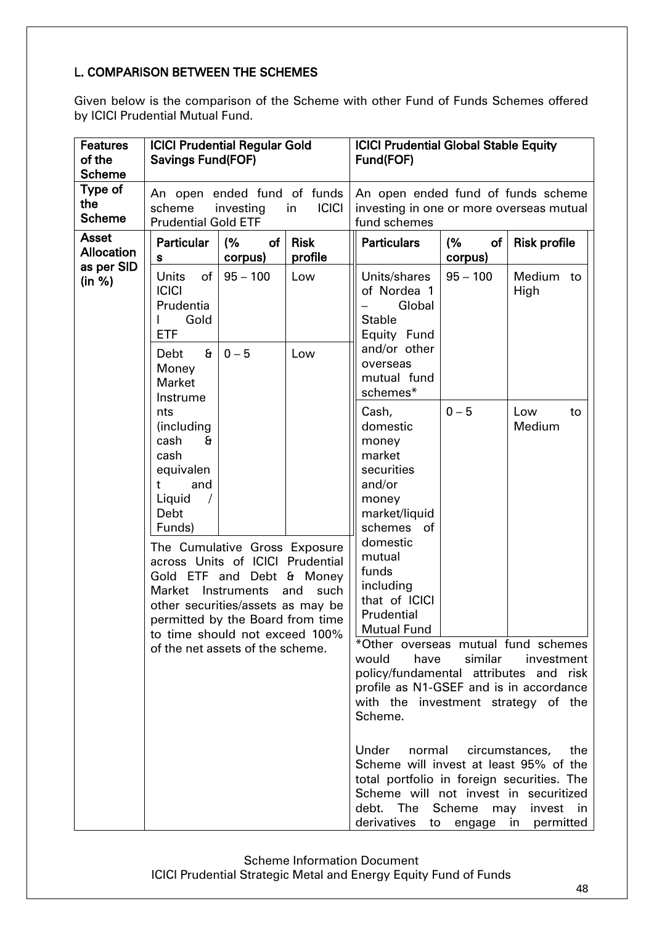## L. COMPARISON BETWEEN THE SCHEMES

Given below is the comparison of the Scheme with other Fund of Funds Schemes offered by ICICI Prudential Mutual Fund.

| <b>Features</b><br>of the<br><b>Scheme</b> | <b>ICICI Prudential Regular Gold</b><br><b>Savings Fund (FOF)</b>                                                                                                                                                                                                   |                     |                        | <b>ICICI Prudential Global Stable Equity</b><br>Fund(FOF)                                                                                                                                                                                                                                                                                                 |                     |                                     |
|--------------------------------------------|---------------------------------------------------------------------------------------------------------------------------------------------------------------------------------------------------------------------------------------------------------------------|---------------------|------------------------|-----------------------------------------------------------------------------------------------------------------------------------------------------------------------------------------------------------------------------------------------------------------------------------------------------------------------------------------------------------|---------------------|-------------------------------------|
| Type of<br>the<br><b>Scheme</b>            | An open ended fund of funds<br>scheme<br><b>ICICI</b><br>investing<br>in<br><b>Prudential Gold ETF</b>                                                                                                                                                              |                     |                        | An open ended fund of funds scheme<br>investing in one or more overseas mutual<br>fund schemes                                                                                                                                                                                                                                                            |                     |                                     |
| <b>Asset</b><br><b>Allocation</b>          | <b>Particular</b><br>s                                                                                                                                                                                                                                              | (%<br>of<br>corpus) | <b>Risk</b><br>profile | <b>Particulars</b>                                                                                                                                                                                                                                                                                                                                        | (%<br>of<br>corpus) | <b>Risk profile</b>                 |
| as per SID<br>(in %)                       | <b>Units</b><br>of<br><b>ICICI</b><br>Prudentia<br>Gold<br>L<br><b>ETF</b>                                                                                                                                                                                          | $95 - 100$          | Low                    | Units/shares<br>of Nordea 1<br>Global<br><b>Stable</b><br>Equity Fund                                                                                                                                                                                                                                                                                     | $95 - 100$          | Medium<br>to<br>High                |
|                                            | $\mathbf{a}$<br>Debt<br>Money<br><b>Market</b><br>Instrume                                                                                                                                                                                                          | $0 - 5$             | Low                    | and/or other<br>overseas<br>mutual fund<br>schemes*                                                                                                                                                                                                                                                                                                       |                     |                                     |
|                                            | nts<br>(including<br>cash<br>£<br>cash<br>equivalen<br>and<br>t.<br>Liquid<br>Debt<br>Funds)                                                                                                                                                                        |                     |                        | Cash,<br>domestic<br>money<br>market<br>securities<br>and/or<br>money<br>market/liquid<br>schemes<br>οf                                                                                                                                                                                                                                                   | $0 - 5$             | Low<br>to<br>Medium                 |
|                                            | The Cumulative Gross Exposure<br>across Units of ICICI Prudential<br>Gold ETF and Debt & Money<br>Market Instruments<br>other securities/assets as may be<br>permitted by the Board from time<br>to time should not exceed 100%<br>of the net assets of the scheme. |                     | and<br>such            | domestic<br>mutual<br>funds<br>including<br>that of ICICI<br>Prudential<br><b>Mutual Fund</b><br>*Other overseas mutual fund schemes<br>would<br>have<br>policy/fundamental attributes and risk<br>profile as N1-GSEF and is in accordance<br>with the investment strategy of the<br>Scheme.<br>Under<br>normal<br>Scheme will invest at least 95% of the | similar             | investment<br>circumstances,<br>the |
|                                            |                                                                                                                                                                                                                                                                     |                     |                        | total portfolio in foreign securities. The<br>Scheme will not invest in securitized<br>debt. The Scheme may<br>derivatives to engage in permitted                                                                                                                                                                                                         |                     | invest in                           |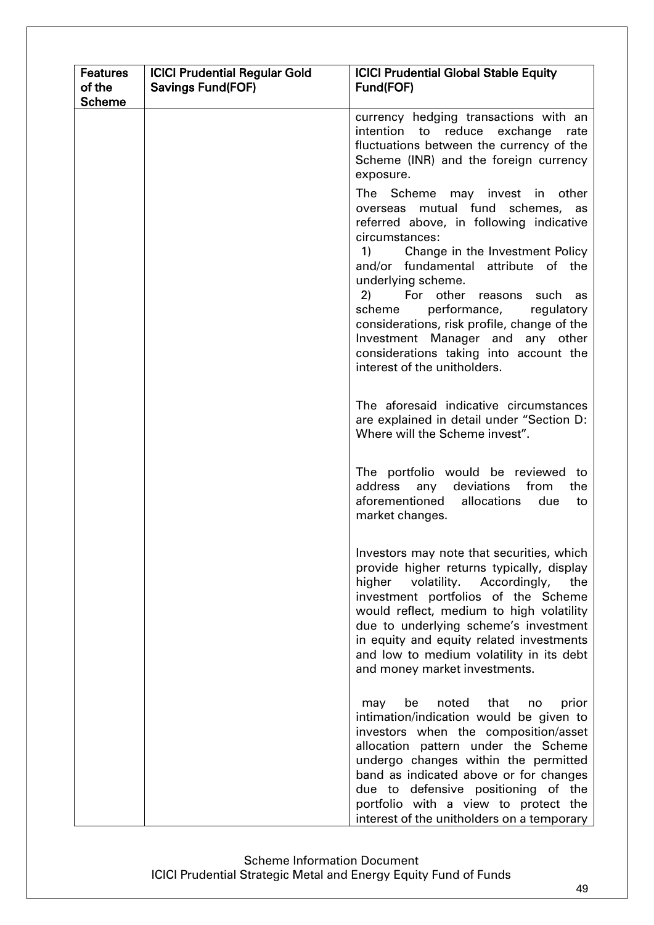| <b>Features</b><br>of the<br><b>Scheme</b> | <b>ICICI Prudential Regular Gold</b><br><b>Savings Fund (FOF)</b> | <b>ICICI Prudential Global Stable Equity</b><br>Fund(FOF)                                                                                                                                                                                                                                                                                                                                                                                                                     |
|--------------------------------------------|-------------------------------------------------------------------|-------------------------------------------------------------------------------------------------------------------------------------------------------------------------------------------------------------------------------------------------------------------------------------------------------------------------------------------------------------------------------------------------------------------------------------------------------------------------------|
|                                            |                                                                   | currency hedging transactions with an<br>intention to reduce exchange<br>rate<br>fluctuations between the currency of the<br>Scheme (INR) and the foreign currency<br>exposure.                                                                                                                                                                                                                                                                                               |
|                                            |                                                                   | The Scheme may invest in other<br>overseas mutual fund schemes, as<br>referred above, in following indicative<br>circumstances:<br>Change in the Investment Policy<br>1)<br>and/or fundamental attribute of the<br>underlying scheme.<br>2)<br>For other reasons such as<br>performance,<br>scheme<br>regulatory<br>considerations, risk profile, change of the<br>Investment Manager and any other<br>considerations taking into account the<br>interest of the unitholders. |
|                                            |                                                                   | The aforesaid indicative circumstances<br>are explained in detail under "Section D:<br>Where will the Scheme invest".                                                                                                                                                                                                                                                                                                                                                         |
|                                            |                                                                   | The portfolio would be reviewed to<br>address any deviations<br>from<br>the<br>aforementioned allocations<br>due<br>to<br>market changes.                                                                                                                                                                                                                                                                                                                                     |
|                                            |                                                                   | Investors may note that securities, which<br>provide higher returns typically, display<br>higher<br>volatility.<br>Accordingly,<br>the<br>investment portfolios of the Scheme<br>would reflect, medium to high volatility<br>due to underlying scheme's investment<br>in equity and equity related investments<br>and low to medium volatility in its debt<br>and money market investments.                                                                                   |
|                                            |                                                                   | be<br>noted<br>that<br>prior<br>may<br>no<br>intimation/indication would be given to<br>investors when the composition/asset<br>allocation pattern under the Scheme<br>undergo changes within the permitted<br>band as indicated above or for changes<br>due to defensive positioning of the<br>portfolio with a view to protect the<br>interest of the unitholders on a temporary                                                                                            |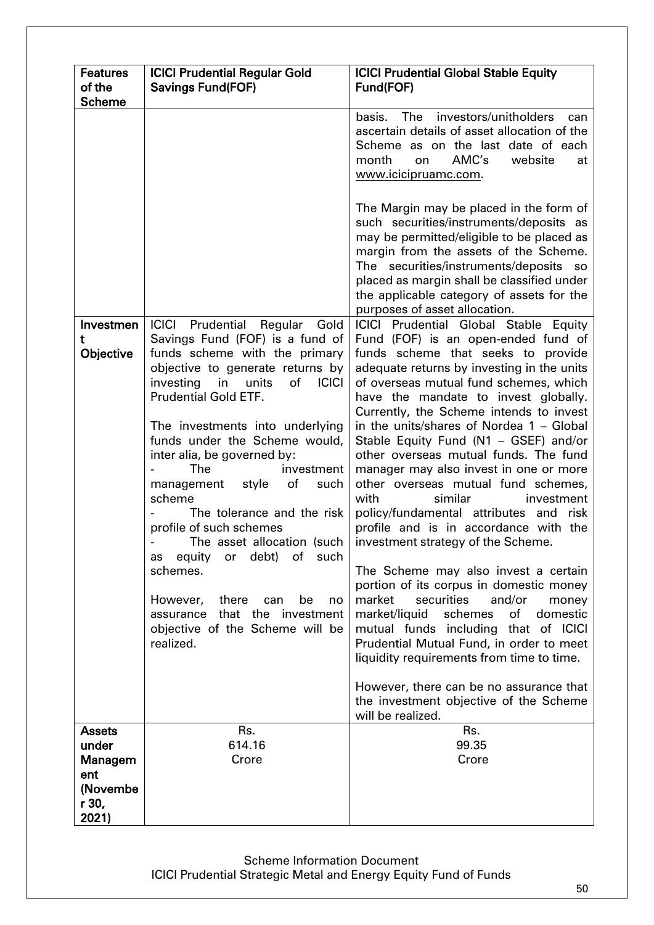| <b>Features</b><br>of the<br><b>Scheme</b>                             | <b>ICICI Prudential Regular Gold</b><br><b>Savings Fund (FOF)</b>                                                                                                                                                                                                                                                                                                                                                                                                                                                                                                                                                                                                                | <b>ICICI Prudential Global Stable Equity</b><br>Fund(FOF)                                                                                                                                                                                                                                                                                                                                                                                                                                                                                                                                                                                                                                                                                                                                                                                                                                                                                                                                                                                                                |
|------------------------------------------------------------------------|----------------------------------------------------------------------------------------------------------------------------------------------------------------------------------------------------------------------------------------------------------------------------------------------------------------------------------------------------------------------------------------------------------------------------------------------------------------------------------------------------------------------------------------------------------------------------------------------------------------------------------------------------------------------------------|--------------------------------------------------------------------------------------------------------------------------------------------------------------------------------------------------------------------------------------------------------------------------------------------------------------------------------------------------------------------------------------------------------------------------------------------------------------------------------------------------------------------------------------------------------------------------------------------------------------------------------------------------------------------------------------------------------------------------------------------------------------------------------------------------------------------------------------------------------------------------------------------------------------------------------------------------------------------------------------------------------------------------------------------------------------------------|
|                                                                        |                                                                                                                                                                                                                                                                                                                                                                                                                                                                                                                                                                                                                                                                                  | basis. The investors/unitholders<br>can<br>ascertain details of asset allocation of the<br>Scheme as on the last date of each<br>AMC's<br>month<br>website<br>on<br>at<br>www.icicipruamc.com.                                                                                                                                                                                                                                                                                                                                                                                                                                                                                                                                                                                                                                                                                                                                                                                                                                                                           |
|                                                                        |                                                                                                                                                                                                                                                                                                                                                                                                                                                                                                                                                                                                                                                                                  | The Margin may be placed in the form of<br>such securities/instruments/deposits as<br>may be permitted/eligible to be placed as<br>margin from the assets of the Scheme.<br>The securities/instruments/deposits so<br>placed as margin shall be classified under<br>the applicable category of assets for the<br>purposes of asset allocation.                                                                                                                                                                                                                                                                                                                                                                                                                                                                                                                                                                                                                                                                                                                           |
| Investmen<br>t<br>Objective                                            | <b>ICICI</b><br>Prudential<br>Regular<br>Gold<br>Savings Fund (FOF) is a fund of<br>funds scheme with the primary<br>objective to generate returns by<br>investing<br>of<br><b>ICICI</b><br>in<br>units<br><b>Prudential Gold ETF.</b><br>The investments into underlying<br>funds under the Scheme would,<br>inter alia, be governed by:<br>The<br>investment<br>of<br>management<br>style<br>such<br>scheme<br>The tolerance and the risk<br>profile of such schemes<br>The asset allocation (such<br>or debt) of such<br>equity<br>as<br>schemes.<br>However,<br>there<br>be<br>can<br>no<br>that the investment<br>assurance<br>objective of the Scheme will be<br>realized. | ICICI Prudential Global Stable Equity<br>Fund (FOF) is an open-ended fund of<br>funds scheme that seeks to provide<br>adequate returns by investing in the units<br>of overseas mutual fund schemes, which<br>have the mandate to invest globally.<br>Currently, the Scheme intends to invest<br>in the units/shares of Nordea 1 - Global<br>Stable Equity Fund (N1 - GSEF) and/or<br>other overseas mutual funds. The fund<br>manager may also invest in one or more<br>other overseas mutual fund schemes,<br>with<br>similar<br>investment<br>policy/fundamental attributes and risk<br>profile and is in accordance with the<br>investment strategy of the Scheme.<br>The Scheme may also invest a certain<br>portion of its corpus in domestic money<br>securities<br>and/or<br>market<br>money<br>schemes<br>of<br>domestic<br>market/liquid<br>mutual funds including that of ICICI<br>Prudential Mutual Fund, in order to meet<br>liquidity requirements from time to time.<br>However, there can be no assurance that<br>the investment objective of the Scheme |
| <b>Assets</b><br>under<br>Managem<br>ent<br>(Novembe<br>r 30,<br>2021) | Rs.<br>614.16<br>Crore                                                                                                                                                                                                                                                                                                                                                                                                                                                                                                                                                                                                                                                           | will be realized.<br>Rs.<br>99.35<br>Crore                                                                                                                                                                                                                                                                                                                                                                                                                                                                                                                                                                                                                                                                                                                                                                                                                                                                                                                                                                                                                               |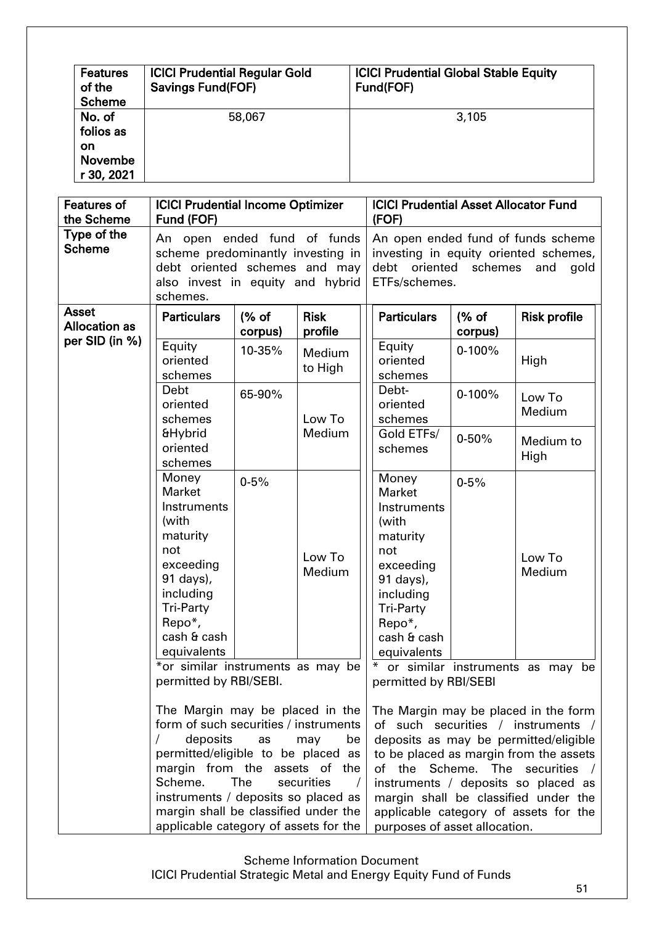| <b>Features</b><br>of the<br><b>Scheme</b>                | <b>ICICI Prudential Regular Gold</b><br><b>Savings Fund(FOF)</b> | <b>ICICI Prudential Global Stable Equity</b><br>Fund(FOF) |
|-----------------------------------------------------------|------------------------------------------------------------------|-----------------------------------------------------------|
| No. of<br>folios as<br>on<br><b>Novembe</b><br>r 30, 2021 | 58,067                                                           | 3,105                                                     |

| <b>Features of</b><br>the Scheme     | <b>ICICI Prudential Income Optimizer</b><br>Fund (FOF)                                                                                                                                                                                                                                                                                                                                                              |                 |                          | <b>ICICI Prudential Asset Allocator Fund</b><br>(FOF)                                                                                                                |                   |                                                                                                                                                                                                                                                                                                                   |
|--------------------------------------|---------------------------------------------------------------------------------------------------------------------------------------------------------------------------------------------------------------------------------------------------------------------------------------------------------------------------------------------------------------------------------------------------------------------|-----------------|--------------------------|----------------------------------------------------------------------------------------------------------------------------------------------------------------------|-------------------|-------------------------------------------------------------------------------------------------------------------------------------------------------------------------------------------------------------------------------------------------------------------------------------------------------------------|
| Type of the<br><b>Scheme</b>         | An open ended fund of funds<br>scheme predominantly investing in<br>debt oriented schemes and may<br>also invest in equity and hybrid<br>schemes.                                                                                                                                                                                                                                                                   |                 |                          | debt oriented schemes<br>ETFs/schemes.                                                                                                                               |                   | An open ended fund of funds scheme<br>investing in equity oriented schemes,<br>and<br>gold                                                                                                                                                                                                                        |
| <b>Asset</b><br><b>Allocation as</b> | <b>Particulars</b>                                                                                                                                                                                                                                                                                                                                                                                                  | % of<br>corpus) | <b>Risk</b><br>profile   | <b>Particulars</b>                                                                                                                                                   | % of<br>corpus)   | <b>Risk profile</b>                                                                                                                                                                                                                                                                                               |
| per SID (in %)                       | Equity<br>oriented<br>schemes                                                                                                                                                                                                                                                                                                                                                                                       | 10-35%          | <b>Medium</b><br>to High | Equity<br>oriented<br>schemes                                                                                                                                        | $0-100%$          | High                                                                                                                                                                                                                                                                                                              |
|                                      | Debt<br>oriented<br>schemes                                                                                                                                                                                                                                                                                                                                                                                         | 65-90%          | Low To                   | Debt-<br>oriented<br>schemes                                                                                                                                         | $0-100%$          | Low To<br>Medium                                                                                                                                                                                                                                                                                                  |
|                                      | <b>&amp;Hybrid</b><br>oriented<br>schemes                                                                                                                                                                                                                                                                                                                                                                           | Medium          | Gold ETFs/<br>schemes    | $0 - 50%$                                                                                                                                                            | Medium to<br>High |                                                                                                                                                                                                                                                                                                                   |
|                                      | Money<br><b>Market</b><br>Instruments<br>(with<br>maturity<br>not<br>exceeding<br>91 days),<br>including<br><b>Tri-Party</b><br>Repo*,<br>cash & cash<br>equivalents                                                                                                                                                                                                                                                | $0 - 5%$        | Low To<br>Medium         | Money<br><b>Market</b><br>Instruments<br>(with<br>maturity<br>not<br>exceeding<br>91 days),<br>including<br><b>Tri-Party</b><br>Repo*,<br>cash & cash<br>equivalents | $0 - 5%$          | Low To<br>Medium                                                                                                                                                                                                                                                                                                  |
|                                      | *or similar instruments as may be<br>permitted by RBI/SEBI.<br>The Margin may be placed in the<br>form of such securities / instruments<br>deposits<br>$\sqrt{2}$<br>be<br>as<br>may<br>permitted/eligible to be placed as<br>margin from the assets of the<br>Scheme.<br>securities<br>The<br>instruments / deposits so placed as<br>margin shall be classified under the<br>applicable category of assets for the |                 |                          | permitted by RBI/SEBI                                                                                                                                                |                   | or similar instruments as may be                                                                                                                                                                                                                                                                                  |
|                                      |                                                                                                                                                                                                                                                                                                                                                                                                                     |                 |                          | of the<br>purposes of asset allocation.                                                                                                                              | Scheme. The       | The Margin may be placed in the form<br>of such securities / instruments /<br>deposits as may be permitted/eligible<br>to be placed as margin from the assets<br>securities<br>$\sqrt{ }$<br>instruments / deposits so placed as<br>margin shall be classified under the<br>applicable category of assets for the |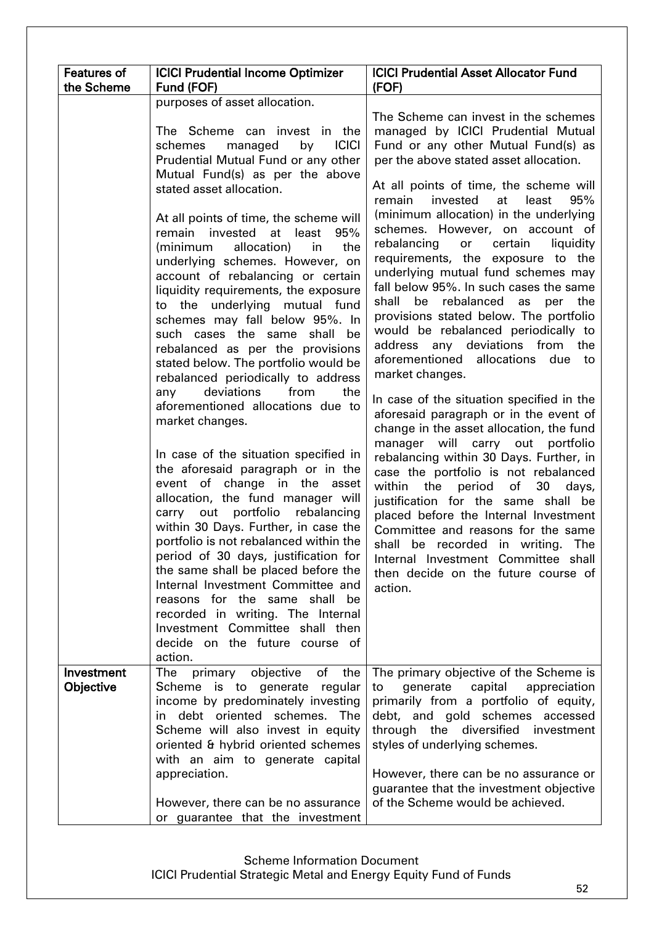| <b>Features of</b>      | <b>ICICI Prudential Income Optimizer</b>                                                                                                                                                                                                                                                                                                                                                                                                                                                                                                                                                                                                                                                                                                                                                                                                                                                                                                                                                                                                                                             | <b>ICICI Prudential Asset Allocator Fund</b>                                                                                                                                                                                                                                                                                                                                                                                                                                                                                                                                                                                                                                                                                                                                                                                                                                                                                                                                                                                                                                                                                                                                                                                                 |
|-------------------------|--------------------------------------------------------------------------------------------------------------------------------------------------------------------------------------------------------------------------------------------------------------------------------------------------------------------------------------------------------------------------------------------------------------------------------------------------------------------------------------------------------------------------------------------------------------------------------------------------------------------------------------------------------------------------------------------------------------------------------------------------------------------------------------------------------------------------------------------------------------------------------------------------------------------------------------------------------------------------------------------------------------------------------------------------------------------------------------|----------------------------------------------------------------------------------------------------------------------------------------------------------------------------------------------------------------------------------------------------------------------------------------------------------------------------------------------------------------------------------------------------------------------------------------------------------------------------------------------------------------------------------------------------------------------------------------------------------------------------------------------------------------------------------------------------------------------------------------------------------------------------------------------------------------------------------------------------------------------------------------------------------------------------------------------------------------------------------------------------------------------------------------------------------------------------------------------------------------------------------------------------------------------------------------------------------------------------------------------|
|                         | purposes of asset allocation.                                                                                                                                                                                                                                                                                                                                                                                                                                                                                                                                                                                                                                                                                                                                                                                                                                                                                                                                                                                                                                                        |                                                                                                                                                                                                                                                                                                                                                                                                                                                                                                                                                                                                                                                                                                                                                                                                                                                                                                                                                                                                                                                                                                                                                                                                                                              |
| the Scheme              | Fund (FOF)<br>The Scheme can invest in the<br><b>ICICI</b><br>schemes<br>managed<br>by<br>Prudential Mutual Fund or any other<br>Mutual Fund(s) as per the above<br>stated asset allocation.<br>At all points of time, the scheme will<br>invested<br>least<br>95%<br>remain<br>at<br>(minimum<br>allocation)<br>in<br>the<br>underlying schemes. However, on<br>account of rebalancing or certain<br>liquidity requirements, the exposure<br>to the underlying mutual fund<br>schemes may fall below 95%. In<br>such cases the same<br>shall<br>be<br>rebalanced as per the provisions<br>stated below. The portfolio would be<br>rebalanced periodically to address<br>deviations<br>from<br>the<br>any<br>aforementioned allocations due to<br>market changes.<br>In case of the situation specified in<br>the aforesaid paragraph or in the<br>event of change in the asset<br>allocation, the fund manager will<br>carry out portfolio<br>rebalancing<br>within 30 Days. Further, in case the<br>portfolio is not rebalanced within the<br>period of 30 days, justification for | (FOF)<br>The Scheme can invest in the schemes<br>managed by ICICI Prudential Mutual<br>Fund or any other Mutual Fund(s) as<br>per the above stated asset allocation.<br>At all points of time, the scheme will<br>remain<br>invested<br>95%<br>at<br>least<br>(minimum allocation) in the underlying<br>schemes. However, on account of<br>rebalancing<br>certain<br>liquidity<br>or<br>requirements, the exposure to the<br>underlying mutual fund schemes may<br>fall below 95%. In such cases the same<br>shall be rebalanced as<br>the<br>per<br>provisions stated below. The portfolio<br>would be rebalanced periodically to<br>address any deviations from the<br>aforementioned allocations<br>due to<br>market changes.<br>In case of the situation specified in the<br>aforesaid paragraph or in the event of<br>change in the asset allocation, the fund<br>manager will<br>carry out portfolio<br>rebalancing within 30 Days. Further, in<br>case the portfolio is not rebalanced<br>within the<br>of<br>30<br>period<br>days,<br>justification for the same shall be<br>placed before the Internal Investment<br>Committee and reasons for the same<br>shall be recorded in writing. The<br>Internal Investment Committee shall |
|                         | the same shall be placed before the<br>Internal Investment Committee and<br>reasons for the same shall<br>be<br>recorded in writing. The Internal<br>Investment Committee shall then<br>decide on the future course of<br>action.                                                                                                                                                                                                                                                                                                                                                                                                                                                                                                                                                                                                                                                                                                                                                                                                                                                    | then decide on the future course of<br>action.                                                                                                                                                                                                                                                                                                                                                                                                                                                                                                                                                                                                                                                                                                                                                                                                                                                                                                                                                                                                                                                                                                                                                                                               |
| Investment<br>Objective | primary objective<br>of<br>the<br>The<br>Scheme is to<br>generate<br>regular<br>income by predominately investing<br>in debt oriented schemes. The<br>Scheme will also invest in equity<br>oriented & hybrid oriented schemes<br>with an aim to generate capital<br>appreciation.                                                                                                                                                                                                                                                                                                                                                                                                                                                                                                                                                                                                                                                                                                                                                                                                    | The primary objective of the Scheme is<br>capital<br>generate<br>appreciation<br>to<br>primarily from a portfolio of equity,<br>debt, and gold schemes accessed<br>through the diversified investment<br>styles of underlying schemes.<br>However, there can be no assurance or                                                                                                                                                                                                                                                                                                                                                                                                                                                                                                                                                                                                                                                                                                                                                                                                                                                                                                                                                              |
|                         | However, there can be no assurance<br>or guarantee that the investment                                                                                                                                                                                                                                                                                                                                                                                                                                                                                                                                                                                                                                                                                                                                                                                                                                                                                                                                                                                                               | guarantee that the investment objective<br>of the Scheme would be achieved.                                                                                                                                                                                                                                                                                                                                                                                                                                                                                                                                                                                                                                                                                                                                                                                                                                                                                                                                                                                                                                                                                                                                                                  |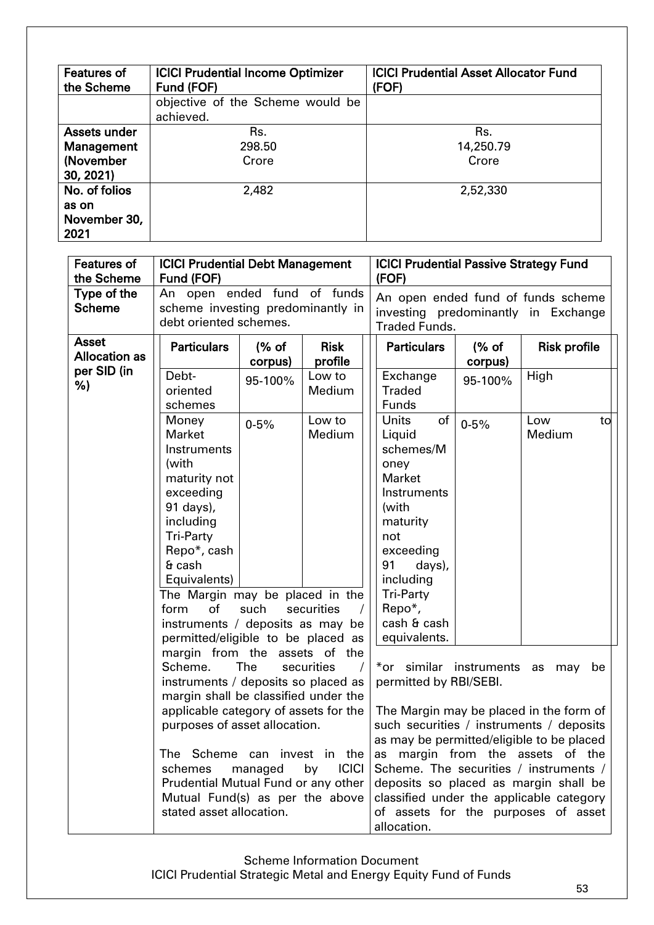| <b>Features of</b><br>the Scheme                            | <b>ICICI Prudential Income Optimizer</b><br>Fund (FOF) | <b>ICICI Prudential Asset Allocator Fund</b><br>(FOF) |  |  |  |  |
|-------------------------------------------------------------|--------------------------------------------------------|-------------------------------------------------------|--|--|--|--|
|                                                             | objective of the Scheme would be<br>achieved.          |                                                       |  |  |  |  |
| Assets under<br><b>Management</b><br>(November<br>30, 2021) | Rs.<br>298.50<br>Crore                                 | Rs.<br>14,250.79<br>Crore                             |  |  |  |  |
| No. of folios<br>as on<br>November 30,<br>2021              | 2,482                                                  | 2,52,330                                              |  |  |  |  |

| <b>Features of</b><br>the Scheme     | <b>ICICI Prudential Debt Management</b><br>Fund (FOF)                                      |                                                                                                                                         |                        |                                                                                                                                  | <b>ICICI Prudential Passive Strategy Fund</b><br>(FOF)                                                                                                          |                   |                     |    |  |
|--------------------------------------|--------------------------------------------------------------------------------------------|-----------------------------------------------------------------------------------------------------------------------------------------|------------------------|----------------------------------------------------------------------------------------------------------------------------------|-----------------------------------------------------------------------------------------------------------------------------------------------------------------|-------------------|---------------------|----|--|
| Type of the<br><b>Scheme</b>         | An open ended fund of funds<br>scheme investing predominantly in<br>debt oriented schemes. |                                                                                                                                         |                        | An open ended fund of funds scheme<br>investing predominantly in Exchange<br><b>Traded Funds.</b>                                |                                                                                                                                                                 |                   |                     |    |  |
| <b>Asset</b><br><b>Allocation as</b> | <b>Particulars</b>                                                                         | $%$ of<br>corpus)                                                                                                                       | <b>Risk</b><br>profile | <b>Particulars</b>                                                                                                               |                                                                                                                                                                 | $%$ of<br>corpus) | <b>Risk profile</b> |    |  |
| per SID (in<br>%)                    | Debt-<br>95-100%<br>oriented<br>Medium<br>schemes                                          |                                                                                                                                         | Low to                 | Exchange<br><b>Traded</b><br>Funds                                                                                               |                                                                                                                                                                 | 95-100%           | High                |    |  |
|                                      | Money<br><b>Market</b><br>Instruments                                                      | $0 - 5%$                                                                                                                                | Low to<br>Medium       | <b>Units</b><br>Liquid<br>schemes/M                                                                                              | of                                                                                                                                                              | $0 - 5%$          | Low<br>Medium       | to |  |
|                                      | (with<br>maturity not<br>exceeding<br>91 days),                                            |                                                                                                                                         |                        | oney<br><b>Market</b><br>Instruments<br>(with                                                                                    |                                                                                                                                                                 |                   |                     |    |  |
|                                      | including<br><b>Tri-Party</b><br>Repo*, cash                                               |                                                                                                                                         |                        | maturity<br>not<br>exceeding                                                                                                     |                                                                                                                                                                 |                   |                     |    |  |
|                                      | $6$ cash<br>Equivalents)                                                                   |                                                                                                                                         |                        | 91<br>including                                                                                                                  | days),                                                                                                                                                          |                   |                     |    |  |
|                                      | The Margin may be placed in the<br>of<br>form<br>instruments / deposits as may be          | such                                                                                                                                    | securities             | <b>Tri-Party</b><br>Repo*,<br>cash & cash                                                                                        |                                                                                                                                                                 |                   |                     |    |  |
|                                      | permitted/eligible to be placed as<br>margin from the assets of                            |                                                                                                                                         | the                    | equivalents.                                                                                                                     |                                                                                                                                                                 |                   |                     |    |  |
|                                      | Scheme.<br>instruments / deposits so placed as<br>margin shall be classified under the     | The                                                                                                                                     | securities<br>$\prime$ | *or similar instruments<br>as<br>may<br>permitted by RBI/SEBI.                                                                   |                                                                                                                                                                 |                   |                     |    |  |
|                                      | applicable category of assets for the<br>purposes of asset allocation.                     |                                                                                                                                         |                        | The Margin may be placed in the form of<br>such securities / instruments / deposits<br>as may be permitted/eligible to be placed |                                                                                                                                                                 |                   |                     |    |  |
|                                      | schemes                                                                                    | The Scheme can invest in the<br><b>ICICI</b><br>managed<br>by<br>Prudential Mutual Fund or any other<br>Mutual Fund(s) as per the above |                        |                                                                                                                                  | as margin from the assets of the<br>Scheme. The securities / instruments /<br>deposits so placed as margin shall be<br>classified under the applicable category |                   |                     |    |  |
|                                      | stated asset allocation.                                                                   |                                                                                                                                         |                        | of assets for the purposes of asset<br>allocation.                                                                               |                                                                                                                                                                 |                   |                     |    |  |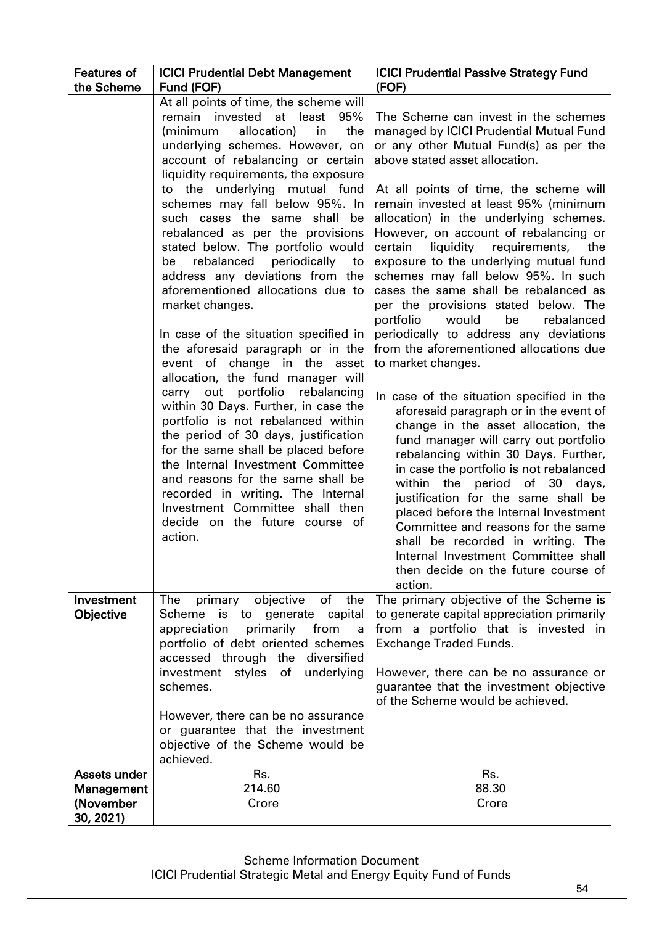| <b>Features of</b> | <b>ICICI Prudential Debt Management</b>                                                                                                                                                                                                                                                                                                                                                                                                                                                                                                                                                                                                                                                                                                                                                                                                                                                                                                                                                                                                                                                                            | <b>ICICI Prudential Passive Strategy Fund</b>                                                                                                                                                                                                                                                                                                                                                                                                                                                                                                                                                                                                                                                                                                                                                                                                                                                                                                                                                                                                                                                                                                                                                                                                      |
|--------------------|--------------------------------------------------------------------------------------------------------------------------------------------------------------------------------------------------------------------------------------------------------------------------------------------------------------------------------------------------------------------------------------------------------------------------------------------------------------------------------------------------------------------------------------------------------------------------------------------------------------------------------------------------------------------------------------------------------------------------------------------------------------------------------------------------------------------------------------------------------------------------------------------------------------------------------------------------------------------------------------------------------------------------------------------------------------------------------------------------------------------|----------------------------------------------------------------------------------------------------------------------------------------------------------------------------------------------------------------------------------------------------------------------------------------------------------------------------------------------------------------------------------------------------------------------------------------------------------------------------------------------------------------------------------------------------------------------------------------------------------------------------------------------------------------------------------------------------------------------------------------------------------------------------------------------------------------------------------------------------------------------------------------------------------------------------------------------------------------------------------------------------------------------------------------------------------------------------------------------------------------------------------------------------------------------------------------------------------------------------------------------------|
|                    |                                                                                                                                                                                                                                                                                                                                                                                                                                                                                                                                                                                                                                                                                                                                                                                                                                                                                                                                                                                                                                                                                                                    |                                                                                                                                                                                                                                                                                                                                                                                                                                                                                                                                                                                                                                                                                                                                                                                                                                                                                                                                                                                                                                                                                                                                                                                                                                                    |
| the Scheme         | Fund (FOF)<br>At all points of time, the scheme will<br>remain invested at least<br>95%<br>(minimum<br>allocation)<br>in<br>the<br>underlying schemes. However, on<br>account of rebalancing or certain<br>liquidity requirements, the exposure<br>to the underlying mutual fund<br>schemes may fall below 95%. In<br>such cases the same<br>shall be<br>rebalanced as per the provisions<br>stated below. The portfolio would<br>rebalanced periodically to<br>be<br>address any deviations from the<br>aforementioned allocations due to<br>market changes.<br>In case of the situation specified in<br>the aforesaid paragraph or in the<br>event of change in the asset<br>allocation, the fund manager will<br>carry out portfolio<br>rebalancing<br>within 30 Days. Further, in case the<br>portfolio is not rebalanced within<br>the period of 30 days, justification<br>for the same shall be placed before<br>the Internal Investment Committee<br>and reasons for the same shall be<br>recorded in writing. The Internal<br>Investment Committee shall then<br>decide on the future course of<br>action. | (FOF)<br>The Scheme can invest in the schemes<br>managed by ICICI Prudential Mutual Fund<br>or any other Mutual Fund(s) as per the<br>above stated asset allocation.<br>At all points of time, the scheme will<br>remain invested at least 95% (minimum<br>allocation) in the underlying schemes.<br>However, on account of rebalancing or<br>liquidity requirements, the<br>certain<br>exposure to the underlying mutual fund<br>schemes may fall below 95%. In such<br>cases the same shall be rebalanced as<br>per the provisions stated below. The<br>be<br>portfolio<br>would<br>rebalanced<br>periodically to address any deviations<br>from the aforementioned allocations due<br>to market changes.<br>In case of the situation specified in the<br>aforesaid paragraph or in the event of<br>change in the asset allocation, the<br>fund manager will carry out portfolio<br>rebalancing within 30 Days. Further,<br>in case the portfolio is not rebalanced<br>within the period of 30<br>days,<br>justification for the same shall be<br>placed before the Internal Investment<br>Committee and reasons for the same<br>shall be recorded in writing. The<br>Internal Investment Committee shall<br>then decide on the future course of |
| Investment         | of the<br>primary<br>objective<br>The                                                                                                                                                                                                                                                                                                                                                                                                                                                                                                                                                                                                                                                                                                                                                                                                                                                                                                                                                                                                                                                                              | action.<br>The primary objective of the Scheme is                                                                                                                                                                                                                                                                                                                                                                                                                                                                                                                                                                                                                                                                                                                                                                                                                                                                                                                                                                                                                                                                                                                                                                                                  |
| Objective          | Scheme<br>capital<br>is to<br>generate                                                                                                                                                                                                                                                                                                                                                                                                                                                                                                                                                                                                                                                                                                                                                                                                                                                                                                                                                                                                                                                                             | to generate capital appreciation primarily                                                                                                                                                                                                                                                                                                                                                                                                                                                                                                                                                                                                                                                                                                                                                                                                                                                                                                                                                                                                                                                                                                                                                                                                         |
|                    | primarily<br>appreciation<br>from<br>a<br>portfolio of debt oriented schemes                                                                                                                                                                                                                                                                                                                                                                                                                                                                                                                                                                                                                                                                                                                                                                                                                                                                                                                                                                                                                                       | from a portfolio that is invested in<br><b>Exchange Traded Funds.</b>                                                                                                                                                                                                                                                                                                                                                                                                                                                                                                                                                                                                                                                                                                                                                                                                                                                                                                                                                                                                                                                                                                                                                                              |
|                    | accessed through the diversified                                                                                                                                                                                                                                                                                                                                                                                                                                                                                                                                                                                                                                                                                                                                                                                                                                                                                                                                                                                                                                                                                   |                                                                                                                                                                                                                                                                                                                                                                                                                                                                                                                                                                                                                                                                                                                                                                                                                                                                                                                                                                                                                                                                                                                                                                                                                                                    |
|                    | investment<br>styles<br>of<br>underlying                                                                                                                                                                                                                                                                                                                                                                                                                                                                                                                                                                                                                                                                                                                                                                                                                                                                                                                                                                                                                                                                           | However, there can be no assurance or                                                                                                                                                                                                                                                                                                                                                                                                                                                                                                                                                                                                                                                                                                                                                                                                                                                                                                                                                                                                                                                                                                                                                                                                              |
|                    | schemes.                                                                                                                                                                                                                                                                                                                                                                                                                                                                                                                                                                                                                                                                                                                                                                                                                                                                                                                                                                                                                                                                                                           | guarantee that the investment objective<br>of the Scheme would be achieved.                                                                                                                                                                                                                                                                                                                                                                                                                                                                                                                                                                                                                                                                                                                                                                                                                                                                                                                                                                                                                                                                                                                                                                        |
|                    | However, there can be no assurance                                                                                                                                                                                                                                                                                                                                                                                                                                                                                                                                                                                                                                                                                                                                                                                                                                                                                                                                                                                                                                                                                 |                                                                                                                                                                                                                                                                                                                                                                                                                                                                                                                                                                                                                                                                                                                                                                                                                                                                                                                                                                                                                                                                                                                                                                                                                                                    |
|                    | or guarantee that the investment                                                                                                                                                                                                                                                                                                                                                                                                                                                                                                                                                                                                                                                                                                                                                                                                                                                                                                                                                                                                                                                                                   |                                                                                                                                                                                                                                                                                                                                                                                                                                                                                                                                                                                                                                                                                                                                                                                                                                                                                                                                                                                                                                                                                                                                                                                                                                                    |
|                    | objective of the Scheme would be<br>achieved.                                                                                                                                                                                                                                                                                                                                                                                                                                                                                                                                                                                                                                                                                                                                                                                                                                                                                                                                                                                                                                                                      |                                                                                                                                                                                                                                                                                                                                                                                                                                                                                                                                                                                                                                                                                                                                                                                                                                                                                                                                                                                                                                                                                                                                                                                                                                                    |
| Assets under       | Rs.                                                                                                                                                                                                                                                                                                                                                                                                                                                                                                                                                                                                                                                                                                                                                                                                                                                                                                                                                                                                                                                                                                                | Rs.                                                                                                                                                                                                                                                                                                                                                                                                                                                                                                                                                                                                                                                                                                                                                                                                                                                                                                                                                                                                                                                                                                                                                                                                                                                |
| <b>Management</b>  | 214.60                                                                                                                                                                                                                                                                                                                                                                                                                                                                                                                                                                                                                                                                                                                                                                                                                                                                                                                                                                                                                                                                                                             | 88.30                                                                                                                                                                                                                                                                                                                                                                                                                                                                                                                                                                                                                                                                                                                                                                                                                                                                                                                                                                                                                                                                                                                                                                                                                                              |
| (November          | Crore                                                                                                                                                                                                                                                                                                                                                                                                                                                                                                                                                                                                                                                                                                                                                                                                                                                                                                                                                                                                                                                                                                              | Crore                                                                                                                                                                                                                                                                                                                                                                                                                                                                                                                                                                                                                                                                                                                                                                                                                                                                                                                                                                                                                                                                                                                                                                                                                                              |
| 30, 2021)          |                                                                                                                                                                                                                                                                                                                                                                                                                                                                                                                                                                                                                                                                                                                                                                                                                                                                                                                                                                                                                                                                                                                    |                                                                                                                                                                                                                                                                                                                                                                                                                                                                                                                                                                                                                                                                                                                                                                                                                                                                                                                                                                                                                                                                                                                                                                                                                                                    |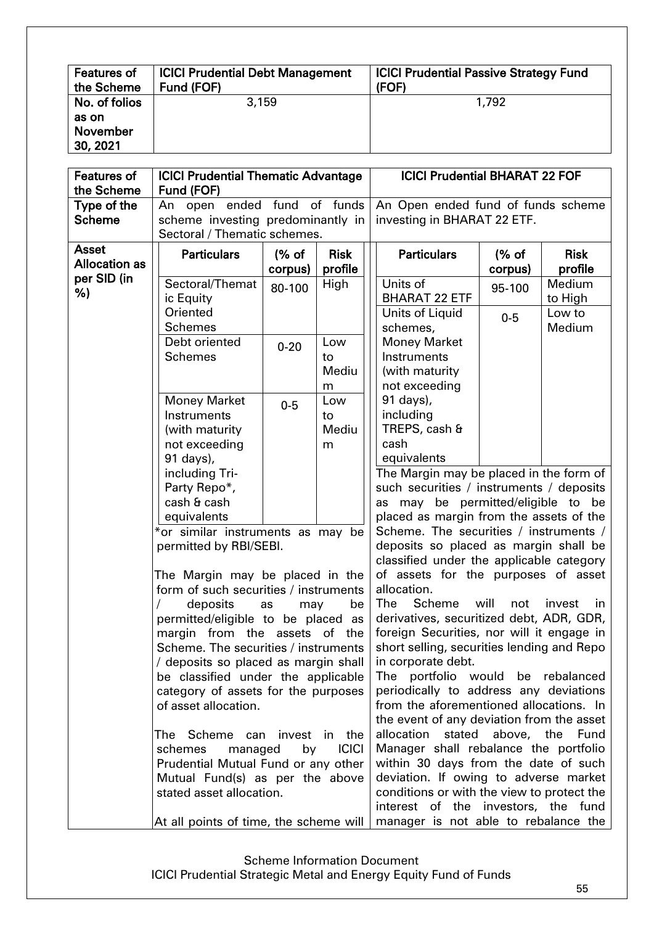| <b>Features of</b>                             | <b>ICICI Prudential Debt Management</b> | <b>ICICI Prudential Passive Strategy Fund</b> |
|------------------------------------------------|-----------------------------------------|-----------------------------------------------|
| the Scheme                                     | Fund (FOF)                              | (FOF)                                         |
| No. of folios<br>as on<br>November<br>30, 2021 | 3,159                                   | 1,792                                         |

| <b>Features of</b><br>the Scheme     | <b>ICICI Prudential Thematic Advantage</b><br>Fund (FOF)    |           |                                       | <b>ICICI Prudential BHARAT 22 FOF</b>                                                |                   |               |  |  |
|--------------------------------------|-------------------------------------------------------------|-----------|---------------------------------------|--------------------------------------------------------------------------------------|-------------------|---------------|--|--|
| Type of the                          | An open ended fund                                          |           | of funds                              | An Open ended fund of funds scheme                                                   |                   |               |  |  |
| <b>Scheme</b>                        | scheme investing predominantly in                           |           |                                       | investing in BHARAT 22 ETF.                                                          |                   |               |  |  |
|                                      | Sectoral / Thematic schemes.                                |           |                                       |                                                                                      |                   |               |  |  |
| <b>Asset</b><br><b>Allocation as</b> | <b>Particulars</b>                                          | (% of     | <b>Risk</b>                           | <b>Particulars</b>                                                                   | (% of             | <b>Risk</b>   |  |  |
| per SID (in                          |                                                             | corpus)   | profile                               |                                                                                      | corpus)           | profile       |  |  |
| %)                                   | Sectoral/Themat                                             | 80-100    | High                                  | Units of                                                                             | 95-100            | Medium        |  |  |
|                                      | ic Equity                                                   |           |                                       | <b>BHARAT 22 ETF</b>                                                                 |                   | to High       |  |  |
|                                      | Oriented                                                    |           |                                       | Units of Liquid                                                                      | $0-5$             | Low to        |  |  |
|                                      | <b>Schemes</b>                                              |           |                                       | schemes,                                                                             |                   | Medium        |  |  |
|                                      | Debt oriented                                               | $0 - 20$  | Low                                   | <b>Money Market</b>                                                                  |                   |               |  |  |
|                                      | <b>Schemes</b>                                              |           | to                                    | Instruments                                                                          |                   |               |  |  |
|                                      |                                                             |           | Mediu                                 | (with maturity<br>not exceeding                                                      |                   |               |  |  |
|                                      |                                                             |           | m<br>Low                              | 91 days),                                                                            |                   |               |  |  |
|                                      | <b>Money Market</b><br>Instruments                          | $0-5$     | to                                    | including                                                                            |                   |               |  |  |
|                                      | (with maturity                                              |           | Mediu                                 | TREPS, cash &                                                                        |                   |               |  |  |
|                                      | not exceeding                                               |           | m                                     | cash                                                                                 |                   |               |  |  |
|                                      | 91 days),                                                   |           |                                       | equivalents                                                                          |                   |               |  |  |
|                                      | including Tri-                                              |           |                                       | The Margin may be placed in the form of                                              |                   |               |  |  |
|                                      | Party Repo*,                                                |           |                                       | such securities / instruments / deposits                                             |                   |               |  |  |
|                                      | cash & cash                                                 |           |                                       | as may be permitted/eligible to be                                                   |                   |               |  |  |
|                                      | equivalents                                                 |           |                                       | placed as margin from the assets of the                                              |                   |               |  |  |
|                                      | *or similar instruments as may be                           |           |                                       | Scheme. The securities / instruments /<br>deposits so placed as margin shall be      |                   |               |  |  |
|                                      | permitted by RBI/SEBI.                                      |           |                                       |                                                                                      |                   |               |  |  |
|                                      |                                                             |           |                                       | classified under the applicable category                                             |                   |               |  |  |
|                                      | The Margin may be placed in the                             |           |                                       | of assets for the purposes of asset                                                  |                   |               |  |  |
|                                      | form of such securities / instruments                       |           |                                       | allocation.                                                                          |                   |               |  |  |
|                                      | deposits                                                    | as<br>may | be                                    | Scheme<br>The                                                                        | will<br>not       | invest<br>in. |  |  |
|                                      | permitted/eligible to be placed as                          |           |                                       | derivatives, securitized debt, ADR, GDR,                                             |                   |               |  |  |
|                                      | margin from the assets of the                               |           |                                       | foreign Securities, nor will it engage in                                            |                   |               |  |  |
|                                      | Scheme. The securities / instruments                        |           |                                       | short selling, securities lending and Repo                                           |                   |               |  |  |
|                                      | / deposits so placed as margin shall                        |           |                                       | in corporate debt.                                                                   |                   |               |  |  |
|                                      | be classified under the applicable                          |           |                                       | The portfolio would<br>periodically to address any deviations                        |                   | be rebalanced |  |  |
|                                      | category of assets for the purposes<br>of asset allocation. |           |                                       |                                                                                      |                   |               |  |  |
|                                      |                                                             |           |                                       | from the aforementioned allocations. In<br>the event of any deviation from the asset |                   |               |  |  |
|                                      | The Scheme can invest in the                                |           |                                       | allocation                                                                           | stated above, the | Fund          |  |  |
|                                      | managed<br>schemes                                          | by        | <b>ICICI</b>                          | Manager shall rebalance the portfolio                                                |                   |               |  |  |
|                                      | Prudential Mutual Fund or any other                         |           |                                       | within 30 days from the date of such                                                 |                   |               |  |  |
|                                      | Mutual Fund(s) as per the above                             |           | deviation. If owing to adverse market |                                                                                      |                   |               |  |  |
|                                      | stated asset allocation.                                    |           |                                       | conditions or with the view to protect the                                           |                   |               |  |  |
|                                      |                                                             |           |                                       | interest of the investors, the fund                                                  |                   |               |  |  |
|                                      | At all points of time, the scheme will                      |           |                                       | manager is not able to rebalance the                                                 |                   |               |  |  |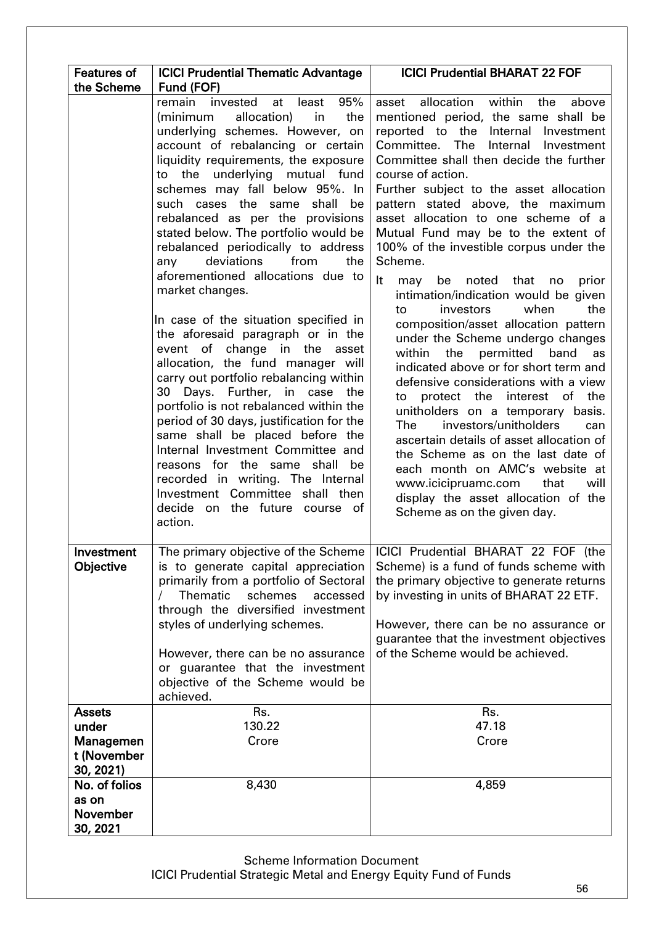| <b>Features of</b>                             | <b>ICICI Prudential Thematic Advantage</b>                                                                                                                                                                                                                                                                                                                                                                                                                                                                                                                                                                                                                                                                                                                                                                                                                                                                                                                                                                                                                                           | <b>ICICI Prudential BHARAT 22 FOF</b>                                                                                                                                                                                                                                                                                                                                                                                                                                                                                                                                                                                                                                                                                                                                                                                                                                                                                                                                                                                                                                                                                |
|------------------------------------------------|--------------------------------------------------------------------------------------------------------------------------------------------------------------------------------------------------------------------------------------------------------------------------------------------------------------------------------------------------------------------------------------------------------------------------------------------------------------------------------------------------------------------------------------------------------------------------------------------------------------------------------------------------------------------------------------------------------------------------------------------------------------------------------------------------------------------------------------------------------------------------------------------------------------------------------------------------------------------------------------------------------------------------------------------------------------------------------------|----------------------------------------------------------------------------------------------------------------------------------------------------------------------------------------------------------------------------------------------------------------------------------------------------------------------------------------------------------------------------------------------------------------------------------------------------------------------------------------------------------------------------------------------------------------------------------------------------------------------------------------------------------------------------------------------------------------------------------------------------------------------------------------------------------------------------------------------------------------------------------------------------------------------------------------------------------------------------------------------------------------------------------------------------------------------------------------------------------------------|
| the Scheme                                     | Fund (FOF)<br>remain invested at<br>95%<br>least<br>allocation)<br>(minimum<br>in<br>the<br>underlying schemes. However, on<br>account of rebalancing or certain<br>liquidity requirements, the exposure<br>to the underlying mutual fund<br>schemes may fall below 95%. In<br>such cases the same<br>shall be<br>rebalanced as per the provisions<br>stated below. The portfolio would be<br>rebalanced periodically to address<br>deviations<br>from<br>any<br>the<br>aforementioned allocations due to<br>market changes.<br>In case of the situation specified in<br>the aforesaid paragraph or in the<br>event of change in the asset<br>allocation, the fund manager will<br>carry out portfolio rebalancing within<br>30 Days. Further, in case<br>the<br>portfolio is not rebalanced within the<br>period of 30 days, justification for the<br>same shall be placed before the<br>Internal Investment Committee and<br>reasons for the same shall<br>be<br>recorded in writing. The Internal<br>Investment Committee shall then<br>decide on the future course of<br>action. | asset allocation within the<br>above<br>mentioned period, the same shall be<br>reported to the Internal Investment<br>Committee. The<br>Internal Investment<br>Committee shall then decide the further<br>course of action.<br>Further subject to the asset allocation<br>pattern stated above, the maximum<br>asset allocation to one scheme of a<br>Mutual Fund may be to the extent of<br>100% of the investible corpus under the<br>Scheme.<br>It<br>be noted that no<br>prior<br>may<br>intimation/indication would be given<br>the<br>investors<br>when<br>to<br>composition/asset allocation pattern<br>under the Scheme undergo changes<br>within<br>the permitted band<br>as<br>indicated above or for short term and<br>defensive considerations with a view<br>to protect the interest of the<br>unitholders on a temporary basis.<br>investors/unitholders<br>The<br>can<br>ascertain details of asset allocation of<br>the Scheme as on the last date of<br>each month on AMC's website at<br>www.icicipruamc.com<br>that<br>will<br>display the asset allocation of the<br>Scheme as on the given day. |
| Investment<br>Objective                        | is to generate capital appreciation<br>primarily from a portfolio of Sectoral<br><b>Thematic</b><br>schemes<br>accessed<br>through the diversified investment<br>styles of underlying schemes.<br>However, there can be no assurance<br>or guarantee that the investment<br>objective of the Scheme would be<br>achieved.                                                                                                                                                                                                                                                                                                                                                                                                                                                                                                                                                                                                                                                                                                                                                            | The primary objective of the Scheme   ICICI Prudential BHARAT 22 FOF (the<br>Scheme) is a fund of funds scheme with<br>the primary objective to generate returns<br>by investing in units of BHARAT 22 ETF.<br>However, there can be no assurance or<br>guarantee that the investment objectives<br>of the Scheme would be achieved.                                                                                                                                                                                                                                                                                                                                                                                                                                                                                                                                                                                                                                                                                                                                                                                 |
| <b>Assets</b>                                  | Rs.                                                                                                                                                                                                                                                                                                                                                                                                                                                                                                                                                                                                                                                                                                                                                                                                                                                                                                                                                                                                                                                                                  | Rs.                                                                                                                                                                                                                                                                                                                                                                                                                                                                                                                                                                                                                                                                                                                                                                                                                                                                                                                                                                                                                                                                                                                  |
| under<br>Managemen<br>t (November<br>30, 2021) | 130.22<br>Crore                                                                                                                                                                                                                                                                                                                                                                                                                                                                                                                                                                                                                                                                                                                                                                                                                                                                                                                                                                                                                                                                      | 47.18<br>Crore                                                                                                                                                                                                                                                                                                                                                                                                                                                                                                                                                                                                                                                                                                                                                                                                                                                                                                                                                                                                                                                                                                       |
| No. of folios                                  | 8,430                                                                                                                                                                                                                                                                                                                                                                                                                                                                                                                                                                                                                                                                                                                                                                                                                                                                                                                                                                                                                                                                                | 4,859                                                                                                                                                                                                                                                                                                                                                                                                                                                                                                                                                                                                                                                                                                                                                                                                                                                                                                                                                                                                                                                                                                                |
| as on<br><b>November</b><br>30, 2021           |                                                                                                                                                                                                                                                                                                                                                                                                                                                                                                                                                                                                                                                                                                                                                                                                                                                                                                                                                                                                                                                                                      |                                                                                                                                                                                                                                                                                                                                                                                                                                                                                                                                                                                                                                                                                                                                                                                                                                                                                                                                                                                                                                                                                                                      |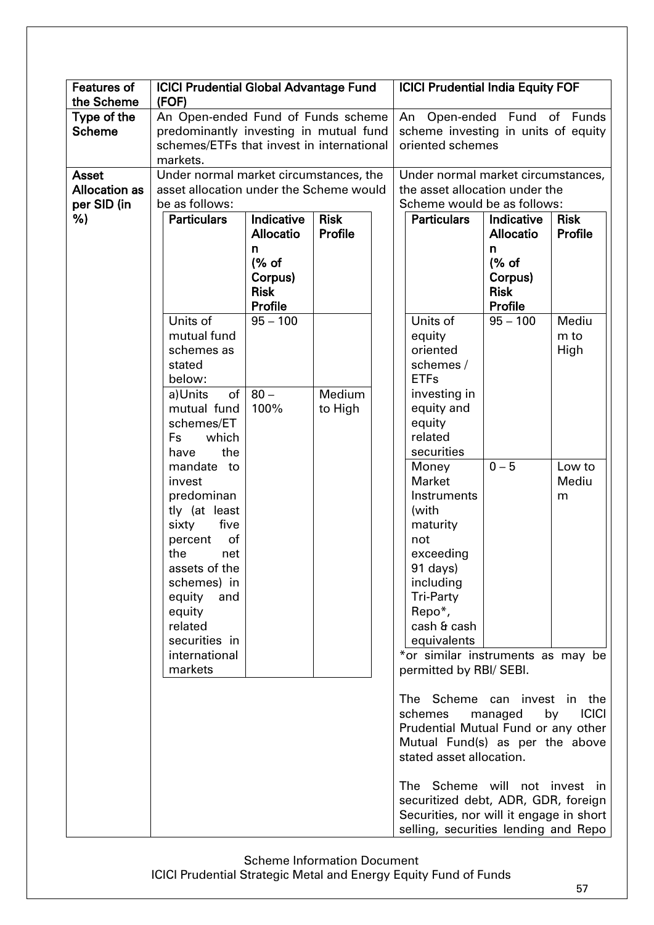| <b>Features of</b><br>the Scheme | <b>ICICI Prudential Global Advantage Fund</b><br>(FOF) |                        |         | <b>ICICI Prudential India Equity FOF</b> |                                         |                        |                    |  |
|----------------------------------|--------------------------------------------------------|------------------------|---------|------------------------------------------|-----------------------------------------|------------------------|--------------------|--|
| Type of the                      | An Open-ended Fund of Funds scheme                     |                        |         | An Open-ended Fund of Funds              |                                         |                        |                    |  |
| <b>Scheme</b>                    | predominantly investing in mutual fund                 |                        |         | scheme investing in units of equity      |                                         |                        |                    |  |
|                                  | schemes/ETFs that invest in international              |                        |         | oriented schemes                         |                                         |                        |                    |  |
|                                  | markets.                                               |                        |         |                                          |                                         |                        |                    |  |
| <b>Asset</b>                     | Under normal market circumstances, the                 |                        |         |                                          | Under normal market circumstances,      |                        |                    |  |
| <b>Allocation as</b>             | asset allocation under the Scheme would                |                        |         |                                          | the asset allocation under the          |                        |                    |  |
| per SID (in                      | be as follows:                                         |                        |         |                                          | Scheme would be as follows:             |                        |                    |  |
| %)                               | Indicative<br><b>Risk</b><br><b>Particulars</b>        |                        |         |                                          | <b>Particulars</b>                      | Indicative             | <b>Risk</b>        |  |
|                                  |                                                        | <b>Allocatio</b>       | Profile |                                          |                                         | <b>Allocatio</b>       | Profile            |  |
|                                  |                                                        | n                      |         |                                          |                                         | n                      |                    |  |
|                                  |                                                        | (% of                  |         |                                          |                                         | (% of                  |                    |  |
|                                  |                                                        | Corpus)                |         |                                          |                                         | Corpus)                |                    |  |
|                                  |                                                        | <b>Risk</b><br>Profile |         |                                          |                                         | <b>Risk</b><br>Profile |                    |  |
|                                  | Units of                                               | $95 - 100$             |         |                                          | Units of                                | $95 - 100$             | Mediu              |  |
|                                  | mutual fund                                            |                        |         |                                          | equity                                  |                        | m to               |  |
|                                  | schemes as                                             |                        |         |                                          | oriented                                |                        | High               |  |
|                                  | stated                                                 |                        |         |                                          | schemes /                               |                        |                    |  |
|                                  | below:                                                 |                        |         |                                          | <b>ETFs</b>                             |                        |                    |  |
|                                  | of <sub>1</sub><br>a)Units                             | $80 -$                 | Medium  |                                          | investing in                            |                        |                    |  |
|                                  | mutual fund                                            | 100%                   | to High |                                          | equity and                              |                        |                    |  |
|                                  | schemes/ET                                             |                        |         |                                          | equity                                  |                        |                    |  |
|                                  | which<br>Fs                                            |                        |         |                                          | related                                 |                        |                    |  |
|                                  | the<br>have                                            |                        |         |                                          | securities                              |                        |                    |  |
|                                  | mandate to                                             |                        |         |                                          | Money                                   | $0 - 5$                | Low to             |  |
|                                  | invest                                                 |                        |         |                                          | <b>Market</b>                           |                        | Mediu              |  |
|                                  | predominan<br>tly (at least                            |                        |         |                                          | Instruments<br>(with                    |                        | m                  |  |
|                                  | sixty<br>five                                          |                        |         |                                          | maturity                                |                        |                    |  |
|                                  | of<br>percent                                          |                        |         |                                          | not                                     |                        |                    |  |
|                                  | the<br>net                                             |                        |         |                                          | exceeding                               |                        |                    |  |
|                                  | assets of the                                          |                        |         |                                          | 91 days)                                |                        |                    |  |
|                                  | schemes) in                                            |                        |         |                                          | including                               |                        |                    |  |
|                                  | equity<br>and                                          |                        |         |                                          | <b>Tri-Party</b>                        |                        |                    |  |
|                                  | equity                                                 |                        |         |                                          | Repo*,                                  |                        |                    |  |
|                                  | related                                                |                        |         |                                          | cash & cash                             |                        |                    |  |
|                                  | securities in                                          |                        |         |                                          | equivalents                             |                        |                    |  |
|                                  | international                                          |                        |         |                                          | *or similar instruments as may be       |                        |                    |  |
|                                  | markets                                                |                        |         |                                          | permitted by RBI/ SEBI.                 |                        |                    |  |
|                                  |                                                        |                        |         |                                          | The Scheme can invest in the            |                        |                    |  |
|                                  |                                                        |                        |         |                                          | schemes                                 | managed                | <b>ICICI</b><br>by |  |
|                                  |                                                        |                        |         |                                          | Prudential Mutual Fund or any other     |                        |                    |  |
|                                  |                                                        |                        |         |                                          | Mutual Fund(s) as per the above         |                        |                    |  |
|                                  |                                                        |                        |         |                                          | stated asset allocation.                |                        |                    |  |
|                                  |                                                        |                        |         |                                          | The Scheme will not invest in           |                        |                    |  |
|                                  |                                                        |                        |         |                                          | securitized debt, ADR, GDR, foreign     |                        |                    |  |
|                                  |                                                        |                        |         |                                          | Securities, nor will it engage in short |                        |                    |  |
|                                  |                                                        |                        |         |                                          | selling, securities lending and Repo    |                        |                    |  |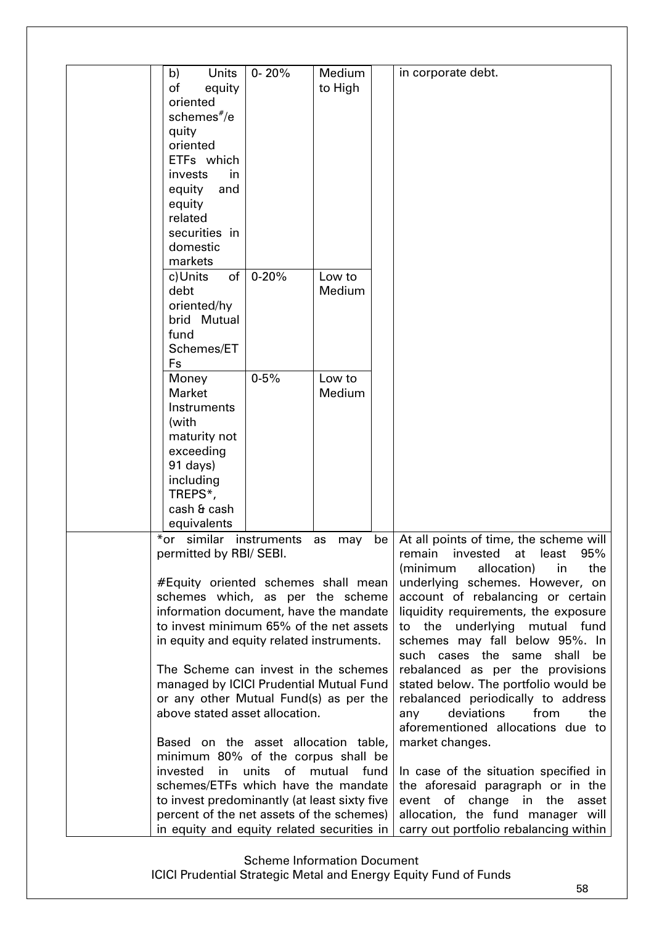| b)<br><b>Units</b><br>of<br>equity<br>oriented<br>schemes#/e<br>quity<br>oriented<br>ETFs which<br>invests<br>in<br>equity<br>and<br>equity<br>related                                                                                 | $0 - 20%$   | Medium<br>to High |                                                                                                                                                                                                                                                                                                        | in corporate debt.                                                                                                                                                                                         |
|----------------------------------------------------------------------------------------------------------------------------------------------------------------------------------------------------------------------------------------|-------------|-------------------|--------------------------------------------------------------------------------------------------------------------------------------------------------------------------------------------------------------------------------------------------------------------------------------------------------|------------------------------------------------------------------------------------------------------------------------------------------------------------------------------------------------------------|
| securities in<br>domestic                                                                                                                                                                                                              |             |                   |                                                                                                                                                                                                                                                                                                        |                                                                                                                                                                                                            |
| markets<br>$\circ$ f                                                                                                                                                                                                                   | $0 - 20%$   | Low to            |                                                                                                                                                                                                                                                                                                        |                                                                                                                                                                                                            |
| c)Units<br>debt<br>oriented/hy<br>brid Mutual<br>fund<br>Schemes/ET<br>Fs                                                                                                                                                              |             | Medium            |                                                                                                                                                                                                                                                                                                        |                                                                                                                                                                                                            |
| Money<br><b>Market</b>                                                                                                                                                                                                                 | $0 - 5%$    | Low to<br>Medium  |                                                                                                                                                                                                                                                                                                        |                                                                                                                                                                                                            |
| Instruments                                                                                                                                                                                                                            |             |                   |                                                                                                                                                                                                                                                                                                        |                                                                                                                                                                                                            |
| (with<br>maturity not                                                                                                                                                                                                                  |             |                   |                                                                                                                                                                                                                                                                                                        |                                                                                                                                                                                                            |
| exceeding<br>91 days)                                                                                                                                                                                                                  |             |                   |                                                                                                                                                                                                                                                                                                        |                                                                                                                                                                                                            |
| including                                                                                                                                                                                                                              |             |                   |                                                                                                                                                                                                                                                                                                        |                                                                                                                                                                                                            |
| TREPS*,<br>cash & cash                                                                                                                                                                                                                 |             |                   |                                                                                                                                                                                                                                                                                                        |                                                                                                                                                                                                            |
| equivalents                                                                                                                                                                                                                            |             |                   |                                                                                                                                                                                                                                                                                                        |                                                                                                                                                                                                            |
| *or similar                                                                                                                                                                                                                            | instruments | as<br>may         |                                                                                                                                                                                                                                                                                                        | be   At all points of time, the scheme will                                                                                                                                                                |
| permitted by RBI/ SEBI.<br>#Equity oriented schemes shall mean<br>schemes which, as per the scheme<br>information document, have the mandate<br>to invest minimum 65% of the net assets<br>in equity and equity related instruments.   |             |                   | 95%<br>invested<br>at<br>least<br>remain<br>(minimum<br>allocation)<br>in<br>the<br>underlying schemes. However, on<br>account of rebalancing or certain<br>liquidity requirements, the exposure<br>the underlying mutual fund<br>to<br>schemes may fall below 95%. In<br>such cases the same shall be |                                                                                                                                                                                                            |
| The Scheme can invest in the schemes<br>managed by ICICI Prudential Mutual Fund<br>or any other Mutual Fund(s) as per the<br>above stated asset allocation.<br>Based on the asset allocation table,                                    |             |                   |                                                                                                                                                                                                                                                                                                        | rebalanced as per the provisions<br>stated below. The portfolio would be<br>rebalanced periodically to address<br>deviations<br>from<br>any<br>the<br>aforementioned allocations due to<br>market changes. |
| minimum 80% of the corpus shall be<br>invested<br>in<br>schemes/ETFs which have the mandate<br>to invest predominantly (at least sixty five<br>percent of the net assets of the schemes)<br>in equity and equity related securities in | units<br>of | mutual<br>fund    | In case of the situation specified in<br>the aforesaid paragraph or in the<br>event of change in the<br>asset<br>allocation, the fund manager will<br>carry out portfolio rebalancing within                                                                                                           |                                                                                                                                                                                                            |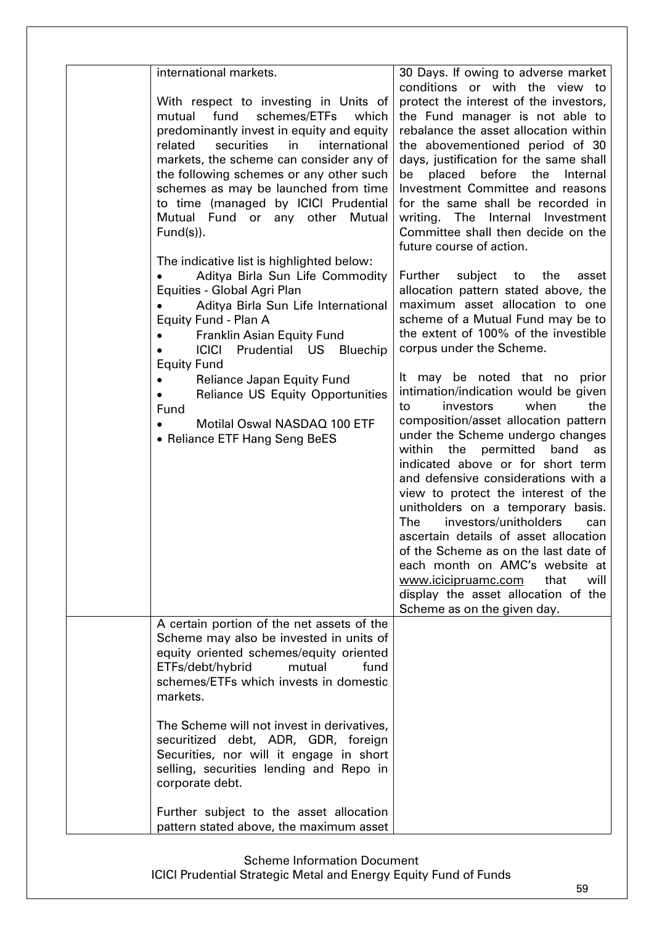| international markets.                                                                                                                                                                                                                                                                                                                                                                           | 30 Days. If owing to adverse market                                                                                                                                                                                                                                                                                                                                                                                                                                                                                                                                                                                  |
|--------------------------------------------------------------------------------------------------------------------------------------------------------------------------------------------------------------------------------------------------------------------------------------------------------------------------------------------------------------------------------------------------|----------------------------------------------------------------------------------------------------------------------------------------------------------------------------------------------------------------------------------------------------------------------------------------------------------------------------------------------------------------------------------------------------------------------------------------------------------------------------------------------------------------------------------------------------------------------------------------------------------------------|
| With respect to investing in Units of<br>mutual fund schemes/ETFs<br>which<br>predominantly invest in equity and equity<br>securities<br>in<br>international<br>related<br>markets, the scheme can consider any of<br>the following schemes or any other such<br>schemes as may be launched from time<br>to time (managed by ICICI Prudential<br>Mutual Fund or any other Mutual<br>$Fund(s)$ ). | conditions or with the view to<br>protect the interest of the investors,<br>the Fund manager is not able to<br>rebalance the asset allocation within<br>the abovementioned period of 30<br>days, justification for the same shall<br>before the<br>placed<br>Internal<br>be<br>Investment Committee and reasons<br>for the same shall be recorded in<br>writing. The<br>Internal Investment<br>Committee shall then decide on the<br>future course of action.                                                                                                                                                        |
| The indicative list is highlighted below:<br>Aditya Birla Sun Life Commodity<br>Equities - Global Agri Plan<br>Aditya Birla Sun Life International<br>Equity Fund - Plan A<br>Franklin Asian Equity Fund<br><b>ICICI</b><br>Prudential US<br>Bluechip<br><b>Equity Fund</b><br><b>Reliance Japan Equity Fund</b>                                                                                 | subject to<br>Further<br>the<br>asset<br>allocation pattern stated above, the<br>maximum asset allocation to one<br>scheme of a Mutual Fund may be to<br>the extent of 100% of the investible<br>corpus under the Scheme.<br>It may be noted that no prior                                                                                                                                                                                                                                                                                                                                                           |
| <b>Reliance US Equity Opportunities</b><br>Fund<br>Motilal Oswal NASDAQ 100 ETF<br>• Reliance ETF Hang Seng BeES                                                                                                                                                                                                                                                                                 | intimation/indication would be given<br>investors<br>when<br>the<br>to<br>composition/asset allocation pattern<br>under the Scheme undergo changes<br>within the permitted band<br>as<br>indicated above or for short term<br>and defensive considerations with a<br>view to protect the interest of the<br>unitholders on a temporary basis.<br>investors/unitholders<br>The<br>can<br>ascertain details of asset allocation<br>of the Scheme as on the last date of<br>each month on AMC's website at<br>www.icicipruamc.com<br>that<br>will<br>display the asset allocation of the<br>Scheme as on the given day. |
| A certain portion of the net assets of the<br>Scheme may also be invested in units of<br>equity oriented schemes/equity oriented<br>ETFs/debt/hybrid<br>mutual<br>fund<br>schemes/ETFs which invests in domestic<br>markets.                                                                                                                                                                     |                                                                                                                                                                                                                                                                                                                                                                                                                                                                                                                                                                                                                      |
| The Scheme will not invest in derivatives,<br>securitized debt, ADR, GDR, foreign<br>Securities, nor will it engage in short<br>selling, securities lending and Repo in<br>corporate debt.                                                                                                                                                                                                       |                                                                                                                                                                                                                                                                                                                                                                                                                                                                                                                                                                                                                      |
| Further subject to the asset allocation<br>pattern stated above, the maximum asset                                                                                                                                                                                                                                                                                                               |                                                                                                                                                                                                                                                                                                                                                                                                                                                                                                                                                                                                                      |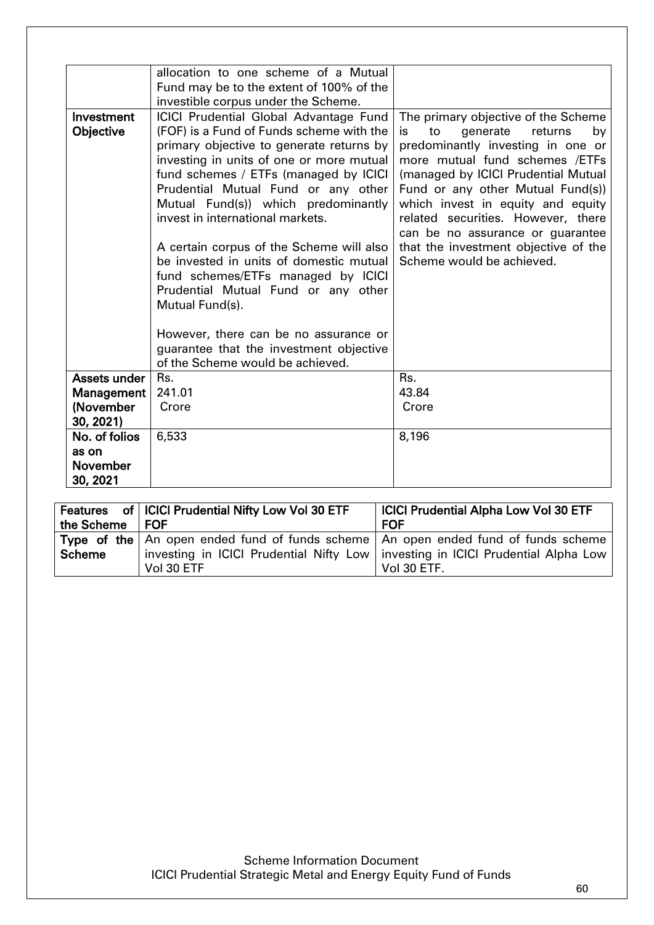|                 | allocation to one scheme of a Mutual          |                                       |  |  |  |  |
|-----------------|-----------------------------------------------|---------------------------------------|--|--|--|--|
|                 | Fund may be to the extent of 100% of the      |                                       |  |  |  |  |
|                 | investible corpus under the Scheme.           |                                       |  |  |  |  |
| Investment      | <b>ICICI Prudential Global Advantage Fund</b> | The primary objective of the Scheme   |  |  |  |  |
| Objective       | (FOF) is a Fund of Funds scheme with the      | is<br>to<br>generate<br>returns<br>by |  |  |  |  |
|                 | primary objective to generate returns by      | predominantly investing in one or     |  |  |  |  |
|                 | investing in units of one or more mutual      | more mutual fund schemes /ETFs        |  |  |  |  |
|                 | fund schemes / ETFs (managed by ICICI         | (managed by ICICI Prudential Mutual   |  |  |  |  |
|                 | Prudential Mutual Fund or any other           | Fund or any other Mutual Fund(s))     |  |  |  |  |
|                 | Mutual Fund(s)) which predominantly           | which invest in equity and equity     |  |  |  |  |
|                 | invest in international markets.              | related securities. However, there    |  |  |  |  |
|                 |                                               | can be no assurance or guarantee      |  |  |  |  |
|                 | A certain corpus of the Scheme will also      | that the investment objective of the  |  |  |  |  |
|                 | be invested in units of domestic mutual       | Scheme would be achieved.             |  |  |  |  |
|                 | fund schemes/ETFs managed by ICICI            |                                       |  |  |  |  |
|                 | Prudential Mutual Fund or any other           |                                       |  |  |  |  |
|                 | Mutual Fund(s).                               |                                       |  |  |  |  |
|                 |                                               |                                       |  |  |  |  |
|                 | However, there can be no assurance or         |                                       |  |  |  |  |
|                 | guarantee that the investment objective       |                                       |  |  |  |  |
|                 | of the Scheme would be achieved.              |                                       |  |  |  |  |
| Assets under    | Rs.                                           | Rs.                                   |  |  |  |  |
| Management      | 241.01                                        | 43.84                                 |  |  |  |  |
| (November       | Crore                                         | Crore                                 |  |  |  |  |
| 30, 2021)       |                                               |                                       |  |  |  |  |
| No. of folios   | 6,533                                         | 8,196                                 |  |  |  |  |
| as on           |                                               |                                       |  |  |  |  |
| <b>November</b> |                                               |                                       |  |  |  |  |
| 30, 2021        |                                               |                                       |  |  |  |  |

| the Scheme   FOF | Features of   ICICI Prudential Nifty Low Vol 30 ETF                                                                                                                                                         | <b>ICICI Prudential Alpha Low Vol 30 ETF</b><br><b>FOF</b> |
|------------------|-------------------------------------------------------------------------------------------------------------------------------------------------------------------------------------------------------------|------------------------------------------------------------|
| ∣ Scheme         | <b>Type of the</b> $\vert$ An open ended fund of funds scheme $\vert$ An open ended fund of funds scheme<br>investing in ICICI Prudential Nifty Low   investing in ICICI Prudential Alpha Low<br>Vol 30 ETF | Vol 30 ETF.                                                |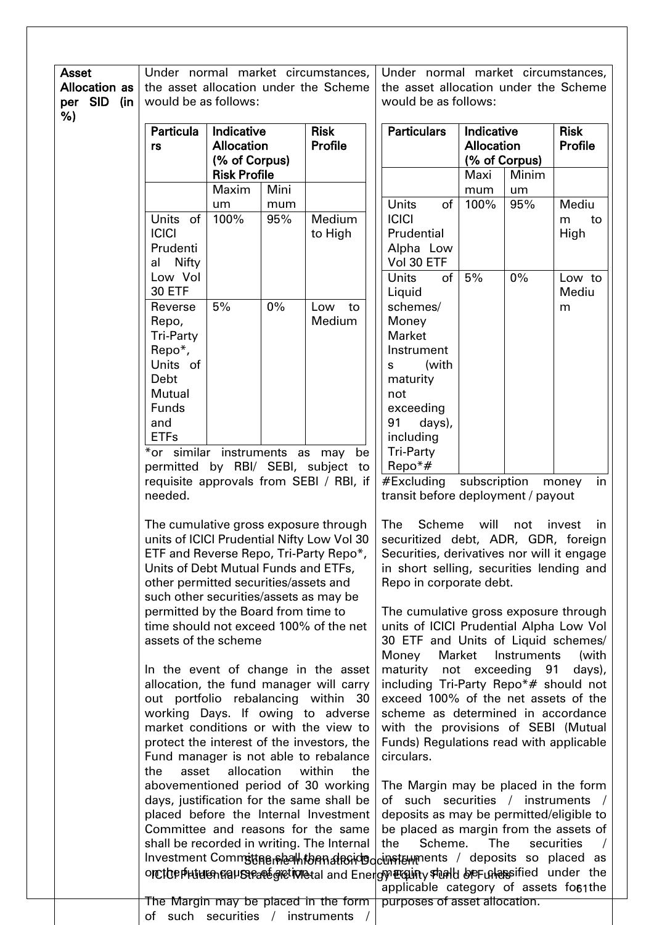| <b>Asset</b>         |                                                                                                             |                     |       | Under normal market circumstances,                                                        | Under normal market circumstances,<br>the asset allocation under the Scheme                 |         |                   |                           |                                                                                |  |
|----------------------|-------------------------------------------------------------------------------------------------------------|---------------------|-------|-------------------------------------------------------------------------------------------|---------------------------------------------------------------------------------------------|---------|-------------------|---------------------------|--------------------------------------------------------------------------------|--|
| <b>Allocation as</b> |                                                                                                             |                     |       | the asset allocation under the Scheme                                                     |                                                                                             |         |                   |                           |                                                                                |  |
| per SID<br>(in<br>%) | would be as follows:                                                                                        |                     |       |                                                                                           | would be as follows:                                                                        |         |                   |                           |                                                                                |  |
|                      | <b>Particula</b>                                                                                            | Indicative          |       | <b>Risk</b>                                                                               | <b>Particulars</b>                                                                          |         | Indicative        |                           | <b>Risk</b>                                                                    |  |
|                      | rs                                                                                                          | <b>Allocation</b>   |       | <b>Profile</b>                                                                            |                                                                                             |         | <b>Allocation</b> |                           | <b>Profile</b>                                                                 |  |
|                      |                                                                                                             | (% of Corpus)       |       |                                                                                           |                                                                                             |         |                   | (% of Corpus)             |                                                                                |  |
|                      |                                                                                                             | <b>Risk Profile</b> |       |                                                                                           |                                                                                             |         | Maxi              | Minim                     |                                                                                |  |
|                      |                                                                                                             | Maxim               | Mini  |                                                                                           |                                                                                             |         | mum               | um                        |                                                                                |  |
|                      |                                                                                                             | um                  | mum   |                                                                                           | <b>Units</b>                                                                                | of      | 100%              | 95%                       | Mediu                                                                          |  |
|                      | Units of                                                                                                    | 100%                | 95%   | Medium                                                                                    | <b>ICICI</b>                                                                                |         |                   |                           | m<br>to                                                                        |  |
|                      | <b>ICICI</b>                                                                                                |                     |       | to High                                                                                   | Prudential                                                                                  |         |                   |                           | High                                                                           |  |
|                      | Prudenti                                                                                                    |                     |       |                                                                                           | Alpha Low                                                                                   |         |                   |                           |                                                                                |  |
|                      | Nifty<br>al                                                                                                 |                     |       |                                                                                           | Vol 30 ETF                                                                                  |         |                   |                           |                                                                                |  |
|                      | Low Vol                                                                                                     |                     |       |                                                                                           | <b>Units</b>                                                                                | of      | 5%                | $0\%$                     | Low to                                                                         |  |
|                      | <b>30 ETF</b>                                                                                               |                     |       |                                                                                           | Liquid                                                                                      |         |                   |                           | Mediu                                                                          |  |
|                      | Reverse                                                                                                     | 5%                  | $0\%$ | Low<br>to                                                                                 | schemes/                                                                                    |         |                   |                           | m                                                                              |  |
|                      | Repo,                                                                                                       |                     |       | Medium                                                                                    | Money                                                                                       |         |                   |                           |                                                                                |  |
|                      | Tri-Party                                                                                                   |                     |       |                                                                                           | <b>Market</b>                                                                               |         |                   |                           |                                                                                |  |
|                      | Repo*,                                                                                                      |                     |       |                                                                                           | Instrument                                                                                  |         |                   |                           |                                                                                |  |
|                      | Units of                                                                                                    |                     |       |                                                                                           | s                                                                                           | (with   |                   |                           |                                                                                |  |
|                      | Debt                                                                                                        |                     |       |                                                                                           | maturity                                                                                    |         |                   |                           |                                                                                |  |
|                      | Mutual<br>Funds                                                                                             |                     |       |                                                                                           | not                                                                                         |         |                   |                           |                                                                                |  |
|                      | and                                                                                                         |                     |       |                                                                                           | exceeding<br>91                                                                             | days),  |                   |                           |                                                                                |  |
|                      | <b>ETFs</b>                                                                                                 |                     |       |                                                                                           | including                                                                                   |         |                   |                           |                                                                                |  |
|                      |                                                                                                             |                     |       | may<br>be                                                                                 | <b>Tri-Party</b>                                                                            |         |                   |                           |                                                                                |  |
|                      | *or similar instruments as<br>permitted by RBI/ SEBI, subject to<br>requisite approvals from SEBI / RBI, if |                     |       |                                                                                           | $\text{Repo*}\#$                                                                            |         |                   |                           |                                                                                |  |
|                      |                                                                                                             |                     |       |                                                                                           | $#$ Excluding<br>subscription<br>money                                                      |         |                   |                           |                                                                                |  |
|                      | needed.                                                                                                     |                     |       |                                                                                           | in<br>transit before deployment / payout                                                    |         |                   |                           |                                                                                |  |
|                      |                                                                                                             |                     |       |                                                                                           |                                                                                             |         |                   |                           |                                                                                |  |
|                      |                                                                                                             |                     |       | The cumulative gross exposure through                                                     | The<br><b>Scheme</b><br>will<br>invest<br>not<br>in.<br>securitized debt, ADR, GDR, foreign |         |                   |                           |                                                                                |  |
|                      |                                                                                                             |                     |       | units of ICICI Prudential Nifty Low Vol 30                                                |                                                                                             |         |                   |                           |                                                                                |  |
|                      |                                                                                                             |                     |       | ETF and Reverse Repo, Tri-Party Repo*,                                                    |                                                                                             |         |                   |                           | Securities, derivatives nor will it engage                                     |  |
|                      | Units of Debt Mutual Funds and ETFs,                                                                        |                     |       |                                                                                           |                                                                                             |         |                   |                           | in short selling, securities lending and                                       |  |
|                      | other permitted securities/assets and                                                                       |                     |       |                                                                                           | Repo in corporate debt.                                                                     |         |                   |                           |                                                                                |  |
|                      | such other securities/assets as may be                                                                      |                     |       |                                                                                           |                                                                                             |         |                   |                           |                                                                                |  |
|                      | permitted by the Board from time to                                                                         |                     |       | time should not exceed 100% of the net                                                    | The cumulative gross exposure through<br>units of ICICI Prudential Alpha Low Vol            |         |                   |                           |                                                                                |  |
|                      | assets of the scheme                                                                                        |                     |       |                                                                                           |                                                                                             |         |                   |                           | 30 ETF and Units of Liquid schemes/                                            |  |
|                      |                                                                                                             |                     |       |                                                                                           | Money                                                                                       |         | Market            | Instruments               | (with                                                                          |  |
|                      |                                                                                                             |                     |       | In the event of change in the asset                                                       |                                                                                             |         |                   | maturity not exceeding 91 | days),                                                                         |  |
|                      |                                                                                                             |                     |       | allocation, the fund manager will carry                                                   |                                                                                             |         |                   |                           | including Tri-Party Repo*# should not                                          |  |
|                      |                                                                                                             |                     |       | out portfolio rebalancing within 30                                                       |                                                                                             |         |                   |                           | exceed 100% of the net assets of the                                           |  |
|                      |                                                                                                             |                     |       | working Days. If owing to adverse                                                         |                                                                                             |         |                   |                           | scheme as determined in accordance                                             |  |
|                      |                                                                                                             |                     |       | market conditions or with the view to                                                     |                                                                                             |         |                   |                           | with the provisions of SEBI (Mutual                                            |  |
|                      |                                                                                                             |                     |       | protect the interest of the investors, the                                                |                                                                                             |         |                   |                           | Funds) Regulations read with applicable                                        |  |
|                      |                                                                                                             |                     |       | Fund manager is not able to rebalance                                                     | circulars.                                                                                  |         |                   |                           |                                                                                |  |
|                      | the<br>asset                                                                                                | allocation          |       | within<br>the                                                                             |                                                                                             |         |                   |                           |                                                                                |  |
|                      |                                                                                                             |                     |       | abovementioned period of 30 working                                                       |                                                                                             |         |                   |                           | The Margin may be placed in the form                                           |  |
|                      |                                                                                                             |                     |       | days, justification for the same shall be<br>placed before the Internal Investment        |                                                                                             |         |                   |                           | of such securities / instruments /<br>deposits as may be permitted/eligible to |  |
|                      |                                                                                                             |                     |       | Committee and reasons for the same                                                        |                                                                                             |         |                   |                           | be placed as margin from the assets of                                         |  |
|                      |                                                                                                             |                     |       | shall be recorded in writing. The Internal                                                | the                                                                                         | Scheme. | The               |                           | securities                                                                     |  |
|                      |                                                                                                             |                     |       | Investment Commsttage placillaton alteridaculation ments / deposits so placed as          |                                                                                             |         |                   |                           |                                                                                |  |
|                      |                                                                                                             |                     |       | onctorphuturential Strate gretionetal and Energy Englisty stund be Fundersified under the |                                                                                             |         |                   |                           |                                                                                |  |
|                      |                                                                                                             |                     |       |                                                                                           |                                                                                             |         |                   |                           | applicable category of assets fo61the                                          |  |
|                      |                                                                                                             |                     |       | The Margin may be placed in the form                                                      | purposes of asset allocation.                                                               |         |                   |                           |                                                                                |  |
|                      | of such securities / instruments                                                                            |                     |       |                                                                                           |                                                                                             |         |                   |                           |                                                                                |  |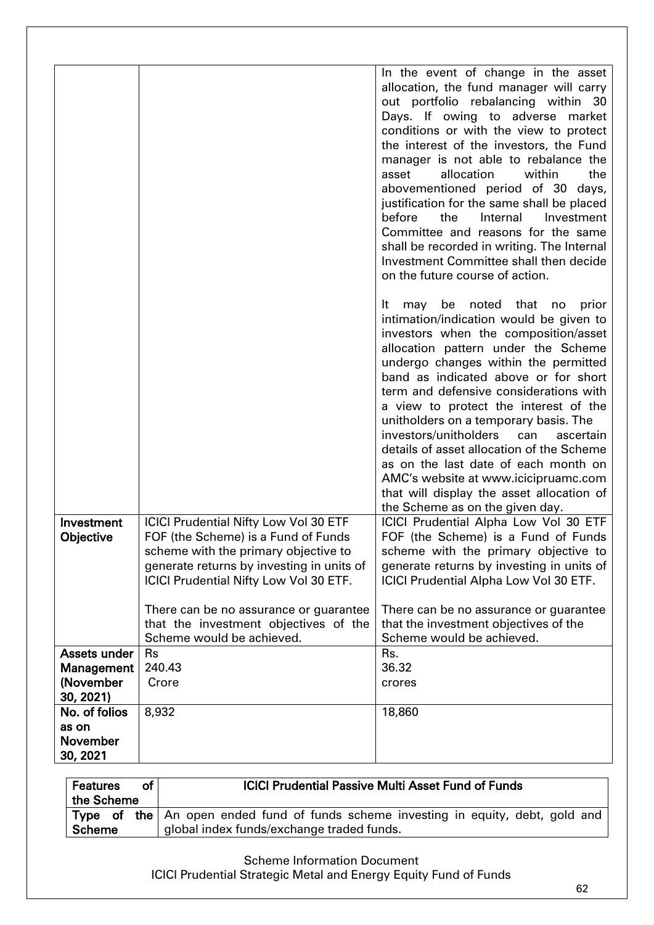|                        |                                                                                     | In the event of change in the asset                                                     |
|------------------------|-------------------------------------------------------------------------------------|-----------------------------------------------------------------------------------------|
|                        |                                                                                     | allocation, the fund manager will carry<br>out portfolio rebalancing within 30          |
|                        |                                                                                     | Days. If owing to adverse market                                                        |
|                        |                                                                                     | conditions or with the view to protect<br>the interest of the investors, the Fund       |
|                        |                                                                                     | manager is not able to rebalance the                                                    |
|                        |                                                                                     | asset<br>allocation<br>within<br>the                                                    |
|                        |                                                                                     | abovementioned period of 30 days,<br>justification for the same shall be placed         |
|                        |                                                                                     | before<br>the<br>Internal<br>Investment                                                 |
|                        |                                                                                     | Committee and reasons for the same                                                      |
|                        |                                                                                     | shall be recorded in writing. The Internal<br>Investment Committee shall then decide    |
|                        |                                                                                     | on the future course of action.                                                         |
|                        |                                                                                     | noted that<br>It<br>be<br>prior<br>may<br>no<br>intimation/indication would be given to |
|                        |                                                                                     | investors when the composition/asset                                                    |
|                        |                                                                                     | allocation pattern under the Scheme<br>undergo changes within the permitted             |
|                        |                                                                                     | band as indicated above or for short                                                    |
|                        |                                                                                     | term and defensive considerations with                                                  |
|                        |                                                                                     | a view to protect the interest of the<br>unitholders on a temporary basis. The          |
|                        |                                                                                     | investors/unitholders<br>can<br>ascertain                                               |
|                        |                                                                                     | details of asset allocation of the Scheme<br>as on the last date of each month on       |
|                        |                                                                                     | AMC's website at www.icicipruamc.com                                                    |
|                        |                                                                                     | that will display the asset allocation of                                               |
| Investment             | <b>ICICI Prudential Nifty Low Vol 30 ETF</b>                                        | the Scheme as on the given day.<br>ICICI Prudential Alpha Low Vol 30 ETF                |
| Objective              | FOF (the Scheme) is a Fund of Funds                                                 | FOF (the Scheme) is a Fund of Funds                                                     |
|                        | scheme with the primary objective to                                                | scheme with the primary objective to                                                    |
|                        | generate returns by investing in units of<br>ICICI Prudential Nifty Low Vol 30 ETF. | generate returns by investing in units of                                               |
|                        |                                                                                     | ICICI Prudential Alpha Low Vol 30 ETF.                                                  |
|                        | There can be no assurance or guarantee                                              | There can be no assurance or guarantee                                                  |
|                        | that the investment objectives of the<br>Scheme would be achieved.                  | that the investment objectives of the<br>Scheme would be achieved.                      |
| Assets under           | <b>Rs</b>                                                                           | Rs.                                                                                     |
| Management             | 240.43                                                                              | 36.32                                                                                   |
| (November<br>30, 2021) | Crore                                                                               | crores                                                                                  |
| No. of folios          | 8,932                                                                               | 18,860                                                                                  |
| as on                  |                                                                                     |                                                                                         |
| November<br>30, 2021   |                                                                                     |                                                                                         |

| <b>Features</b><br>of<br>the Scheme | <b>ICICI Prudential Passive Multi Asset Fund of Funds</b>                                                                              |
|-------------------------------------|----------------------------------------------------------------------------------------------------------------------------------------|
| <b>Scheme</b>                       | <b>Type of the</b> An open ended fund of funds scheme investing in equity, debt, gold and<br>global index funds/exchange traded funds. |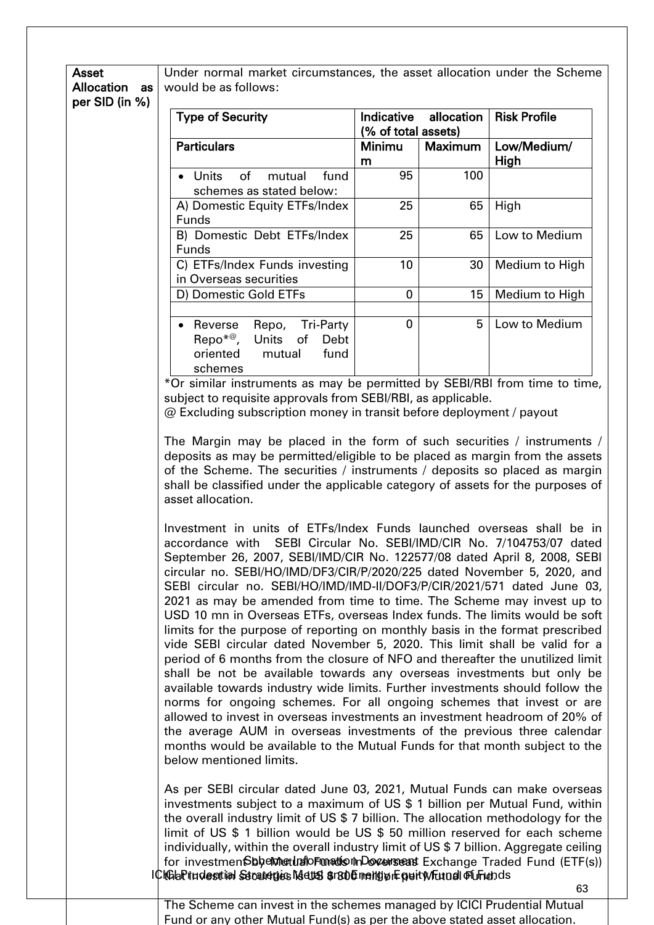| <b>Asset</b>   | Under normal market circumstances, the asset allocation under the Scheme |
|----------------|--------------------------------------------------------------------------|
|                | <b>Allocation</b> as would be as follows:                                |
| per SID (in %) |                                                                          |

| <b>Type of Security</b>                                                                                | (% of total assets) | Indicative allocation | <b>Risk Profile</b> |
|--------------------------------------------------------------------------------------------------------|---------------------|-----------------------|---------------------|
| <b>Particulars</b>                                                                                     | Minimu<br>m         | <b>Maximum</b>        | Low/Medium/<br>High |
| Units of mutual<br>fund<br>schemes as stated below:                                                    | 95                  | 100                   |                     |
| A) Domestic Equity ETFs/Index<br><b>Funds</b>                                                          | 25                  | 65                    | High                |
| B) Domestic Debt ETFs/Index<br><b>Funds</b>                                                            | 25                  | 65                    | Low to Medium       |
| C) ETFs/Index Funds investing<br>in Overseas securities                                                | 10                  | 30                    | Medium to High      |
| D) Domestic Gold ETFs                                                                                  | 0                   | 15                    | Medium to High      |
| Repo, Tri-Party<br>Reverse<br>Repo <sup>*@</sup> , Units of Debt<br>oriented mutual<br>fund<br>schemes | 0                   | 5                     | Low to Medium       |

\*Or similar instruments as may be permitted by SEBI/RBI from time to time, subject to requisite approvals from SEBI/RBI, as applicable.

@ Excluding subscription money in transit before deployment / payout

The Margin may be placed in the form of such securities / instruments / deposits as may be permitted/eligible to be placed as margin from the assets of the Scheme. The securities / instruments / deposits so placed as margin shall be classified under the applicable category of assets for the purposes of asset allocation.

Investment in units of ETFs/Index Funds launched overseas shall be in accordance with SEBI Circular No. SEBI/IMD/CIR No. 7/104753/07 dated September 26, 2007, SEBI/IMD/CIR No. 122577/08 dated April 8, 2008, SEBI circular no. SEBI/HO/IMD/DF3/CIR/P/2020/225 dated November 5, 2020, and SEBI circular no. SEBI/HO/IMD/IMD-II/DOF3/P/CIR/2021/571 dated June 03, 2021 as may be amended from time to time. The Scheme may invest up to USD 10 mn in Overseas ETFs, overseas Index funds. The limits would be soft limits for the purpose of reporting on monthly basis in the format prescribed vide SEBI circular dated November 5, 2020. This limit shall be valid for a period of 6 months from the closure of NFO and thereafter the unutilized limit shall be not be available towards any overseas investments but only be available towards industry wide limits. Further investments should follow the norms for ongoing schemes. For all ongoing schemes that invest or are allowed to invest in overseas investments an investment headroom of 20% of the average AUM in overseas investments of the previous three calendar months would be available to the Mutual Funds for that month subject to the below mentioned limits.

for investmen**SbyemeruafoFmedon-Docerseas** Exchange Traded Fund (ETF(s)) l¢lGlaPriudesitial Stratierius Metts \$r806 mengwiFpeitWicutal Plurunds As per SEBI circular dated June 03, 2021, Mutual Funds can make overseas investments subject to a maximum of US \$ 1 billion per Mutual Fund, within the overall industry limit of US \$ 7 billion. The allocation methodology for the limit of US \$ 1 billion would be US \$ 50 million reserved for each scheme individually, within the overall industry limit of US \$ 7 billion. Aggregate ceiling

The Scheme can invest in the schemes managed by ICICI Prudential Mutual Fund or any other Mutual Fund(s) as per the above stated asset allocation.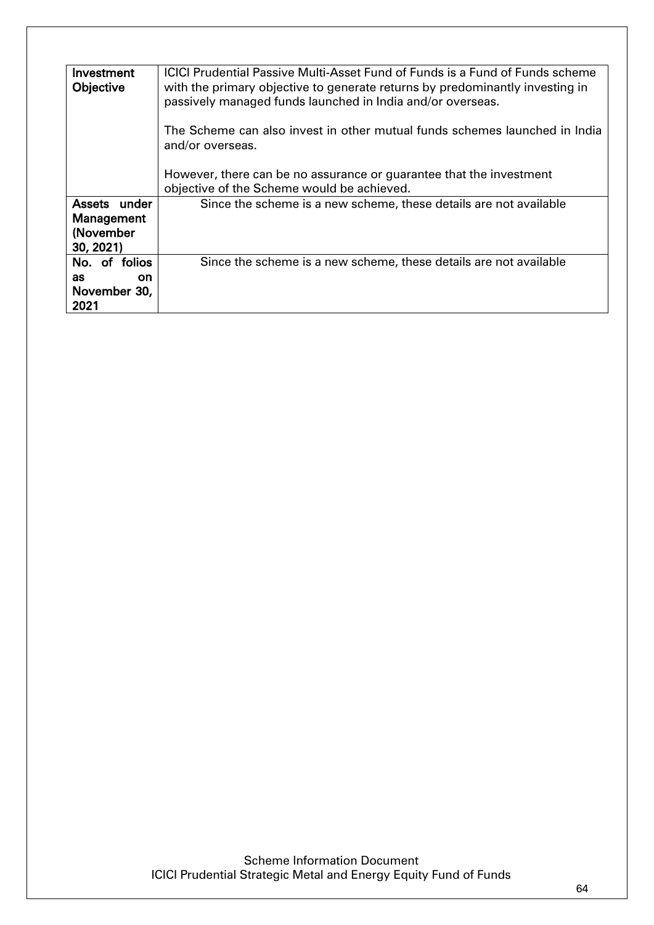| Investment<br>Objective                                  | <b>ICICI Prudential Passive Multi-Asset Fund of Funds is a Fund of Funds scheme</b><br>with the primary objective to generate returns by predominantly investing in<br>passively managed funds launched in India and/or overseas. |
|----------------------------------------------------------|-----------------------------------------------------------------------------------------------------------------------------------------------------------------------------------------------------------------------------------|
|                                                          | The Scheme can also invest in other mutual funds schemes launched in India<br>and/or overseas.                                                                                                                                    |
|                                                          | However, there can be no assurance or guarantee that the investment<br>objective of the Scheme would be achieved.                                                                                                                 |
| Assets under<br>Management<br>(November<br>30, 2021)     | Since the scheme is a new scheme, these details are not available                                                                                                                                                                 |
| No. of folios<br>as<br><b>on</b><br>November 30,<br>2021 | Since the scheme is a new scheme, these details are not available                                                                                                                                                                 |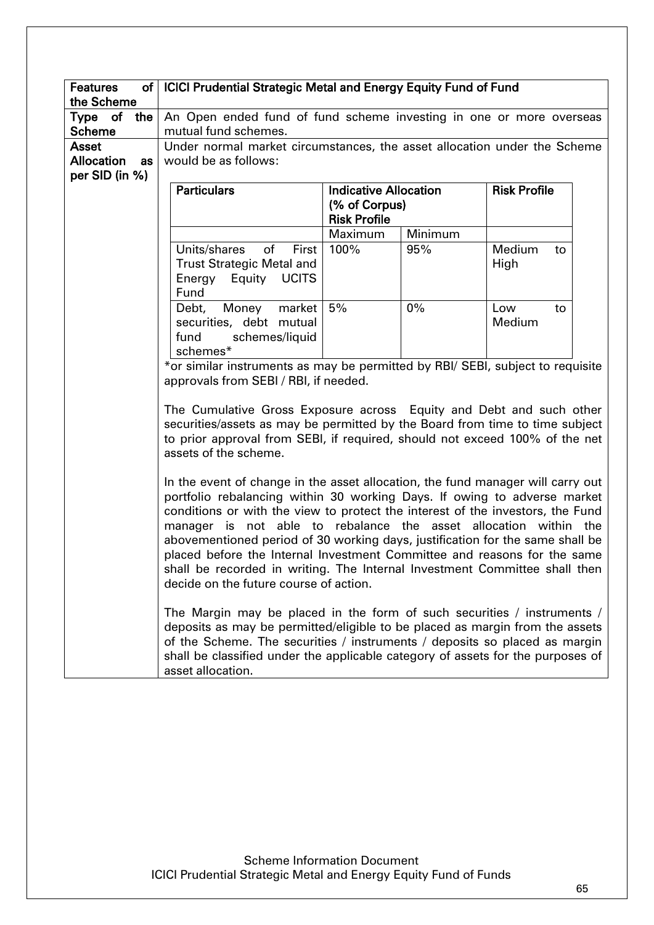| <b>Features</b>                         | of   ICICI Prudential Strategic Metal and Energy Equity Fund of Fund                                                                                                                                                                                                                                                                                                                                                                                                                                                                                                                                   |                                                                      |         |                      |
|-----------------------------------------|--------------------------------------------------------------------------------------------------------------------------------------------------------------------------------------------------------------------------------------------------------------------------------------------------------------------------------------------------------------------------------------------------------------------------------------------------------------------------------------------------------------------------------------------------------------------------------------------------------|----------------------------------------------------------------------|---------|----------------------|
| the Scheme                              |                                                                                                                                                                                                                                                                                                                                                                                                                                                                                                                                                                                                        |                                                                      |         |                      |
| Type of<br>the $\vert$<br><b>Scheme</b> | An Open ended fund of fund scheme investing in one or more overseas<br>mutual fund schemes.                                                                                                                                                                                                                                                                                                                                                                                                                                                                                                            |                                                                      |         |                      |
| <b>Asset</b>                            | Under normal market circumstances, the asset allocation under the Scheme                                                                                                                                                                                                                                                                                                                                                                                                                                                                                                                               |                                                                      |         |                      |
| <b>Allocation</b><br>as                 | would be as follows:                                                                                                                                                                                                                                                                                                                                                                                                                                                                                                                                                                                   |                                                                      |         |                      |
| per SID (in %)                          |                                                                                                                                                                                                                                                                                                                                                                                                                                                                                                                                                                                                        |                                                                      |         |                      |
|                                         | <b>Particulars</b>                                                                                                                                                                                                                                                                                                                                                                                                                                                                                                                                                                                     | <b>Indicative Allocation</b><br>(% of Corpus)<br><b>Risk Profile</b> |         | <b>Risk Profile</b>  |
|                                         |                                                                                                                                                                                                                                                                                                                                                                                                                                                                                                                                                                                                        | Maximum                                                              | Minimum |                      |
|                                         | Units/shares<br>of<br>First<br><b>Trust Strategic Metal and</b><br>Energy Equity UCITS<br>Fund                                                                                                                                                                                                                                                                                                                                                                                                                                                                                                         | 100%                                                                 | 95%     | Medium<br>to<br>High |
|                                         | Debt,<br>Money<br>market<br>securities, debt mutual<br>schemes/liquid<br>fund<br>schemes*                                                                                                                                                                                                                                                                                                                                                                                                                                                                                                              | 5%                                                                   | 0%      | Low<br>to<br>Medium  |
|                                         | *or similar instruments as may be permitted by RBI/ SEBI, subject to requisite<br>approvals from SEBI / RBI, if needed.                                                                                                                                                                                                                                                                                                                                                                                                                                                                                |                                                                      |         |                      |
|                                         | The Cumulative Gross Exposure across Equity and Debt and such other<br>securities/assets as may be permitted by the Board from time to time subject<br>to prior approval from SEBI, if required, should not exceed 100% of the net<br>assets of the scheme.                                                                                                                                                                                                                                                                                                                                            |                                                                      |         |                      |
|                                         | In the event of change in the asset allocation, the fund manager will carry out<br>portfolio rebalancing within 30 working Days. If owing to adverse market<br>conditions or with the view to protect the interest of the investors, the Fund<br>manager is not able to rebalance the asset allocation within the<br>abovementioned period of 30 working days, justification for the same shall be<br>placed before the Internal Investment Committee and reasons for the same<br>shall be recorded in writing. The Internal Investment Committee shall then<br>decide on the future course of action. |                                                                      |         |                      |
|                                         | The Margin may be placed in the form of such securities / instruments /<br>deposits as may be permitted/eligible to be placed as margin from the assets<br>of the Scheme. The securities / instruments / deposits so placed as margin<br>shall be classified under the applicable category of assets for the purposes of<br>asset allocation.                                                                                                                                                                                                                                                          |                                                                      |         |                      |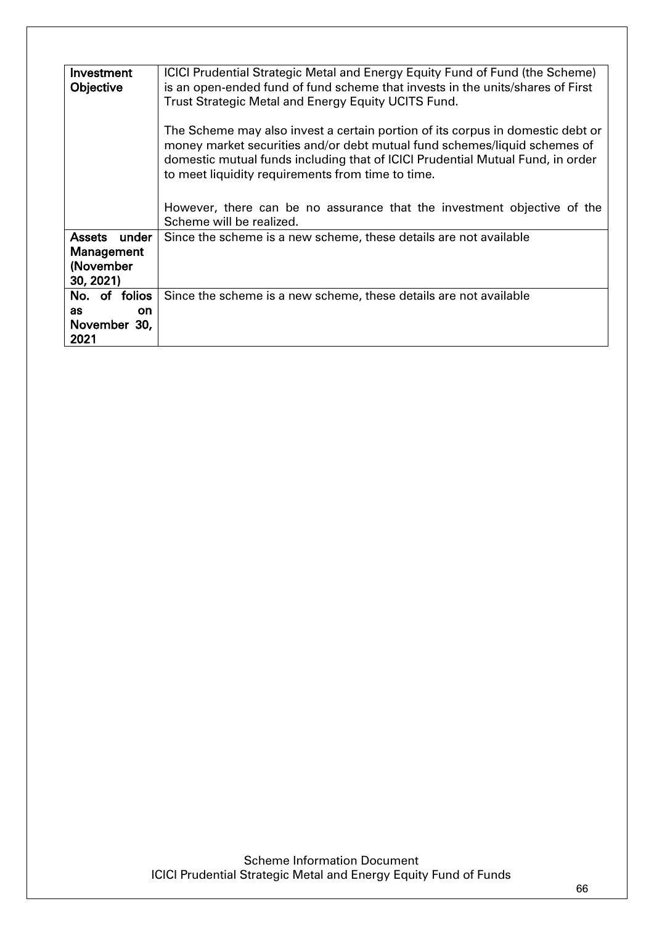| Investment<br>Objective | ICICI Prudential Strategic Metal and Energy Equity Fund of Fund (the Scheme)<br>is an open-ended fund of fund scheme that invests in the units/shares of First<br>Trust Strategic Metal and Energy Equity UCITS Fund.                                                                              |  |
|-------------------------|----------------------------------------------------------------------------------------------------------------------------------------------------------------------------------------------------------------------------------------------------------------------------------------------------|--|
|                         | The Scheme may also invest a certain portion of its corpus in domestic debt or<br>money market securities and/or debt mutual fund schemes/liquid schemes of<br>domestic mutual funds including that of ICICI Prudential Mutual Fund, in order<br>to meet liquidity requirements from time to time. |  |
|                         | However, there can be no assurance that the investment objective of the<br>Scheme will be realized.                                                                                                                                                                                                |  |
| Assets under            | Since the scheme is a new scheme, these details are not available                                                                                                                                                                                                                                  |  |
| Management              |                                                                                                                                                                                                                                                                                                    |  |
| (November               |                                                                                                                                                                                                                                                                                                    |  |
|                         |                                                                                                                                                                                                                                                                                                    |  |
| 30, 2021)               |                                                                                                                                                                                                                                                                                                    |  |
| No. of folios           | Since the scheme is a new scheme, these details are not available                                                                                                                                                                                                                                  |  |
| as<br><b>on</b>         |                                                                                                                                                                                                                                                                                                    |  |
| November 30,            |                                                                                                                                                                                                                                                                                                    |  |
| 2021                    |                                                                                                                                                                                                                                                                                                    |  |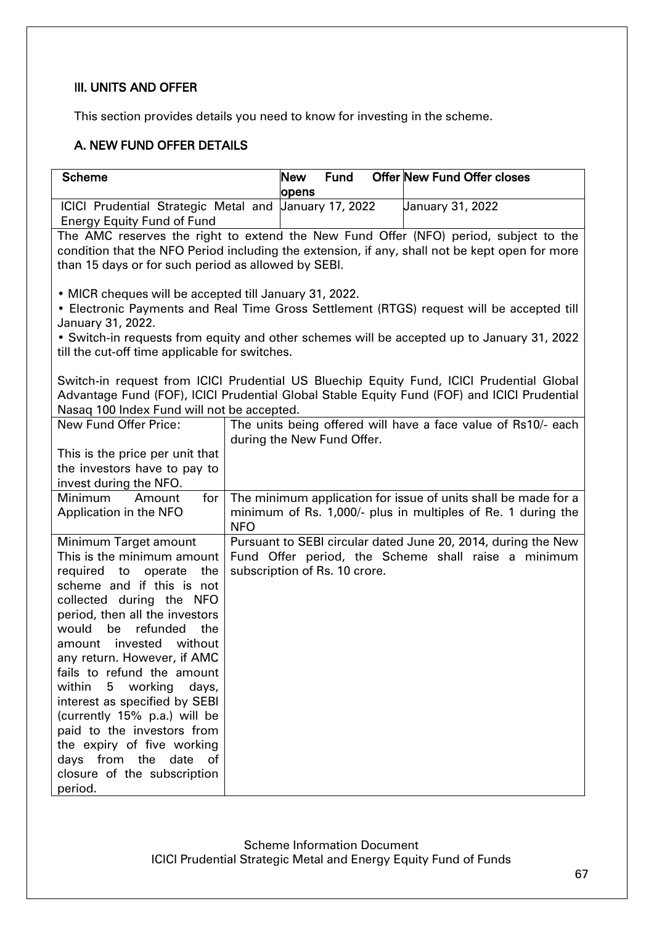## III. UNITS AND OFFER

This section provides details you need to know for investing in the scheme.

# A. NEW FUND OFFER DETAILS

| <b>Scheme</b>                                                |                               | <b>New</b> | <b>Fund</b>      | <b>Offer New Fund Offer closes</b>                                                             |
|--------------------------------------------------------------|-------------------------------|------------|------------------|------------------------------------------------------------------------------------------------|
|                                                              |                               | opens      |                  |                                                                                                |
| ICICI Prudential Strategic Metal and <i>Uanuary</i> 17, 2022 |                               |            | January 31, 2022 |                                                                                                |
| <b>Energy Equity Fund of Fund</b>                            |                               |            |                  |                                                                                                |
|                                                              |                               |            |                  | The AMC reserves the right to extend the New Fund Offer (NFO) period, subject to the           |
|                                                              |                               |            |                  | condition that the NFO Period including the extension, if any, shall not be kept open for more |
| than 15 days or for such period as allowed by SEBI.          |                               |            |                  |                                                                                                |
|                                                              |                               |            |                  |                                                                                                |
| • MICR cheques will be accepted till January 31, 2022.       |                               |            |                  |                                                                                                |
|                                                              |                               |            |                  | • Electronic Payments and Real Time Gross Settlement (RTGS) request will be accepted till      |
| January 31, 2022.                                            |                               |            |                  |                                                                                                |
|                                                              |                               |            |                  | • Switch-in requests from equity and other schemes will be accepted up to January 31, 2022     |
| till the cut-off time applicable for switches.               |                               |            |                  |                                                                                                |
|                                                              |                               |            |                  |                                                                                                |
|                                                              |                               |            |                  | Switch-in request from ICICI Prudential US Bluechip Equity Fund, ICICI Prudential Global       |
|                                                              |                               |            |                  | Advantage Fund (FOF), ICICI Prudential Global Stable Equity Fund (FOF) and ICICI Prudential    |
| Nasaq 100 Index Fund will not be accepted.                   |                               |            |                  |                                                                                                |
| New Fund Offer Price:                                        |                               |            |                  | The units being offered will have a face value of Rs10/- each                                  |
|                                                              | during the New Fund Offer.    |            |                  |                                                                                                |
| This is the price per unit that                              |                               |            |                  |                                                                                                |
| the investors have to pay to                                 |                               |            |                  |                                                                                                |
| invest during the NFO.                                       |                               |            |                  |                                                                                                |
| Minimum<br>for<br>Amount                                     |                               |            |                  | The minimum application for issue of units shall be made for a                                 |
| Application in the NFO                                       |                               |            |                  | minimum of Rs. 1,000/- plus in multiples of Re. 1 during the                                   |
|                                                              | <b>NFO</b>                    |            |                  |                                                                                                |
| Minimum Target amount                                        |                               |            |                  | Pursuant to SEBI circular dated June 20, 2014, during the New                                  |
| This is the minimum amount                                   |                               |            |                  | Fund Offer period, the Scheme shall raise a minimum                                            |
| required to operate<br>the                                   | subscription of Rs. 10 crore. |            |                  |                                                                                                |
| scheme and if this is not                                    |                               |            |                  |                                                                                                |
| collected during the NFO                                     |                               |            |                  |                                                                                                |
| period, then all the investors                               |                               |            |                  |                                                                                                |
| be<br>refunded<br>would<br>the                               |                               |            |                  |                                                                                                |
| amount invested<br>without                                   |                               |            |                  |                                                                                                |
| any return. However, if AMC                                  |                               |            |                  |                                                                                                |
| fails to refund the amount                                   |                               |            |                  |                                                                                                |
| 5 working<br>within<br>days,                                 |                               |            |                  |                                                                                                |
| interest as specified by SEBI                                |                               |            |                  |                                                                                                |
| (currently 15% p.a.) will be                                 |                               |            |                  |                                                                                                |
| paid to the investors from                                   |                               |            |                  |                                                                                                |
| the expiry of five working                                   |                               |            |                  |                                                                                                |
| days from the<br>date<br>of                                  |                               |            |                  |                                                                                                |
| closure of the subscription                                  |                               |            |                  |                                                                                                |
| period.                                                      |                               |            |                  |                                                                                                |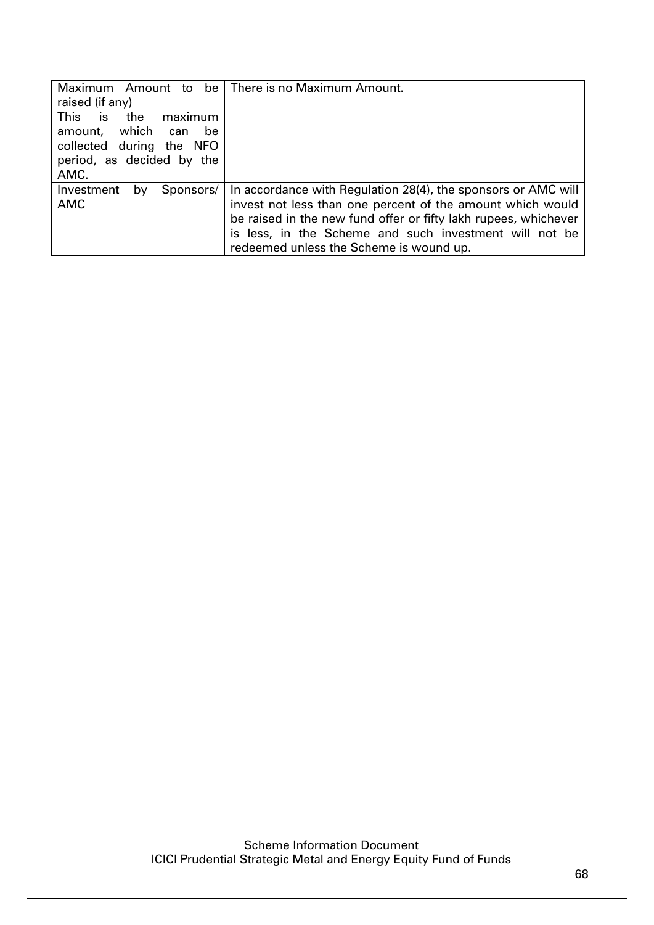| raised (if any)<br>is:<br><b>This</b><br>the<br>maximum                                        | Maximum Amount to be   There is no Maximum Amount.                                                                                                                                                                                                                                                  |
|------------------------------------------------------------------------------------------------|-----------------------------------------------------------------------------------------------------------------------------------------------------------------------------------------------------------------------------------------------------------------------------------------------------|
| which<br>amount,<br>be<br>can<br>collected during the NFO<br>period, as decided by the<br>AMC. |                                                                                                                                                                                                                                                                                                     |
| Investment<br>Sponsors/<br>by<br><b>AMC</b>                                                    | In accordance with Regulation 28(4), the sponsors or AMC will<br>invest not less than one percent of the amount which would<br>be raised in the new fund offer or fifty lakh rupees, whichever<br>is less, in the Scheme and such investment will not be<br>redeemed unless the Scheme is wound up. |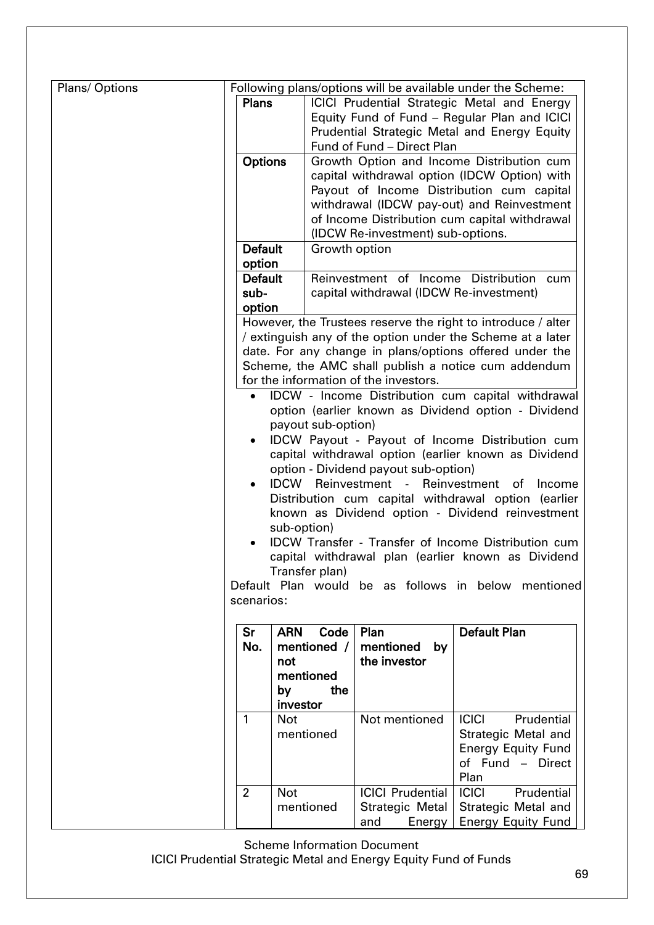| Plans/Options |                                                                                                                  |                    |                                         | Following plans/options will be available under the Scheme:                                                                |  |  |  |
|---------------|------------------------------------------------------------------------------------------------------------------|--------------------|-----------------------------------------|----------------------------------------------------------------------------------------------------------------------------|--|--|--|
|               | <b>Plans</b>                                                                                                     |                    |                                         | <b>ICICI Prudential Strategic Metal and Energy</b>                                                                         |  |  |  |
|               |                                                                                                                  |                    |                                         |                                                                                                                            |  |  |  |
|               |                                                                                                                  |                    |                                         | Equity Fund of Fund - Regular Plan and ICICI                                                                               |  |  |  |
|               |                                                                                                                  |                    |                                         | Prudential Strategic Metal and Energy Equity                                                                               |  |  |  |
|               |                                                                                                                  |                    | Fund of Fund - Direct Plan              |                                                                                                                            |  |  |  |
|               | <b>Options</b>                                                                                                   |                    |                                         | Growth Option and Income Distribution cum                                                                                  |  |  |  |
|               |                                                                                                                  |                    |                                         | capital withdrawal option (IDCW Option) with                                                                               |  |  |  |
|               |                                                                                                                  |                    |                                         | Payout of Income Distribution cum capital                                                                                  |  |  |  |
|               |                                                                                                                  |                    |                                         | withdrawal (IDCW pay-out) and Reinvestment                                                                                 |  |  |  |
|               |                                                                                                                  |                    |                                         | of Income Distribution cum capital withdrawal                                                                              |  |  |  |
|               | <b>Default</b>                                                                                                   | Growth option      | (IDCW Re-investment) sub-options.       |                                                                                                                            |  |  |  |
|               | option                                                                                                           |                    |                                         |                                                                                                                            |  |  |  |
|               | <b>Default</b>                                                                                                   |                    | Reinvestment of Income Distribution     |                                                                                                                            |  |  |  |
|               |                                                                                                                  |                    |                                         | cum                                                                                                                        |  |  |  |
|               | sub-                                                                                                             |                    | capital withdrawal (IDCW Re-investment) |                                                                                                                            |  |  |  |
|               | option                                                                                                           |                    |                                         |                                                                                                                            |  |  |  |
|               |                                                                                                                  |                    |                                         | However, the Trustees reserve the right to introduce / alter<br>/ extinguish any of the option under the Scheme at a later |  |  |  |
|               |                                                                                                                  |                    |                                         | date. For any change in plans/options offered under the                                                                    |  |  |  |
|               |                                                                                                                  |                    |                                         | Scheme, the AMC shall publish a notice cum addendum                                                                        |  |  |  |
|               |                                                                                                                  |                    | for the information of the investors.   |                                                                                                                            |  |  |  |
|               |                                                                                                                  |                    |                                         | IDCW - Income Distribution cum capital withdrawal                                                                          |  |  |  |
|               |                                                                                                                  |                    |                                         |                                                                                                                            |  |  |  |
|               | option (earlier known as Dividend option - Dividend<br>payout sub-option)                                        |                    |                                         |                                                                                                                            |  |  |  |
|               |                                                                                                                  |                    |                                         | IDCW Payout - Payout of Income Distribution cum                                                                            |  |  |  |
|               |                                                                                                                  |                    |                                         | capital withdrawal option (earlier known as Dividend                                                                       |  |  |  |
|               |                                                                                                                  |                    | option - Dividend payout sub-option)    |                                                                                                                            |  |  |  |
|               | ٠                                                                                                                | <b>IDCW</b>        | Reinvestment -                          | Reinvestment<br>Income<br>ot                                                                                               |  |  |  |
|               |                                                                                                                  |                    |                                         | Distribution cum capital withdrawal option (earlier                                                                        |  |  |  |
|               |                                                                                                                  |                    |                                         |                                                                                                                            |  |  |  |
|               | known as Dividend option - Dividend reinvestment<br>sub-option)                                                  |                    |                                         |                                                                                                                            |  |  |  |
|               |                                                                                                                  |                    |                                         |                                                                                                                            |  |  |  |
|               | <b>IDCW Transfer - Transfer of Income Distribution cum</b><br>capital withdrawal plan (earlier known as Dividend |                    |                                         |                                                                                                                            |  |  |  |
|               | Transfer plan)                                                                                                   |                    |                                         |                                                                                                                            |  |  |  |
|               |                                                                                                                  |                    |                                         | Default Plan would be as follows in below mentioned                                                                        |  |  |  |
|               | scenarios:                                                                                                       |                    |                                         |                                                                                                                            |  |  |  |
|               |                                                                                                                  |                    |                                         |                                                                                                                            |  |  |  |
|               | Sr                                                                                                               | <b>ARN</b><br>Code | Plan                                    | <b>Default Plan</b>                                                                                                        |  |  |  |
|               | No.                                                                                                              | mentioned /        | mentioned<br>by                         |                                                                                                                            |  |  |  |
|               |                                                                                                                  | not                | the investor                            |                                                                                                                            |  |  |  |
|               |                                                                                                                  | mentioned          |                                         |                                                                                                                            |  |  |  |
|               |                                                                                                                  | the<br>by          |                                         |                                                                                                                            |  |  |  |
|               |                                                                                                                  | investor           |                                         |                                                                                                                            |  |  |  |
|               | $\mathbf{1}$                                                                                                     | <b>Not</b>         | Not mentioned                           | <b>ICICI</b><br>Prudential                                                                                                 |  |  |  |
|               |                                                                                                                  | mentioned          |                                         | Strategic Metal and                                                                                                        |  |  |  |
|               |                                                                                                                  |                    |                                         | <b>Energy Equity Fund</b>                                                                                                  |  |  |  |
|               |                                                                                                                  |                    |                                         | of Fund - Direct                                                                                                           |  |  |  |
|               |                                                                                                                  |                    |                                         | Plan                                                                                                                       |  |  |  |
|               | $\overline{2}$                                                                                                   | <b>Not</b>         | <b>ICICI Prudential</b>                 | <b>ICICI</b><br>Prudential                                                                                                 |  |  |  |
|               |                                                                                                                  | mentioned          | Strategic Metal                         | Strategic Metal and                                                                                                        |  |  |  |
|               |                                                                                                                  |                    | and<br>Energy                           | <b>Energy Equity Fund</b>                                                                                                  |  |  |  |

Scheme Information Document

ICICI Prudential Strategic Metal and Energy Equity Fund of Funds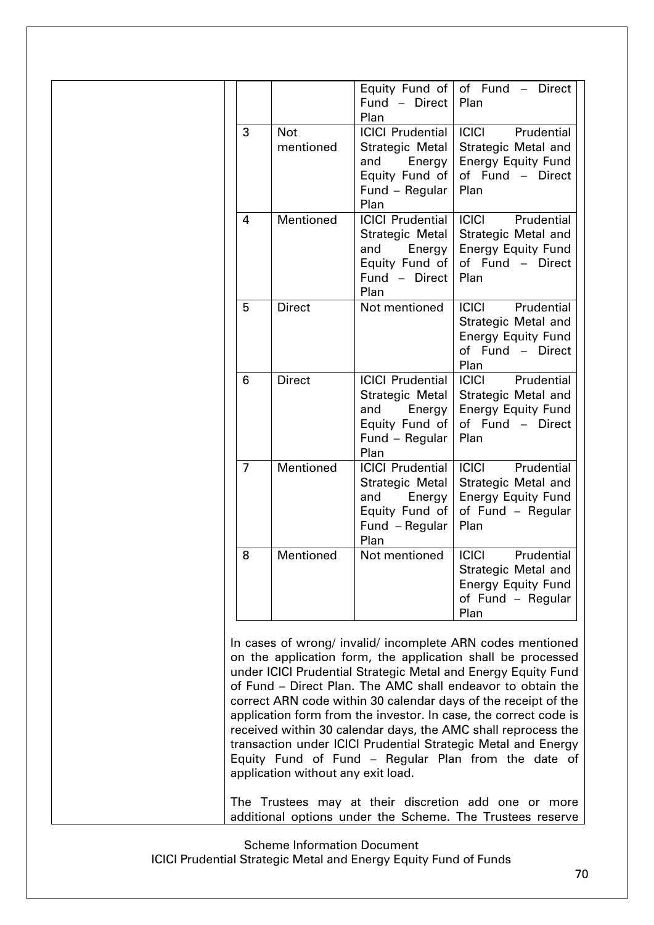|                |                         | Equity Fund of<br>Fund - Direct<br>Plan                                                                 | of Fund - Direct<br>Plan                                                                                    |
|----------------|-------------------------|---------------------------------------------------------------------------------------------------------|-------------------------------------------------------------------------------------------------------------|
| 3              | <b>Not</b><br>mentioned | <b>ICICI Prudential</b><br>Strategic Metal<br>and<br>Energy<br>Equity Fund of<br>Fund - Regular<br>Plan | <b>ICICI</b><br>Prudential<br>Strategic Metal and<br><b>Energy Equity Fund</b><br>of Fund - Direct<br>Plan  |
| 4              | Mentioned               | <b>ICICI Prudential</b><br>Strategic Metal<br>Energy<br>and<br>Equity Fund of<br>Fund - Direct<br>Plan  | <b>ICICI</b><br>Prudential<br>Strategic Metal and<br><b>Energy Equity Fund</b><br>of Fund - Direct<br>Plan  |
| 5              | <b>Direct</b>           | Not mentioned                                                                                           | <b>ICICI</b><br>Prudential<br>Strategic Metal and<br><b>Energy Equity Fund</b><br>of Fund - Direct<br>Plan  |
| 6              | <b>Direct</b>           | <b>ICICI Prudential</b><br>Strategic Metal<br>and<br>Energy<br>Equity Fund of<br>Fund - Regular<br>Plan | Prudential<br><b>ICICI</b><br>Strategic Metal and<br><b>Energy Equity Fund</b><br>of Fund - Direct<br>Plan  |
| $\overline{7}$ | <b>Mentioned</b>        | <b>ICICI Prudential</b><br>Strategic Metal<br>Energy<br>and<br>Equity Fund of<br>Fund - Regular<br>Plan | <b>ICICI</b><br>Prudential<br>Strategic Metal and<br><b>Energy Equity Fund</b><br>of Fund - Regular<br>Plan |
| 8              | Mentioned               | Not mentioned                                                                                           | Prudential<br><b>ICICI</b><br>Strategic Metal and<br><b>Energy Equity Fund</b><br>of Fund - Regular<br>Plan |

In cases of wrong/ invalid/ incomplete ARN codes mentioned on the application form, the application shall be processed under ICICI Prudential Strategic Metal and Energy Equity Fund of Fund – Direct Plan. The AMC shall endeavor to obtain the correct ARN code within 30 calendar days of the receipt of the application form from the investor. In case, the correct code is received within 30 calendar days, the AMC shall reprocess the transaction under ICICI Prudential Strategic Metal and Energy Equity Fund of Fund – Regular Plan from the date of application without any exit load.

The Trustees may at their discretion add one or more additional options under the Scheme. The Trustees reserve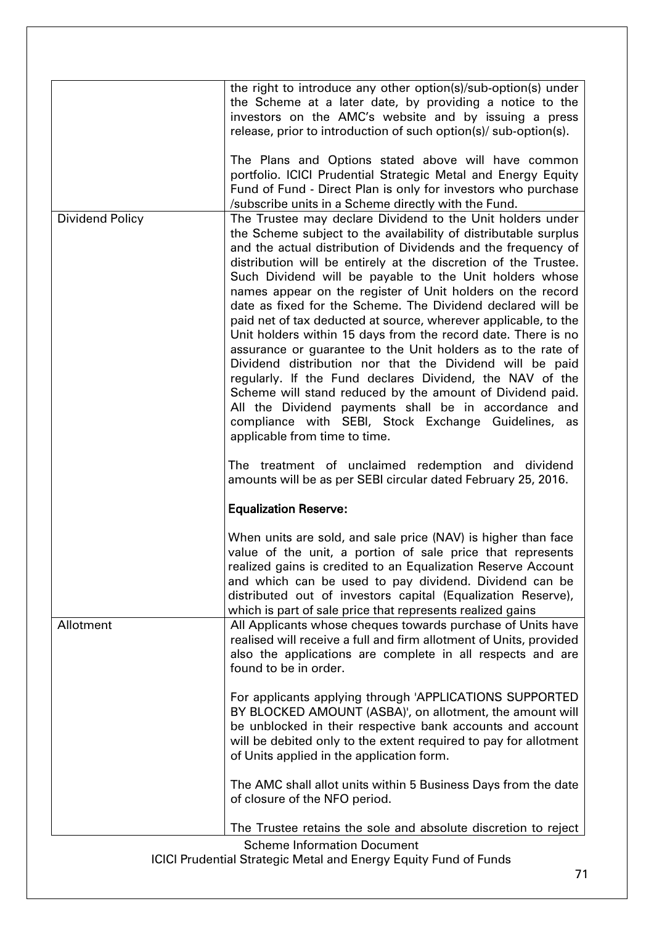|                        | the right to introduce any other option(s)/sub-option(s) under<br>the Scheme at a later date, by providing a notice to the<br>investors on the AMC's website and by issuing a press<br>release, prior to introduction of such option(s)/ sub-option(s).                                                                                                                                                                                                                                                                                                                                                                                                                                                                                                                                                                                                                                                                                                                                                                                                  |
|------------------------|----------------------------------------------------------------------------------------------------------------------------------------------------------------------------------------------------------------------------------------------------------------------------------------------------------------------------------------------------------------------------------------------------------------------------------------------------------------------------------------------------------------------------------------------------------------------------------------------------------------------------------------------------------------------------------------------------------------------------------------------------------------------------------------------------------------------------------------------------------------------------------------------------------------------------------------------------------------------------------------------------------------------------------------------------------|
|                        | The Plans and Options stated above will have common<br>portfolio. ICICI Prudential Strategic Metal and Energy Equity<br>Fund of Fund - Direct Plan is only for investors who purchase<br>/subscribe units in a Scheme directly with the Fund.                                                                                                                                                                                                                                                                                                                                                                                                                                                                                                                                                                                                                                                                                                                                                                                                            |
| <b>Dividend Policy</b> | The Trustee may declare Dividend to the Unit holders under<br>the Scheme subject to the availability of distributable surplus<br>and the actual distribution of Dividends and the frequency of<br>distribution will be entirely at the discretion of the Trustee.<br>Such Dividend will be payable to the Unit holders whose<br>names appear on the register of Unit holders on the record<br>date as fixed for the Scheme. The Dividend declared will be<br>paid net of tax deducted at source, wherever applicable, to the<br>Unit holders within 15 days from the record date. There is no<br>assurance or guarantee to the Unit holders as to the rate of<br>Dividend distribution nor that the Dividend will be paid<br>regularly. If the Fund declares Dividend, the NAV of the<br>Scheme will stand reduced by the amount of Dividend paid.<br>All the Dividend payments shall be in accordance and<br>compliance with SEBI, Stock Exchange Guidelines, as<br>applicable from time to time.<br>The treatment of unclaimed redemption and dividend |
|                        | amounts will be as per SEBI circular dated February 25, 2016.<br><b>Equalization Reserve:</b>                                                                                                                                                                                                                                                                                                                                                                                                                                                                                                                                                                                                                                                                                                                                                                                                                                                                                                                                                            |
|                        |                                                                                                                                                                                                                                                                                                                                                                                                                                                                                                                                                                                                                                                                                                                                                                                                                                                                                                                                                                                                                                                          |
|                        | When units are sold, and sale price (NAV) is higher than face<br>value of the unit, a portion of sale price that represents<br>realized gains is credited to an Equalization Reserve Account<br>and which can be used to pay dividend. Dividend can be<br>distributed out of investors capital (Equalization Reserve),<br>which is part of sale price that represents realized gains                                                                                                                                                                                                                                                                                                                                                                                                                                                                                                                                                                                                                                                                     |
| Allotment              | All Applicants whose cheques towards purchase of Units have<br>realised will receive a full and firm allotment of Units, provided<br>also the applications are complete in all respects and are<br>found to be in order.                                                                                                                                                                                                                                                                                                                                                                                                                                                                                                                                                                                                                                                                                                                                                                                                                                 |
|                        | For applicants applying through 'APPLICATIONS SUPPORTED<br>BY BLOCKED AMOUNT (ASBA)', on allotment, the amount will<br>be unblocked in their respective bank accounts and account<br>will be debited only to the extent required to pay for allotment<br>of Units applied in the application form.                                                                                                                                                                                                                                                                                                                                                                                                                                                                                                                                                                                                                                                                                                                                                       |
|                        | The AMC shall allot units within 5 Business Days from the date<br>of closure of the NFO period.                                                                                                                                                                                                                                                                                                                                                                                                                                                                                                                                                                                                                                                                                                                                                                                                                                                                                                                                                          |
|                        | The Trustee retains the sole and absolute discretion to reject                                                                                                                                                                                                                                                                                                                                                                                                                                                                                                                                                                                                                                                                                                                                                                                                                                                                                                                                                                                           |
|                        | <b>Scheme Information Document</b>                                                                                                                                                                                                                                                                                                                                                                                                                                                                                                                                                                                                                                                                                                                                                                                                                                                                                                                                                                                                                       |

ICICI Prudential Strategic Metal and Energy Equity Fund of Funds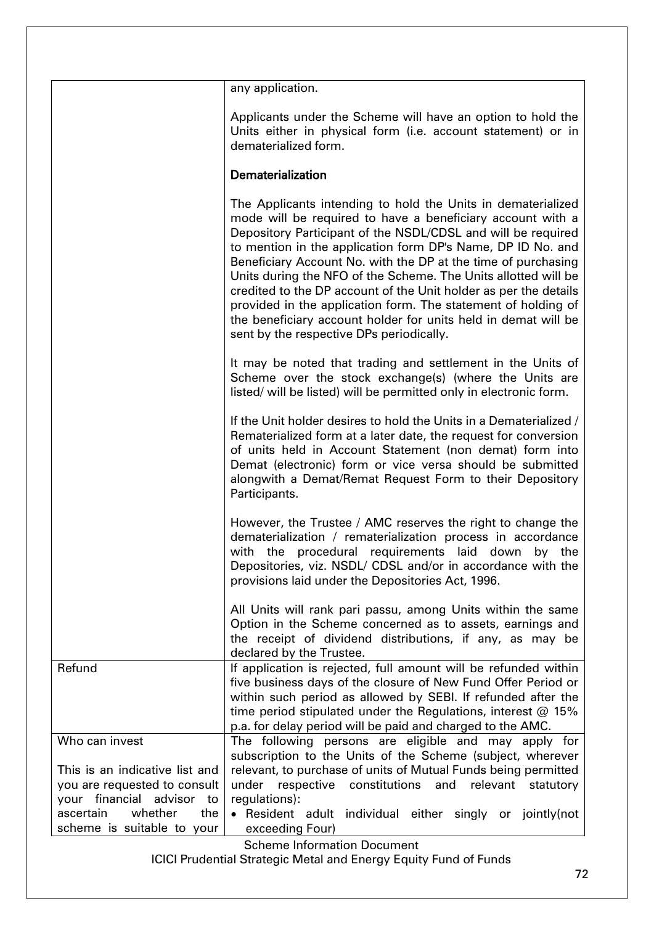|                                                                                             | any application.                                                                                                                                                                                                                                                                                                                                                                                                                                                                                                                                                                                                                                |
|---------------------------------------------------------------------------------------------|-------------------------------------------------------------------------------------------------------------------------------------------------------------------------------------------------------------------------------------------------------------------------------------------------------------------------------------------------------------------------------------------------------------------------------------------------------------------------------------------------------------------------------------------------------------------------------------------------------------------------------------------------|
|                                                                                             | Applicants under the Scheme will have an option to hold the<br>Units either in physical form (i.e. account statement) or in<br>dematerialized form.                                                                                                                                                                                                                                                                                                                                                                                                                                                                                             |
|                                                                                             | Dematerialization                                                                                                                                                                                                                                                                                                                                                                                                                                                                                                                                                                                                                               |
|                                                                                             | The Applicants intending to hold the Units in dematerialized<br>mode will be required to have a beneficiary account with a<br>Depository Participant of the NSDL/CDSL and will be required<br>to mention in the application form DP's Name, DP ID No. and<br>Beneficiary Account No. with the DP at the time of purchasing<br>Units during the NFO of the Scheme. The Units allotted will be<br>credited to the DP account of the Unit holder as per the details<br>provided in the application form. The statement of holding of<br>the beneficiary account holder for units held in demat will be<br>sent by the respective DPs periodically. |
|                                                                                             | It may be noted that trading and settlement in the Units of<br>Scheme over the stock exchange(s) (where the Units are<br>listed/ will be listed) will be permitted only in electronic form.                                                                                                                                                                                                                                                                                                                                                                                                                                                     |
|                                                                                             | If the Unit holder desires to hold the Units in a Dematerialized /<br>Rematerialized form at a later date, the request for conversion<br>of units held in Account Statement (non demat) form into<br>Demat (electronic) form or vice versa should be submitted<br>alongwith a Demat/Remat Request Form to their Depository<br>Participants.                                                                                                                                                                                                                                                                                                     |
|                                                                                             | However, the Trustee / AMC reserves the right to change the<br>dematerialization / rematerialization process in accordance<br>with the procedural requirements laid down<br>by the<br>Depositories, viz. NSDL/ CDSL and/or in accordance with the<br>provisions laid under the Depositories Act, 1996.                                                                                                                                                                                                                                                                                                                                          |
|                                                                                             | All Units will rank pari passu, among Units within the same<br>Option in the Scheme concerned as to assets, earnings and<br>the receipt of dividend distributions, if any, as may be<br>declared by the Trustee.                                                                                                                                                                                                                                                                                                                                                                                                                                |
| Refund                                                                                      | If application is rejected, full amount will be refunded within<br>five business days of the closure of New Fund Offer Period or<br>within such period as allowed by SEBI. If refunded after the<br>time period stipulated under the Regulations, interest $@$ 15%<br>p.a. for delay period will be paid and charged to the AMC.                                                                                                                                                                                                                                                                                                                |
| Who can invest                                                                              | The following persons are eligible and may apply for                                                                                                                                                                                                                                                                                                                                                                                                                                                                                                                                                                                            |
|                                                                                             | subscription to the Units of the Scheme (subject, wherever                                                                                                                                                                                                                                                                                                                                                                                                                                                                                                                                                                                      |
| This is an indicative list and<br>you are requested to consult<br>your financial advisor to | relevant, to purchase of units of Mutual Funds being permitted<br>under respective<br>constitutions<br>and<br>relevant<br>statutory<br>regulations):                                                                                                                                                                                                                                                                                                                                                                                                                                                                                            |
| whether<br>ascertain<br>the                                                                 | • Resident adult individual either singly or jointly(not                                                                                                                                                                                                                                                                                                                                                                                                                                                                                                                                                                                        |
| scheme is suitable to your                                                                  | exceeding Four)                                                                                                                                                                                                                                                                                                                                                                                                                                                                                                                                                                                                                                 |

Scheme Information Document

ICICI Prudential Strategic Metal and Energy Equity Fund of Funds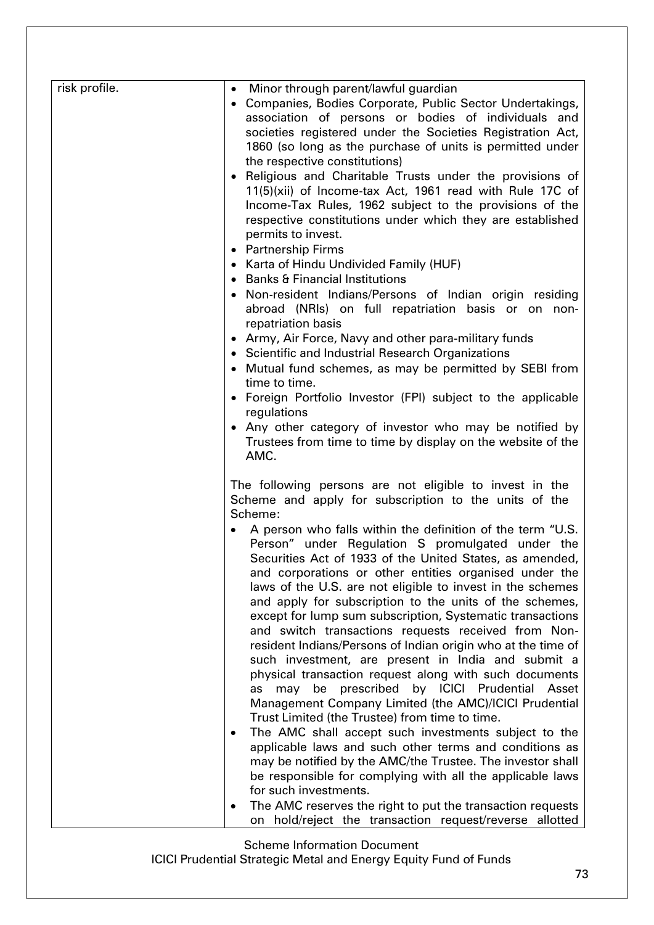| risk profile. | Minor through parent/lawful guardian<br>• Companies, Bodies Corporate, Public Sector Undertakings,<br>association of persons or bodies of individuals and<br>societies registered under the Societies Registration Act,<br>1860 (so long as the purchase of units is permitted under<br>the respective constitutions)<br>Religious and Charitable Trusts under the provisions of<br>$\bullet$<br>11(5)(xii) of Income-tax Act, 1961 read with Rule 17C of<br>Income-Tax Rules, 1962 subject to the provisions of the<br>respective constitutions under which they are established<br>permits to invest.<br>• Partnership Firms<br>Karta of Hindu Undivided Family (HUF)<br><b>Banks &amp; Financial Institutions</b><br>$\bullet$<br>Non-resident Indians/Persons of Indian origin residing<br>abroad (NRIs) on full repatriation basis or on non-<br>repatriation basis<br>• Army, Air Force, Navy and other para-military funds<br>• Scientific and Industrial Research Organizations<br>Mutual fund schemes, as may be permitted by SEBI from<br>time to time.<br>• Foreign Portfolio Investor (FPI) subject to the applicable<br>regulations<br>• Any other category of investor who may be notified by<br>Trustees from time to time by display on the website of the<br>AMC.                                                                                                                        |
|---------------|-----------------------------------------------------------------------------------------------------------------------------------------------------------------------------------------------------------------------------------------------------------------------------------------------------------------------------------------------------------------------------------------------------------------------------------------------------------------------------------------------------------------------------------------------------------------------------------------------------------------------------------------------------------------------------------------------------------------------------------------------------------------------------------------------------------------------------------------------------------------------------------------------------------------------------------------------------------------------------------------------------------------------------------------------------------------------------------------------------------------------------------------------------------------------------------------------------------------------------------------------------------------------------------------------------------------------------------------------------------------------------------------------------------|
|               | The following persons are not eligible to invest in the<br>Scheme and apply for subscription to the units of the<br>Scheme:<br>A person who falls within the definition of the term "U.S.<br>$\bullet$<br>Person" under Regulation S promulgated under the<br>Securities Act of 1933 of the United States, as amended,<br>and corporations or other entities organised under the<br>laws of the U.S. are not eligible to invest in the schemes<br>and apply for subscription to the units of the schemes,<br>except for lump sum subscription, Systematic transactions<br>and switch transactions requests received from Non-<br>resident Indians/Persons of Indian origin who at the time of<br>such investment, are present in India and submit a<br>physical transaction request along with such documents<br>be prescribed by ICICI Prudential Asset<br>may<br>as<br>Management Company Limited (the AMC)/ICICI Prudential<br>Trust Limited (the Trustee) from time to time.<br>The AMC shall accept such investments subject to the<br>$\bullet$<br>applicable laws and such other terms and conditions as<br>may be notified by the AMC/the Trustee. The investor shall<br>be responsible for complying with all the applicable laws<br>for such investments.<br>The AMC reserves the right to put the transaction requests<br>$\bullet$<br>on hold/reject the transaction request/reverse allotted |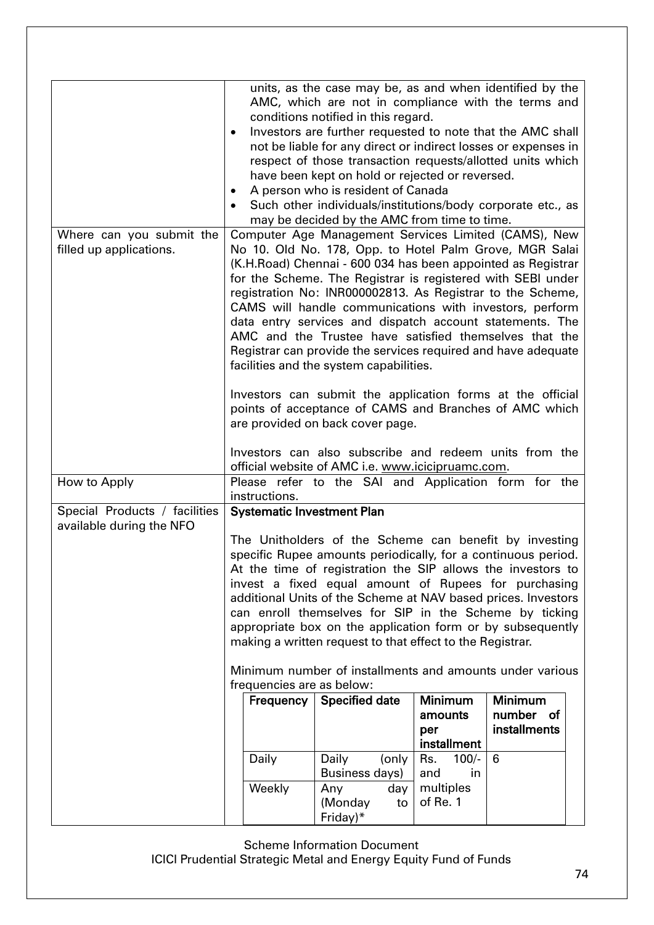|                                                           | $\bullet$<br>$\bullet$                                                                                                                                                                                                                                                                                                                                                                                                                                                                                                                                                                                    | units, as the case may be, as and when identified by the<br>AMC, which are not in compliance with the terms and<br>conditions notified in this regard.<br>Investors are further requested to note that the AMC shall<br>not be liable for any direct or indirect losses or expenses in<br>respect of those transaction requests/allotted units which<br>have been kept on hold or rejected or reversed.<br>A person who is resident of Canada<br>Such other individuals/institutions/body corporate etc., as |                                                      |                                             |
|-----------------------------------------------------------|-----------------------------------------------------------------------------------------------------------------------------------------------------------------------------------------------------------------------------------------------------------------------------------------------------------------------------------------------------------------------------------------------------------------------------------------------------------------------------------------------------------------------------------------------------------------------------------------------------------|--------------------------------------------------------------------------------------------------------------------------------------------------------------------------------------------------------------------------------------------------------------------------------------------------------------------------------------------------------------------------------------------------------------------------------------------------------------------------------------------------------------|------------------------------------------------------|---------------------------------------------|
|                                                           |                                                                                                                                                                                                                                                                                                                                                                                                                                                                                                                                                                                                           | may be decided by the AMC from time to time.                                                                                                                                                                                                                                                                                                                                                                                                                                                                 |                                                      |                                             |
| Where can you submit the<br>filled up applications.       | Computer Age Management Services Limited (CAMS), New<br>No 10. Old No. 178, Opp. to Hotel Palm Grove, MGR Salai<br>(K.H.Road) Chennai - 600 034 has been appointed as Registrar<br>for the Scheme. The Registrar is registered with SEBI under<br>registration No: INR000002813. As Registrar to the Scheme,<br>CAMS will handle communications with investors, perform<br>data entry services and dispatch account statements. The<br>AMC and the Trustee have satisfied themselves that the<br>Registrar can provide the services required and have adequate<br>facilities and the system capabilities. |                                                                                                                                                                                                                                                                                                                                                                                                                                                                                                              |                                                      |                                             |
|                                                           |                                                                                                                                                                                                                                                                                                                                                                                                                                                                                                                                                                                                           | Investors can submit the application forms at the official<br>points of acceptance of CAMS and Branches of AMC which<br>are provided on back cover page.                                                                                                                                                                                                                                                                                                                                                     |                                                      |                                             |
|                                                           |                                                                                                                                                                                                                                                                                                                                                                                                                                                                                                                                                                                                           | Investors can also subscribe and redeem units from the                                                                                                                                                                                                                                                                                                                                                                                                                                                       |                                                      |                                             |
| How to Apply                                              |                                                                                                                                                                                                                                                                                                                                                                                                                                                                                                                                                                                                           | official website of AMC i.e. www.icicipruamc.com.<br>Please refer to the SAI and Application form for the                                                                                                                                                                                                                                                                                                                                                                                                    |                                                      |                                             |
|                                                           | instructions.                                                                                                                                                                                                                                                                                                                                                                                                                                                                                                                                                                                             |                                                                                                                                                                                                                                                                                                                                                                                                                                                                                                              |                                                      |                                             |
| Special Products / facilities<br>available during the NFO |                                                                                                                                                                                                                                                                                                                                                                                                                                                                                                                                                                                                           | <b>Systematic Investment Plan</b>                                                                                                                                                                                                                                                                                                                                                                                                                                                                            |                                                      |                                             |
|                                                           | The Unitholders of the Scheme can benefit by investing<br>specific Rupee amounts periodically, for a continuous period.<br>At the time of registration the SIP allows the investors to<br>invest a fixed equal amount of Rupees for purchasing<br>additional Units of the Scheme at NAV based prices. Investors<br>can enroll themselves for SIP in the Scheme by ticking<br>appropriate box on the application form or by subsequently<br>making a written request to that effect to the Registrar.                                                                                                      |                                                                                                                                                                                                                                                                                                                                                                                                                                                                                                              |                                                      |                                             |
|                                                           | frequencies are as below:                                                                                                                                                                                                                                                                                                                                                                                                                                                                                                                                                                                 | Minimum number of installments and amounts under various                                                                                                                                                                                                                                                                                                                                                                                                                                                     |                                                      |                                             |
|                                                           | Frequency                                                                                                                                                                                                                                                                                                                                                                                                                                                                                                                                                                                                 | <b>Specified date</b>                                                                                                                                                                                                                                                                                                                                                                                                                                                                                        | Minimum<br>amounts<br>per<br>installment             | <b>Minimum</b><br>number of<br>installments |
|                                                           | Daily<br>Weekly                                                                                                                                                                                                                                                                                                                                                                                                                                                                                                                                                                                           | Daily<br>(only<br>Business days)<br>Any<br>day<br>(Monday<br>to<br>Friday)*                                                                                                                                                                                                                                                                                                                                                                                                                                  | Rs.<br>$100/-$<br>and<br>in<br>multiples<br>of Re. 1 | 6                                           |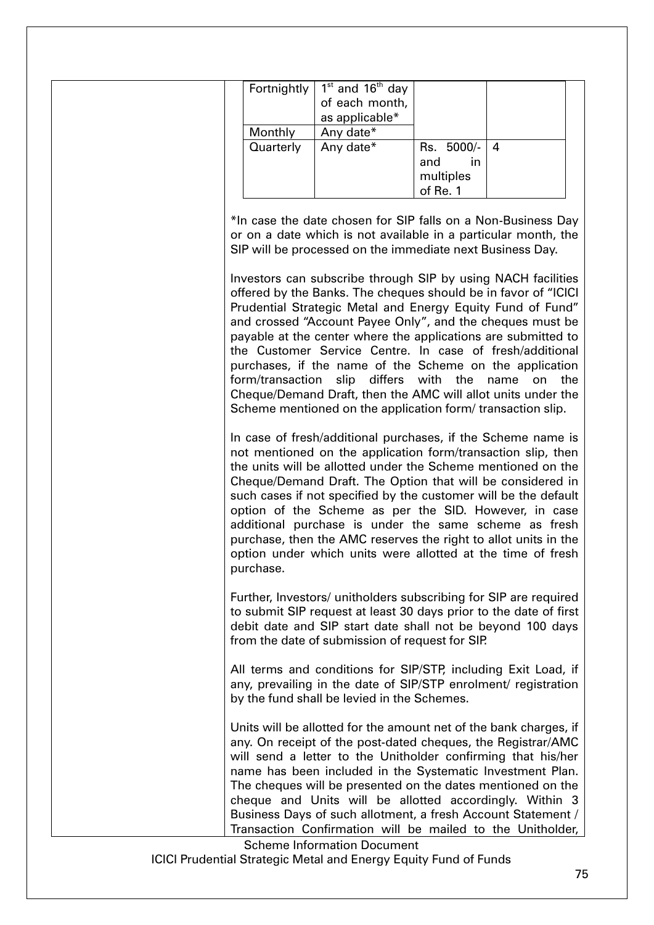|           | Fortnightly   $1st$ and $16th$ day |                |  |
|-----------|------------------------------------|----------------|--|
|           | of each month,                     |                |  |
|           | as applicable*                     |                |  |
| Monthly   | Any date*                          |                |  |
| Quarterly | Any date*                          | Rs. 5000/-   4 |  |
|           |                                    | in<br>and      |  |
|           |                                    | multiples      |  |
|           |                                    | of Re. 1       |  |

\*In case the date chosen for SIP falls on a Non-Business Day or on a date which is not available in a particular month, the SIP will be processed on the immediate next Business Day.

Investors can subscribe through SIP by using NACH facilities offered by the Banks. The cheques should be in favor of "ICICI Prudential Strategic Metal and Energy Equity Fund of Fund" and crossed "Account Payee Only", and the cheques must be payable at the center where the applications are submitted to the Customer Service Centre. In case of fresh/additional purchases, if the name of the Scheme on the application form/transaction slip differs with the name on the Cheque/Demand Draft, then the AMC will allot units under the Scheme mentioned on the application form/ transaction slip.

In case of fresh/additional purchases, if the Scheme name is not mentioned on the application form/transaction slip, then the units will be allotted under the Scheme mentioned on the Cheque/Demand Draft. The Option that will be considered in such cases if not specified by the customer will be the default option of the Scheme as per the SID. However, in case additional purchase is under the same scheme as fresh purchase, then the AMC reserves the right to allot units in the option under which units were allotted at the time of fresh purchase.

Further, Investors/ unitholders subscribing for SIP are required to submit SIP request at least 30 days prior to the date of first debit date and SIP start date shall not be beyond 100 days from the date of submission of request for SIP.

All terms and conditions for SIP/STP, including Exit Load, if any, prevailing in the date of SIP/STP enrolment/ registration by the fund shall be levied in the Schemes.

Units will be allotted for the amount net of the bank charges, if any. On receipt of the post-dated cheques, the Registrar/AMC will send a letter to the Unitholder confirming that his/her name has been included in the Systematic Investment Plan. The cheques will be presented on the dates mentioned on the cheque and Units will be allotted accordingly. Within 3 Business Days of such allotment, a fresh Account Statement / Transaction Confirmation will be mailed to the Unitholder,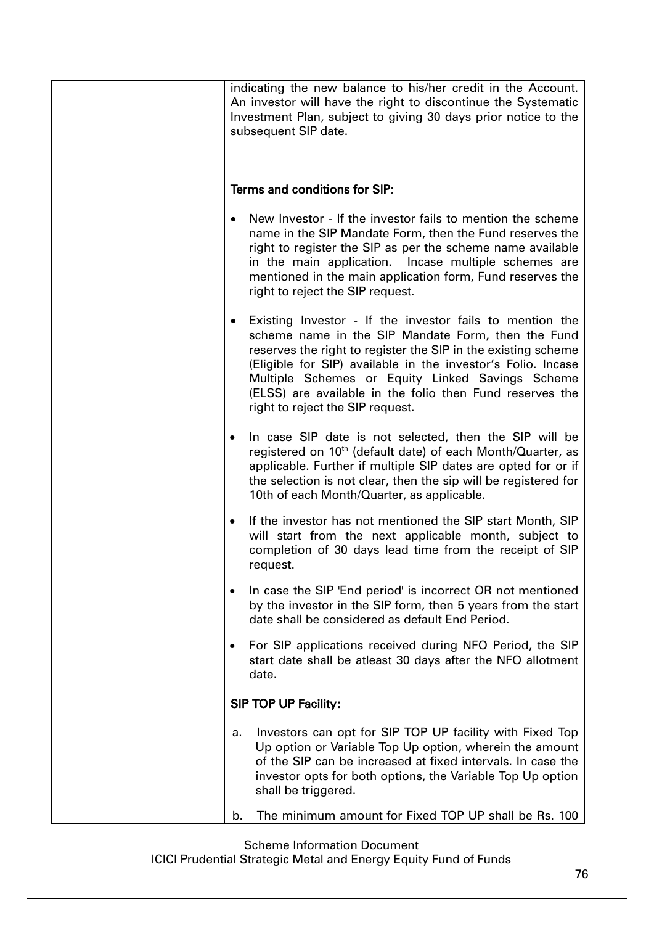| indicating the new balance to his/her credit in the Account.<br>An investor will have the right to discontinue the Systematic<br>Investment Plan, subject to giving 30 days prior notice to the<br>subsequent SIP date.                                                                                                                                                                                  |
|----------------------------------------------------------------------------------------------------------------------------------------------------------------------------------------------------------------------------------------------------------------------------------------------------------------------------------------------------------------------------------------------------------|
| Terms and conditions for SIP:                                                                                                                                                                                                                                                                                                                                                                            |
| New Investor - If the investor fails to mention the scheme<br>name in the SIP Mandate Form, then the Fund reserves the<br>right to register the SIP as per the scheme name available<br>in the main application. Incase multiple schemes are<br>mentioned in the main application form, Fund reserves the<br>right to reject the SIP request.                                                            |
| Existing Investor - If the investor fails to mention the<br>٠<br>scheme name in the SIP Mandate Form, then the Fund<br>reserves the right to register the SIP in the existing scheme<br>(Eligible for SIP) available in the investor's Folio. Incase<br>Multiple Schemes or Equity Linked Savings Scheme<br>(ELSS) are available in the folio then Fund reserves the<br>right to reject the SIP request. |
| In case SIP date is not selected, then the SIP will be<br>$\bullet$<br>registered on 10 <sup>th</sup> (default date) of each Month/Quarter, as<br>applicable. Further if multiple SIP dates are opted for or if<br>the selection is not clear, then the sip will be registered for<br>10th of each Month/Quarter, as applicable.                                                                         |
| If the investor has not mentioned the SIP start Month, SIP<br>$\bullet$<br>will start from the next applicable month, subject to<br>completion of 30 days lead time from the receipt of SIP<br>request.                                                                                                                                                                                                  |
| In case the SIP 'End period' is incorrect OR not mentioned<br>$\bullet$<br>by the investor in the SIP form, then 5 years from the start<br>date shall be considered as default End Period.                                                                                                                                                                                                               |
| For SIP applications received during NFO Period, the SIP<br>٠<br>start date shall be atleast 30 days after the NFO allotment<br>date.                                                                                                                                                                                                                                                                    |
| <b>SIP TOP UP Facility:</b>                                                                                                                                                                                                                                                                                                                                                                              |
| Investors can opt for SIP TOP UP facility with Fixed Top<br>а.<br>Up option or Variable Top Up option, wherein the amount<br>of the SIP can be increased at fixed intervals. In case the<br>investor opts for both options, the Variable Top Up option<br>shall be triggered.                                                                                                                            |
| The minimum amount for Fixed TOP UP shall be Rs. 100<br>b.                                                                                                                                                                                                                                                                                                                                               |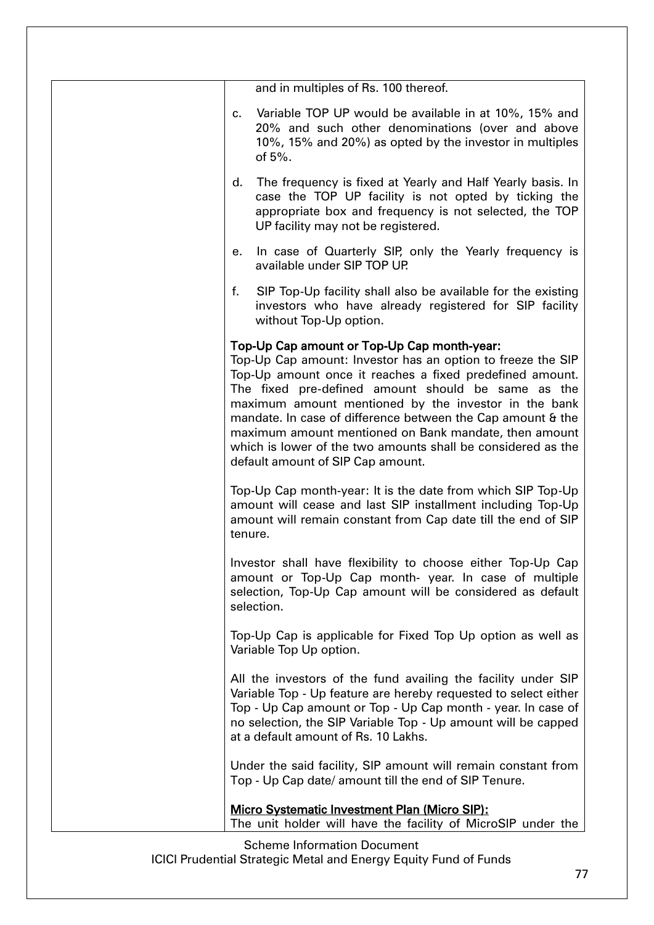| and in multiples of Rs. 100 thereof.                                                                                                                                                                                                                                                                                                                                                                                                                                                                              |
|-------------------------------------------------------------------------------------------------------------------------------------------------------------------------------------------------------------------------------------------------------------------------------------------------------------------------------------------------------------------------------------------------------------------------------------------------------------------------------------------------------------------|
| Variable TOP UP would be available in at 10%, 15% and<br>$c_{\cdot}$<br>20% and such other denominations (over and above<br>10%, 15% and 20%) as opted by the investor in multiples<br>of $5%$ .                                                                                                                                                                                                                                                                                                                  |
| The frequency is fixed at Yearly and Half Yearly basis. In<br>d.<br>case the TOP UP facility is not opted by ticking the<br>appropriate box and frequency is not selected, the TOP<br>UP facility may not be registered.                                                                                                                                                                                                                                                                                          |
| In case of Quarterly SIP, only the Yearly frequency is<br>е.<br>available under SIP TOP UP.                                                                                                                                                                                                                                                                                                                                                                                                                       |
| f.<br>SIP Top-Up facility shall also be available for the existing<br>investors who have already registered for SIP facility<br>without Top-Up option.                                                                                                                                                                                                                                                                                                                                                            |
| Top-Up Cap amount or Top-Up Cap month-year:<br>Top-Up Cap amount: Investor has an option to freeze the SIP<br>Top-Up amount once it reaches a fixed predefined amount.<br>The fixed pre-defined amount should be same as the<br>maximum amount mentioned by the investor in the bank<br>mandate. In case of difference between the Cap amount & the<br>maximum amount mentioned on Bank mandate, then amount<br>which is lower of the two amounts shall be considered as the<br>default amount of SIP Cap amount. |
| Top-Up Cap month-year: It is the date from which SIP Top-Up<br>amount will cease and last SIP installment including Top-Up<br>amount will remain constant from Cap date till the end of SIP<br>tenure.                                                                                                                                                                                                                                                                                                            |
| Investor shall have flexibility to choose either Top-Up Cap<br>amount or Top-Up Cap month- year. In case of multiple<br>selection, Top-Up Cap amount will be considered as default<br>selection.                                                                                                                                                                                                                                                                                                                  |
| Top-Up Cap is applicable for Fixed Top Up option as well as<br>Variable Top Up option.                                                                                                                                                                                                                                                                                                                                                                                                                            |
| All the investors of the fund availing the facility under SIP<br>Variable Top - Up feature are hereby requested to select either<br>Top - Up Cap amount or Top - Up Cap month - year. In case of<br>no selection, the SIP Variable Top - Up amount will be capped<br>at a default amount of Rs. 10 Lakhs.                                                                                                                                                                                                         |
| Under the said facility, SIP amount will remain constant from<br>Top - Up Cap date/ amount till the end of SIP Tenure.                                                                                                                                                                                                                                                                                                                                                                                            |
| <b>Micro Systematic Investment Plan (Micro SIP):</b><br>The unit holder will have the facility of MicroSIP under the                                                                                                                                                                                                                                                                                                                                                                                              |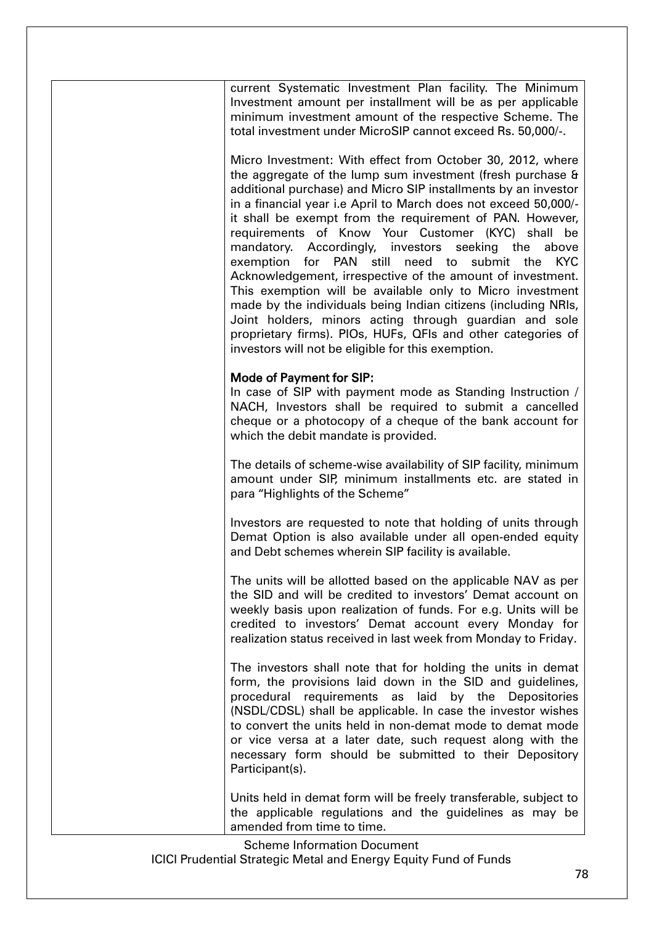current Systematic Investment Plan facility. The Minimum Investment amount per installment will be as per applicable minimum investment amount of the respective Scheme. The total investment under MicroSIP cannot exceed Rs. 50,000/-.

Micro Investment: With effect from October 30, 2012, where the aggregate of the lump sum investment (fresh purchase & additional purchase) and Micro SIP installments by an investor in a financial year i.e April to March does not exceed 50,000/ it shall be exempt from the requirement of PAN. However, requirements of Know Your Customer (KYC) shall be mandatory. Accordingly, investors seeking the above exemption for PAN still need to submit the KYC Acknowledgement, irrespective of the amount of investment. This exemption will be available only to Micro investment made by the individuals being Indian citizens (including NRIs, Joint holders, minors acting through guardian and sole proprietary firms). PIOs, HUFs, QFIs and other categories of investors will not be eligible for this exemption.

#### Mode of Payment for SIP:

In case of SIP with payment mode as Standing Instruction / NACH, Investors shall be required to submit a cancelled cheque or a photocopy of a cheque of the bank account for which the debit mandate is provided.

The details of scheme-wise availability of SIP facility, minimum amount under SIP, minimum installments etc. are stated in para "Highlights of the Scheme"

Investors are requested to note that holding of units through Demat Option is also available under all open-ended equity and Debt schemes wherein SIP facility is available.

The units will be allotted based on the applicable NAV as per the SID and will be credited to investors' Demat account on weekly basis upon realization of funds. For e.g. Units will be credited to investors' Demat account every Monday for realization status received in last week from Monday to Friday.

The investors shall note that for holding the units in demat form, the provisions laid down in the SID and guidelines, procedural requirements as laid by the Depositories (NSDL/CDSL) shall be applicable. In case the investor wishes to convert the units held in non-demat mode to demat mode or vice versa at a later date, such request along with the necessary form should be submitted to their Depository Participant(s).

Units held in demat form will be freely transferable, subject to the applicable regulations and the guidelines as may be amended from time to time.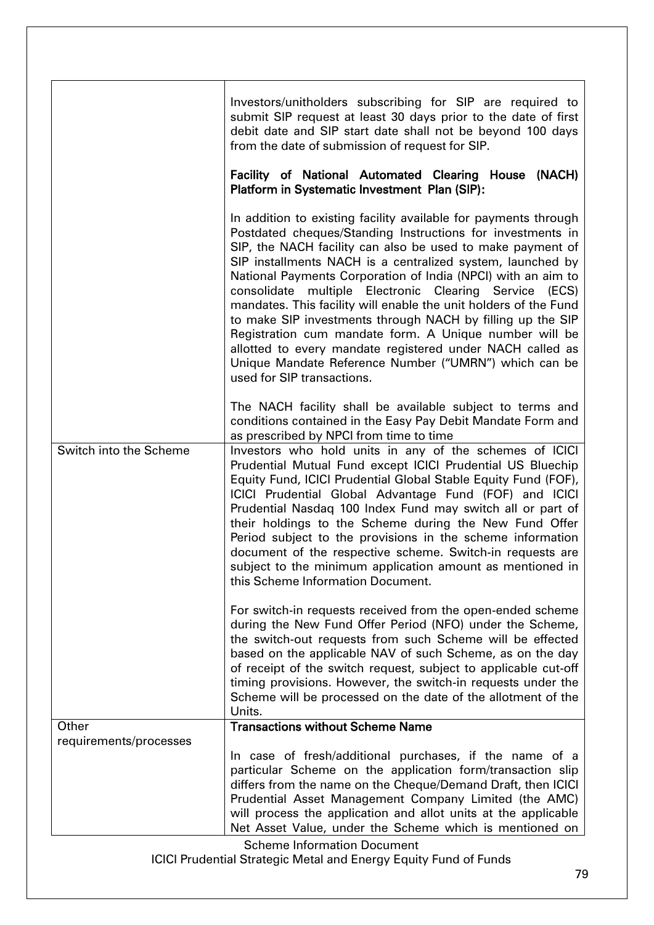|                        | Investors/unitholders subscribing for SIP are required to<br>submit SIP request at least 30 days prior to the date of first<br>debit date and SIP start date shall not be beyond 100 days<br>from the date of submission of request for SIP.<br>Facility of National Automated Clearing House (NACH)                                                                                                                                                                                                                                                                                                                                                                                                                                |
|------------------------|-------------------------------------------------------------------------------------------------------------------------------------------------------------------------------------------------------------------------------------------------------------------------------------------------------------------------------------------------------------------------------------------------------------------------------------------------------------------------------------------------------------------------------------------------------------------------------------------------------------------------------------------------------------------------------------------------------------------------------------|
|                        | Platform in Systematic Investment Plan (SIP):                                                                                                                                                                                                                                                                                                                                                                                                                                                                                                                                                                                                                                                                                       |
|                        | In addition to existing facility available for payments through<br>Postdated cheques/Standing Instructions for investments in<br>SIP, the NACH facility can also be used to make payment of<br>SIP installments NACH is a centralized system, launched by<br>National Payments Corporation of India (NPCI) with an aim to<br>consolidate multiple Electronic Clearing Service (ECS)<br>mandates. This facility will enable the unit holders of the Fund<br>to make SIP investments through NACH by filling up the SIP<br>Registration cum mandate form. A Unique number will be<br>allotted to every mandate registered under NACH called as<br>Unique Mandate Reference Number ("UMRN") which can be<br>used for SIP transactions. |
|                        | The NACH facility shall be available subject to terms and<br>conditions contained in the Easy Pay Debit Mandate Form and                                                                                                                                                                                                                                                                                                                                                                                                                                                                                                                                                                                                            |
| Switch into the Scheme | as prescribed by NPCI from time to time<br>Investors who hold units in any of the schemes of ICICI<br>Prudential Mutual Fund except ICICI Prudential US Bluechip<br>Equity Fund, ICICI Prudential Global Stable Equity Fund (FOF),<br>ICICI Prudential Global Advantage Fund (FOF) and ICICI<br>Prudential Nasdaq 100 Index Fund may switch all or part of<br>their holdings to the Scheme during the New Fund Offer<br>Period subject to the provisions in the scheme information<br>document of the respective scheme. Switch-in requests are<br>subject to the minimum application amount as mentioned in<br>this Scheme Information Document.                                                                                   |
|                        | For switch-in requests received from the open-ended scheme<br>during the New Fund Offer Period (NFO) under the Scheme,<br>the switch-out requests from such Scheme will be effected<br>based on the applicable NAV of such Scheme, as on the day<br>of receipt of the switch request, subject to applicable cut-off<br>timing provisions. However, the switch-in requests under the<br>Scheme will be processed on the date of the allotment of the<br>Units.                                                                                                                                                                                                                                                                       |
| Other                  | <b>Transactions without Scheme Name</b>                                                                                                                                                                                                                                                                                                                                                                                                                                                                                                                                                                                                                                                                                             |
| requirements/processes | In case of fresh/additional purchases, if the name of a<br>particular Scheme on the application form/transaction slip<br>differs from the name on the Cheque/Demand Draft, then ICICI<br>Prudential Asset Management Company Limited (the AMC)<br>will process the application and allot units at the applicable                                                                                                                                                                                                                                                                                                                                                                                                                    |
|                        | Net Asset Value, under the Scheme which is mentioned on<br><b>Scheme Information Document</b>                                                                                                                                                                                                                                                                                                                                                                                                                                                                                                                                                                                                                                       |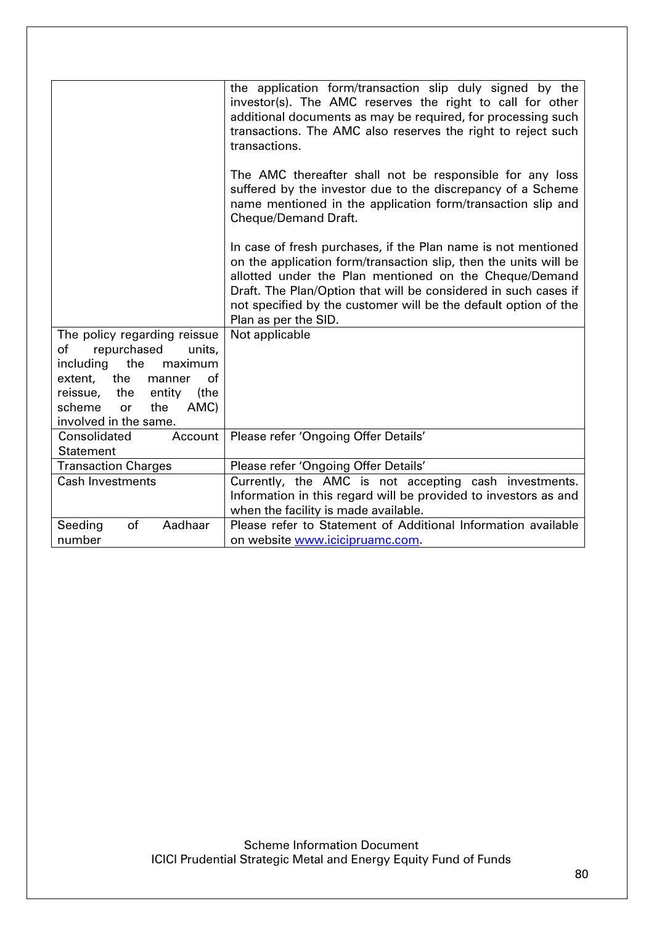|                                             | the application form/transaction slip duly signed by the<br>investor(s). The AMC reserves the right to call for other<br>additional documents as may be required, for processing such<br>transactions. The AMC also reserves the right to reject such<br>transactions.                                                                                    |
|---------------------------------------------|-----------------------------------------------------------------------------------------------------------------------------------------------------------------------------------------------------------------------------------------------------------------------------------------------------------------------------------------------------------|
|                                             | The AMC thereafter shall not be responsible for any loss<br>suffered by the investor due to the discrepancy of a Scheme<br>name mentioned in the application form/transaction slip and<br>Cheque/Demand Draft.                                                                                                                                            |
|                                             | In case of fresh purchases, if the Plan name is not mentioned<br>on the application form/transaction slip, then the units will be<br>allotted under the Plan mentioned on the Cheque/Demand<br>Draft. The Plan/Option that will be considered in such cases if<br>not specified by the customer will be the default option of the<br>Plan as per the SID. |
| The policy regarding reissue                | Not applicable                                                                                                                                                                                                                                                                                                                                            |
| repurchased<br>of<br>units,                 |                                                                                                                                                                                                                                                                                                                                                           |
| the<br>maximum<br>including                 |                                                                                                                                                                                                                                                                                                                                                           |
| the<br>of<br>extent,<br>manner              |                                                                                                                                                                                                                                                                                                                                                           |
| reissue, the<br>entity<br>(the              |                                                                                                                                                                                                                                                                                                                                                           |
| AMC)<br>scheme<br>the<br><b>or</b>          |                                                                                                                                                                                                                                                                                                                                                           |
| involved in the same.                       |                                                                                                                                                                                                                                                                                                                                                           |
| Consolidated<br>Account<br><b>Statement</b> | Please refer 'Ongoing Offer Details'                                                                                                                                                                                                                                                                                                                      |
| <b>Transaction Charges</b>                  | Please refer 'Ongoing Offer Details'                                                                                                                                                                                                                                                                                                                      |
| <b>Cash Investments</b>                     |                                                                                                                                                                                                                                                                                                                                                           |
|                                             | Currently, the AMC is not accepting cash investments.<br>Information in this regard will be provided to investors as and                                                                                                                                                                                                                                  |
|                                             | when the facility is made available.                                                                                                                                                                                                                                                                                                                      |
| Aadhaar<br>Seeding<br>of                    | Please refer to Statement of Additional Information available                                                                                                                                                                                                                                                                                             |
| number                                      | on website www.icicipruamc.com.                                                                                                                                                                                                                                                                                                                           |
|                                             |                                                                                                                                                                                                                                                                                                                                                           |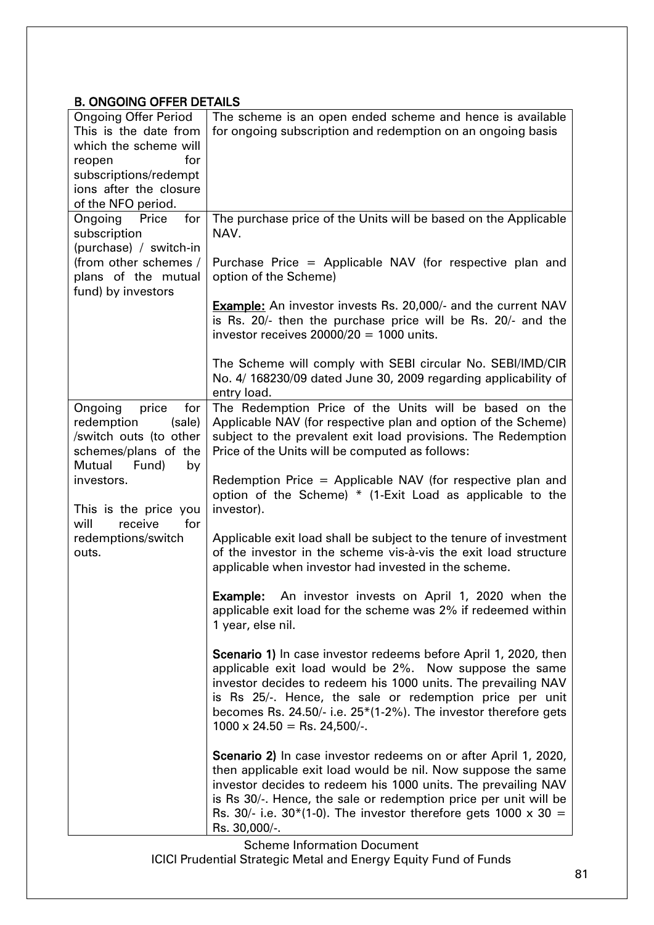# B. ONGOING OFFER DETAILS

| <b>Ongoing Offer Period</b><br>This is the date from<br>which the scheme will<br>for<br>reopen<br>subscriptions/redempt<br>ions after the closure<br>of the NFO period.                                                    | The scheme is an open ended scheme and hence is available<br>for ongoing subscription and redemption on an ongoing basis                                                                                                                                                                                                                                                                                                                                                                                                                                                                                                                                                                                                                                                                                                                                                                                                                                                                                                                                                       |
|----------------------------------------------------------------------------------------------------------------------------------------------------------------------------------------------------------------------------|--------------------------------------------------------------------------------------------------------------------------------------------------------------------------------------------------------------------------------------------------------------------------------------------------------------------------------------------------------------------------------------------------------------------------------------------------------------------------------------------------------------------------------------------------------------------------------------------------------------------------------------------------------------------------------------------------------------------------------------------------------------------------------------------------------------------------------------------------------------------------------------------------------------------------------------------------------------------------------------------------------------------------------------------------------------------------------|
| for<br>Ongoing<br>Price<br>subscription<br>(purchase) / switch-in<br>(from other schemes /<br>plans of the mutual<br>fund) by investors                                                                                    | The purchase price of the Units will be based on the Applicable<br>NAV.<br>Purchase Price = Applicable NAV (for respective plan and<br>option of the Scheme)<br><b>Example:</b> An investor invests Rs. 20,000/- and the current NAV<br>is Rs. 20/- then the purchase price will be Rs. 20/- and the<br>investor receives $20000/20 = 1000$ units.<br>The Scheme will comply with SEBI circular No. SEBI/IMD/CIR                                                                                                                                                                                                                                                                                                                                                                                                                                                                                                                                                                                                                                                               |
|                                                                                                                                                                                                                            | No. 4/168230/09 dated June 30, 2009 regarding applicability of<br>entry load.                                                                                                                                                                                                                                                                                                                                                                                                                                                                                                                                                                                                                                                                                                                                                                                                                                                                                                                                                                                                  |
| Ongoing<br>price<br>for<br>redemption<br>(sale)<br>/switch outs (to other<br>schemes/plans of the<br>Mutual<br>Fund)<br>by<br>investors.<br>This is the price you<br>for<br>will<br>receive<br>redemptions/switch<br>outs. | The Redemption Price of the Units will be based on the<br>Applicable NAV (for respective plan and option of the Scheme)<br>subject to the prevalent exit load provisions. The Redemption<br>Price of the Units will be computed as follows:<br>Redemption Price = Applicable NAV (for respective plan and<br>option of the Scheme) * (1-Exit Load as applicable to the<br>investor).<br>Applicable exit load shall be subject to the tenure of investment<br>of the investor in the scheme vis-à-vis the exit load structure<br>applicable when investor had invested in the scheme.<br>An investor invests on April 1, 2020 when the<br>Example:<br>applicable exit load for the scheme was 2% if redeemed within<br>1 year, else nil.<br><b>Scenario 1)</b> In case investor redeems before April 1, 2020, then<br>applicable exit load would be 2%. Now suppose the same<br>investor decides to redeem his 1000 units. The prevailing NAV<br>is Rs 25/-. Hence, the sale or redemption price per unit<br>becomes Rs. 24.50/- i.e. $25*(1-2%)$ . The investor therefore gets |
|                                                                                                                                                                                                                            | $1000 \times 24.50 =$ Rs. 24,500/-.<br>Scenario 2) In case investor redeems on or after April 1, 2020,<br>then applicable exit load would be nil. Now suppose the same<br>investor decides to redeem his 1000 units. The prevailing NAV<br>is Rs 30/-. Hence, the sale or redemption price per unit will be<br>Rs. 30/- i.e. 30*(1-0). The investor therefore gets 1000 x 30 =<br>Rs. 30,000/-.                                                                                                                                                                                                                                                                                                                                                                                                                                                                                                                                                                                                                                                                                |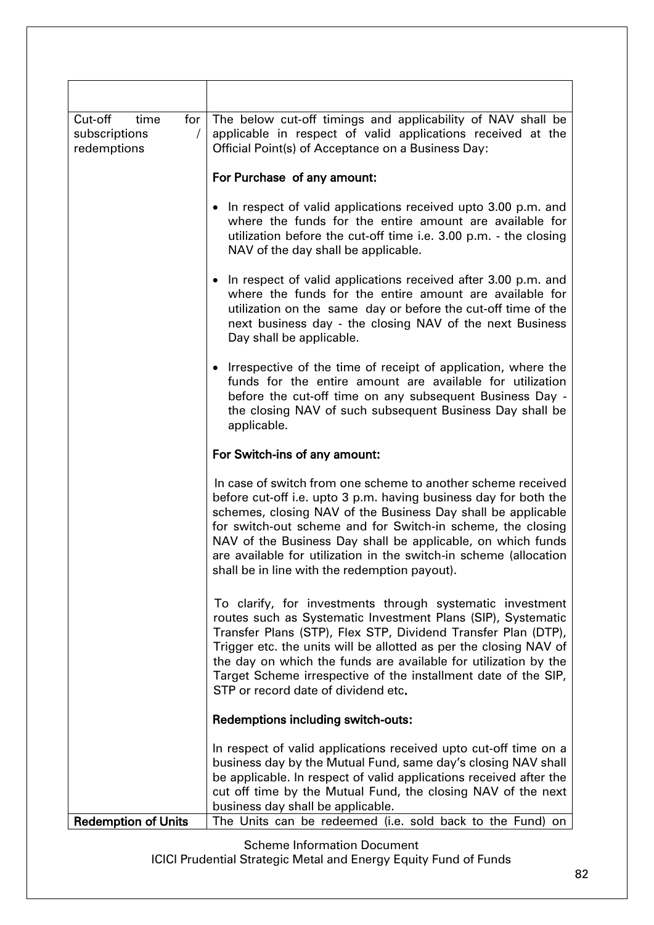| Cut-off<br>time<br>for<br>subscriptions<br>$\prime$<br>redemptions | The below cut-off timings and applicability of NAV shall be<br>applicable in respect of valid applications received at the<br>Official Point(s) of Acceptance on a Business Day:                                                                                                                                                                                                                                                                     |
|--------------------------------------------------------------------|------------------------------------------------------------------------------------------------------------------------------------------------------------------------------------------------------------------------------------------------------------------------------------------------------------------------------------------------------------------------------------------------------------------------------------------------------|
|                                                                    | For Purchase of any amount:                                                                                                                                                                                                                                                                                                                                                                                                                          |
|                                                                    | In respect of valid applications received upto 3.00 p.m. and<br>$\bullet$<br>where the funds for the entire amount are available for<br>utilization before the cut-off time i.e. 3.00 p.m. - the closing<br>NAV of the day shall be applicable.                                                                                                                                                                                                      |
|                                                                    | • In respect of valid applications received after 3.00 p.m. and<br>where the funds for the entire amount are available for<br>utilization on the same day or before the cut-off time of the<br>next business day - the closing NAV of the next Business<br>Day shall be applicable.                                                                                                                                                                  |
|                                                                    | • Irrespective of the time of receipt of application, where the<br>funds for the entire amount are available for utilization<br>before the cut-off time on any subsequent Business Day -<br>the closing NAV of such subsequent Business Day shall be<br>applicable.                                                                                                                                                                                  |
|                                                                    | For Switch-ins of any amount:                                                                                                                                                                                                                                                                                                                                                                                                                        |
|                                                                    | In case of switch from one scheme to another scheme received<br>before cut-off i.e. upto 3 p.m. having business day for both the<br>schemes, closing NAV of the Business Day shall be applicable<br>for switch-out scheme and for Switch-in scheme, the closing<br>NAV of the Business Day shall be applicable, on which funds<br>are available for utilization in the switch-in scheme (allocation<br>shall be in line with the redemption payout). |
|                                                                    | To clarify, for investments through systematic investment<br>routes such as Systematic Investment Plans (SIP), Systematic<br>Transfer Plans (STP), Flex STP, Dividend Transfer Plan (DTP),<br>Trigger etc. the units will be allotted as per the closing NAV of<br>the day on which the funds are available for utilization by the<br>Target Scheme irrespective of the installment date of the SIP,<br>STP or record date of dividend etc.          |
|                                                                    | <b>Redemptions including switch-outs:</b>                                                                                                                                                                                                                                                                                                                                                                                                            |
|                                                                    | In respect of valid applications received upto cut-off time on a<br>business day by the Mutual Fund, same day's closing NAV shall<br>be applicable. In respect of valid applications received after the<br>cut off time by the Mutual Fund, the closing NAV of the next<br>business day shall be applicable.                                                                                                                                         |
| <b>Redemption of Units</b>                                         | The Units can be redeemed (i.e. sold back to the Fund) on                                                                                                                                                                                                                                                                                                                                                                                            |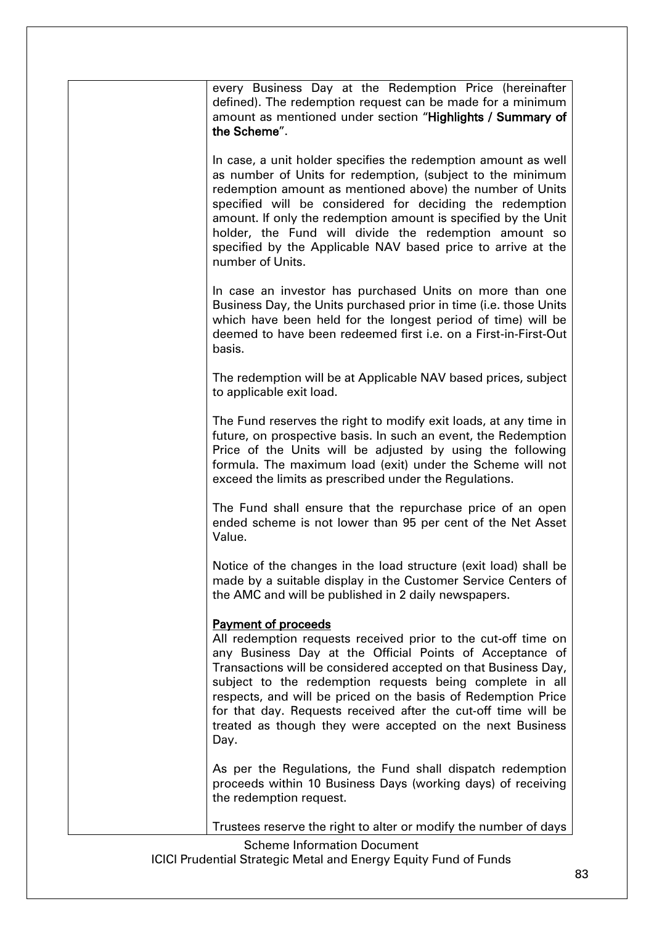| every Business Day at the Redemption Price (hereinafter<br>defined). The redemption request can be made for a minimum<br>amount as mentioned under section "Highlights / Summary of<br>the Scheme".                                                                                                                                                                                                                                                                                           |
|-----------------------------------------------------------------------------------------------------------------------------------------------------------------------------------------------------------------------------------------------------------------------------------------------------------------------------------------------------------------------------------------------------------------------------------------------------------------------------------------------|
| In case, a unit holder specifies the redemption amount as well<br>as number of Units for redemption, (subject to the minimum<br>redemption amount as mentioned above) the number of Units<br>specified will be considered for deciding the redemption<br>amount. If only the redemption amount is specified by the Unit<br>holder, the Fund will divide the redemption amount so<br>specified by the Applicable NAV based price to arrive at the<br>number of Units.                          |
| In case an investor has purchased Units on more than one<br>Business Day, the Units purchased prior in time (i.e. those Units<br>which have been held for the longest period of time) will be<br>deemed to have been redeemed first i.e. on a First-in-First-Out<br>basis.                                                                                                                                                                                                                    |
| The redemption will be at Applicable NAV based prices, subject<br>to applicable exit load.                                                                                                                                                                                                                                                                                                                                                                                                    |
| The Fund reserves the right to modify exit loads, at any time in<br>future, on prospective basis. In such an event, the Redemption<br>Price of the Units will be adjusted by using the following<br>formula. The maximum load (exit) under the Scheme will not<br>exceed the limits as prescribed under the Regulations.                                                                                                                                                                      |
| The Fund shall ensure that the repurchase price of an open<br>ended scheme is not lower than 95 per cent of the Net Asset<br>Value.                                                                                                                                                                                                                                                                                                                                                           |
| Notice of the changes in the load structure (exit load) shall be<br>made by a suitable display in the Customer Service Centers of<br>the AMC and will be published in 2 daily newspapers.                                                                                                                                                                                                                                                                                                     |
| <b>Payment of proceeds</b><br>All redemption requests received prior to the cut-off time on<br>any Business Day at the Official Points of Acceptance of<br>Transactions will be considered accepted on that Business Day,<br>subject to the redemption requests being complete in all<br>respects, and will be priced on the basis of Redemption Price<br>for that day. Requests received after the cut-off time will be<br>treated as though they were accepted on the next Business<br>Day. |
| As per the Regulations, the Fund shall dispatch redemption<br>proceeds within 10 Business Days (working days) of receiving<br>the redemption request.                                                                                                                                                                                                                                                                                                                                         |
| Trustees reserve the right to alter or modify the number of days                                                                                                                                                                                                                                                                                                                                                                                                                              |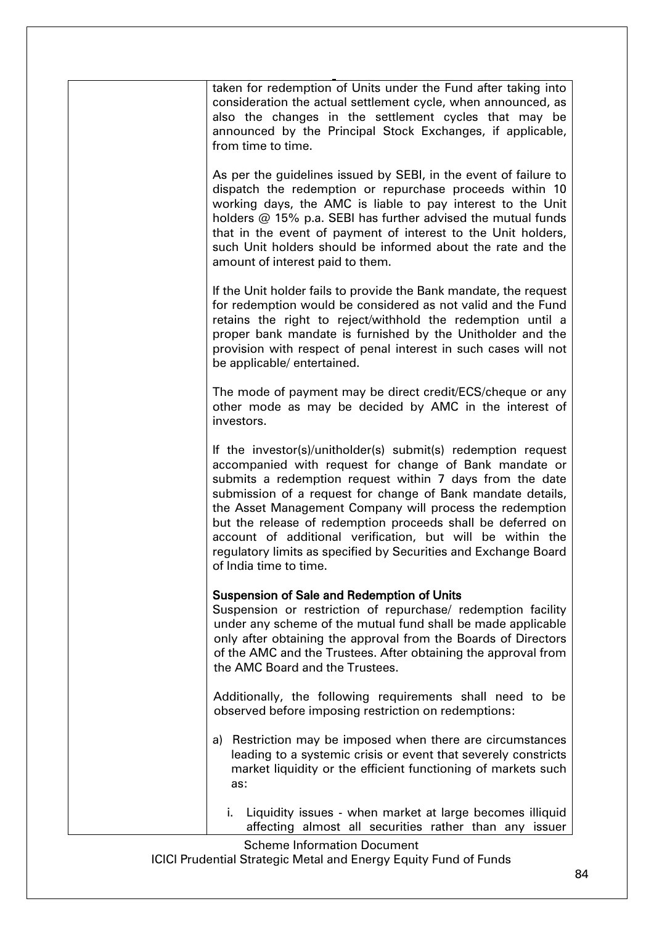| taken for redemption of Units under the Fund after taking into<br>consideration the actual settlement cycle, when announced, as<br>also the changes in the settlement cycles that may be<br>announced by the Principal Stock Exchanges, if applicable,<br>from time to time.                                                                                                                                                                                                                                                             |
|------------------------------------------------------------------------------------------------------------------------------------------------------------------------------------------------------------------------------------------------------------------------------------------------------------------------------------------------------------------------------------------------------------------------------------------------------------------------------------------------------------------------------------------|
| As per the guidelines issued by SEBI, in the event of failure to<br>dispatch the redemption or repurchase proceeds within 10<br>working days, the AMC is liable to pay interest to the Unit<br>holders @ 15% p.a. SEBI has further advised the mutual funds<br>that in the event of payment of interest to the Unit holders,<br>such Unit holders should be informed about the rate and the<br>amount of interest paid to them.                                                                                                          |
| If the Unit holder fails to provide the Bank mandate, the request<br>for redemption would be considered as not valid and the Fund<br>retains the right to reject/withhold the redemption until a<br>proper bank mandate is furnished by the Unitholder and the<br>provision with respect of penal interest in such cases will not<br>be applicable/ entertained.                                                                                                                                                                         |
| The mode of payment may be direct credit/ECS/cheque or any<br>other mode as may be decided by AMC in the interest of<br>investors.                                                                                                                                                                                                                                                                                                                                                                                                       |
| If the investor(s)/unitholder(s) submit(s) redemption request<br>accompanied with request for change of Bank mandate or<br>submits a redemption request within 7 days from the date<br>submission of a request for change of Bank mandate details,<br>the Asset Management Company will process the redemption<br>but the release of redemption proceeds shall be deferred on<br>account of additional verification, but will be within the<br>regulatory limits as specified by Securities and Exchange Board<br>of India time to time. |
| <b>Suspension of Sale and Redemption of Units</b><br>Suspension or restriction of repurchase/ redemption facility<br>under any scheme of the mutual fund shall be made applicable<br>only after obtaining the approval from the Boards of Directors<br>of the AMC and the Trustees. After obtaining the approval from<br>the AMC Board and the Trustees.                                                                                                                                                                                 |
| Additionally, the following requirements shall need to be<br>observed before imposing restriction on redemptions:                                                                                                                                                                                                                                                                                                                                                                                                                        |
| Restriction may be imposed when there are circumstances<br>a)<br>leading to a systemic crisis or event that severely constricts<br>market liquidity or the efficient functioning of markets such<br>as:                                                                                                                                                                                                                                                                                                                                  |
| Liquidity issues - when market at large becomes illiquid<br>i.<br>affecting almost all securities rather than any issuer                                                                                                                                                                                                                                                                                                                                                                                                                 |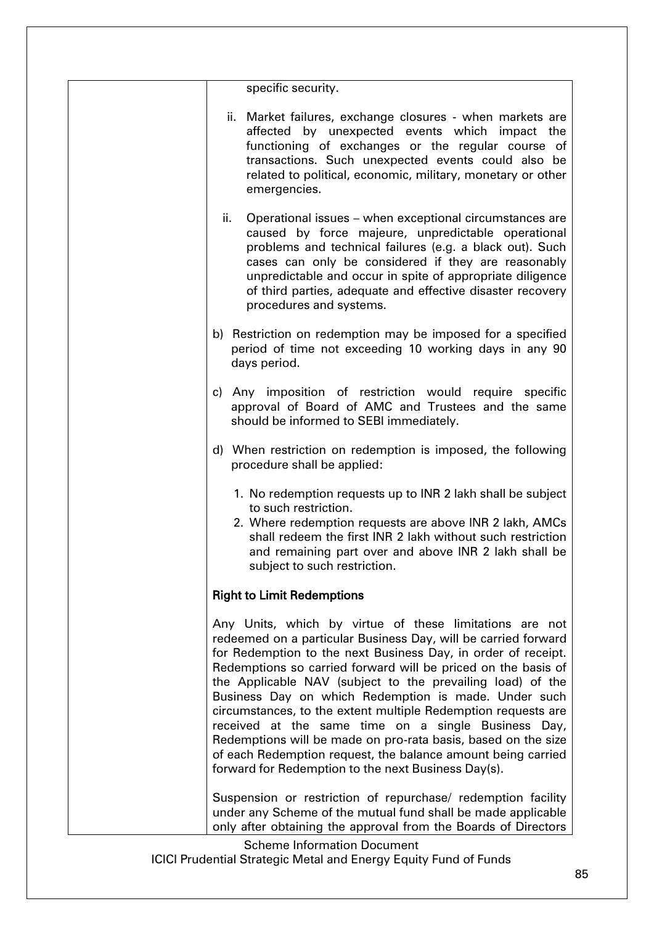| specific security.                                                                                                                                                                                                                                                                                                                                                                                                                                                                                                                                                                                                                                                                                |
|---------------------------------------------------------------------------------------------------------------------------------------------------------------------------------------------------------------------------------------------------------------------------------------------------------------------------------------------------------------------------------------------------------------------------------------------------------------------------------------------------------------------------------------------------------------------------------------------------------------------------------------------------------------------------------------------------|
| ii. Market failures, exchange closures - when markets are<br>affected by unexpected events which impact the<br>functioning of exchanges or the regular course of<br>transactions. Such unexpected events could also be<br>related to political, economic, military, monetary or other<br>emergencies.                                                                                                                                                                                                                                                                                                                                                                                             |
| ii.<br>Operational issues – when exceptional circumstances are<br>caused by force majeure, unpredictable operational<br>problems and technical failures (e.g. a black out). Such<br>cases can only be considered if they are reasonably<br>unpredictable and occur in spite of appropriate diligence<br>of third parties, adequate and effective disaster recovery<br>procedures and systems.                                                                                                                                                                                                                                                                                                     |
| b) Restriction on redemption may be imposed for a specified<br>period of time not exceeding 10 working days in any 90<br>days period.                                                                                                                                                                                                                                                                                                                                                                                                                                                                                                                                                             |
| c) Any imposition of restriction would require specific<br>approval of Board of AMC and Trustees and the same<br>should be informed to SEBI immediately.                                                                                                                                                                                                                                                                                                                                                                                                                                                                                                                                          |
| d) When restriction on redemption is imposed, the following<br>procedure shall be applied:                                                                                                                                                                                                                                                                                                                                                                                                                                                                                                                                                                                                        |
| 1. No redemption requests up to INR 2 lakh shall be subject<br>to such restriction.<br>2. Where redemption requests are above INR 2 lakh, AMCs<br>shall redeem the first INR 2 lakh without such restriction<br>and remaining part over and above INR 2 lakh shall be<br>subject to such restriction.                                                                                                                                                                                                                                                                                                                                                                                             |
| <b>Right to Limit Redemptions</b>                                                                                                                                                                                                                                                                                                                                                                                                                                                                                                                                                                                                                                                                 |
| Any Units, which by virtue of these limitations are not<br>redeemed on a particular Business Day, will be carried forward<br>for Redemption to the next Business Day, in order of receipt.<br>Redemptions so carried forward will be priced on the basis of<br>the Applicable NAV (subject to the prevailing load) of the<br>Business Day on which Redemption is made. Under such<br>circumstances, to the extent multiple Redemption requests are<br>received at the same time on a single Business Day,<br>Redemptions will be made on pro-rata basis, based on the size<br>of each Redemption request, the balance amount being carried<br>forward for Redemption to the next Business Day(s). |
| Suspension or restriction of repurchase/ redemption facility<br>under any Scheme of the mutual fund shall be made applicable<br>only after obtaining the approval from the Boards of Directors                                                                                                                                                                                                                                                                                                                                                                                                                                                                                                    |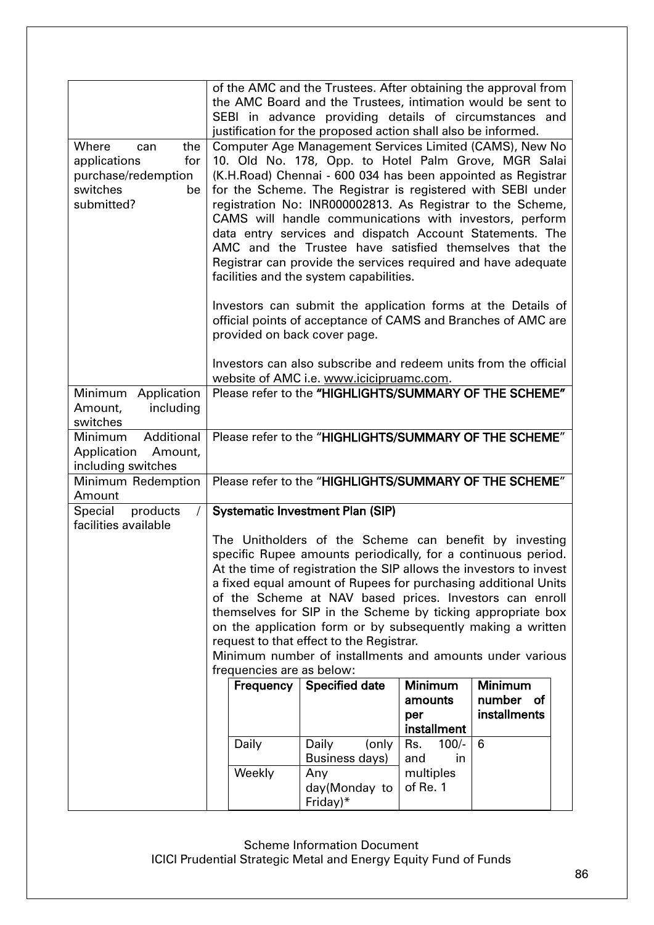|                                                                                                   |                           | of the AMC and the Trustees. After obtaining the approval from<br>the AMC Board and the Trustees, intimation would be sent to<br>SEBI in advance providing details of circumstances and<br>justification for the proposed action shall also be informed.                                                                                                                                                                                                                                                                                                                                                  |                                          |                                             |  |
|---------------------------------------------------------------------------------------------------|---------------------------|-----------------------------------------------------------------------------------------------------------------------------------------------------------------------------------------------------------------------------------------------------------------------------------------------------------------------------------------------------------------------------------------------------------------------------------------------------------------------------------------------------------------------------------------------------------------------------------------------------------|------------------------------------------|---------------------------------------------|--|
| Where<br>the<br>can<br>applications<br>for<br>purchase/redemption<br>switches<br>be<br>submitted? |                           | Computer Age Management Services Limited (CAMS), New No<br>10. Old No. 178, Opp. to Hotel Palm Grove, MGR Salai<br>(K.H.Road) Chennai - 600 034 has been appointed as Registrar<br>for the Scheme. The Registrar is registered with SEBI under<br>registration No: INR000002813. As Registrar to the Scheme,<br>CAMS will handle communications with investors, perform<br>data entry services and dispatch Account Statements. The<br>AMC and the Trustee have satisfied themselves that the<br>Registrar can provide the services required and have adequate<br>facilities and the system capabilities. |                                          |                                             |  |
|                                                                                                   |                           | Investors can submit the application forms at the Details of<br>official points of acceptance of CAMS and Branches of AMC are<br>provided on back cover page.                                                                                                                                                                                                                                                                                                                                                                                                                                             |                                          |                                             |  |
|                                                                                                   |                           | Investors can also subscribe and redeem units from the official<br>website of AMC i.e. www.icicipruamc.com.                                                                                                                                                                                                                                                                                                                                                                                                                                                                                               |                                          |                                             |  |
| Minimum Application<br>Amount,<br>including<br>switches                                           |                           | Please refer to the "HIGHLIGHTS/SUMMARY OF THE SCHEME"                                                                                                                                                                                                                                                                                                                                                                                                                                                                                                                                                    |                                          |                                             |  |
| Additional<br>Minimum<br>Application Amount,<br>including switches                                |                           | Please refer to the "HIGHLIGHTS/SUMMARY OF THE SCHEME"                                                                                                                                                                                                                                                                                                                                                                                                                                                                                                                                                    |                                          |                                             |  |
| Minimum Redemption<br>Amount                                                                      |                           | Please refer to the "HIGHLIGHTS/SUMMARY OF THE SCHEME"                                                                                                                                                                                                                                                                                                                                                                                                                                                                                                                                                    |                                          |                                             |  |
| Special products<br>facilities available                                                          |                           | <b>Systematic Investment Plan (SIP)</b>                                                                                                                                                                                                                                                                                                                                                                                                                                                                                                                                                                   |                                          |                                             |  |
|                                                                                                   | frequencies are as below: | The Unitholders of the Scheme can benefit by investing<br>specific Rupee amounts periodically, for a continuous period.<br>At the time of registration the SIP allows the investors to invest<br>a fixed equal amount of Rupees for purchasing additional Units<br>of the Scheme at NAV based prices. Investors can enroll<br>themselves for SIP in the Scheme by ticking appropriate box<br>on the application form or by subsequently making a written<br>request to that effect to the Registrar.<br>Minimum number of installments and amounts under various                                          |                                          |                                             |  |
|                                                                                                   | Frequency                 | <b>Specified date</b>                                                                                                                                                                                                                                                                                                                                                                                                                                                                                                                                                                                     | Minimum<br>amounts<br>per<br>installment | <b>Minimum</b><br>number of<br>installments |  |
|                                                                                                   | Daily                     | Daily<br>(only<br><b>Business days)</b>                                                                                                                                                                                                                                                                                                                                                                                                                                                                                                                                                                   | $100/-$<br>Rs.<br>and<br>in              | 6                                           |  |
|                                                                                                   | Weekly                    | Any<br>day(Monday to<br>Friday) $*$                                                                                                                                                                                                                                                                                                                                                                                                                                                                                                                                                                       | multiples<br>of Re. 1                    |                                             |  |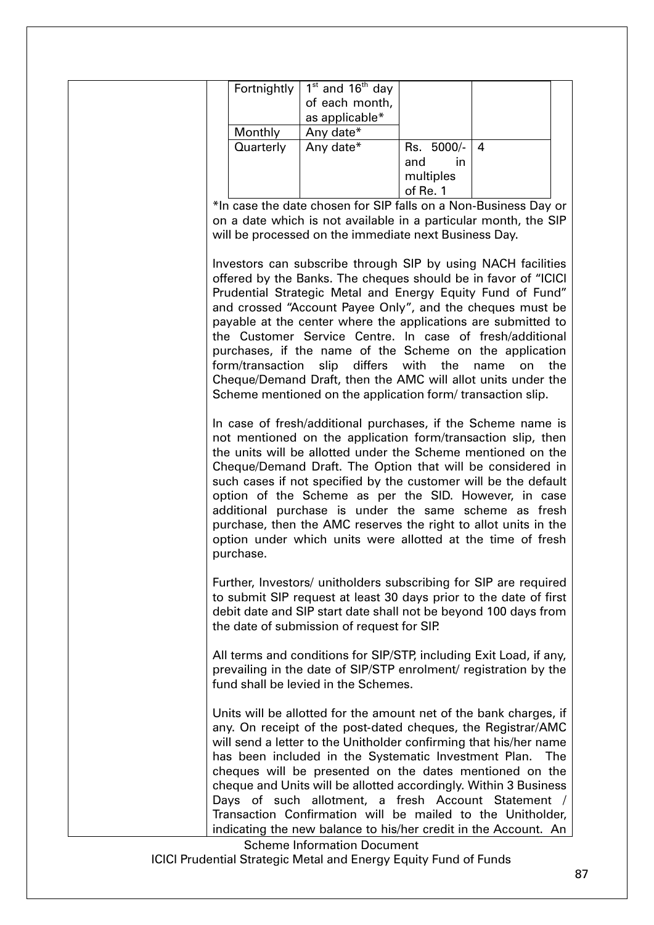| Fortnightly                                                     |  | $1st$ and $16th$ day |     |            |                                                               |  |
|-----------------------------------------------------------------|--|----------------------|-----|------------|---------------------------------------------------------------|--|
|                                                                 |  | of each month,       |     |            |                                                               |  |
|                                                                 |  | as applicable*       |     |            |                                                               |  |
| Monthly                                                         |  | Any date*            |     |            |                                                               |  |
| Quarterly                                                       |  | Any date*            |     | Rs. 5000/- | 4                                                             |  |
|                                                                 |  |                      | and | in.        |                                                               |  |
|                                                                 |  |                      |     | multiples  |                                                               |  |
|                                                                 |  |                      |     | of Re. 1   |                                                               |  |
| *In case the date chosen for SIP falls on a Non-Business Day or |  |                      |     |            |                                                               |  |
| on a date which is not available in a particular month, the SIP |  |                      |     |            |                                                               |  |
| will be processed on the immediate next Business Day.           |  |                      |     |            |                                                               |  |
|                                                                 |  |                      |     |            |                                                               |  |
|                                                                 |  |                      |     |            | Investors can subscribe through SIP by using NACH facilities  |  |
| offered by the Banks. The cheques should be in favor of "ICICI  |  |                      |     |            |                                                               |  |
| Prudential Strategic Metal and Energy Equity Fund of Fund"      |  |                      |     |            |                                                               |  |
| and crossed "Account Payee Only", and the cheques must be       |  |                      |     |            |                                                               |  |
|                                                                 |  |                      |     |            |                                                               |  |
|                                                                 |  |                      |     |            | payable at the center where the applications are submitted to |  |

purchases, if the name of the Scheme on the application form/transaction slip differs with the name on the Cheque/Demand Draft, then the AMC will allot units under the Scheme mentioned on the application form/ transaction slip.

In case of fresh/additional purchases, if the Scheme name is not mentioned on the application form/transaction slip, then the units will be allotted under the Scheme mentioned on the Cheque/Demand Draft. The Option that will be considered in such cases if not specified by the customer will be the default option of the Scheme as per the SID. However, in case additional purchase is under the same scheme as fresh purchase, then the AMC reserves the right to allot units in the option under which units were allotted at the time of fresh purchase.

Further, Investors/ unitholders subscribing for SIP are required to submit SIP request at least 30 days prior to the date of first debit date and SIP start date shall not be beyond 100 days from the date of submission of request for SIP.

All terms and conditions for SIP/STP, including Exit Load, if any, prevailing in the date of SIP/STP enrolment/ registration by the fund shall be levied in the Schemes.

Units will be allotted for the amount net of the bank charges, if any. On receipt of the post-dated cheques, the Registrar/AMC will send a letter to the Unitholder confirming that his/her name has been included in the Systematic Investment Plan. The cheques will be presented on the dates mentioned on the cheque and Units will be allotted accordingly. Within 3 Business Days of such allotment, a fresh Account Statement / Transaction Confirmation will be mailed to the Unitholder, indicating the new balance to his/her credit in the Account. An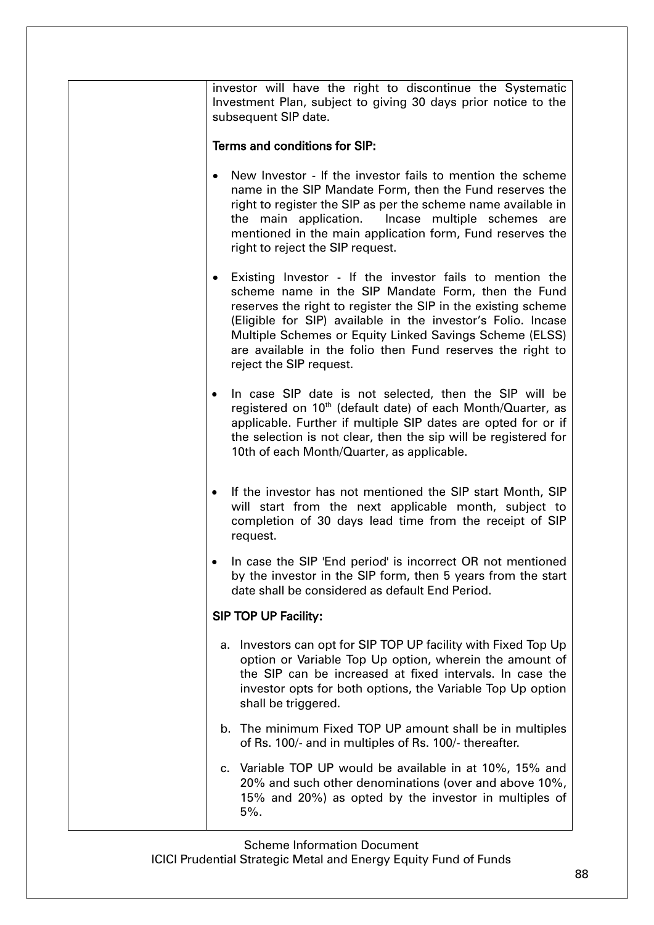investor will have the right to discontinue the Systematic Investment Plan, subject to giving 30 days prior notice to the subsequent SIP date.

#### Terms and conditions for SIP:

- New Investor If the investor fails to mention the scheme name in the SIP Mandate Form, then the Fund reserves the right to register the SIP as per the scheme name available in the main application. Incase multiple schemes are mentioned in the main application form, Fund reserves the right to reject the SIP request.
- Existing Investor If the investor fails to mention the scheme name in the SIP Mandate Form, then the Fund reserves the right to register the SIP in the existing scheme (Eligible for SIP) available in the investor's Folio. Incase Multiple Schemes or Equity Linked Savings Scheme (ELSS) are available in the folio then Fund reserves the right to reject the SIP request.
- In case SIP date is not selected, then the SIP will be registered on 10<sup>th</sup> (default date) of each Month/Quarter, as applicable. Further if multiple SIP dates are opted for or if the selection is not clear, then the sip will be registered for 10th of each Month/Quarter, as applicable.
- If the investor has not mentioned the SIP start Month, SIP will start from the next applicable month, subject to completion of 30 days lead time from the receipt of SIP request.
- In case the SIP 'End period' is incorrect OR not mentioned by the investor in the SIP form, then 5 years from the start date shall be considered as default End Period.

### SIP TOP UP Facility:

- a. Investors can opt for SIP TOP UP facility with Fixed Top Up option or Variable Top Up option, wherein the amount of the SIP can be increased at fixed intervals. In case the investor opts for both options, the Variable Top Up option shall be triggered.
- b. The minimum Fixed TOP UP amount shall be in multiples of Rs. 100/- and in multiples of Rs. 100/- thereafter.
- c. Variable TOP UP would be available in at 10%, 15% and 20% and such other denominations (over and above 10%, 15% and 20%) as opted by the investor in multiples of 5%.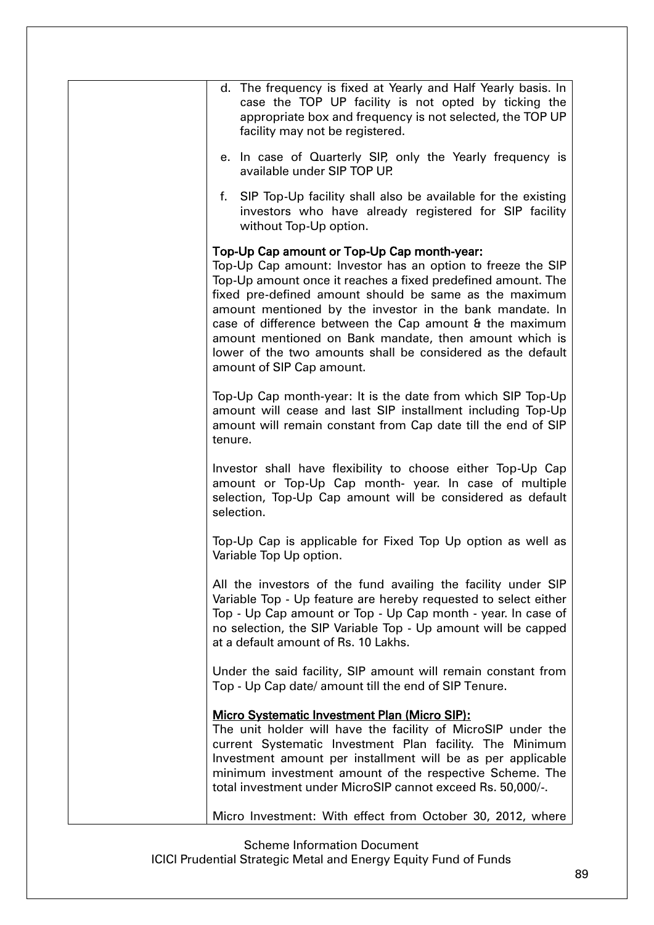| d. The frequency is fixed at Yearly and Half Yearly basis. In<br>case the TOP UP facility is not opted by ticking the<br>appropriate box and frequency is not selected, the TOP UP<br>facility may not be registered.                                                                                                                                                                                                                                                                                             |
|-------------------------------------------------------------------------------------------------------------------------------------------------------------------------------------------------------------------------------------------------------------------------------------------------------------------------------------------------------------------------------------------------------------------------------------------------------------------------------------------------------------------|
| e. In case of Quarterly SIP, only the Yearly frequency is<br>available under SIP TOP UP.                                                                                                                                                                                                                                                                                                                                                                                                                          |
| f. SIP Top-Up facility shall also be available for the existing<br>investors who have already registered for SIP facility<br>without Top-Up option.                                                                                                                                                                                                                                                                                                                                                               |
| Top-Up Cap amount or Top-Up Cap month-year:<br>Top-Up Cap amount: Investor has an option to freeze the SIP<br>Top-Up amount once it reaches a fixed predefined amount. The<br>fixed pre-defined amount should be same as the maximum<br>amount mentioned by the investor in the bank mandate. In<br>case of difference between the Cap amount & the maximum<br>amount mentioned on Bank mandate, then amount which is<br>lower of the two amounts shall be considered as the default<br>amount of SIP Cap amount. |
| Top-Up Cap month-year: It is the date from which SIP Top-Up<br>amount will cease and last SIP installment including Top-Up<br>amount will remain constant from Cap date till the end of SIP<br>tenure.                                                                                                                                                                                                                                                                                                            |
| Investor shall have flexibility to choose either Top-Up Cap<br>amount or Top-Up Cap month- year. In case of multiple<br>selection, Top-Up Cap amount will be considered as default<br>selection.                                                                                                                                                                                                                                                                                                                  |
| Top-Up Cap is applicable for Fixed Top Up option as well as<br>Variable Top Up option.                                                                                                                                                                                                                                                                                                                                                                                                                            |
| All the investors of the fund availing the facility under SIP<br>Variable Top - Up feature are hereby requested to select either<br>Top - Up Cap amount or Top - Up Cap month - year. In case of<br>no selection, the SIP Variable Top - Up amount will be capped<br>at a default amount of Rs. 10 Lakhs.                                                                                                                                                                                                         |
| Under the said facility, SIP amount will remain constant from<br>Top - Up Cap date/ amount till the end of SIP Tenure.                                                                                                                                                                                                                                                                                                                                                                                            |
| <b>Micro Systematic Investment Plan (Micro SIP):</b><br>The unit holder will have the facility of MicroSIP under the<br>current Systematic Investment Plan facility. The Minimum<br>Investment amount per installment will be as per applicable<br>minimum investment amount of the respective Scheme. The<br>total investment under MicroSIP cannot exceed Rs. 50,000/-.                                                                                                                                         |
| Micro Investment: With effect from October 30, 2012, where                                                                                                                                                                                                                                                                                                                                                                                                                                                        |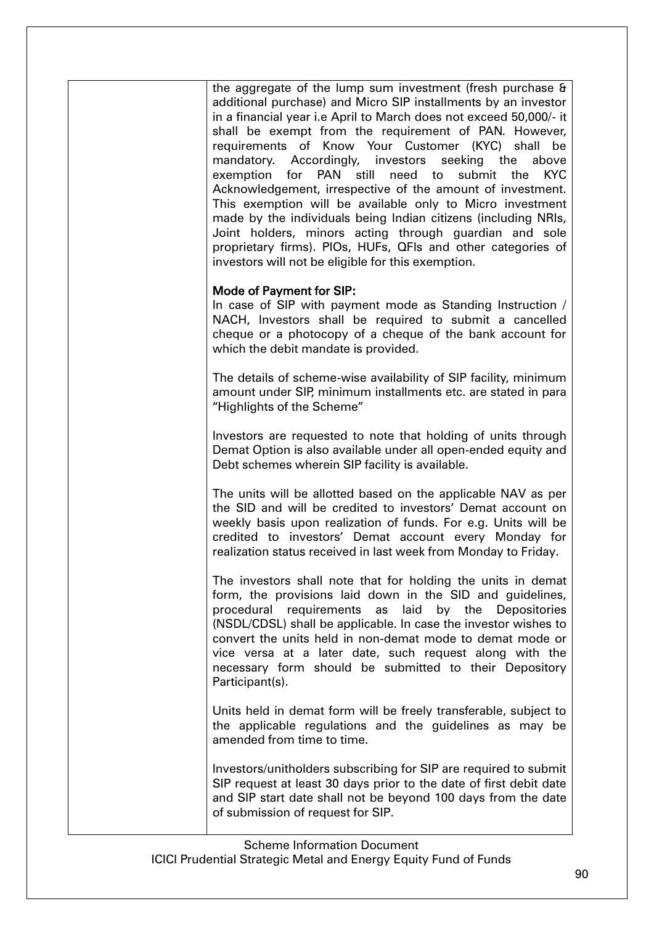the aggregate of the lump sum investment (fresh purchase & additional purchase) and Micro SIP installments by an investor in a financial year i.e April to March does not exceed 50,000/- it shall be exempt from the requirement of PAN. However, requirements of Know Your Customer (KYC) shall be mandatory. Accordingly, investors seeking the above exemption for PAN still need to submit the KYC Acknowledgement, irrespective of the amount of investment. This exemption will be available only to Micro investment made by the individuals being Indian citizens (including NRIs, Joint holders, minors acting through guardian and sole proprietary firms). PIOs, HUFs, QFIs and other categories of investors will not be eligible for this exemption.

### Mode of Payment for SIP:

In case of SIP with payment mode as Standing Instruction / NACH, Investors shall be required to submit a cancelled cheque or a photocopy of a cheque of the bank account for which the debit mandate is provided.

The details of scheme-wise availability of SIP facility, minimum amount under SIP, minimum installments etc. are stated in para "Highlights of the Scheme"

Investors are requested to note that holding of units through Demat Option is also available under all open-ended equity and Debt schemes wherein SIP facility is available.

The units will be allotted based on the applicable NAV as per the SID and will be credited to investors' Demat account on weekly basis upon realization of funds. For e.g. Units will be credited to investors' Demat account every Monday for realization status received in last week from Monday to Friday.

The investors shall note that for holding the units in demat form, the provisions laid down in the SID and guidelines, procedural requirements as laid by the Depositories (NSDL/CDSL) shall be applicable. In case the investor wishes to convert the units held in non-demat mode to demat mode or vice versa at a later date, such request along with the necessary form should be submitted to their Depository Participant(s).

Units held in demat form will be freely transferable, subject to the applicable regulations and the guidelines as may be amended from time to time.

Investors/unitholders subscribing for SIP are required to submit SIP request at least 30 days prior to the date of first debit date and SIP start date shall not be beyond 100 days from the date of submission of request for SIP.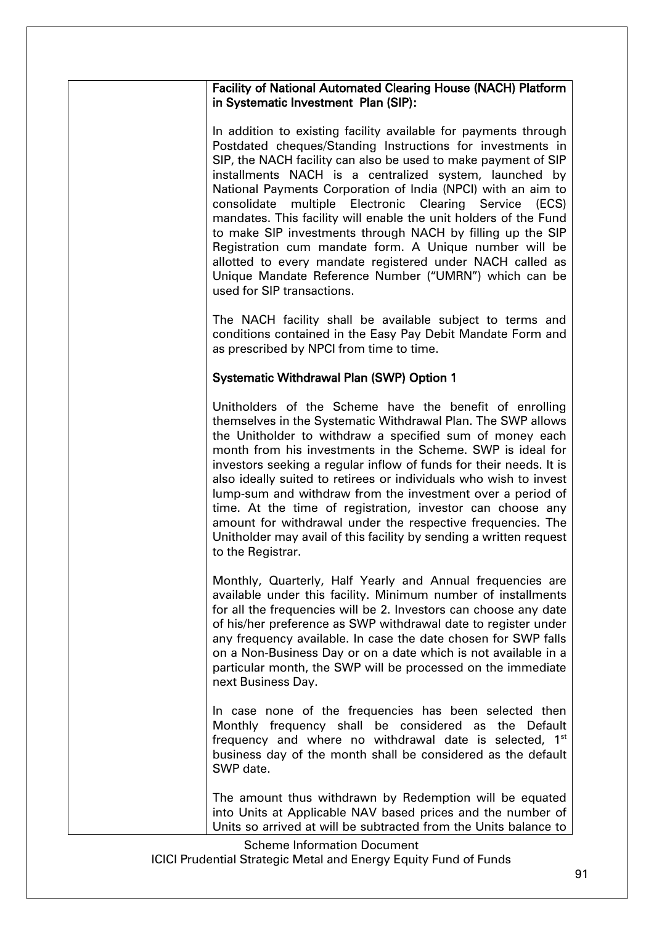| <b>Facility of National Automated Clearing House (NACH) Platform</b> |  |
|----------------------------------------------------------------------|--|
| in Systematic Investment Plan (SIP):                                 |  |

In addition to existing facility available for payments through Postdated cheques/Standing Instructions for investments in SIP, the NACH facility can also be used to make payment of SIP installments NACH is a centralized system, launched by National Payments Corporation of India (NPCI) with an aim to consolidate multiple Electronic Clearing Service (ECS) mandates. This facility will enable the unit holders of the Fund to make SIP investments through NACH by filling up the SIP Registration cum mandate form. A Unique number will be allotted to every mandate registered under NACH called as Unique Mandate Reference Number ("UMRN") which can be used for SIP transactions.

The NACH facility shall be available subject to terms and conditions contained in the Easy Pay Debit Mandate Form and as prescribed by NPCI from time to time.

### Systematic Withdrawal Plan (SWP) Option 1

Unitholders of the Scheme have the benefit of enrolling themselves in the Systematic Withdrawal Plan. The SWP allows the Unitholder to withdraw a specified sum of money each month from his investments in the Scheme. SWP is ideal for investors seeking a regular inflow of funds for their needs. It is also ideally suited to retirees or individuals who wish to invest lump-sum and withdraw from the investment over a period of time. At the time of registration, investor can choose any amount for withdrawal under the respective frequencies. The Unitholder may avail of this facility by sending a written request to the Registrar.

Monthly, Quarterly, Half Yearly and Annual frequencies are available under this facility. Minimum number of installments for all the frequencies will be 2. Investors can choose any date of his/her preference as SWP withdrawal date to register under any frequency available. In case the date chosen for SWP falls on a Non-Business Day or on a date which is not available in a particular month, the SWP will be processed on the immediate next Business Day.

In case none of the frequencies has been selected then Monthly frequency shall be considered as the Default frequency and where no withdrawal date is selected,  $1<sup>st</sup>$ business day of the month shall be considered as the default SWP date.

The amount thus withdrawn by Redemption will be equated into Units at Applicable NAV based prices and the number of Units so arrived at will be subtracted from the Units balance to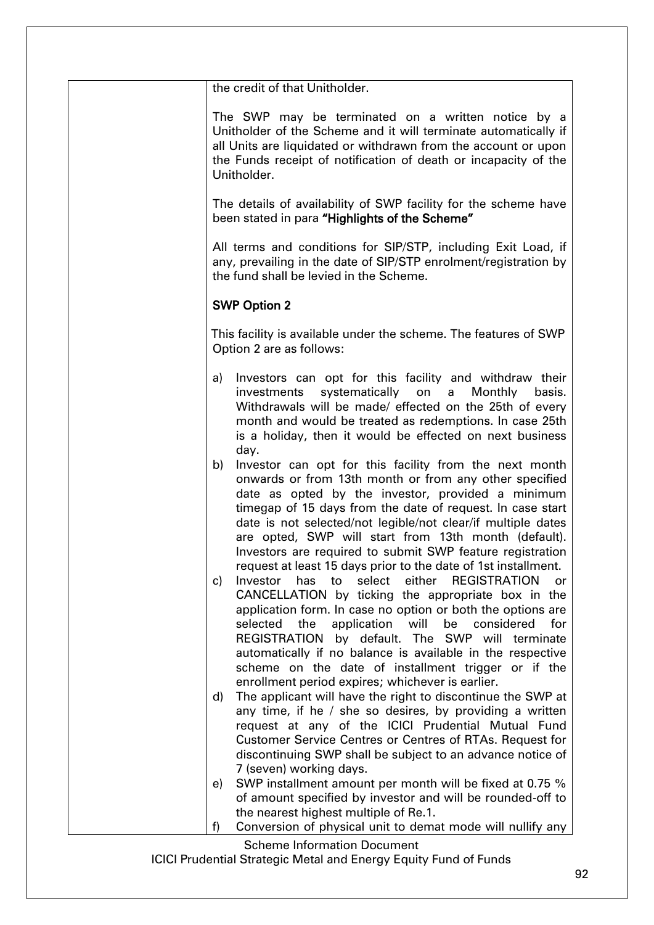| the credit of that Unitholder.                                                                                                                                                                                                                                                                                                                                                                                                                                                                                                                                                                                                                                                                                                                                                                                                                                                                                                                                                                                                                                                                                                                                                                                                                                                                                                                                                                                                                                                                                               |
|------------------------------------------------------------------------------------------------------------------------------------------------------------------------------------------------------------------------------------------------------------------------------------------------------------------------------------------------------------------------------------------------------------------------------------------------------------------------------------------------------------------------------------------------------------------------------------------------------------------------------------------------------------------------------------------------------------------------------------------------------------------------------------------------------------------------------------------------------------------------------------------------------------------------------------------------------------------------------------------------------------------------------------------------------------------------------------------------------------------------------------------------------------------------------------------------------------------------------------------------------------------------------------------------------------------------------------------------------------------------------------------------------------------------------------------------------------------------------------------------------------------------------|
| The SWP may be terminated on a written notice by a<br>Unitholder of the Scheme and it will terminate automatically if<br>all Units are liquidated or withdrawn from the account or upon<br>the Funds receipt of notification of death or incapacity of the<br>Unitholder.                                                                                                                                                                                                                                                                                                                                                                                                                                                                                                                                                                                                                                                                                                                                                                                                                                                                                                                                                                                                                                                                                                                                                                                                                                                    |
| The details of availability of SWP facility for the scheme have<br>been stated in para "Highlights of the Scheme"                                                                                                                                                                                                                                                                                                                                                                                                                                                                                                                                                                                                                                                                                                                                                                                                                                                                                                                                                                                                                                                                                                                                                                                                                                                                                                                                                                                                            |
| All terms and conditions for SIP/STP, including Exit Load, if<br>any, prevailing in the date of SIP/STP enrolment/registration by<br>the fund shall be levied in the Scheme.                                                                                                                                                                                                                                                                                                                                                                                                                                                                                                                                                                                                                                                                                                                                                                                                                                                                                                                                                                                                                                                                                                                                                                                                                                                                                                                                                 |
| <b>SWP Option 2</b>                                                                                                                                                                                                                                                                                                                                                                                                                                                                                                                                                                                                                                                                                                                                                                                                                                                                                                                                                                                                                                                                                                                                                                                                                                                                                                                                                                                                                                                                                                          |
| This facility is available under the scheme. The features of SWP<br>Option 2 are as follows:                                                                                                                                                                                                                                                                                                                                                                                                                                                                                                                                                                                                                                                                                                                                                                                                                                                                                                                                                                                                                                                                                                                                                                                                                                                                                                                                                                                                                                 |
| Investors can opt for this facility and withdraw their<br>a)<br>systematically on<br>Monthly<br>basis.<br>investments<br>a<br>Withdrawals will be made/ effected on the 25th of every<br>month and would be treated as redemptions. In case 25th<br>is a holiday, then it would be effected on next business<br>day.<br>Investor can opt for this facility from the next month<br>b)<br>onwards or from 13th month or from any other specified<br>date as opted by the investor, provided a minimum<br>timegap of 15 days from the date of request. In case start<br>date is not selected/not legible/not clear/if multiple dates<br>are opted, SWP will start from 13th month (default).<br>Investors are required to submit SWP feature registration<br>request at least 15 days prior to the date of 1st installment.<br>select<br>either<br><b>REGISTRATION</b><br>Investor<br>has<br>to<br>$\mathbf{c}$<br>or<br>CANCELLATION by ticking the appropriate box in the<br>application form. In case no option or both the options are<br>the<br>application<br>will<br>selected<br>be considered<br>for<br>REGISTRATION by default. The SWP will terminate<br>automatically if no balance is available in the respective<br>scheme on the date of installment trigger or if the<br>enrollment period expires; whichever is earlier.<br>The applicant will have the right to discontinue the SWP at<br>d)<br>any time, if he / she so desires, by providing a written<br>request at any of the ICICI Prudential Mutual Fund |
| Customer Service Centres or Centres of RTAs. Request for<br>discontinuing SWP shall be subject to an advance notice of<br>7 (seven) working days.<br>SWP installment amount per month will be fixed at 0.75 %<br>e)<br>of amount specified by investor and will be rounded-off to                                                                                                                                                                                                                                                                                                                                                                                                                                                                                                                                                                                                                                                                                                                                                                                                                                                                                                                                                                                                                                                                                                                                                                                                                                            |
| the nearest highest multiple of Re.1.<br>Conversion of physical unit to demat mode will nullify any<br>f)                                                                                                                                                                                                                                                                                                                                                                                                                                                                                                                                                                                                                                                                                                                                                                                                                                                                                                                                                                                                                                                                                                                                                                                                                                                                                                                                                                                                                    |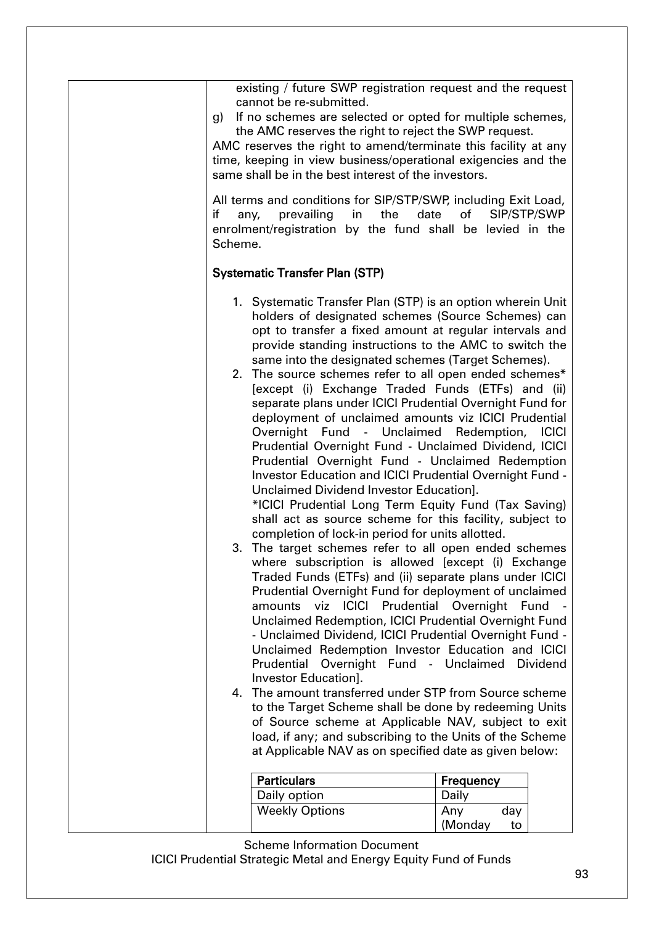| existing / future SWP registration request and the request<br>cannot be re-submitted.<br>If no schemes are selected or opted for multiple schemes,<br>g)<br>the AMC reserves the right to reject the SWP request.<br>AMC reserves the right to amend/terminate this facility at any<br>time, keeping in view business/operational exigencies and the<br>same shall be in the best interest of the investors.<br>All terms and conditions for SIP/STP/SWP, including Exit Load,<br>if<br>prevailing<br>in<br>the<br>any,<br>enrolment/registration by the fund shall be levied in the<br>Scheme.                                                                                                                                                                                                                                                                                                                                                                                                                                                                                                                                                                                                                                                                                                                                                                                                                                                                                                                                                                                                                                                                                                                                                                                 | date<br>SIP/STP/SWP<br>of                     |
|---------------------------------------------------------------------------------------------------------------------------------------------------------------------------------------------------------------------------------------------------------------------------------------------------------------------------------------------------------------------------------------------------------------------------------------------------------------------------------------------------------------------------------------------------------------------------------------------------------------------------------------------------------------------------------------------------------------------------------------------------------------------------------------------------------------------------------------------------------------------------------------------------------------------------------------------------------------------------------------------------------------------------------------------------------------------------------------------------------------------------------------------------------------------------------------------------------------------------------------------------------------------------------------------------------------------------------------------------------------------------------------------------------------------------------------------------------------------------------------------------------------------------------------------------------------------------------------------------------------------------------------------------------------------------------------------------------------------------------------------------------------------------------|-----------------------------------------------|
| <b>Systematic Transfer Plan (STP)</b>                                                                                                                                                                                                                                                                                                                                                                                                                                                                                                                                                                                                                                                                                                                                                                                                                                                                                                                                                                                                                                                                                                                                                                                                                                                                                                                                                                                                                                                                                                                                                                                                                                                                                                                                           |                                               |
| 1. Systematic Transfer Plan (STP) is an option wherein Unit<br>holders of designated schemes (Source Schemes) can<br>opt to transfer a fixed amount at regular intervals and<br>provide standing instructions to the AMC to switch the<br>same into the designated schemes (Target Schemes).<br>2. The source schemes refer to all open ended schemes*<br>[except (i) Exchange Traded Funds (ETFs) and (ii)<br>separate plans under ICICI Prudential Overnight Fund for<br>deployment of unclaimed amounts viz ICICI Prudential<br>Overnight Fund - Unclaimed Redemption, ICICI<br>Prudential Overnight Fund - Unclaimed Dividend, ICICI<br>Prudential Overnight Fund - Unclaimed Redemption<br>Investor Education and ICICI Prudential Overnight Fund -<br>Unclaimed Dividend Investor Education].<br>*ICICI Prudential Long Term Equity Fund (Tax Saving)<br>shall act as source scheme for this facility, subject to<br>completion of lock-in period for units allotted.<br>3. The target schemes refer to all open ended schemes<br>where subscription is allowed [except (i) Exchange<br>Traded Funds (ETFs) and (ii) separate plans under ICICI<br>Prudential Overnight Fund for deployment of unclaimed<br>amounts viz ICICI Prudential Overnight Fund<br>Unclaimed Redemption, ICICI Prudential Overnight Fund<br>- Unclaimed Dividend, ICICI Prudential Overnight Fund -<br>Unclaimed Redemption Investor Education and ICICI<br>Prudential<br>Investor Education].<br>The amount transferred under STP from Source scheme<br>4.<br>to the Target Scheme shall be done by redeeming Units<br>of Source scheme at Applicable NAV, subject to exit<br>load, if any; and subscribing to the Units of the Scheme<br>at Applicable NAV as on specified date as given below: | Overnight Fund - Unclaimed<br><b>Dividend</b> |
| <b>Particulars</b><br>Daily option                                                                                                                                                                                                                                                                                                                                                                                                                                                                                                                                                                                                                                                                                                                                                                                                                                                                                                                                                                                                                                                                                                                                                                                                                                                                                                                                                                                                                                                                                                                                                                                                                                                                                                                                              | Frequency<br>Daily                            |
| <b>Weekly Options</b>                                                                                                                                                                                                                                                                                                                                                                                                                                                                                                                                                                                                                                                                                                                                                                                                                                                                                                                                                                                                                                                                                                                                                                                                                                                                                                                                                                                                                                                                                                                                                                                                                                                                                                                                                           | day<br>Any<br>(Monday<br>to                   |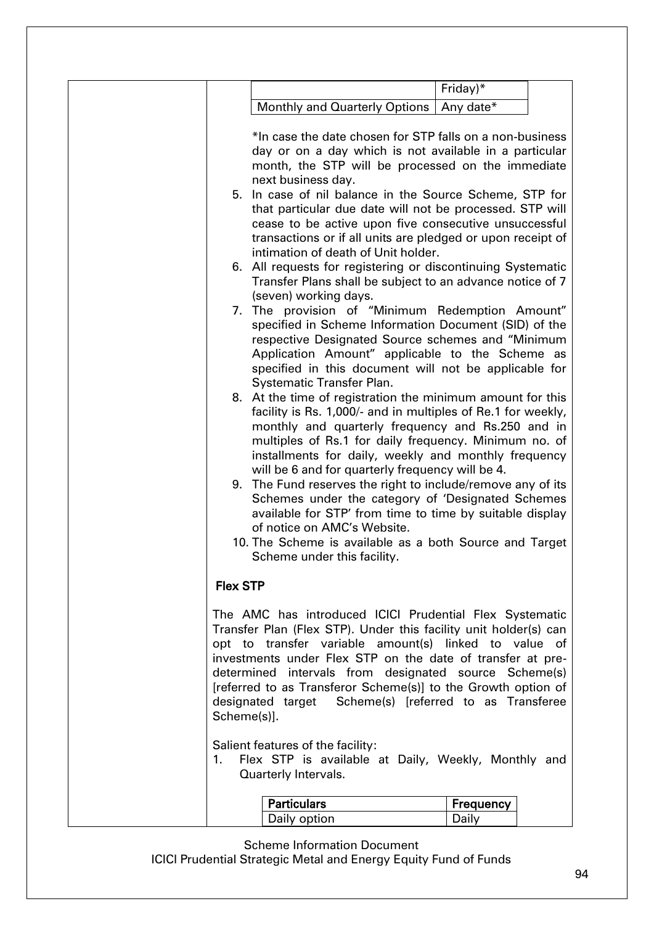|                   |                                                                                                                                                                                                                                                                                                                                                                                                                                                                                                                                                                                                                                                                                                                                                                                                                                                                                                                                                                                                                                                                                                                                                                                                                                                                                                                                                                                                                                                                                                                                                                                                                     | Friday)*  |  |
|-------------------|---------------------------------------------------------------------------------------------------------------------------------------------------------------------------------------------------------------------------------------------------------------------------------------------------------------------------------------------------------------------------------------------------------------------------------------------------------------------------------------------------------------------------------------------------------------------------------------------------------------------------------------------------------------------------------------------------------------------------------------------------------------------------------------------------------------------------------------------------------------------------------------------------------------------------------------------------------------------------------------------------------------------------------------------------------------------------------------------------------------------------------------------------------------------------------------------------------------------------------------------------------------------------------------------------------------------------------------------------------------------------------------------------------------------------------------------------------------------------------------------------------------------------------------------------------------------------------------------------------------------|-----------|--|
|                   | <b>Monthly and Quarterly Options</b>                                                                                                                                                                                                                                                                                                                                                                                                                                                                                                                                                                                                                                                                                                                                                                                                                                                                                                                                                                                                                                                                                                                                                                                                                                                                                                                                                                                                                                                                                                                                                                                | Any date* |  |
|                   | *In case the date chosen for STP falls on a non-business<br>day or on a day which is not available in a particular<br>month, the STP will be processed on the immediate<br>next business day.<br>5. In case of nil balance in the Source Scheme, STP for<br>that particular due date will not be processed. STP will<br>cease to be active upon five consecutive unsuccessful<br>transactions or if all units are pledged or upon receipt of<br>intimation of death of Unit holder.<br>6. All requests for registering or discontinuing Systematic<br>Transfer Plans shall be subject to an advance notice of 7<br>(seven) working days.<br>7. The provision of "Minimum Redemption Amount"<br>specified in Scheme Information Document (SID) of the<br>respective Designated Source schemes and "Minimum<br>Application Amount" applicable to the Scheme as<br>specified in this document will not be applicable for<br>Systematic Transfer Plan.<br>8. At the time of registration the minimum amount for this<br>facility is Rs. 1,000/- and in multiples of Re.1 for weekly,<br>monthly and quarterly frequency and Rs.250 and in<br>multiples of Rs.1 for daily frequency. Minimum no. of<br>installments for daily, weekly and monthly frequency<br>will be 6 and for quarterly frequency will be 4.<br>9. The Fund reserves the right to include/remove any of its<br>Schemes under the category of 'Designated Schemes<br>available for STP' from time to time by suitable display<br>of notice on AMC's Website.<br>10. The Scheme is available as a both Source and Target<br>Scheme under this facility. |           |  |
| <b>Flex STP</b>   |                                                                                                                                                                                                                                                                                                                                                                                                                                                                                                                                                                                                                                                                                                                                                                                                                                                                                                                                                                                                                                                                                                                                                                                                                                                                                                                                                                                                                                                                                                                                                                                                                     |           |  |
| Scheme(s)].<br>1. | The AMC has introduced ICICI Prudential Flex Systematic<br>Transfer Plan (Flex STP). Under this facility unit holder(s) can<br>opt to transfer variable amount(s) linked to value of<br>investments under Flex STP on the date of transfer at pre-<br>determined intervals from designated source Scheme(s)<br>[referred to as Transferor Scheme(s)] to the Growth option of<br>designated target  Scheme(s) [referred to as Transferee<br>Salient features of the facility:<br>Flex STP is available at Daily, Weekly, Monthly and<br>Quarterly Intervals.                                                                                                                                                                                                                                                                                                                                                                                                                                                                                                                                                                                                                                                                                                                                                                                                                                                                                                                                                                                                                                                         |           |  |
|                   |                                                                                                                                                                                                                                                                                                                                                                                                                                                                                                                                                                                                                                                                                                                                                                                                                                                                                                                                                                                                                                                                                                                                                                                                                                                                                                                                                                                                                                                                                                                                                                                                                     |           |  |
|                   | <b>Particulars</b>                                                                                                                                                                                                                                                                                                                                                                                                                                                                                                                                                                                                                                                                                                                                                                                                                                                                                                                                                                                                                                                                                                                                                                                                                                                                                                                                                                                                                                                                                                                                                                                                  | Frequency |  |
|                   | Daily option                                                                                                                                                                                                                                                                                                                                                                                                                                                                                                                                                                                                                                                                                                                                                                                                                                                                                                                                                                                                                                                                                                                                                                                                                                                                                                                                                                                                                                                                                                                                                                                                        | Daily     |  |
|                   |                                                                                                                                                                                                                                                                                                                                                                                                                                                                                                                                                                                                                                                                                                                                                                                                                                                                                                                                                                                                                                                                                                                                                                                                                                                                                                                                                                                                                                                                                                                                                                                                                     |           |  |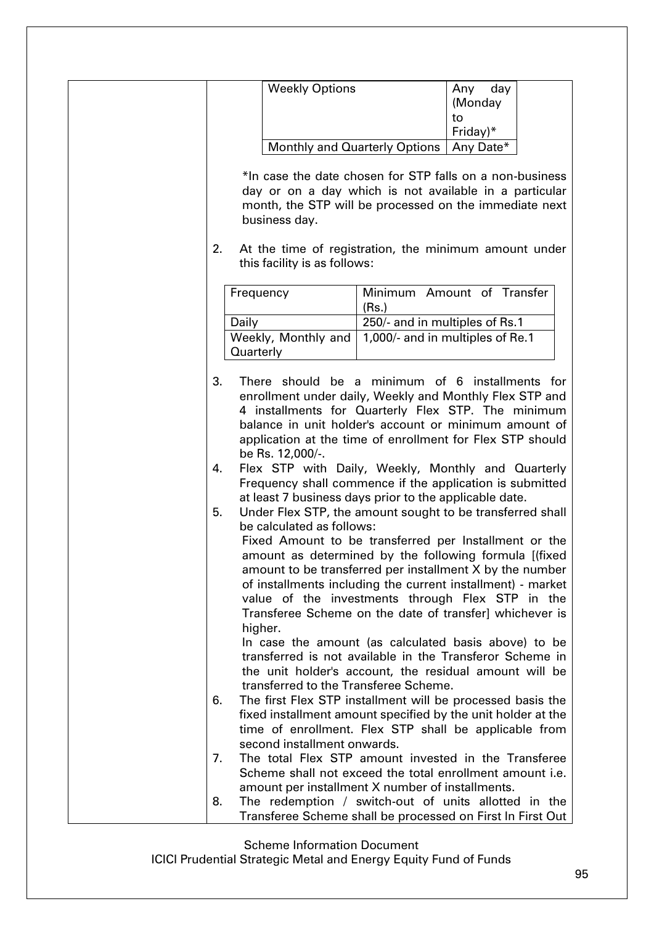| <b>Weekly Options</b><br>day<br>Any<br>(Monday<br>to<br>Friday)*<br>Any Date*<br>Monthly and Quarterly Options<br>*In case the date chosen for STP falls on a non-business<br>day or on a day which is not available in a particular<br>month, the STP will be processed on the immediate next<br>business day.<br>2.<br>At the time of registration, the minimum amount under<br>this facility is as follows:<br>Minimum Amount of Transfer<br>Frequency<br>(Rs.)<br>250/- and in multiples of Rs.1<br>Daily<br>1,000/- and in multiples of Re.1<br>Weekly, Monthly and<br>Quarterly<br>3.<br>There should be a minimum of 6 installments for<br>enrollment under daily, Weekly and Monthly Flex STP and<br>4 installments for Quarterly Flex STP. The minimum<br>balance in unit holder's account or minimum amount of<br>application at the time of enrollment for Flex STP should<br>be Rs. 12,000/-.<br>Flex STP with Daily, Weekly, Monthly and Quarterly<br>4.<br>Frequency shall commence if the application is submitted<br>at least 7 business days prior to the applicable date.<br>5.<br>Under Flex STP, the amount sought to be transferred shall<br>be calculated as follows:<br>Fixed Amount to be transferred per Installment or the<br>amount as determined by the following formula [(fixed<br>amount to be transferred per installment X by the number<br>of installments including the current installment) - market<br>value of the investments through Flex STP in the<br>Transferee Scheme on the date of transfer] whichever is<br>higher.<br>In case the amount (as calculated basis above) to be<br>transferred is not available in the Transferor Scheme in<br>the unit holder's account, the residual amount will be<br>transferred to the Transferee Scheme.<br>The first Flex STP installment will be processed basis the<br>6.<br>fixed installment amount specified by the unit holder at the<br>time of enrollment. Flex STP shall be applicable from |  |  |  |
|----------------------------------------------------------------------------------------------------------------------------------------------------------------------------------------------------------------------------------------------------------------------------------------------------------------------------------------------------------------------------------------------------------------------------------------------------------------------------------------------------------------------------------------------------------------------------------------------------------------------------------------------------------------------------------------------------------------------------------------------------------------------------------------------------------------------------------------------------------------------------------------------------------------------------------------------------------------------------------------------------------------------------------------------------------------------------------------------------------------------------------------------------------------------------------------------------------------------------------------------------------------------------------------------------------------------------------------------------------------------------------------------------------------------------------------------------------------------------------------------------------------------------------------------------------------------------------------------------------------------------------------------------------------------------------------------------------------------------------------------------------------------------------------------------------------------------------------------------------------------------------------------------------------------------------------------------------------------------------------|--|--|--|
|                                                                                                                                                                                                                                                                                                                                                                                                                                                                                                                                                                                                                                                                                                                                                                                                                                                                                                                                                                                                                                                                                                                                                                                                                                                                                                                                                                                                                                                                                                                                                                                                                                                                                                                                                                                                                                                                                                                                                                                        |  |  |  |
|                                                                                                                                                                                                                                                                                                                                                                                                                                                                                                                                                                                                                                                                                                                                                                                                                                                                                                                                                                                                                                                                                                                                                                                                                                                                                                                                                                                                                                                                                                                                                                                                                                                                                                                                                                                                                                                                                                                                                                                        |  |  |  |
|                                                                                                                                                                                                                                                                                                                                                                                                                                                                                                                                                                                                                                                                                                                                                                                                                                                                                                                                                                                                                                                                                                                                                                                                                                                                                                                                                                                                                                                                                                                                                                                                                                                                                                                                                                                                                                                                                                                                                                                        |  |  |  |
|                                                                                                                                                                                                                                                                                                                                                                                                                                                                                                                                                                                                                                                                                                                                                                                                                                                                                                                                                                                                                                                                                                                                                                                                                                                                                                                                                                                                                                                                                                                                                                                                                                                                                                                                                                                                                                                                                                                                                                                        |  |  |  |
|                                                                                                                                                                                                                                                                                                                                                                                                                                                                                                                                                                                                                                                                                                                                                                                                                                                                                                                                                                                                                                                                                                                                                                                                                                                                                                                                                                                                                                                                                                                                                                                                                                                                                                                                                                                                                                                                                                                                                                                        |  |  |  |
|                                                                                                                                                                                                                                                                                                                                                                                                                                                                                                                                                                                                                                                                                                                                                                                                                                                                                                                                                                                                                                                                                                                                                                                                                                                                                                                                                                                                                                                                                                                                                                                                                                                                                                                                                                                                                                                                                                                                                                                        |  |  |  |
|                                                                                                                                                                                                                                                                                                                                                                                                                                                                                                                                                                                                                                                                                                                                                                                                                                                                                                                                                                                                                                                                                                                                                                                                                                                                                                                                                                                                                                                                                                                                                                                                                                                                                                                                                                                                                                                                                                                                                                                        |  |  |  |
|                                                                                                                                                                                                                                                                                                                                                                                                                                                                                                                                                                                                                                                                                                                                                                                                                                                                                                                                                                                                                                                                                                                                                                                                                                                                                                                                                                                                                                                                                                                                                                                                                                                                                                                                                                                                                                                                                                                                                                                        |  |  |  |
|                                                                                                                                                                                                                                                                                                                                                                                                                                                                                                                                                                                                                                                                                                                                                                                                                                                                                                                                                                                                                                                                                                                                                                                                                                                                                                                                                                                                                                                                                                                                                                                                                                                                                                                                                                                                                                                                                                                                                                                        |  |  |  |
|                                                                                                                                                                                                                                                                                                                                                                                                                                                                                                                                                                                                                                                                                                                                                                                                                                                                                                                                                                                                                                                                                                                                                                                                                                                                                                                                                                                                                                                                                                                                                                                                                                                                                                                                                                                                                                                                                                                                                                                        |  |  |  |
| second installment onwards.<br>The total Flex STP amount invested in the Transferee<br>7.<br>Scheme shall not exceed the total enrollment amount i.e.                                                                                                                                                                                                                                                                                                                                                                                                                                                                                                                                                                                                                                                                                                                                                                                                                                                                                                                                                                                                                                                                                                                                                                                                                                                                                                                                                                                                                                                                                                                                                                                                                                                                                                                                                                                                                                  |  |  |  |
| amount per installment X number of installments.<br>8.<br>The redemption / switch-out of units allotted in the<br>Transferee Scheme shall be processed on First In First Out                                                                                                                                                                                                                                                                                                                                                                                                                                                                                                                                                                                                                                                                                                                                                                                                                                                                                                                                                                                                                                                                                                                                                                                                                                                                                                                                                                                                                                                                                                                                                                                                                                                                                                                                                                                                           |  |  |  |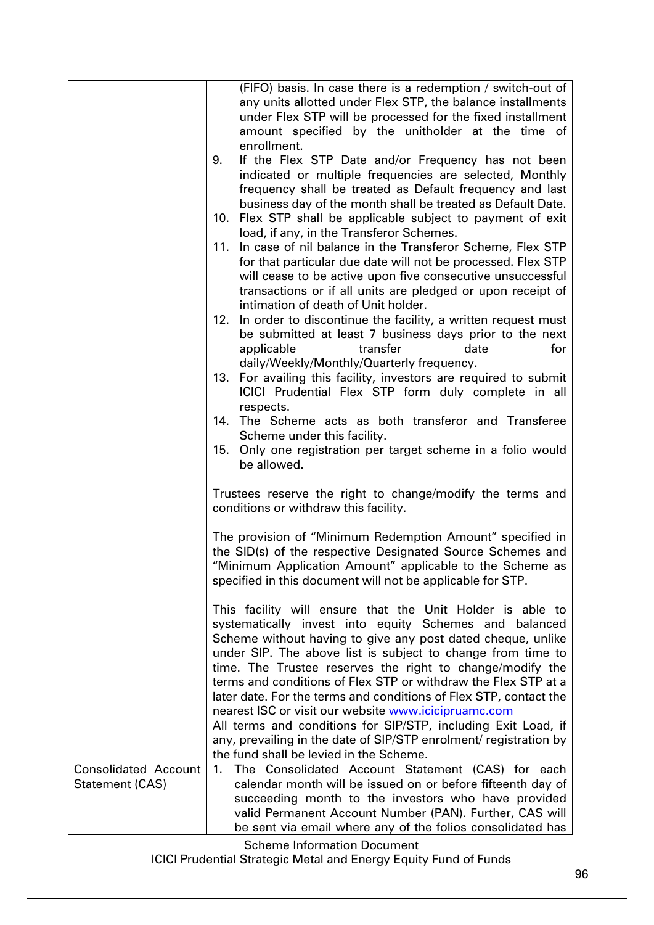|                             | (FIFO) basis. In case there is a redemption / switch-out of                                                                                                                                                                                       |
|-----------------------------|---------------------------------------------------------------------------------------------------------------------------------------------------------------------------------------------------------------------------------------------------|
|                             | any units allotted under Flex STP, the balance installments                                                                                                                                                                                       |
|                             | under Flex STP will be processed for the fixed installment                                                                                                                                                                                        |
|                             | amount specified by the unitholder at the time of<br>enrollment.                                                                                                                                                                                  |
|                             | If the Flex STP Date and/or Frequency has not been<br>9.                                                                                                                                                                                          |
|                             | indicated or multiple frequencies are selected, Monthly                                                                                                                                                                                           |
|                             | frequency shall be treated as Default frequency and last                                                                                                                                                                                          |
|                             | business day of the month shall be treated as Default Date.                                                                                                                                                                                       |
|                             | 10. Flex STP shall be applicable subject to payment of exit                                                                                                                                                                                       |
|                             | load, if any, in the Transferor Schemes.                                                                                                                                                                                                          |
|                             | 11. In case of nil balance in the Transferor Scheme, Flex STP                                                                                                                                                                                     |
|                             | for that particular due date will not be processed. Flex STP<br>will cease to be active upon five consecutive unsuccessful                                                                                                                        |
|                             | transactions or if all units are pledged or upon receipt of                                                                                                                                                                                       |
|                             | intimation of death of Unit holder.                                                                                                                                                                                                               |
|                             | 12. In order to discontinue the facility, a written request must                                                                                                                                                                                  |
|                             | be submitted at least 7 business days prior to the next                                                                                                                                                                                           |
|                             | date<br>applicable<br>transfer<br>for                                                                                                                                                                                                             |
|                             | daily/Weekly/Monthly/Quarterly frequency.                                                                                                                                                                                                         |
|                             | 13. For availing this facility, investors are required to submit<br>ICICI Prudential Flex STP form duly complete in all                                                                                                                           |
|                             | respects.                                                                                                                                                                                                                                         |
|                             | 14. The Scheme acts as both transferor and Transferee                                                                                                                                                                                             |
|                             | Scheme under this facility.                                                                                                                                                                                                                       |
|                             | Only one registration per target scheme in a folio would<br>15.                                                                                                                                                                                   |
|                             | be allowed.                                                                                                                                                                                                                                       |
|                             | Trustees reserve the right to change/modify the terms and                                                                                                                                                                                         |
|                             | conditions or withdraw this facility.                                                                                                                                                                                                             |
|                             | The provision of "Minimum Redemption Amount" specified in<br>the SID(s) of the respective Designated Source Schemes and<br>"Minimum Application Amount" applicable to the Scheme as<br>specified in this document will not be applicable for STP. |
|                             |                                                                                                                                                                                                                                                   |
|                             | This facility will ensure that the Unit Holder is able to<br>systematically invest into equity Schemes and balanced                                                                                                                               |
|                             | Scheme without having to give any post dated cheque, unlike                                                                                                                                                                                       |
|                             | under SIP. The above list is subject to change from time to                                                                                                                                                                                       |
|                             | time. The Trustee reserves the right to change/modify the                                                                                                                                                                                         |
|                             | terms and conditions of Flex STP or withdraw the Flex STP at a<br>later date. For the terms and conditions of Flex STP, contact the                                                                                                               |
|                             | nearest ISC or visit our website www.icicipruamc.com                                                                                                                                                                                              |
|                             | All terms and conditions for SIP/STP, including Exit Load, if                                                                                                                                                                                     |
|                             | any, prevailing in the date of SIP/STP enrolment/ registration by                                                                                                                                                                                 |
|                             | the fund shall be levied in the Scheme.                                                                                                                                                                                                           |
| <b>Consolidated Account</b> | 1.<br>The Consolidated Account Statement (CAS) for each                                                                                                                                                                                           |
| Statement (CAS)             | calendar month will be issued on or before fifteenth day of<br>succeeding month to the investors who have provided                                                                                                                                |
|                             | valid Permanent Account Number (PAN). Further, CAS will                                                                                                                                                                                           |
|                             | be sent via email where any of the folios consolidated has                                                                                                                                                                                        |
|                             | <b>Scheme Information Document</b>                                                                                                                                                                                                                |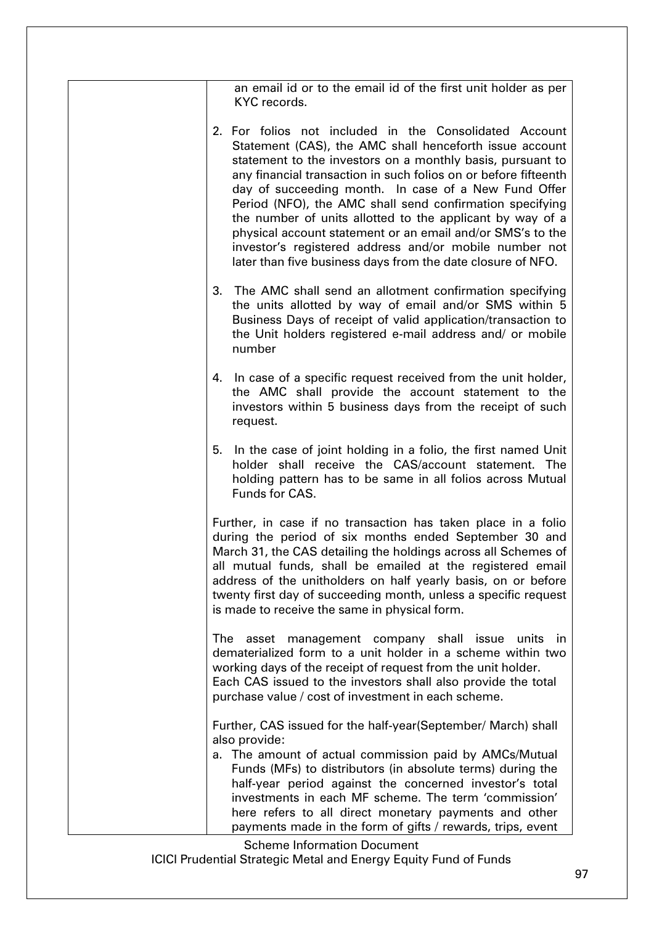| an email id or to the email id of the first unit holder as per<br>KYC records.                                                                                                                                                                                                                                                                                                                                                                                                                                                                                                                                             |
|----------------------------------------------------------------------------------------------------------------------------------------------------------------------------------------------------------------------------------------------------------------------------------------------------------------------------------------------------------------------------------------------------------------------------------------------------------------------------------------------------------------------------------------------------------------------------------------------------------------------------|
| 2. For folios not included in the Consolidated Account<br>Statement (CAS), the AMC shall henceforth issue account<br>statement to the investors on a monthly basis, pursuant to<br>any financial transaction in such folios on or before fifteenth<br>day of succeeding month. In case of a New Fund Offer<br>Period (NFO), the AMC shall send confirmation specifying<br>the number of units allotted to the applicant by way of a<br>physical account statement or an email and/or SMS's to the<br>investor's registered address and/or mobile number not<br>later than five business days from the date closure of NFO. |
| 3. The AMC shall send an allotment confirmation specifying<br>the units allotted by way of email and/or SMS within 5<br>Business Days of receipt of valid application/transaction to<br>the Unit holders registered e-mail address and/ or mobile<br>number                                                                                                                                                                                                                                                                                                                                                                |
| 4. In case of a specific request received from the unit holder,<br>the AMC shall provide the account statement to the<br>investors within 5 business days from the receipt of such<br>request.                                                                                                                                                                                                                                                                                                                                                                                                                             |
| In the case of joint holding in a folio, the first named Unit<br>5.<br>holder shall receive the CAS/account statement. The<br>holding pattern has to be same in all folios across Mutual<br>Funds for CAS.                                                                                                                                                                                                                                                                                                                                                                                                                 |
| Further, in case if no transaction has taken place in a folio<br>during the period of six months ended September 30 and<br>March 31, the CAS detailing the holdings across all Schemes of<br>all mutual funds, shall be emailed at the registered email<br>address of the unitholders on half yearly basis, on or before<br>twenty first day of succeeding month, unless a specific request<br>is made to receive the same in physical form.                                                                                                                                                                               |
| The asset management company shall issue<br>units<br>ın<br>dematerialized form to a unit holder in a scheme within two<br>working days of the receipt of request from the unit holder.<br>Each CAS issued to the investors shall also provide the total<br>purchase value / cost of investment in each scheme.                                                                                                                                                                                                                                                                                                             |
| Further, CAS issued for the half-year (September/ March) shall<br>also provide:<br>a. The amount of actual commission paid by AMCs/Mutual<br>Funds (MFs) to distributors (in absolute terms) during the<br>half-year period against the concerned investor's total                                                                                                                                                                                                                                                                                                                                                         |
| investments in each MF scheme. The term 'commission'<br>here refers to all direct monetary payments and other<br>payments made in the form of gifts / rewards, trips, event                                                                                                                                                                                                                                                                                                                                                                                                                                                |
| <b>Scheme Information Document</b>                                                                                                                                                                                                                                                                                                                                                                                                                                                                                                                                                                                         |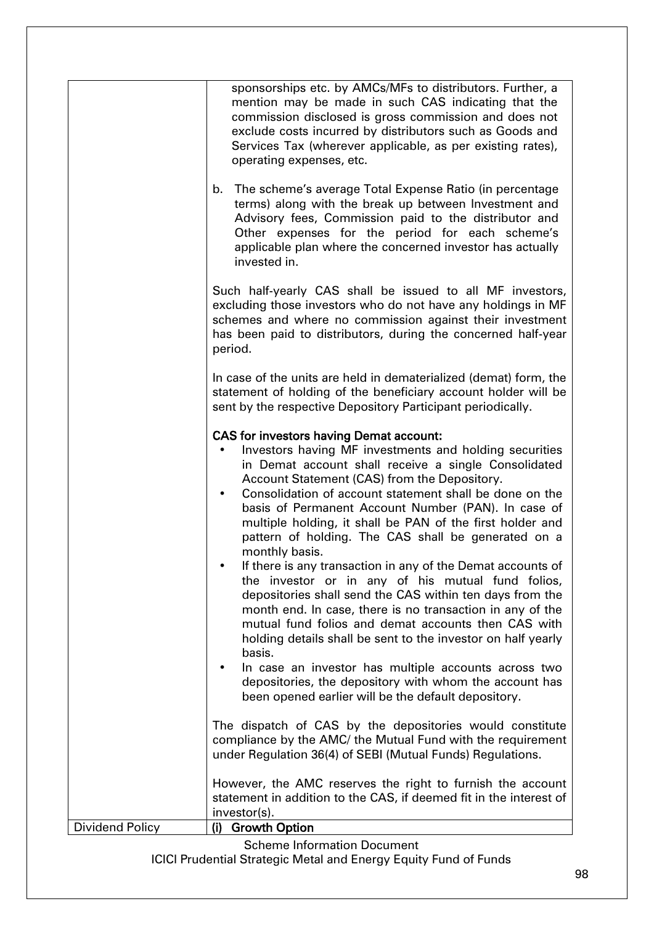|                 | sponsorships etc. by AMCs/MFs to distributors. Further, a<br>mention may be made in such CAS indicating that the<br>commission disclosed is gross commission and does not<br>exclude costs incurred by distributors such as Goods and<br>Services Tax (wherever applicable, as per existing rates),<br>operating expenses, etc.<br>The scheme's average Total Expense Ratio (in percentage<br>b.<br>terms) along with the break up between Investment and<br>Advisory fees, Commission paid to the distributor and<br>Other expenses for the period for each scheme's<br>applicable plan where the concerned investor has actually<br>invested in.                                                                                                                                                                                                                                                                                                                                                                                   |
|-----------------|--------------------------------------------------------------------------------------------------------------------------------------------------------------------------------------------------------------------------------------------------------------------------------------------------------------------------------------------------------------------------------------------------------------------------------------------------------------------------------------------------------------------------------------------------------------------------------------------------------------------------------------------------------------------------------------------------------------------------------------------------------------------------------------------------------------------------------------------------------------------------------------------------------------------------------------------------------------------------------------------------------------------------------------|
|                 | Such half-yearly CAS shall be issued to all MF investors,<br>excluding those investors who do not have any holdings in MF<br>schemes and where no commission against their investment<br>has been paid to distributors, during the concerned half-year<br>period.                                                                                                                                                                                                                                                                                                                                                                                                                                                                                                                                                                                                                                                                                                                                                                    |
|                 | In case of the units are held in dematerialized (demat) form, the<br>statement of holding of the beneficiary account holder will be<br>sent by the respective Depository Participant periodically.                                                                                                                                                                                                                                                                                                                                                                                                                                                                                                                                                                                                                                                                                                                                                                                                                                   |
|                 | <b>CAS for investors having Demat account:</b><br>Investors having MF investments and holding securities<br>in Demat account shall receive a single Consolidated<br>Account Statement (CAS) from the Depository.<br>Consolidation of account statement shall be done on the<br>٠<br>basis of Permanent Account Number (PAN). In case of<br>multiple holding, it shall be PAN of the first holder and<br>pattern of holding. The CAS shall be generated on a<br>monthly basis.<br>If there is any transaction in any of the Demat accounts of<br>the investor or in any of his mutual fund folios,<br>depositories shall send the CAS within ten days from the<br>month end. In case, there is no transaction in any of the<br>mutual fund folios and demat accounts then CAS with<br>holding details shall be sent to the investor on half yearly<br>basis.<br>In case an investor has multiple accounts across two<br>depositories, the depository with whom the account has<br>been opened earlier will be the default depository. |
|                 | The dispatch of CAS by the depositories would constitute<br>compliance by the AMC/ the Mutual Fund with the requirement<br>under Regulation 36(4) of SEBI (Mutual Funds) Regulations.                                                                                                                                                                                                                                                                                                                                                                                                                                                                                                                                                                                                                                                                                                                                                                                                                                                |
|                 | However, the AMC reserves the right to furnish the account<br>statement in addition to the CAS, if deemed fit in the interest of<br>investor(s).                                                                                                                                                                                                                                                                                                                                                                                                                                                                                                                                                                                                                                                                                                                                                                                                                                                                                     |
| Dividend Policy | (i) Growth Option                                                                                                                                                                                                                                                                                                                                                                                                                                                                                                                                                                                                                                                                                                                                                                                                                                                                                                                                                                                                                    |
|                 | <b>Scheme Information Document</b><br><b>ICICI Prudential Strategic Metal and Energy Equity Fund of Funds</b>                                                                                                                                                                                                                                                                                                                                                                                                                                                                                                                                                                                                                                                                                                                                                                                                                                                                                                                        |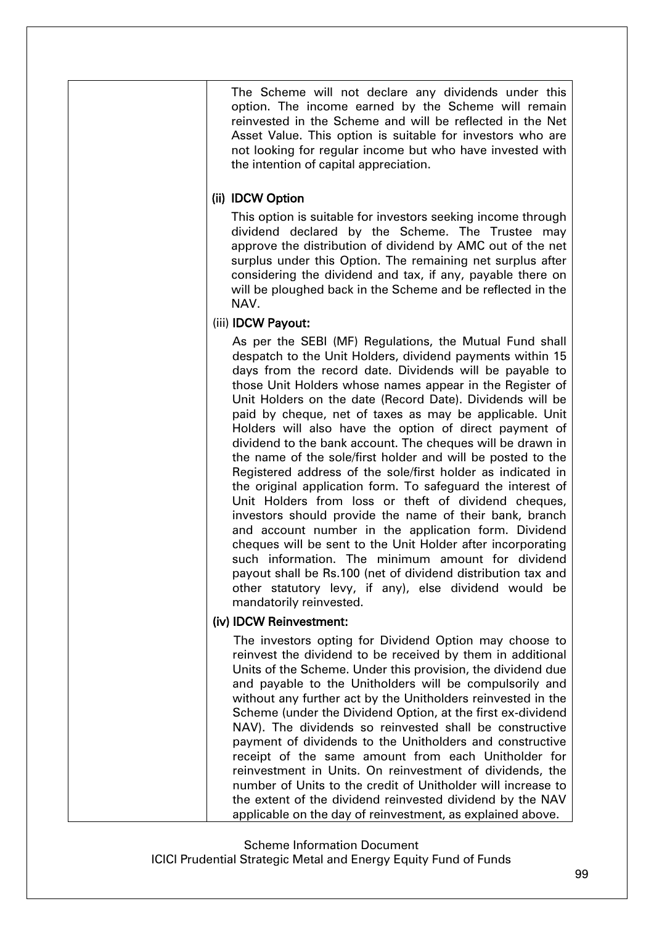The Scheme will not declare any dividends under this option. The income earned by the Scheme will remain reinvested in the Scheme and will be reflected in the Net Asset Value. This option is suitable for investors who are not looking for regular income but who have invested with the intention of capital appreciation.

## (ii) IDCW Option

This option is suitable for investors seeking income through dividend declared by the Scheme. The Trustee may approve the distribution of dividend by AMC out of the net surplus under this Option. The remaining net surplus after considering the dividend and tax, if any, payable there on will be ploughed back in the Scheme and be reflected in the NAV.

# (iii) IDCW Payout:

As per the SEBI (MF) Regulations, the Mutual Fund shall despatch to the Unit Holders, dividend payments within 15 days from the record date. Dividends will be payable to those Unit Holders whose names appear in the Register of Unit Holders on the date (Record Date). Dividends will be paid by cheque, net of taxes as may be applicable. Unit Holders will also have the option of direct payment of dividend to the bank account. The cheques will be drawn in the name of the sole/first holder and will be posted to the Registered address of the sole/first holder as indicated in the original application form. To safeguard the interest of Unit Holders from loss or theft of dividend cheques, investors should provide the name of their bank, branch and account number in the application form. Dividend cheques will be sent to the Unit Holder after incorporating such information. The minimum amount for dividend payout shall be Rs.100 (net of dividend distribution tax and other statutory levy, if any), else dividend would be mandatorily reinvested.

## (iv) IDCW Reinvestment:

The investors opting for Dividend Option may choose to reinvest the dividend to be received by them in additional Units of the Scheme. Under this provision, the dividend due and payable to the Unitholders will be compulsorily and without any further act by the Unitholders reinvested in the Scheme (under the Dividend Option, at the first ex-dividend NAV). The dividends so reinvested shall be constructive payment of dividends to the Unitholders and constructive receipt of the same amount from each Unitholder for reinvestment in Units. On reinvestment of dividends, the number of Units to the credit of Unitholder will increase to the extent of the dividend reinvested dividend by the NAV applicable on the day of reinvestment, as explained above.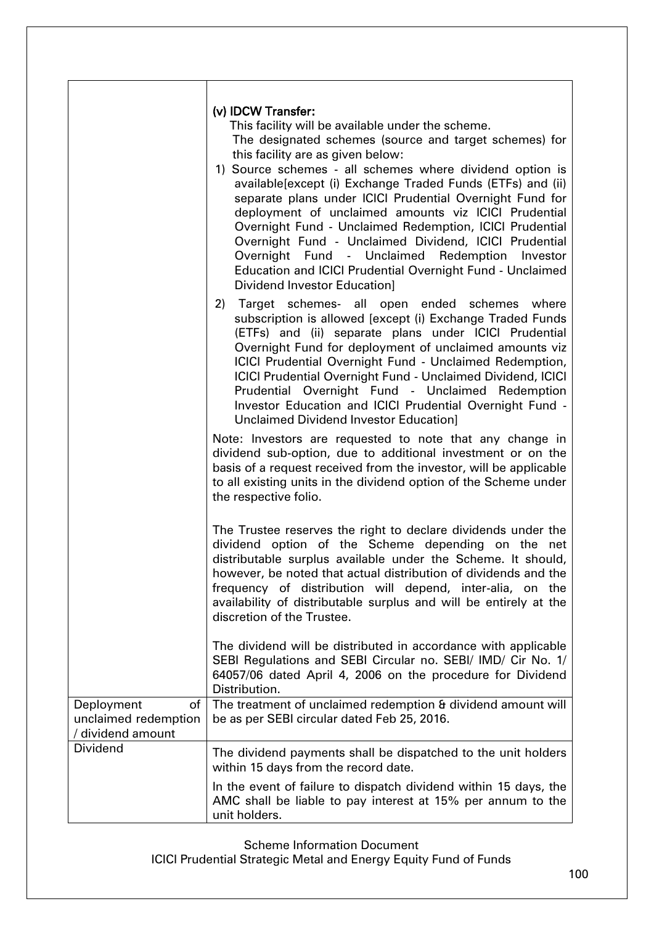|                                                               | (v) IDCW Transfer:<br>This facility will be available under the scheme.<br>The designated schemes (source and target schemes) for<br>this facility are as given below:<br>1) Source schemes - all schemes where dividend option is<br>available[except (i) Exchange Traded Funds (ETFs) and (ii)<br>separate plans under ICICI Prudential Overnight Fund for<br>deployment of unclaimed amounts viz ICICI Prudential<br>Overnight Fund - Unclaimed Redemption, ICICI Prudential<br>Overnight Fund - Unclaimed Dividend, ICICI Prudential<br>Overnight Fund - Unclaimed Redemption<br>Investor<br>Education and ICICI Prudential Overnight Fund - Unclaimed<br><b>Dividend Investor Education]</b> |
|---------------------------------------------------------------|---------------------------------------------------------------------------------------------------------------------------------------------------------------------------------------------------------------------------------------------------------------------------------------------------------------------------------------------------------------------------------------------------------------------------------------------------------------------------------------------------------------------------------------------------------------------------------------------------------------------------------------------------------------------------------------------------|
|                                                               | Target schemes- all open ended schemes where<br>2)<br>subscription is allowed [except (i) Exchange Traded Funds<br>(ETFs) and (ii) separate plans under ICICI Prudential<br>Overnight Fund for deployment of unclaimed amounts viz<br>ICICI Prudential Overnight Fund - Unclaimed Redemption,<br><b>ICICI Prudential Overnight Fund - Unclaimed Dividend, ICICI</b><br>Prudential Overnight Fund - Unclaimed Redemption<br>Investor Education and ICICI Prudential Overnight Fund -<br>Unclaimed Dividend Investor Education]                                                                                                                                                                     |
|                                                               | Note: Investors are requested to note that any change in<br>dividend sub-option, due to additional investment or on the<br>basis of a request received from the investor, will be applicable<br>to all existing units in the dividend option of the Scheme under<br>the respective folio.                                                                                                                                                                                                                                                                                                                                                                                                         |
|                                                               | The Trustee reserves the right to declare dividends under the<br>dividend option of the Scheme depending on the net<br>distributable surplus available under the Scheme. It should,<br>however, be noted that actual distribution of dividends and the<br>frequency of distribution will depend, inter-alia, on the<br>availability of distributable surplus and will be entirely at the<br>discretion of the Trustee.                                                                                                                                                                                                                                                                            |
|                                                               | The dividend will be distributed in accordance with applicable<br>SEBI Regulations and SEBI Circular no. SEBI/ IMD/ Cir No. 1/<br>64057/06 dated April 4, 2006 on the procedure for Dividend<br>Distribution.                                                                                                                                                                                                                                                                                                                                                                                                                                                                                     |
| Deployment<br>of<br>unclaimed redemption<br>/ dividend amount | The treatment of unclaimed redemption & dividend amount will<br>be as per SEBI circular dated Feb 25, 2016.                                                                                                                                                                                                                                                                                                                                                                                                                                                                                                                                                                                       |
| <b>Dividend</b>                                               | The dividend payments shall be dispatched to the unit holders<br>within 15 days from the record date.                                                                                                                                                                                                                                                                                                                                                                                                                                                                                                                                                                                             |
|                                                               | In the event of failure to dispatch dividend within 15 days, the<br>AMC shall be liable to pay interest at 15% per annum to the<br>unit holders.                                                                                                                                                                                                                                                                                                                                                                                                                                                                                                                                                  |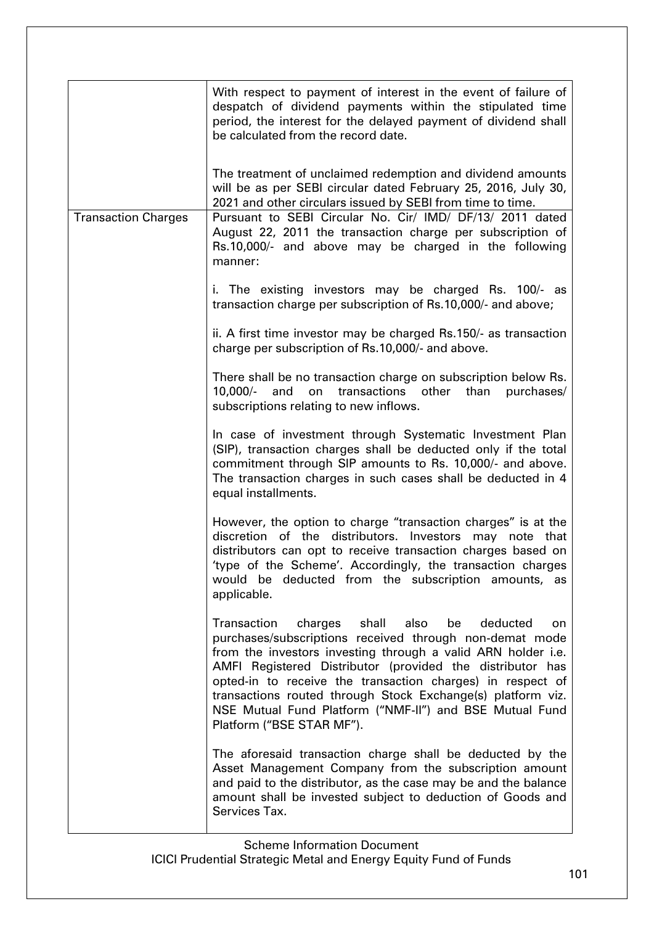|                            | With respect to payment of interest in the event of failure of<br>despatch of dividend payments within the stipulated time<br>period, the interest for the delayed payment of dividend shall<br>be calculated from the record date.                                                                                                                                                                                                                                          |
|----------------------------|------------------------------------------------------------------------------------------------------------------------------------------------------------------------------------------------------------------------------------------------------------------------------------------------------------------------------------------------------------------------------------------------------------------------------------------------------------------------------|
|                            | The treatment of unclaimed redemption and dividend amounts<br>will be as per SEBI circular dated February 25, 2016, July 30,<br>2021 and other circulars issued by SEBI from time to time.                                                                                                                                                                                                                                                                                   |
| <b>Transaction Charges</b> | Pursuant to SEBI Circular No. Cir/ IMD/ DF/13/ 2011 dated<br>August 22, 2011 the transaction charge per subscription of<br>Rs.10,000/- and above may be charged in the following<br>manner:                                                                                                                                                                                                                                                                                  |
|                            | i. The existing investors may be charged Rs. 100/- as<br>transaction charge per subscription of Rs.10,000/- and above;                                                                                                                                                                                                                                                                                                                                                       |
|                            | ii. A first time investor may be charged Rs.150/- as transaction<br>charge per subscription of Rs.10,000/- and above.                                                                                                                                                                                                                                                                                                                                                        |
|                            | There shall be no transaction charge on subscription below Rs.<br>$10,000/-$<br>and<br>transactions<br>on<br>other<br>than<br>purchases/<br>subscriptions relating to new inflows.                                                                                                                                                                                                                                                                                           |
|                            | In case of investment through Systematic Investment Plan<br>(SIP), transaction charges shall be deducted only if the total<br>commitment through SIP amounts to Rs. 10,000/- and above.<br>The transaction charges in such cases shall be deducted in 4<br>equal installments.                                                                                                                                                                                               |
|                            | However, the option to charge "transaction charges" is at the<br>discretion of the distributors. Investors<br>may note that<br>distributors can opt to receive transaction charges based on<br>'type of the Scheme'. Accordingly, the transaction charges<br>would be deducted from the subscription amounts, as<br>applicable.                                                                                                                                              |
|                            | Transaction<br>charges<br>shall<br>also<br>be<br>deducted<br>on<br>purchases/subscriptions received through non-demat mode<br>from the investors investing through a valid ARN holder i.e.<br>AMFI Registered Distributor (provided the distributor has<br>opted-in to receive the transaction charges) in respect of<br>transactions routed through Stock Exchange(s) platform viz.<br>NSE Mutual Fund Platform ("NMF-II") and BSE Mutual Fund<br>Platform ("BSE STAR MF"). |
|                            | The aforesaid transaction charge shall be deducted by the<br>Asset Management Company from the subscription amount<br>and paid to the distributor, as the case may be and the balance<br>amount shall be invested subject to deduction of Goods and<br>Services Tax.                                                                                                                                                                                                         |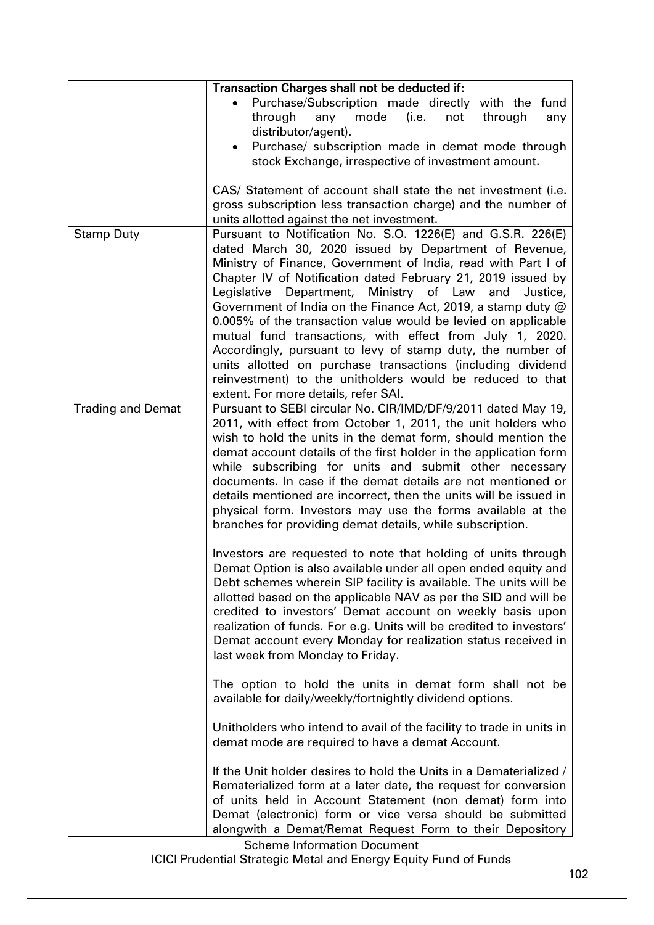|                          | Transaction Charges shall not be deducted if:                                                                                |
|--------------------------|------------------------------------------------------------------------------------------------------------------------------|
|                          | Purchase/Subscription made directly with the fund                                                                            |
|                          | through<br>mode<br>(i.e.<br>any<br>not<br>through<br>any                                                                     |
|                          | distributor/agent).                                                                                                          |
|                          | Purchase/ subscription made in demat mode through                                                                            |
|                          | stock Exchange, irrespective of investment amount.                                                                           |
|                          |                                                                                                                              |
|                          | CAS/ Statement of account shall state the net investment (i.e.                                                               |
|                          | gross subscription less transaction charge) and the number of                                                                |
|                          | units allotted against the net investment.                                                                                   |
| <b>Stamp Duty</b>        | Pursuant to Notification No. S.O. 1226(E) and G.S.R. 226(E)                                                                  |
|                          | dated March 30, 2020 issued by Department of Revenue,                                                                        |
|                          | Ministry of Finance, Government of India, read with Part I of                                                                |
|                          | Chapter IV of Notification dated February 21, 2019 issued by                                                                 |
|                          | Legislative Department, Ministry of Law and<br>Justice,                                                                      |
|                          | Government of India on the Finance Act, 2019, a stamp duty @                                                                 |
|                          | 0.005% of the transaction value would be levied on applicable                                                                |
|                          | mutual fund transactions, with effect from July 1, 2020.                                                                     |
|                          | Accordingly, pursuant to levy of stamp duty, the number of                                                                   |
|                          | units allotted on purchase transactions (including dividend                                                                  |
|                          | reinvestment) to the unitholders would be reduced to that                                                                    |
|                          | extent. For more details, refer SAI.                                                                                         |
| <b>Trading and Demat</b> | Pursuant to SEBI circular No. CIR/IMD/DF/9/2011 dated May 19,                                                                |
|                          | 2011, with effect from October 1, 2011, the unit holders who<br>wish to hold the units in the demat form, should mention the |
|                          | demat account details of the first holder in the application form                                                            |
|                          | while subscribing for units and submit other necessary                                                                       |
|                          | documents. In case if the demat details are not mentioned or                                                                 |
|                          | details mentioned are incorrect, then the units will be issued in                                                            |
|                          | physical form. Investors may use the forms available at the                                                                  |
|                          | branches for providing demat details, while subscription.                                                                    |
|                          |                                                                                                                              |
|                          | Investors are requested to note that holding of units through                                                                |
|                          | Demat Option is also available under all open ended equity and                                                               |
|                          | Debt schemes wherein SIP facility is available. The units will be                                                            |
|                          | allotted based on the applicable NAV as per the SID and will be                                                              |
|                          | credited to investors' Demat account on weekly basis upon                                                                    |
|                          | realization of funds. For e.g. Units will be credited to investors'                                                          |
|                          | Demat account every Monday for realization status received in                                                                |
|                          | last week from Monday to Friday.                                                                                             |
|                          |                                                                                                                              |
|                          | The option to hold the units in demat form shall not be                                                                      |
|                          | available for daily/weekly/fortnightly dividend options.                                                                     |
|                          |                                                                                                                              |
|                          | Unitholders who intend to avail of the facility to trade in units in                                                         |
|                          | demat mode are required to have a demat Account.                                                                             |
|                          | If the Unit holder desires to hold the Units in a Dematerialized /                                                           |
|                          | Rematerialized form at a later date, the request for conversion                                                              |
|                          | of units held in Account Statement (non demat) form into                                                                     |
|                          | Demat (electronic) form or vice versa should be submitted                                                                    |
|                          | alongwith a Demat/Remat Request Form to their Depository                                                                     |
|                          | <b>Scheme Information Document</b>                                                                                           |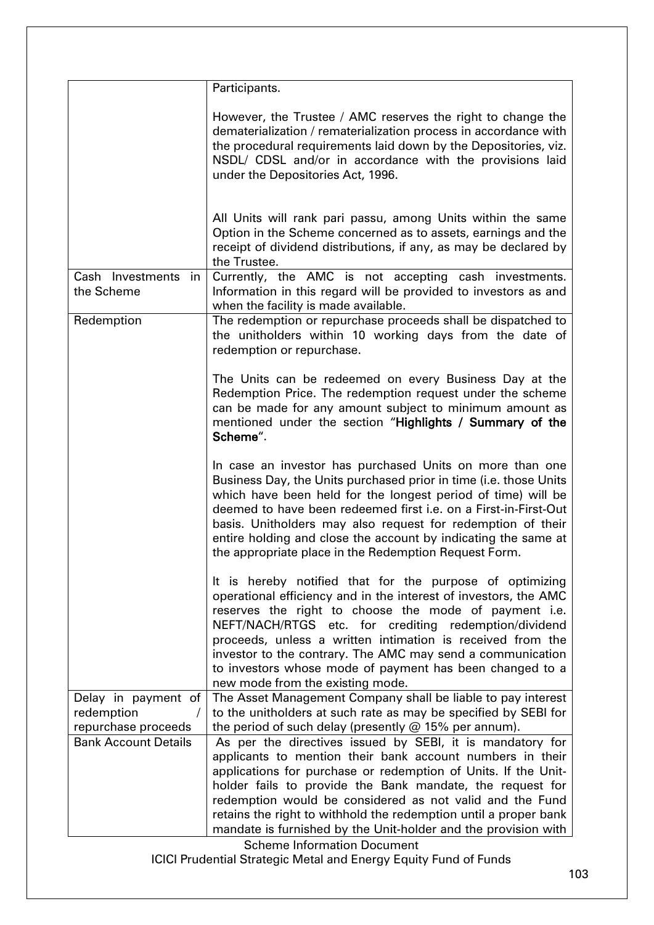|                                   | Participants.                                                                                                                                                                                                                                                                                                                                                                                                                                                              |
|-----------------------------------|----------------------------------------------------------------------------------------------------------------------------------------------------------------------------------------------------------------------------------------------------------------------------------------------------------------------------------------------------------------------------------------------------------------------------------------------------------------------------|
|                                   | However, the Trustee / AMC reserves the right to change the<br>dematerialization / rematerialization process in accordance with<br>the procedural requirements laid down by the Depositories, viz.<br>NSDL/ CDSL and/or in accordance with the provisions laid<br>under the Depositories Act, 1996.                                                                                                                                                                        |
|                                   | All Units will rank pari passu, among Units within the same<br>Option in the Scheme concerned as to assets, earnings and the<br>receipt of dividend distributions, if any, as may be declared by<br>the Trustee.                                                                                                                                                                                                                                                           |
| Cash Investments in<br>the Scheme | Currently, the AMC is not accepting cash investments.<br>Information in this regard will be provided to investors as and<br>when the facility is made available.                                                                                                                                                                                                                                                                                                           |
| Redemption                        | The redemption or repurchase proceeds shall be dispatched to<br>the unitholders within 10 working days from the date of<br>redemption or repurchase.                                                                                                                                                                                                                                                                                                                       |
|                                   | The Units can be redeemed on every Business Day at the<br>Redemption Price. The redemption request under the scheme<br>can be made for any amount subject to minimum amount as<br>mentioned under the section "Highlights / Summary of the<br>Scheme".                                                                                                                                                                                                                     |
|                                   | In case an investor has purchased Units on more than one<br>Business Day, the Units purchased prior in time (i.e. those Units<br>which have been held for the longest period of time) will be<br>deemed to have been redeemed first i.e. on a First-in-First-Out<br>basis. Unitholders may also request for redemption of their<br>entire holding and close the account by indicating the same at<br>the appropriate place in the Redemption Request Form.                 |
|                                   | It is hereby notified that for the purpose of optimizing<br>operational efficiency and in the interest of investors, the AMC<br>reserves the right to choose the mode of payment i.e.<br>NEFT/NACH/RTGS etc. for crediting redemption/dividend<br>proceeds, unless a written intimation is received from the<br>investor to the contrary. The AMC may send a communication<br>to investors whose mode of payment has been changed to a<br>new mode from the existing mode. |
| Delay in payment of               | The Asset Management Company shall be liable to pay interest                                                                                                                                                                                                                                                                                                                                                                                                               |
| redemption<br>$\prime$            | to the unitholders at such rate as may be specified by SEBI for                                                                                                                                                                                                                                                                                                                                                                                                            |
| repurchase proceeds               | the period of such delay (presently $@$ 15% per annum).                                                                                                                                                                                                                                                                                                                                                                                                                    |
| <b>Bank Account Details</b>       | As per the directives issued by SEBI, it is mandatory for<br>applicants to mention their bank account numbers in their<br>applications for purchase or redemption of Units. If the Unit-<br>holder fails to provide the Bank mandate, the request for<br>redemption would be considered as not valid and the Fund<br>retains the right to withhold the redemption until a proper bank                                                                                      |
|                                   | mandate is furnished by the Unit-holder and the provision with                                                                                                                                                                                                                                                                                                                                                                                                             |
|                                   | <b>Scheme Information Document</b>                                                                                                                                                                                                                                                                                                                                                                                                                                         |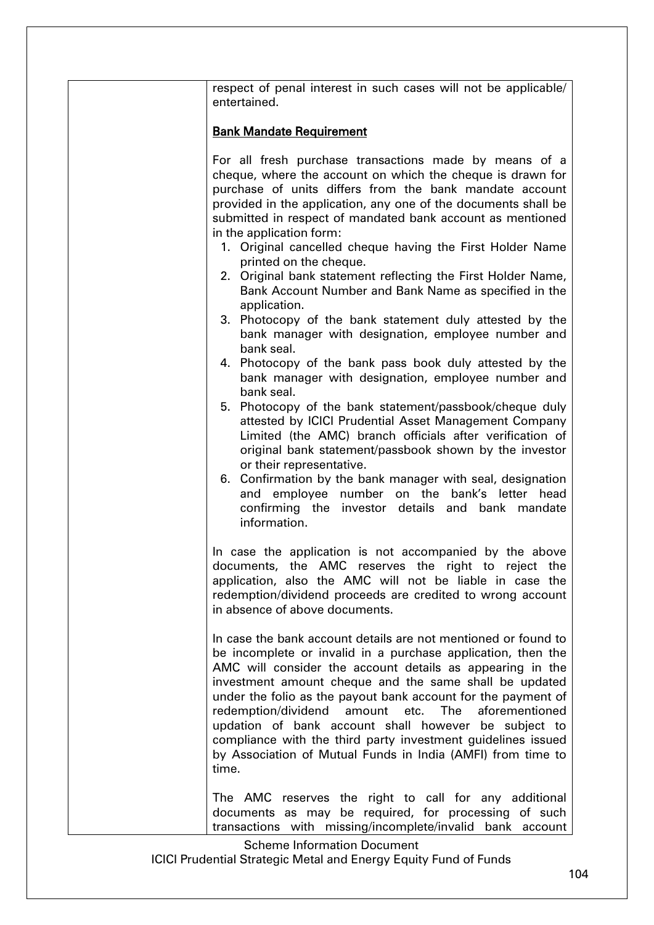| respect of penal interest in such cases will not be applicable/<br>entertained.                                                                                                                                                                                                                                                                                                                                                                                                                                                                                                                                                                                                                                                                                                                                                                                                                                                                                                                                                                                                                                                                                                                                                                                                                    |
|----------------------------------------------------------------------------------------------------------------------------------------------------------------------------------------------------------------------------------------------------------------------------------------------------------------------------------------------------------------------------------------------------------------------------------------------------------------------------------------------------------------------------------------------------------------------------------------------------------------------------------------------------------------------------------------------------------------------------------------------------------------------------------------------------------------------------------------------------------------------------------------------------------------------------------------------------------------------------------------------------------------------------------------------------------------------------------------------------------------------------------------------------------------------------------------------------------------------------------------------------------------------------------------------------|
| <b>Bank Mandate Requirement</b>                                                                                                                                                                                                                                                                                                                                                                                                                                                                                                                                                                                                                                                                                                                                                                                                                                                                                                                                                                                                                                                                                                                                                                                                                                                                    |
| For all fresh purchase transactions made by means of a<br>cheque, where the account on which the cheque is drawn for<br>purchase of units differs from the bank mandate account<br>provided in the application, any one of the documents shall be<br>submitted in respect of mandated bank account as mentioned<br>in the application form:<br>1. Original cancelled cheque having the First Holder Name<br>printed on the cheque.<br>2. Original bank statement reflecting the First Holder Name,<br>Bank Account Number and Bank Name as specified in the<br>application.<br>3. Photocopy of the bank statement duly attested by the<br>bank manager with designation, employee number and<br>bank seal.<br>4. Photocopy of the bank pass book duly attested by the<br>bank manager with designation, employee number and<br>bank seal.<br>5. Photocopy of the bank statement/passbook/cheque duly<br>attested by ICICI Prudential Asset Management Company<br>Limited (the AMC) branch officials after verification of<br>original bank statement/passbook shown by the investor<br>or their representative.<br>6. Confirmation by the bank manager with seal, designation<br>and employee number on the bank's letter head<br>confirming the investor details and bank mandate<br>information. |
| In case the application is not accompanied by the above<br>documents, the AMC reserves the right to reject the<br>application, also the AMC will not be liable in case the<br>redemption/dividend proceeds are credited to wrong account<br>in absence of above documents.                                                                                                                                                                                                                                                                                                                                                                                                                                                                                                                                                                                                                                                                                                                                                                                                                                                                                                                                                                                                                         |
| In case the bank account details are not mentioned or found to<br>be incomplete or invalid in a purchase application, then the<br>AMC will consider the account details as appearing in the<br>investment amount cheque and the same shall be updated<br>under the folio as the payout bank account for the payment of<br>redemption/dividend amount etc. The<br>aforementioned<br>updation of bank account shall however be subject to<br>compliance with the third party investment guidelines issued<br>by Association of Mutual Funds in India (AMFI) from time to<br>time.                                                                                                                                                                                                                                                                                                                                                                                                                                                                                                                                                                                                                                                                                                                    |
| The AMC reserves the right to call for any additional<br>documents as may be required, for processing of such<br>transactions with missing/incomplete/invalid bank account                                                                                                                                                                                                                                                                                                                                                                                                                                                                                                                                                                                                                                                                                                                                                                                                                                                                                                                                                                                                                                                                                                                         |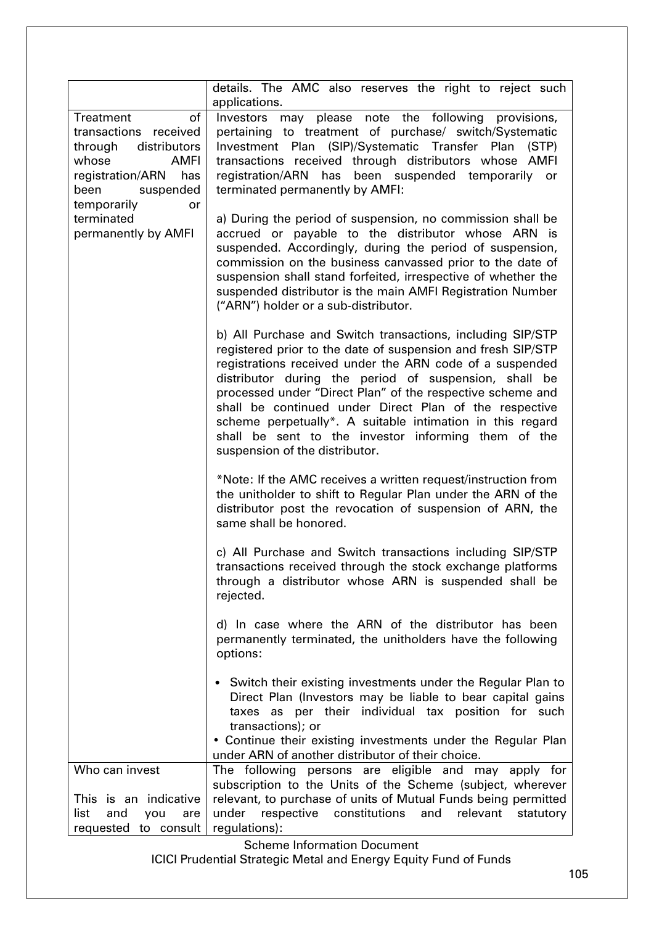|                                                                                                                                                                         | details. The AMC also reserves the right to reject such<br>applications.                                                                                                                                                                                                                                                                                                                                                                                                                                                      |
|-------------------------------------------------------------------------------------------------------------------------------------------------------------------------|-------------------------------------------------------------------------------------------------------------------------------------------------------------------------------------------------------------------------------------------------------------------------------------------------------------------------------------------------------------------------------------------------------------------------------------------------------------------------------------------------------------------------------|
| of<br>Treatment<br>transactions received<br>through<br>distributors<br>whose<br><b>AMFI</b><br>registration/ARN<br>has<br>been<br>suspended<br>temporarily<br><b>or</b> | Investors may please note the following provisions,<br>pertaining to treatment of purchase/ switch/Systematic<br>Investment Plan (SIP)/Systematic Transfer Plan (STP)<br>transactions received through distributors whose AMFI<br>registration/ARN has been suspended temporarily or<br>terminated permanently by AMFI:                                                                                                                                                                                                       |
| terminated<br>permanently by AMFI                                                                                                                                       | a) During the period of suspension, no commission shall be<br>accrued or payable to the distributor whose ARN is<br>suspended. Accordingly, during the period of suspension,<br>commission on the business canvassed prior to the date of<br>suspension shall stand forfeited, irrespective of whether the<br>suspended distributor is the main AMFI Registration Number<br>("ARN") holder or a sub-distributor.                                                                                                              |
|                                                                                                                                                                         | b) All Purchase and Switch transactions, including SIP/STP<br>registered prior to the date of suspension and fresh SIP/STP<br>registrations received under the ARN code of a suspended<br>distributor during the period of suspension, shall be<br>processed under "Direct Plan" of the respective scheme and<br>shall be continued under Direct Plan of the respective<br>scheme perpetually*. A suitable intimation in this regard<br>shall be sent to the investor informing them of the<br>suspension of the distributor. |
|                                                                                                                                                                         | *Note: If the AMC receives a written request/instruction from<br>the unitholder to shift to Regular Plan under the ARN of the<br>distributor post the revocation of suspension of ARN, the<br>same shall be honored.                                                                                                                                                                                                                                                                                                          |
|                                                                                                                                                                         | c) All Purchase and Switch transactions including SIP/STP<br>transactions received through the stock exchange platforms<br>through a distributor whose ARN is suspended shall be<br>rejected.                                                                                                                                                                                                                                                                                                                                 |
|                                                                                                                                                                         | d) In case where the ARN of the distributor has been<br>permanently terminated, the unitholders have the following<br>options:                                                                                                                                                                                                                                                                                                                                                                                                |
|                                                                                                                                                                         | • Switch their existing investments under the Regular Plan to<br>Direct Plan (Investors may be liable to bear capital gains<br>taxes as per their individual tax position for such<br>transactions); or<br>• Continue their existing investments under the Regular Plan<br>under ARN of another distributor of their choice.                                                                                                                                                                                                  |
| Who can invest                                                                                                                                                          | The following persons are eligible and may apply for                                                                                                                                                                                                                                                                                                                                                                                                                                                                          |
| This is an indicative<br>list<br>and<br>you<br>are                                                                                                                      | subscription to the Units of the Scheme (subject, wherever<br>relevant, to purchase of units of Mutual Funds being permitted<br>under respective constitutions<br>and<br>relevant<br>statutory                                                                                                                                                                                                                                                                                                                                |
| requested to consult                                                                                                                                                    | regulations):                                                                                                                                                                                                                                                                                                                                                                                                                                                                                                                 |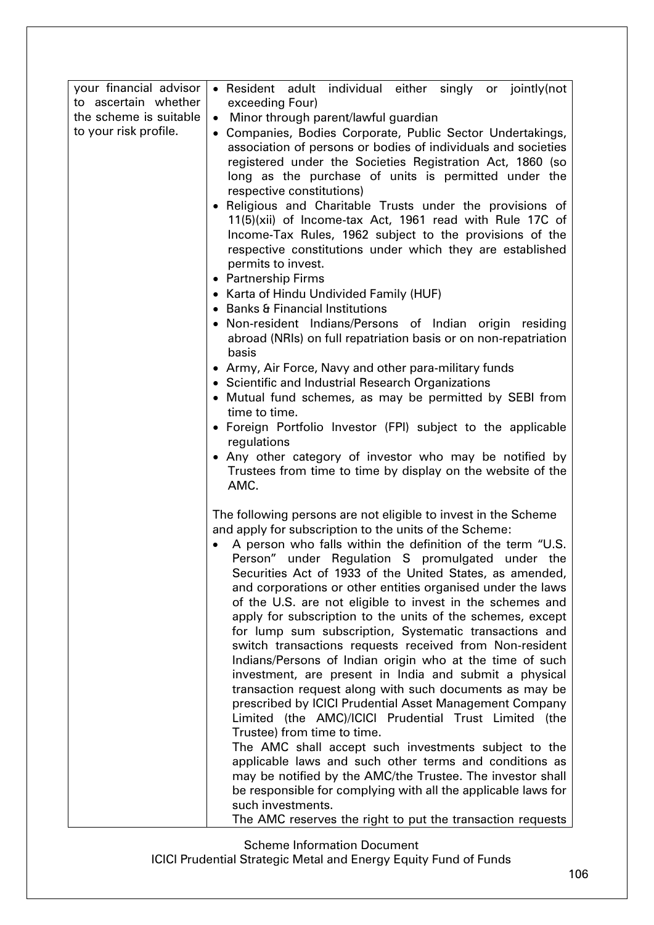| • Resident adult individual either singly or jointly(not                                                                                                                                                                                                                                                                                                                                                                                                                                                                                                                                                                                                                                                                                                                                                                                                                                                                                                                                                                                                                                                                                  |
|-------------------------------------------------------------------------------------------------------------------------------------------------------------------------------------------------------------------------------------------------------------------------------------------------------------------------------------------------------------------------------------------------------------------------------------------------------------------------------------------------------------------------------------------------------------------------------------------------------------------------------------------------------------------------------------------------------------------------------------------------------------------------------------------------------------------------------------------------------------------------------------------------------------------------------------------------------------------------------------------------------------------------------------------------------------------------------------------------------------------------------------------|
| exceeding Four)<br>Minor through parent/lawful guardian<br>$\bullet$                                                                                                                                                                                                                                                                                                                                                                                                                                                                                                                                                                                                                                                                                                                                                                                                                                                                                                                                                                                                                                                                      |
| • Companies, Bodies Corporate, Public Sector Undertakings,<br>association of persons or bodies of individuals and societies<br>registered under the Societies Registration Act, 1860 (so<br>long as the purchase of units is permitted under the<br>respective constitutions)                                                                                                                                                                                                                                                                                                                                                                                                                                                                                                                                                                                                                                                                                                                                                                                                                                                             |
| · Religious and Charitable Trusts under the provisions of<br>11(5)(xii) of Income-tax Act, 1961 read with Rule 17C of<br>Income-Tax Rules, 1962 subject to the provisions of the<br>respective constitutions under which they are established<br>permits to invest.                                                                                                                                                                                                                                                                                                                                                                                                                                                                                                                                                                                                                                                                                                                                                                                                                                                                       |
| • Partnership Firms<br>• Karta of Hindu Undivided Family (HUF)                                                                                                                                                                                                                                                                                                                                                                                                                                                                                                                                                                                                                                                                                                                                                                                                                                                                                                                                                                                                                                                                            |
| • Banks & Financial Institutions                                                                                                                                                                                                                                                                                                                                                                                                                                                                                                                                                                                                                                                                                                                                                                                                                                                                                                                                                                                                                                                                                                          |
| • Non-resident Indians/Persons of Indian origin residing<br>abroad (NRIs) on full repatriation basis or on non-repatriation<br>basis                                                                                                                                                                                                                                                                                                                                                                                                                                                                                                                                                                                                                                                                                                                                                                                                                                                                                                                                                                                                      |
| • Army, Air Force, Navy and other para-military funds<br>• Scientific and Industrial Research Organizations                                                                                                                                                                                                                                                                                                                                                                                                                                                                                                                                                                                                                                                                                                                                                                                                                                                                                                                                                                                                                               |
| • Mutual fund schemes, as may be permitted by SEBI from<br>time to time.                                                                                                                                                                                                                                                                                                                                                                                                                                                                                                                                                                                                                                                                                                                                                                                                                                                                                                                                                                                                                                                                  |
| • Foreign Portfolio Investor (FPI) subject to the applicable<br>regulations                                                                                                                                                                                                                                                                                                                                                                                                                                                                                                                                                                                                                                                                                                                                                                                                                                                                                                                                                                                                                                                               |
| • Any other category of investor who may be notified by<br>Trustees from time to time by display on the website of the<br>AMC.                                                                                                                                                                                                                                                                                                                                                                                                                                                                                                                                                                                                                                                                                                                                                                                                                                                                                                                                                                                                            |
| The following persons are not eligible to invest in the Scheme<br>and apply for subscription to the units of the Scheme:<br>A person who falls within the definition of the term "U.S.<br>Person" under Regulation S promulgated under the<br>Securities Act of 1933 of the United States, as amended,<br>and corporations or other entities organised under the laws<br>of the U.S. are not eligible to invest in the schemes and<br>apply for subscription to the units of the schemes, except<br>for lump sum subscription, Systematic transactions and<br>switch transactions requests received from Non-resident<br>Indians/Persons of Indian origin who at the time of such<br>investment, are present in India and submit a physical<br>transaction request along with such documents as may be<br>prescribed by ICICI Prudential Asset Management Company<br>Limited (the AMC)/ICICI Prudential Trust Limited (the<br>Trustee) from time to time.<br>The AMC shall accept such investments subject to the<br>applicable laws and such other terms and conditions as<br>may be notified by the AMC/the Trustee. The investor shall |
| be responsible for complying with all the applicable laws for<br>such investments.<br>The AMC reserves the right to put the transaction requests                                                                                                                                                                                                                                                                                                                                                                                                                                                                                                                                                                                                                                                                                                                                                                                                                                                                                                                                                                                          |
|                                                                                                                                                                                                                                                                                                                                                                                                                                                                                                                                                                                                                                                                                                                                                                                                                                                                                                                                                                                                                                                                                                                                           |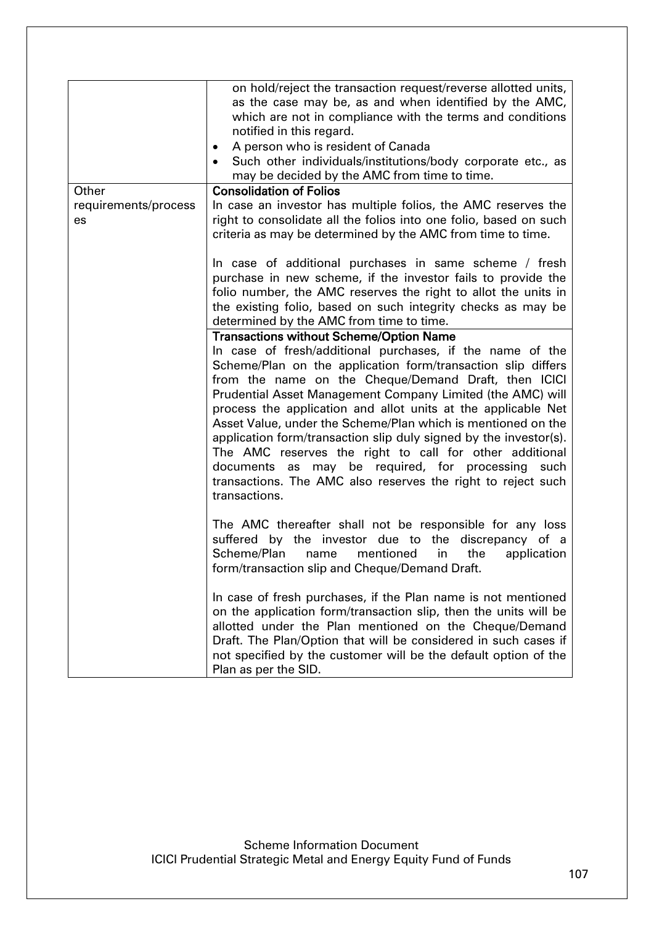|                            | on hold/reject the transaction request/reverse allotted units,<br>as the case may be, as and when identified by the AMC,<br>which are not in compliance with the terms and conditions<br>notified in this regard.<br>A person who is resident of Canada<br>٠<br>Such other individuals/institutions/body corporate etc., as<br>may be decided by the AMC from time to time.                                                                                                                                                                                                                                                                                                                                 |
|----------------------------|-------------------------------------------------------------------------------------------------------------------------------------------------------------------------------------------------------------------------------------------------------------------------------------------------------------------------------------------------------------------------------------------------------------------------------------------------------------------------------------------------------------------------------------------------------------------------------------------------------------------------------------------------------------------------------------------------------------|
| Other                      | <b>Consolidation of Folios</b>                                                                                                                                                                                                                                                                                                                                                                                                                                                                                                                                                                                                                                                                              |
| requirements/process<br>es | In case an investor has multiple folios, the AMC reserves the<br>right to consolidate all the folios into one folio, based on such<br>criteria as may be determined by the AMC from time to time.                                                                                                                                                                                                                                                                                                                                                                                                                                                                                                           |
|                            | In case of additional purchases in same scheme / fresh<br>purchase in new scheme, if the investor fails to provide the<br>folio number, the AMC reserves the right to allot the units in<br>the existing folio, based on such integrity checks as may be<br>determined by the AMC from time to time.                                                                                                                                                                                                                                                                                                                                                                                                        |
|                            | <b>Transactions without Scheme/Option Name</b><br>In case of fresh/additional purchases, if the name of the<br>Scheme/Plan on the application form/transaction slip differs<br>from the name on the Cheque/Demand Draft, then ICICI<br>Prudential Asset Management Company Limited (the AMC) will<br>process the application and allot units at the applicable Net<br>Asset Value, under the Scheme/Plan which is mentioned on the<br>application form/transaction slip duly signed by the investor(s).<br>The AMC reserves the right to call for other additional<br>documents as may be required, for processing<br>such<br>transactions. The AMC also reserves the right to reject such<br>transactions. |
|                            | The AMC thereafter shall not be responsible for any loss<br>suffered by the investor due to the discrepancy of a<br>Scheme/Plan<br>mentioned<br>in<br>name<br>the<br>application<br>form/transaction slip and Cheque/Demand Draft.                                                                                                                                                                                                                                                                                                                                                                                                                                                                          |
|                            | In case of fresh purchases, if the Plan name is not mentioned<br>on the application form/transaction slip, then the units will be<br>allotted under the Plan mentioned on the Cheque/Demand<br>Draft. The Plan/Option that will be considered in such cases if<br>not specified by the customer will be the default option of the<br>Plan as per the SID.                                                                                                                                                                                                                                                                                                                                                   |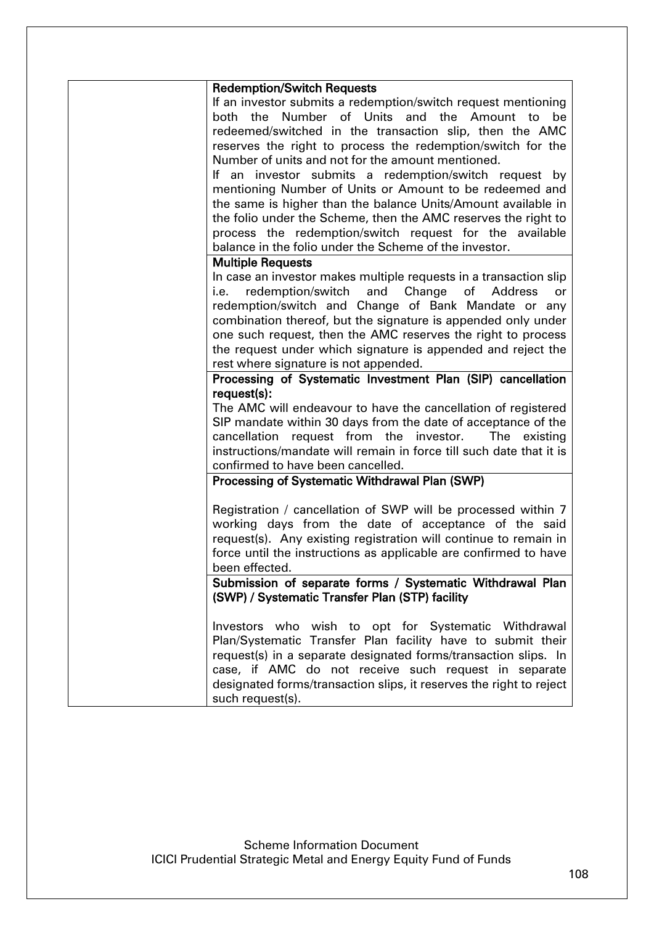|      | <b>Redemption/Switch Requests</b>                                   |
|------|---------------------------------------------------------------------|
|      | If an investor submits a redemption/switch request mentioning       |
|      | both the Number of Units and the Amount<br>be<br>to                 |
|      | redeemed/switched in the transaction slip, then the AMC             |
|      | reserves the right to process the redemption/switch for the         |
|      | Number of units and not for the amount mentioned.                   |
|      | If an investor submits a redemption/switch request by               |
|      | mentioning Number of Units or Amount to be redeemed and             |
|      |                                                                     |
|      | the same is higher than the balance Units/Amount available in       |
|      | the folio under the Scheme, then the AMC reserves the right to      |
|      | process the redemption/switch request for the available             |
|      | balance in the folio under the Scheme of the investor.              |
|      | <b>Multiple Requests</b>                                            |
|      | In case an investor makes multiple requests in a transaction slip   |
| i.e. | redemption/switch and Change of Address<br>or                       |
|      | redemption/switch and Change of Bank Mandate or any                 |
|      | combination thereof, but the signature is appended only under       |
|      | one such request, then the AMC reserves the right to process        |
|      | the request under which signature is appended and reject the        |
|      | rest where signature is not appended.                               |
|      | Processing of Systematic Investment Plan (SIP) cancellation         |
|      | request(s):                                                         |
|      | The AMC will endeavour to have the cancellation of registered       |
|      | SIP mandate within 30 days from the date of acceptance of the       |
|      | cancellation request from the investor.<br>The existing             |
|      | instructions/mandate will remain in force till such date that it is |
|      | confirmed to have been cancelled.                                   |
|      | Processing of Systematic Withdrawal Plan (SWP)                      |
|      |                                                                     |
|      | Registration / cancellation of SWP will be processed within 7       |
|      | working days from the date of acceptance of the said                |
|      | request(s). Any existing registration will continue to remain in    |
|      | force until the instructions as applicable are confirmed to have    |
|      | been effected.                                                      |
|      |                                                                     |
|      | Submission of separate forms / Systematic Withdrawal Plan           |
|      | (SWP) / Systematic Transfer Plan (STP) facility                     |
|      |                                                                     |
|      | Investors who wish to opt for Systematic Withdrawal                 |
|      | Plan/Systematic Transfer Plan facility have to submit their         |
|      | request(s) in a separate designated forms/transaction slips. In     |
|      | case, if AMC do not receive such request in separate                |
|      | designated forms/transaction slips, it reserves the right to reject |
|      | such request(s).                                                    |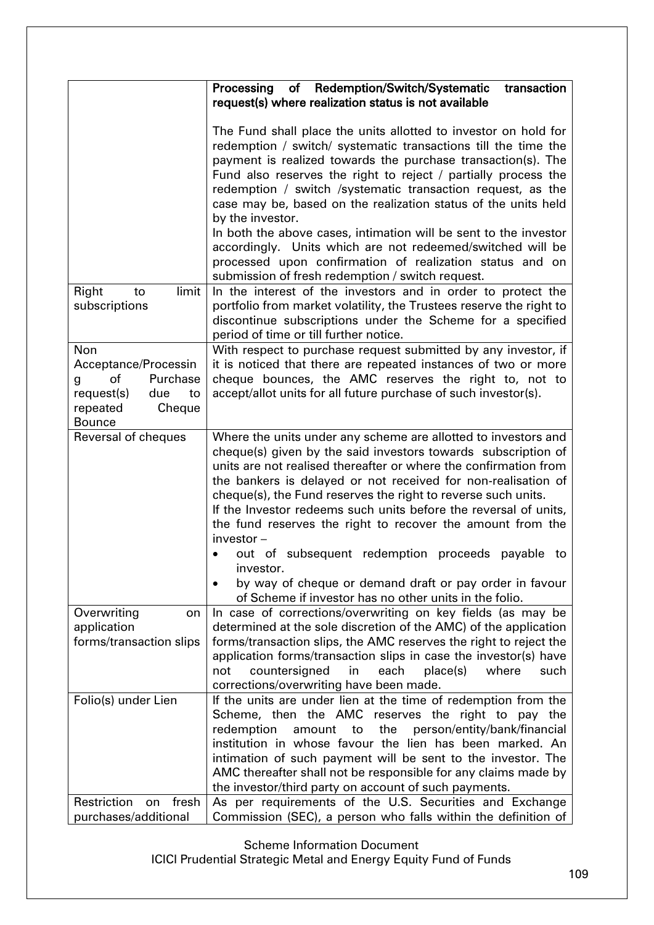|                                                                                                                      | Processing<br>of Redemption/Switch/Systematic<br>transaction                                                                                                                                                                                                                                                                                                                                                                                                                                                                                                                                                                                                                  |
|----------------------------------------------------------------------------------------------------------------------|-------------------------------------------------------------------------------------------------------------------------------------------------------------------------------------------------------------------------------------------------------------------------------------------------------------------------------------------------------------------------------------------------------------------------------------------------------------------------------------------------------------------------------------------------------------------------------------------------------------------------------------------------------------------------------|
|                                                                                                                      | request(s) where realization status is not available                                                                                                                                                                                                                                                                                                                                                                                                                                                                                                                                                                                                                          |
|                                                                                                                      | The Fund shall place the units allotted to investor on hold for<br>redemption / switch/ systematic transactions till the time the<br>payment is realized towards the purchase transaction(s). The<br>Fund also reserves the right to reject / partially process the<br>redemption / switch /systematic transaction request, as the<br>case may be, based on the realization status of the units held<br>by the investor.<br>In both the above cases, intimation will be sent to the investor<br>accordingly. Units which are not redeemed/switched will be<br>processed upon confirmation of realization status and on<br>submission of fresh redemption / switch request.    |
| limit<br>Right<br>to<br>subscriptions                                                                                | In the interest of the investors and in order to protect the<br>portfolio from market volatility, the Trustees reserve the right to<br>discontinue subscriptions under the Scheme for a specified                                                                                                                                                                                                                                                                                                                                                                                                                                                                             |
|                                                                                                                      | period of time or till further notice.                                                                                                                                                                                                                                                                                                                                                                                                                                                                                                                                                                                                                                        |
| Non<br>Acceptance/Processin<br>Purchase<br>of<br>g<br>request(s)<br>due<br>to<br>repeated<br>Cheque<br><b>Bounce</b> | With respect to purchase request submitted by any investor, if<br>it is noticed that there are repeated instances of two or more<br>cheque bounces, the AMC reserves the right to, not to<br>accept/allot units for all future purchase of such investor(s).                                                                                                                                                                                                                                                                                                                                                                                                                  |
| Reversal of cheques                                                                                                  | Where the units under any scheme are allotted to investors and<br>cheque(s) given by the said investors towards subscription of<br>units are not realised thereafter or where the confirmation from<br>the bankers is delayed or not received for non-realisation of<br>cheque(s), the Fund reserves the right to reverse such units.<br>If the Investor redeems such units before the reversal of units,<br>the fund reserves the right to recover the amount from the<br>$investor -$<br>out of subsequent redemption proceeds payable to<br>investor.<br>by way of cheque or demand draft or pay order in favour<br>of Scheme if investor has no other units in the folio. |
| Overwriting<br>on<br>application<br>forms/transaction slips                                                          | In case of corrections/overwriting on key fields (as may be<br>determined at the sole discretion of the AMC) of the application<br>forms/transaction slips, the AMC reserves the right to reject the<br>application forms/transaction slips in case the investor(s) have<br>not<br>countersigned<br>in<br>each<br>place(s)<br>where<br>such<br>corrections/overwriting have been made.                                                                                                                                                                                                                                                                                        |
| Folio(s) under Lien                                                                                                  | If the units are under lien at the time of redemption from the<br>Scheme, then the AMC reserves the right to pay the<br>the<br>person/entity/bank/financial<br>redemption<br>amount<br>to<br>institution in whose favour the lien has been marked. An<br>intimation of such payment will be sent to the investor. The<br>AMC thereafter shall not be responsible for any claims made by<br>the investor/third party on account of such payments.                                                                                                                                                                                                                              |
| Restriction<br>on fresh<br>purchases/additional                                                                      | As per requirements of the U.S. Securities and Exchange<br>Commission (SEC), a person who falls within the definition of                                                                                                                                                                                                                                                                                                                                                                                                                                                                                                                                                      |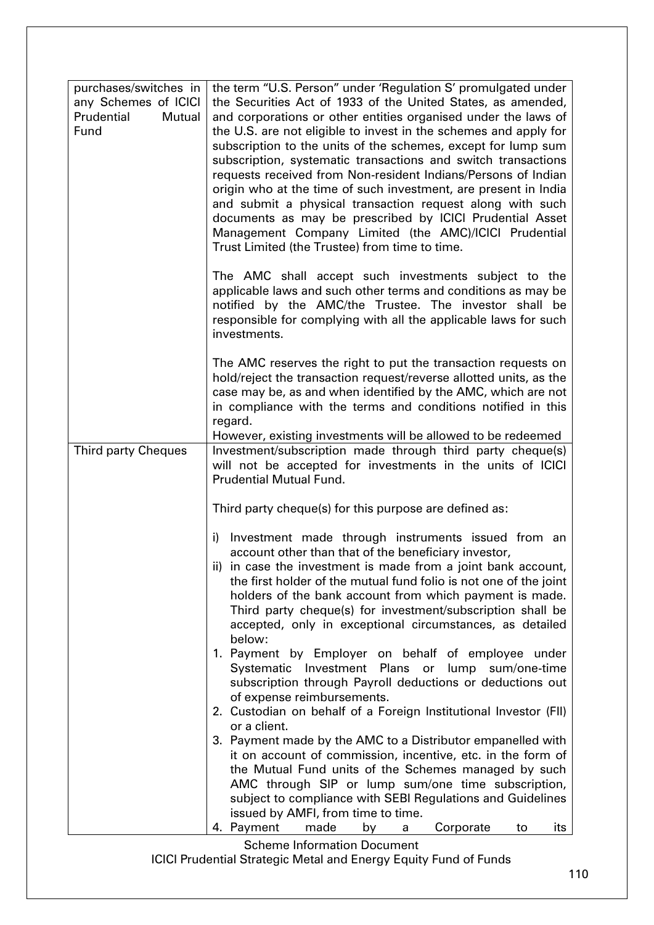| purchases/switches in                               | the term "U.S. Person" under 'Regulation S' promulgated under                                                                      |
|-----------------------------------------------------|------------------------------------------------------------------------------------------------------------------------------------|
| any Schemes of ICICI<br>Prudential<br><b>Mutual</b> | the Securities Act of 1933 of the United States, as amended,                                                                       |
| Fund                                                | and corporations or other entities organised under the laws of<br>the U.S. are not eligible to invest in the schemes and apply for |
|                                                     | subscription to the units of the schemes, except for lump sum                                                                      |
|                                                     | subscription, systematic transactions and switch transactions                                                                      |
|                                                     | requests received from Non-resident Indians/Persons of Indian                                                                      |
|                                                     | origin who at the time of such investment, are present in India<br>and submit a physical transaction request along with such       |
|                                                     | documents as may be prescribed by ICICI Prudential Asset                                                                           |
|                                                     | Management Company Limited (the AMC)/ICICI Prudential                                                                              |
|                                                     | Trust Limited (the Trustee) from time to time.                                                                                     |
|                                                     | The AMC shall accept such investments subject to the                                                                               |
|                                                     | applicable laws and such other terms and conditions as may be                                                                      |
|                                                     | notified by the AMC/the Trustee. The investor shall be<br>responsible for complying with all the applicable laws for such          |
|                                                     | investments.                                                                                                                       |
|                                                     | The AMC reserves the right to put the transaction requests on                                                                      |
|                                                     | hold/reject the transaction request/reverse allotted units, as the                                                                 |
|                                                     | case may be, as and when identified by the AMC, which are not<br>in compliance with the terms and conditions notified in this      |
|                                                     | regard.                                                                                                                            |
|                                                     | However, existing investments will be allowed to be redeemed                                                                       |
| <b>Third party Cheques</b>                          | Investment/subscription made through third party cheque(s)<br>will not be accepted for investments in the units of ICICI           |
|                                                     | <b>Prudential Mutual Fund.</b>                                                                                                     |
|                                                     |                                                                                                                                    |
|                                                     | Third party cheque(s) for this purpose are defined as:                                                                             |
|                                                     | i) Investment made through instruments issued from an                                                                              |
|                                                     | account other than that of the beneficiary investor,<br>ii) in case the investment is made from a joint bank account,              |
|                                                     | the first holder of the mutual fund folio is not one of the joint                                                                  |
|                                                     | holders of the bank account from which payment is made.                                                                            |
|                                                     | Third party cheque(s) for investment/subscription shall be<br>accepted, only in exceptional circumstances, as detailed             |
|                                                     | below:                                                                                                                             |
|                                                     | 1. Payment by Employer on behalf of employee under                                                                                 |
|                                                     | Systematic Investment Plans or lump sum/one-time                                                                                   |
|                                                     | subscription through Payroll deductions or deductions out<br>of expense reimbursements.                                            |
|                                                     | 2. Custodian on behalf of a Foreign Institutional Investor (FII)                                                                   |
|                                                     | or a client.                                                                                                                       |
|                                                     | 3. Payment made by the AMC to a Distributor empanelled with<br>it on account of commission, incentive, etc. in the form of         |
|                                                     | the Mutual Fund units of the Schemes managed by such                                                                               |
|                                                     | AMC through SIP or lump sum/one time subscription,                                                                                 |
|                                                     | subject to compliance with SEBI Regulations and Guidelines                                                                         |
|                                                     | issued by AMFI, from time to time.<br>4. Payment<br>made<br>Corporate<br>by<br>to<br>its<br>a                                      |
|                                                     | <b>Scheme Information Document</b>                                                                                                 |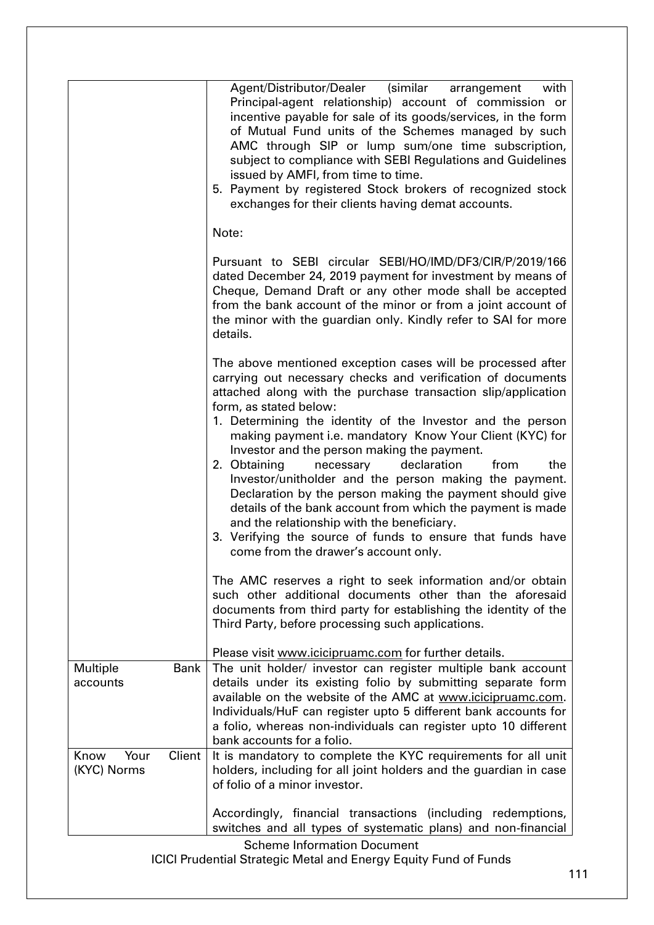|                                       | Agent/Distributor/Dealer (similar<br>with<br>arrangement<br>Principal-agent relationship) account of commission or<br>incentive payable for sale of its goods/services, in the form<br>of Mutual Fund units of the Schemes managed by such<br>AMC through SIP or lump sum/one time subscription,<br>subject to compliance with SEBI Regulations and Guidelines<br>issued by AMFI, from time to time.<br>5. Payment by registered Stock brokers of recognized stock<br>exchanges for their clients having demat accounts.                                                                                                                                                                                                                                                                          |
|---------------------------------------|---------------------------------------------------------------------------------------------------------------------------------------------------------------------------------------------------------------------------------------------------------------------------------------------------------------------------------------------------------------------------------------------------------------------------------------------------------------------------------------------------------------------------------------------------------------------------------------------------------------------------------------------------------------------------------------------------------------------------------------------------------------------------------------------------|
|                                       | Note:                                                                                                                                                                                                                                                                                                                                                                                                                                                                                                                                                                                                                                                                                                                                                                                             |
|                                       | Pursuant to SEBI circular SEBI/HO/IMD/DF3/CIR/P/2019/166<br>dated December 24, 2019 payment for investment by means of<br>Cheque, Demand Draft or any other mode shall be accepted<br>from the bank account of the minor or from a joint account of<br>the minor with the guardian only. Kindly refer to SAI for more<br>details.                                                                                                                                                                                                                                                                                                                                                                                                                                                                 |
|                                       | The above mentioned exception cases will be processed after<br>carrying out necessary checks and verification of documents<br>attached along with the purchase transaction slip/application<br>form, as stated below:<br>1. Determining the identity of the Investor and the person<br>making payment i.e. mandatory Know Your Client (KYC) for<br>Investor and the person making the payment.<br>declaration<br>2. Obtaining<br>necessary<br>the<br>from<br>Investor/unitholder and the person making the payment.<br>Declaration by the person making the payment should give<br>details of the bank account from which the payment is made<br>and the relationship with the beneficiary.<br>3. Verifying the source of funds to ensure that funds have<br>come from the drawer's account only. |
|                                       | The AMC reserves a right to seek information and/or obtain<br>such other additional documents other than the aforesaid<br>documents from third party for establishing the identity of the<br>Third Party, before processing such applications.                                                                                                                                                                                                                                                                                                                                                                                                                                                                                                                                                    |
| Multiple<br><b>Bank</b><br>accounts   | Please visit www.icicipruamc.com for further details.<br>The unit holder/ investor can register multiple bank account<br>details under its existing folio by submitting separate form<br>available on the website of the AMC at www.icicipruamc.com.<br>Individuals/HuF can register upto 5 different bank accounts for<br>a folio, whereas non-individuals can register upto 10 different<br>bank accounts for a folio.                                                                                                                                                                                                                                                                                                                                                                          |
| Client<br>Your<br>Know<br>(KYC) Norms | It is mandatory to complete the KYC requirements for all unit<br>holders, including for all joint holders and the guardian in case<br>of folio of a minor investor.                                                                                                                                                                                                                                                                                                                                                                                                                                                                                                                                                                                                                               |
|                                       | Accordingly, financial transactions (including redemptions,<br>switches and all types of systematic plans) and non-financial<br><b>Scheme Information Document</b>                                                                                                                                                                                                                                                                                                                                                                                                                                                                                                                                                                                                                                |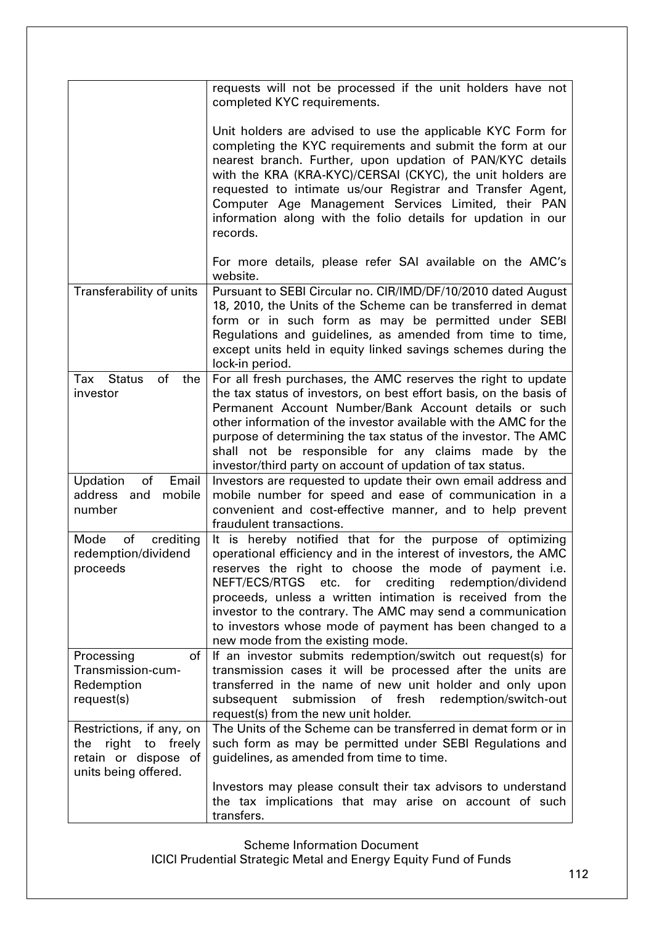|                                                                                                    | requests will not be processed if the unit holders have not<br>completed KYC requirements.                                                                                                                                                                                                                                                                                                                                                                                            |
|----------------------------------------------------------------------------------------------------|---------------------------------------------------------------------------------------------------------------------------------------------------------------------------------------------------------------------------------------------------------------------------------------------------------------------------------------------------------------------------------------------------------------------------------------------------------------------------------------|
|                                                                                                    | Unit holders are advised to use the applicable KYC Form for<br>completing the KYC requirements and submit the form at our<br>nearest branch. Further, upon updation of PAN/KYC details<br>with the KRA (KRA-KYC)/CERSAI (CKYC), the unit holders are<br>requested to intimate us/our Registrar and Transfer Agent,<br>Computer Age Management Services Limited, their PAN<br>information along with the folio details for updation in our<br>records.                                 |
|                                                                                                    | For more details, please refer SAI available on the AMC's<br>website.                                                                                                                                                                                                                                                                                                                                                                                                                 |
| Transferability of units                                                                           | Pursuant to SEBI Circular no. CIR/IMD/DF/10/2010 dated August<br>18, 2010, the Units of the Scheme can be transferred in demat<br>form or in such form as may be permitted under SEBI<br>Regulations and guidelines, as amended from time to time,<br>except units held in equity linked savings schemes during the<br>lock-in period.                                                                                                                                                |
| Tax<br><b>Status</b><br>of<br>the<br>investor                                                      | For all fresh purchases, the AMC reserves the right to update<br>the tax status of investors, on best effort basis, on the basis of<br>Permanent Account Number/Bank Account details or such<br>other information of the investor available with the AMC for the<br>purpose of determining the tax status of the investor. The AMC<br>shall not be responsible for any claims made by the<br>investor/third party on account of updation of tax status.                               |
| of<br>Email<br>Updation<br>address and<br>mobile<br>number                                         | Investors are requested to update their own email address and<br>mobile number for speed and ease of communication in a<br>convenient and cost-effective manner, and to help prevent<br>fraudulent transactions.                                                                                                                                                                                                                                                                      |
| Mode<br>of<br>crediting<br>redemption/dividend<br>proceeds                                         | It is hereby notified that for the purpose of optimizing<br>operational efficiency and in the interest of investors, the AMC<br>reserves the right to choose the mode of payment i.e.<br>NEFT/ECS/RTGS<br>etc.<br>for<br>crediting<br>redemption/dividend<br>proceeds, unless a written intimation is received from the<br>investor to the contrary. The AMC may send a communication<br>to investors whose mode of payment has been changed to a<br>new mode from the existing mode. |
| Processing<br>of<br>Transmission-cum-<br>Redemption<br>request(s)                                  | If an investor submits redemption/switch out request(s) for<br>transmission cases it will be processed after the units are<br>transferred in the name of new unit holder and only upon<br>of fresh redemption/switch-out<br>submission<br>subsequent<br>request(s) from the new unit holder.                                                                                                                                                                                          |
| Restrictions, if any, on<br>the right to<br>freely<br>retain or dispose of<br>units being offered. | The Units of the Scheme can be transferred in demat form or in<br>such form as may be permitted under SEBI Regulations and<br>guidelines, as amended from time to time.                                                                                                                                                                                                                                                                                                               |
|                                                                                                    | Investors may please consult their tax advisors to understand<br>the tax implications that may arise on account of such<br>transfers.                                                                                                                                                                                                                                                                                                                                                 |

Scheme Information Document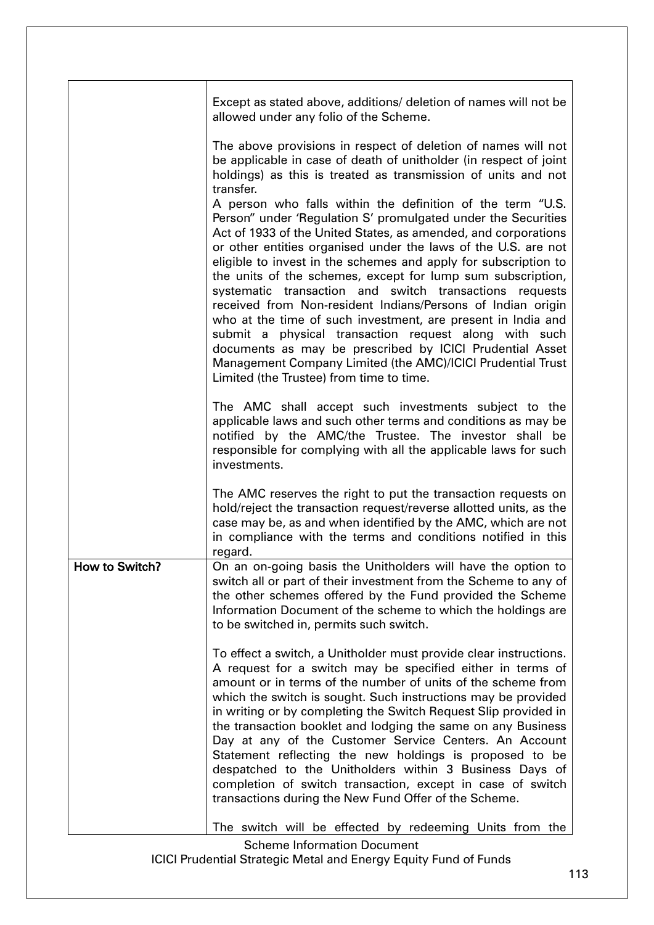|                | Except as stated above, additions/ deletion of names will not be<br>allowed under any folio of the Scheme.                                                                                                                                                                                                                                                                                                                                                                                                                                                                                                                                                                                                                                                                                                                                                                                                                                                                                                                                      |
|----------------|-------------------------------------------------------------------------------------------------------------------------------------------------------------------------------------------------------------------------------------------------------------------------------------------------------------------------------------------------------------------------------------------------------------------------------------------------------------------------------------------------------------------------------------------------------------------------------------------------------------------------------------------------------------------------------------------------------------------------------------------------------------------------------------------------------------------------------------------------------------------------------------------------------------------------------------------------------------------------------------------------------------------------------------------------|
|                | The above provisions in respect of deletion of names will not<br>be applicable in case of death of unitholder (in respect of joint<br>holdings) as this is treated as transmission of units and not<br>transfer.<br>A person who falls within the definition of the term "U.S.<br>Person" under 'Regulation S' promulgated under the Securities<br>Act of 1933 of the United States, as amended, and corporations<br>or other entities organised under the laws of the U.S. are not<br>eligible to invest in the schemes and apply for subscription to<br>the units of the schemes, except for lump sum subscription,<br>systematic transaction and switch transactions requests<br>received from Non-resident Indians/Persons of Indian origin<br>who at the time of such investment, are present in India and<br>submit a physical transaction request along with such<br>documents as may be prescribed by ICICI Prudential Asset<br>Management Company Limited (the AMC)/ICICI Prudential Trust<br>Limited (the Trustee) from time to time. |
|                | The AMC shall accept such investments subject to the<br>applicable laws and such other terms and conditions as may be<br>notified by the AMC/the Trustee. The investor shall be<br>responsible for complying with all the applicable laws for such<br>investments.                                                                                                                                                                                                                                                                                                                                                                                                                                                                                                                                                                                                                                                                                                                                                                              |
|                | The AMC reserves the right to put the transaction requests on<br>hold/reject the transaction request/reverse allotted units, as the<br>case may be, as and when identified by the AMC, which are not<br>in compliance with the terms and conditions notified in this<br>regard.                                                                                                                                                                                                                                                                                                                                                                                                                                                                                                                                                                                                                                                                                                                                                                 |
| How to Switch? | On an on-going basis the Unitholders will have the option to<br>switch all or part of their investment from the Scheme to any of<br>the other schemes offered by the Fund provided the Scheme<br>Information Document of the scheme to which the holdings are<br>to be switched in, permits such switch.                                                                                                                                                                                                                                                                                                                                                                                                                                                                                                                                                                                                                                                                                                                                        |
|                | To effect a switch, a Unitholder must provide clear instructions.<br>A request for a switch may be specified either in terms of<br>amount or in terms of the number of units of the scheme from<br>which the switch is sought. Such instructions may be provided<br>in writing or by completing the Switch Request Slip provided in<br>the transaction booklet and lodging the same on any Business<br>Day at any of the Customer Service Centers. An Account<br>Statement reflecting the new holdings is proposed to be<br>despatched to the Unitholders within 3 Business Days of<br>completion of switch transaction, except in case of switch<br>transactions during the New Fund Offer of the Scheme.                                                                                                                                                                                                                                                                                                                                      |
|                | The switch will be effected by redeeming Units from the                                                                                                                                                                                                                                                                                                                                                                                                                                                                                                                                                                                                                                                                                                                                                                                                                                                                                                                                                                                         |

Scheme Information Document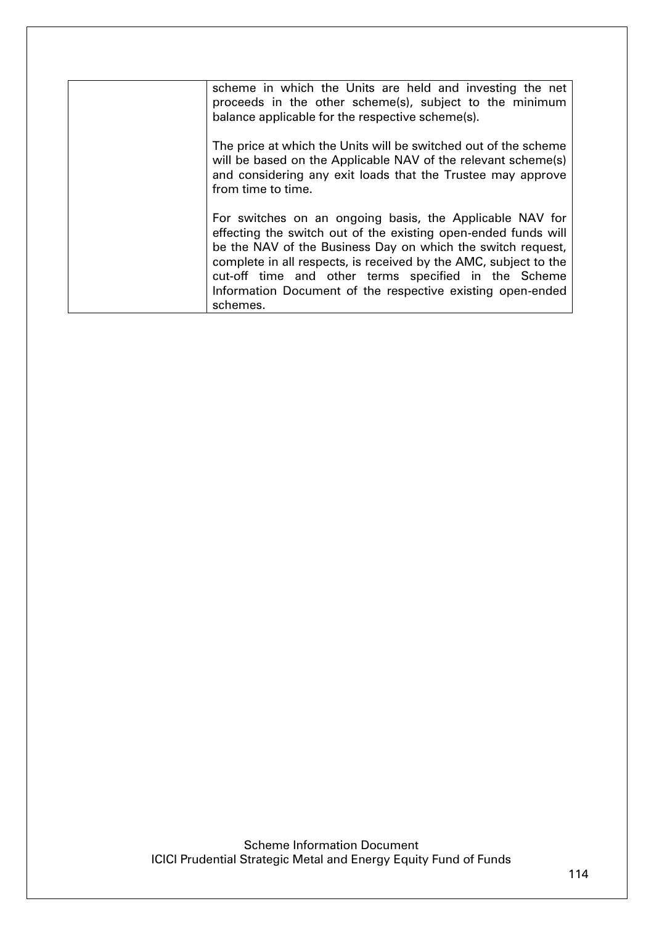| scheme in which the Units are held and investing the net<br>proceeds in the other scheme(s), subject to the minimum<br>balance applicable for the respective scheme(s).                                                                                                                                                                                                                         |
|-------------------------------------------------------------------------------------------------------------------------------------------------------------------------------------------------------------------------------------------------------------------------------------------------------------------------------------------------------------------------------------------------|
| The price at which the Units will be switched out of the scheme<br>will be based on the Applicable NAV of the relevant scheme(s)<br>and considering any exit loads that the Trustee may approve<br>from time to time.                                                                                                                                                                           |
| For switches on an ongoing basis, the Applicable NAV for<br>effecting the switch out of the existing open-ended funds will<br>be the NAV of the Business Day on which the switch request,<br>complete in all respects, is received by the AMC, subject to the<br>cut-off time and other terms specified in the Scheme<br>Information Document of the respective existing open-ended<br>schemes. |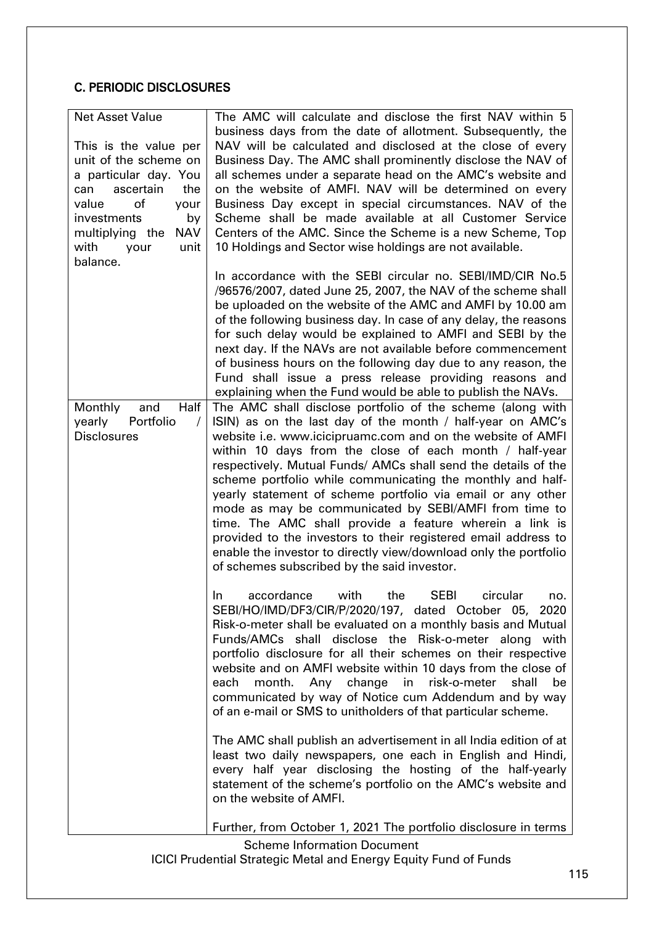# C. PERIODIC DISCLOSURES

| <b>Net Asset Value</b>        | The AMC will calculate and disclose the first NAV within 5                                                                |  |  |
|-------------------------------|---------------------------------------------------------------------------------------------------------------------------|--|--|
| This is the value per         | business days from the date of allotment. Subsequently, the<br>NAV will be calculated and disclosed at the close of every |  |  |
| unit of the scheme on         | Business Day. The AMC shall prominently disclose the NAV of                                                               |  |  |
| a particular day. You         | all schemes under a separate head on the AMC's website and                                                                |  |  |
| ascertain<br>the<br>can       | on the website of AMFI. NAV will be determined on every                                                                   |  |  |
| of<br>value<br>your           | Business Day except in special circumstances. NAV of the                                                                  |  |  |
| investments<br>by             | Scheme shall be made available at all Customer Service                                                                    |  |  |
| multiplying the<br><b>NAV</b> | Centers of the AMC. Since the Scheme is a new Scheme, Top                                                                 |  |  |
| with<br>your<br>unit          | 10 Holdings and Sector wise holdings are not available.                                                                   |  |  |
| balance.                      |                                                                                                                           |  |  |
|                               | In accordance with the SEBI circular no. SEBI/IMD/CIR No.5                                                                |  |  |
|                               | /96576/2007, dated June 25, 2007, the NAV of the scheme shall                                                             |  |  |
|                               | be uploaded on the website of the AMC and AMFI by 10.00 am                                                                |  |  |
|                               | of the following business day. In case of any delay, the reasons                                                          |  |  |
|                               | for such delay would be explained to AMFI and SEBI by the                                                                 |  |  |
|                               | next day. If the NAVs are not available before commencement                                                               |  |  |
|                               | of business hours on the following day due to any reason, the                                                             |  |  |
|                               | Fund shall issue a press release providing reasons and<br>explaining when the Fund would be able to publish the NAVs.     |  |  |
| Half<br>Monthly<br>and        | The AMC shall disclose portfolio of the scheme (along with                                                                |  |  |
| yearly<br>Portfolio           | ISIN) as on the last day of the month / half-year on AMC's                                                                |  |  |
| <b>Disclosures</b>            | website i.e. www.icicipruamc.com and on the website of AMFI                                                               |  |  |
|                               | within 10 days from the close of each month / half-year                                                                   |  |  |
|                               | respectively. Mutual Funds/ AMCs shall send the details of the                                                            |  |  |
|                               | scheme portfolio while communicating the monthly and half-                                                                |  |  |
|                               | yearly statement of scheme portfolio via email or any other                                                               |  |  |
|                               | mode as may be communicated by SEBI/AMFI from time to                                                                     |  |  |
|                               | time. The AMC shall provide a feature wherein a link is                                                                   |  |  |
|                               | provided to the investors to their registered email address to                                                            |  |  |
|                               | enable the investor to directly view/download only the portfolio                                                          |  |  |
|                               | of schemes subscribed by the said investor.                                                                               |  |  |
|                               | <b>SEBI</b><br>accordance<br>with<br>the<br>circular<br>In.<br>no.                                                        |  |  |
|                               | SEBI/HO/IMD/DF3/CIR/P/2020/197, dated October 05, 2020                                                                    |  |  |
|                               | Risk-o-meter shall be evaluated on a monthly basis and Mutual                                                             |  |  |
|                               | Funds/AMCs shall disclose the Risk-o-meter along with                                                                     |  |  |
|                               | portfolio disclosure for all their schemes on their respective                                                            |  |  |
|                               | website and on AMFI website within 10 days from the close of                                                              |  |  |
|                               | month. Any change<br>in risk-o-meter<br>shall<br>each<br>be                                                               |  |  |
|                               | communicated by way of Notice cum Addendum and by way                                                                     |  |  |
|                               | of an e-mail or SMS to unitholders of that particular scheme.                                                             |  |  |
|                               | The AMC shall publish an advertisement in all India edition of at                                                         |  |  |
|                               | least two daily newspapers, one each in English and Hindi,                                                                |  |  |
|                               | every half year disclosing the hosting of the half-yearly                                                                 |  |  |
|                               | statement of the scheme's portfolio on the AMC's website and                                                              |  |  |
|                               | on the website of AMFI.                                                                                                   |  |  |
|                               | Further, from October 1, 2021 The portfolio disclosure in terms                                                           |  |  |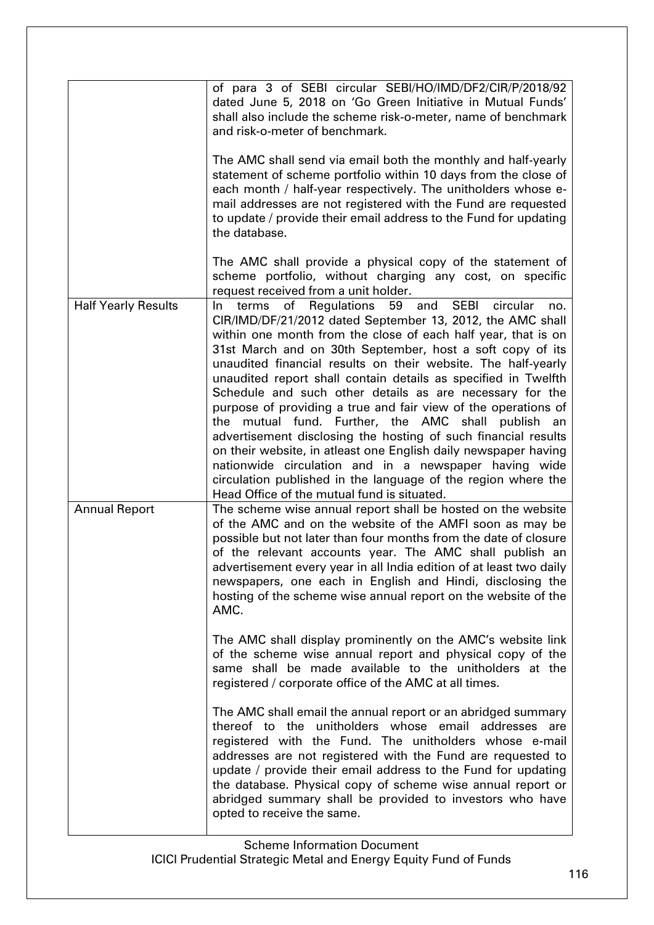|                            | of para 3 of SEBI circular SEBI/HO/IMD/DF2/CIR/P/2018/92<br>dated June 5, 2018 on 'Go Green Initiative in Mutual Funds'<br>shall also include the scheme risk-o-meter, name of benchmark<br>and risk-o-meter of benchmark.                                                                                                                                                                                                                                                                                                                                                                                                                                                                                                                                                                                                                                                                                  |
|----------------------------|-------------------------------------------------------------------------------------------------------------------------------------------------------------------------------------------------------------------------------------------------------------------------------------------------------------------------------------------------------------------------------------------------------------------------------------------------------------------------------------------------------------------------------------------------------------------------------------------------------------------------------------------------------------------------------------------------------------------------------------------------------------------------------------------------------------------------------------------------------------------------------------------------------------|
|                            | The AMC shall send via email both the monthly and half-yearly<br>statement of scheme portfolio within 10 days from the close of<br>each month / half-year respectively. The unitholders whose e-<br>mail addresses are not registered with the Fund are requested<br>to update / provide their email address to the Fund for updating<br>the database.                                                                                                                                                                                                                                                                                                                                                                                                                                                                                                                                                      |
|                            | The AMC shall provide a physical copy of the statement of<br>scheme portfolio, without charging any cost, on specific<br>request received from a unit holder.                                                                                                                                                                                                                                                                                                                                                                                                                                                                                                                                                                                                                                                                                                                                               |
| <b>Half Yearly Results</b> | and<br><b>SEBI</b><br>of Regulations 59<br>circular<br>terms<br>In.<br>no.<br>CIR/IMD/DF/21/2012 dated September 13, 2012, the AMC shall<br>within one month from the close of each half year, that is on<br>31st March and on 30th September, host a soft copy of its<br>unaudited financial results on their website. The half-yearly<br>unaudited report shall contain details as specified in Twelfth<br>Schedule and such other details as are necessary for the<br>purpose of providing a true and fair view of the operations of<br>the mutual fund. Further, the AMC shall publish an<br>advertisement disclosing the hosting of such financial results<br>on their website, in atleast one English daily newspaper having<br>nationwide circulation and in a newspaper having wide<br>circulation published in the language of the region where the<br>Head Office of the mutual fund is situated. |
| <b>Annual Report</b>       | The scheme wise annual report shall be hosted on the website<br>of the AMC and on the website of the AMFI soon as may be<br>possible but not later than four months from the date of closure<br>of the relevant accounts year. The AMC shall publish an<br>advertisement every year in all India edition of at least two daily<br>newspapers, one each in English and Hindi, disclosing the<br>hosting of the scheme wise annual report on the website of the<br>AMC.                                                                                                                                                                                                                                                                                                                                                                                                                                       |
|                            | The AMC shall display prominently on the AMC's website link<br>of the scheme wise annual report and physical copy of the<br>same shall be made available to the unitholders at the<br>registered / corporate office of the AMC at all times.                                                                                                                                                                                                                                                                                                                                                                                                                                                                                                                                                                                                                                                                |
|                            | The AMC shall email the annual report or an abridged summary<br>thereof to the unitholders whose email addresses<br>are<br>registered with the Fund. The unitholders whose e-mail<br>addresses are not registered with the Fund are requested to<br>update / provide their email address to the Fund for updating<br>the database. Physical copy of scheme wise annual report or<br>abridged summary shall be provided to investors who have<br>opted to receive the same.                                                                                                                                                                                                                                                                                                                                                                                                                                  |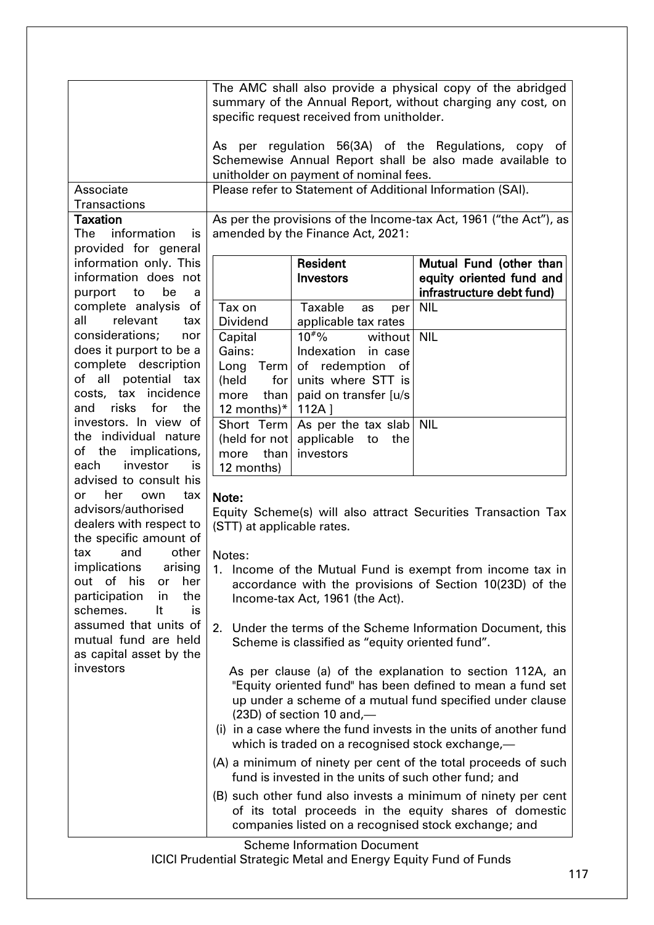|                            |                                                                   |                                                 | The AMC shall also provide a physical copy of the abridged    |  |
|----------------------------|-------------------------------------------------------------------|-------------------------------------------------|---------------------------------------------------------------|--|
|                            | summary of the Annual Report, without charging any cost, on       |                                                 |                                                               |  |
|                            | specific request received from unitholder.                        |                                                 |                                                               |  |
|                            |                                                                   |                                                 |                                                               |  |
|                            | regulation 56(3A) of the Regulations, copy of<br>As per           |                                                 |                                                               |  |
|                            | Schemewise Annual Report shall be also made available to          |                                                 |                                                               |  |
|                            | unitholder on payment of nominal fees.                            |                                                 |                                                               |  |
| Associate                  | Please refer to Statement of Additional Information (SAI).        |                                                 |                                                               |  |
| Transactions               |                                                                   |                                                 |                                                               |  |
| <b>Taxation</b>            | As per the provisions of the Income-tax Act, 1961 ("the Act"), as |                                                 |                                                               |  |
| The<br>information<br>is   | amended by the Finance Act, 2021:                                 |                                                 |                                                               |  |
| provided for general       |                                                                   |                                                 |                                                               |  |
| information only. This     |                                                                   | <b>Resident</b>                                 | Mutual Fund (other than                                       |  |
| information does not       | <b>Investors</b><br>equity oriented fund and                      |                                                 |                                                               |  |
| purport<br>be<br>to<br>a   |                                                                   |                                                 | infrastructure debt fund)                                     |  |
| complete analysis of       | Tax on                                                            | Taxable<br>as                                   | <b>NIL</b>                                                    |  |
| all<br>relevant<br>tax     | Dividend                                                          | per                                             |                                                               |  |
| considerations;<br>nor     |                                                                   | applicable tax rates<br>$10^{40}$ %             | <b>NIL</b>                                                    |  |
| does it purport to be a    | Capital                                                           | without                                         |                                                               |  |
|                            | Gains:                                                            | Indexation<br>in case                           |                                                               |  |
| complete description       | Long Term                                                         | of redemption<br>_of                            |                                                               |  |
| all potential tax<br>of    | (held<br>for l                                                    | units where STT is                              |                                                               |  |
| costs, tax incidence       | than<br>more                                                      | paid on transfer [u/s                           |                                                               |  |
| and risks for<br>the       | 12 months $)* $                                                   | 112A                                            |                                                               |  |
| investors. In view of      | Short Term                                                        | As per the tax slab                             | <b>NIL</b>                                                    |  |
| the individual nature      | (held for not                                                     | applicable<br>the<br>to                         |                                                               |  |
| the implications,<br>of    | more than                                                         | investors                                       |                                                               |  |
| investor<br>each<br>is     | 12 months)                                                        |                                                 |                                                               |  |
| advised to consult his     |                                                                   |                                                 |                                                               |  |
| her<br>own<br>tax<br>or    | Note:                                                             |                                                 |                                                               |  |
| advisors/authorised        |                                                                   |                                                 | Equity Scheme(s) will also attract Securities Transaction Tax |  |
| dealers with respect to    | (STT) at applicable rates.                                        |                                                 |                                                               |  |
| the specific amount of     |                                                                   |                                                 |                                                               |  |
| and<br>other<br>tax        | Notes:                                                            |                                                 |                                                               |  |
| implications<br>arising    | 1. Income of the Mutual Fund is exempt from income tax in         |                                                 |                                                               |  |
| out of his<br>her<br>or    |                                                                   |                                                 | accordance with the provisions of Section 10(23D) of the      |  |
| participation<br>in<br>the |                                                                   | Income-tax Act, 1961 (the Act).                 |                                                               |  |
| schemes.<br>It<br>is       |                                                                   |                                                 |                                                               |  |
| assumed that units of      | 2.                                                                |                                                 | Under the terms of the Scheme Information Document, this      |  |
| mutual fund are held       |                                                                   | Scheme is classified as "equity oriented fund". |                                                               |  |
| as capital asset by the    |                                                                   |                                                 |                                                               |  |
| investors                  |                                                                   |                                                 | As per clause (a) of the explanation to section 112A, an      |  |
|                            |                                                                   |                                                 | "Equity oriented fund" has been defined to mean a fund set    |  |
|                            |                                                                   |                                                 | up under a scheme of a mutual fund specified under clause     |  |
|                            | (23D) of section 10 and,-                                         |                                                 |                                                               |  |
|                            | (i) in a case where the fund invests in the units of another fund |                                                 |                                                               |  |
|                            | which is traded on a recognised stock exchange,—                  |                                                 |                                                               |  |
|                            | (A) a minimum of ninety per cent of the total proceeds of such    |                                                 |                                                               |  |
|                            | fund is invested in the units of such other fund; and             |                                                 |                                                               |  |
|                            |                                                                   |                                                 | (B) such other fund also invests a minimum of ninety per cent |  |
|                            | of its total proceeds in the equity shares of domestic            |                                                 |                                                               |  |
|                            | companies listed on a recognised stock exchange; and              |                                                 |                                                               |  |

Scheme Information Document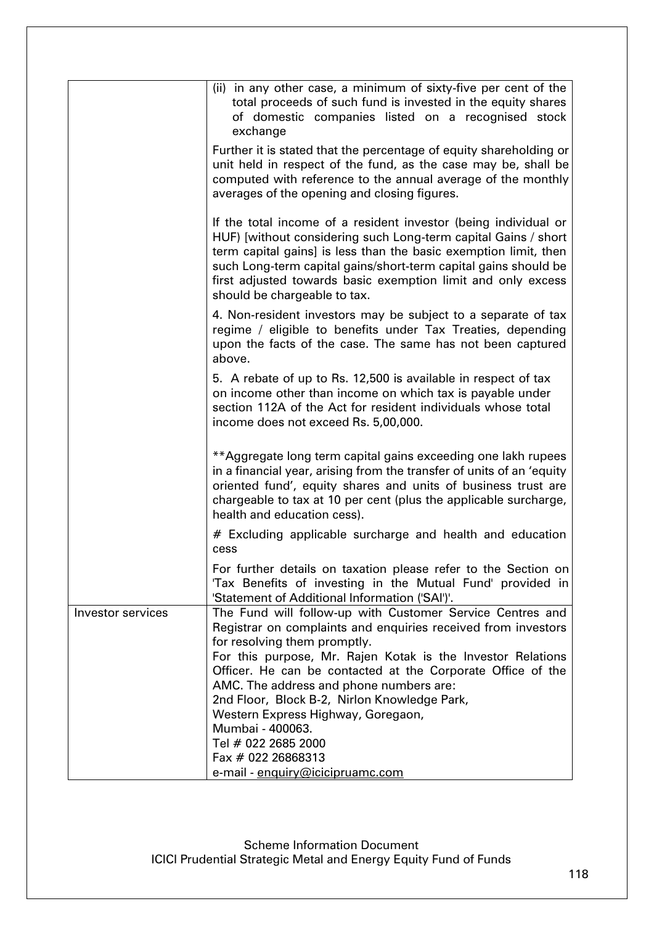|                   | (ii) in any other case, a minimum of sixty-five per cent of the<br>total proceeds of such fund is invested in the equity shares<br>of domestic companies listed on a recognised stock<br>exchange                                                                                                                                                                                                                                                                                          |
|-------------------|--------------------------------------------------------------------------------------------------------------------------------------------------------------------------------------------------------------------------------------------------------------------------------------------------------------------------------------------------------------------------------------------------------------------------------------------------------------------------------------------|
|                   | Further it is stated that the percentage of equity shareholding or<br>unit held in respect of the fund, as the case may be, shall be<br>computed with reference to the annual average of the monthly<br>averages of the opening and closing figures.                                                                                                                                                                                                                                       |
|                   | If the total income of a resident investor (being individual or<br>HUF) [without considering such Long-term capital Gains / short<br>term capital gains] is less than the basic exemption limit, then<br>such Long-term capital gains/short-term capital gains should be<br>first adjusted towards basic exemption limit and only excess<br>should be chargeable to tax.                                                                                                                   |
|                   | 4. Non-resident investors may be subject to a separate of tax<br>regime / eligible to benefits under Tax Treaties, depending<br>upon the facts of the case. The same has not been captured<br>above.                                                                                                                                                                                                                                                                                       |
|                   | 5. A rebate of up to Rs. 12,500 is available in respect of tax<br>on income other than income on which tax is payable under<br>section 112A of the Act for resident individuals whose total<br>income does not exceed Rs. 5,00,000.                                                                                                                                                                                                                                                        |
|                   | ** Aggregate long term capital gains exceeding one lakh rupees<br>in a financial year, arising from the transfer of units of an 'equity<br>oriented fund', equity shares and units of business trust are<br>chargeable to tax at 10 per cent (plus the applicable surcharge,<br>health and education cess).                                                                                                                                                                                |
|                   | # Excluding applicable surcharge and health and education<br>cess                                                                                                                                                                                                                                                                                                                                                                                                                          |
|                   | For further details on taxation please refer to the Section on<br>'Tax Benefits of investing in the Mutual Fund' provided in<br>'Statement of Additional Information ('SAI')'.                                                                                                                                                                                                                                                                                                             |
| Investor services | The Fund will follow-up with Customer Service Centres and<br>Registrar on complaints and enquiries received from investors<br>for resolving them promptly.<br>For this purpose, Mr. Rajen Kotak is the Investor Relations<br>Officer. He can be contacted at the Corporate Office of the<br>AMC. The address and phone numbers are:<br>2nd Floor, Block B-2, Nirlon Knowledge Park,<br>Western Express Highway, Goregaon,<br>Mumbai - 400063.<br>Tel # 022 2685 2000<br>Fax # 022 26868313 |
|                   | e-mail - enquiry@icicipruamc.com                                                                                                                                                                                                                                                                                                                                                                                                                                                           |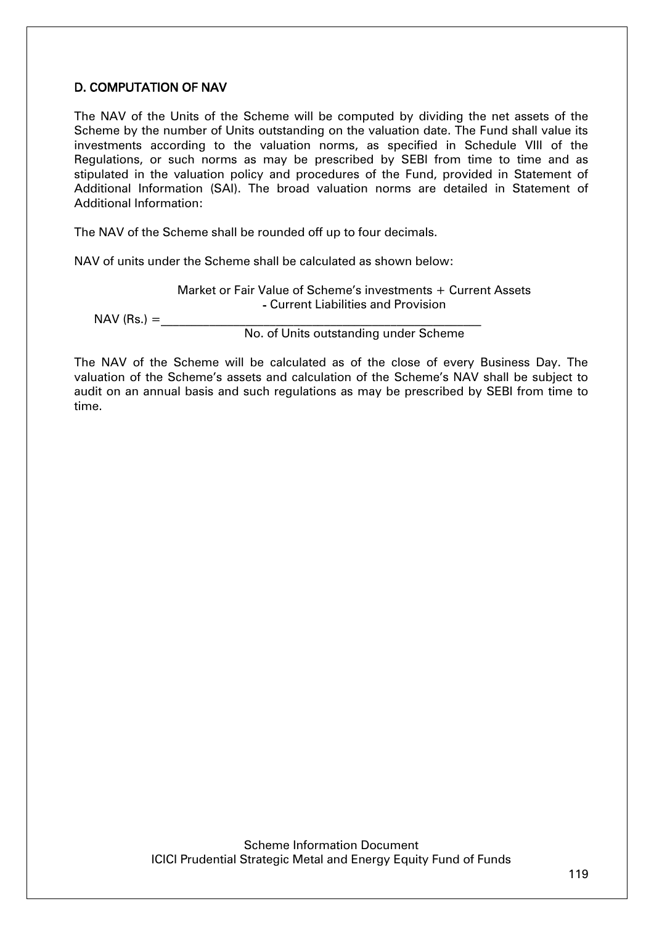# D. COMPUTATION OF NAV

The NAV of the Units of the Scheme will be computed by dividing the net assets of the Scheme by the number of Units outstanding on the valuation date. The Fund shall value its investments according to the valuation norms, as specified in Schedule VIII of the Regulations, or such norms as may be prescribed by SEBI from time to time and as stipulated in the valuation policy and procedures of the Fund, provided in Statement of Additional Information (SAI). The broad valuation norms are detailed in Statement of Additional Information:

The NAV of the Scheme shall be rounded off up to four decimals.

NAV of units under the Scheme shall be calculated as shown below:

Market or Fair Value of Scheme's investments + Current Assets - Current Liabilities and Provision

 $NAV$  (Rs.) =

No. of Units outstanding under Scheme

The NAV of the Scheme will be calculated as of the close of every Business Day. The valuation of the Scheme's assets and calculation of the Scheme's NAV shall be subject to audit on an annual basis and such regulations as may be prescribed by SEBI from time to time.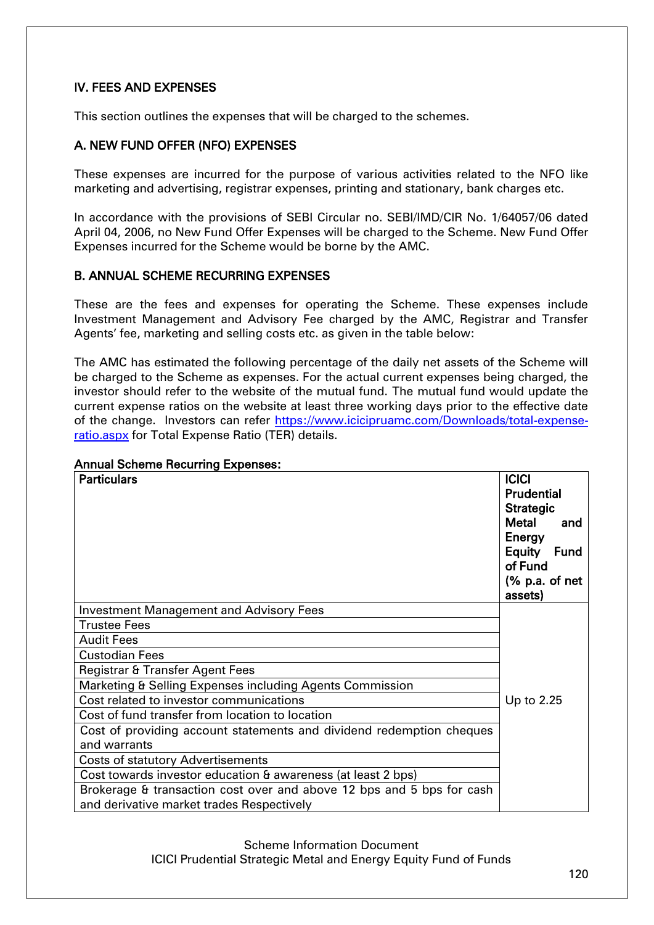# IV. FEES AND EXPENSES

This section outlines the expenses that will be charged to the schemes.

# A. NEW FUND OFFER (NFO) EXPENSES

These expenses are incurred for the purpose of various activities related to the NFO like marketing and advertising, registrar expenses, printing and stationary, bank charges etc.

In accordance with the provisions of SEBI Circular no. SEBI/IMD/CIR No. 1/64057/06 dated April 04, 2006, no New Fund Offer Expenses will be charged to the Scheme. New Fund Offer Expenses incurred for the Scheme would be borne by the AMC.

### B. ANNUAL SCHEME RECURRING EXPENSES

These are the fees and expenses for operating the Scheme. These expenses include Investment Management and Advisory Fee charged by the AMC, Registrar and Transfer Agents' fee, marketing and selling costs etc. as given in the table below:

The AMC has estimated the following percentage of the daily net assets of the Scheme will be charged to the Scheme as expenses. For the actual current expenses being charged, the investor should refer to the website of the mutual fund. The mutual fund would update the current expense ratios on the website at least three working days prior to the effective date of the change. Investors can refer [https://www.icicipruamc.com/Downloads/total-expense](https://www.icicipruamc.com/Downloads/total-expense-ratio.aspx)[ratio.aspx](https://www.icicipruamc.com/Downloads/total-expense-ratio.aspx) for Total Expense Ratio (TER) details.

# Annual Scheme Recurring Expenses:

| <b>Particulars</b>                                                    | <b>ICICI</b><br><b>Prudential</b><br><b>Strategic</b><br><b>Metal</b><br>and<br>Energy<br>Equity<br>Fund<br>of Fund |
|-----------------------------------------------------------------------|---------------------------------------------------------------------------------------------------------------------|
|                                                                       | (% p.a. of net<br>assets)                                                                                           |
| <b>Investment Management and Advisory Fees</b>                        |                                                                                                                     |
| <b>Trustee Fees</b>                                                   |                                                                                                                     |
| <b>Audit Fees</b>                                                     |                                                                                                                     |
| <b>Custodian Fees</b>                                                 |                                                                                                                     |
| Registrar & Transfer Agent Fees                                       |                                                                                                                     |
| Marketing & Selling Expenses including Agents Commission              |                                                                                                                     |
| Cost related to investor communications                               | Up to 2.25                                                                                                          |
| Cost of fund transfer from location to location                       |                                                                                                                     |
| Cost of providing account statements and dividend redemption cheques  |                                                                                                                     |
| and warrants                                                          |                                                                                                                     |
| <b>Costs of statutory Advertisements</b>                              |                                                                                                                     |
| Cost towards investor education & awareness (at least 2 bps)          |                                                                                                                     |
| Brokerage & transaction cost over and above 12 bps and 5 bps for cash |                                                                                                                     |
| and derivative market trades Respectively                             |                                                                                                                     |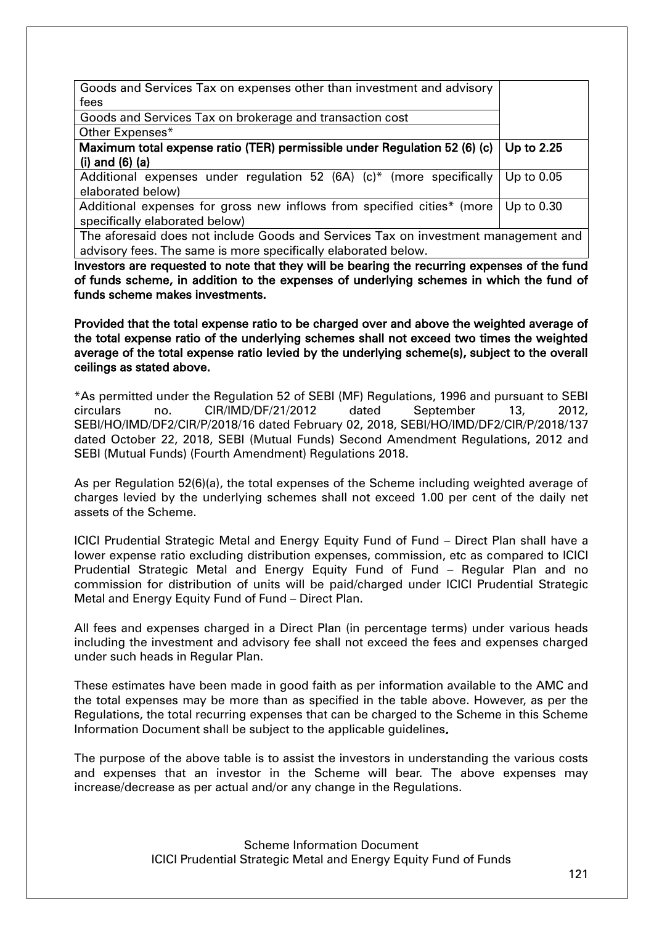| Goods and Services Tax on expenses other than investment and advisory              |              |
|------------------------------------------------------------------------------------|--------------|
| fees                                                                               |              |
| Goods and Services Tax on brokerage and transaction cost                           |              |
| Other Expenses*                                                                    |              |
| Maximum total expense ratio (TER) permissible under Regulation 52 (6) (c)          | Up to 2.25   |
| $(i)$ and $(6)$ $(a)$                                                              |              |
| Additional expenses under regulation 52 (6A) (c)* (more specifically               | Up to $0.05$ |
| elaborated below)                                                                  |              |
| Additional expenses for gross new inflows from specified cities* (more             | Up to $0.30$ |
| specifically elaborated below)                                                     |              |
| The aforesaid does not include Goods and Services Tax on investment management and |              |
| advisory fees. The same is more specifically elaborated below.                     |              |

Investors are requested to note that they will be bearing the recurring expenses of the fund of funds scheme, in addition to the expenses of underlying schemes in which the fund of funds scheme makes investments.

Provided that the total expense ratio to be charged over and above the weighted average of the total expense ratio of the underlying schemes shall not exceed two times the weighted average of the total expense ratio levied by the underlying scheme(s), subject to the overall ceilings as stated above.

\*As permitted under the Regulation 52 of SEBI (MF) Regulations, 1996 and pursuant to SEBI circulars no. CIR/IMD/DF/21/2012 dated September 13, 2012, SEBI/HO/IMD/DF2/CIR/P/2018/16 dated February 02, 2018, SEBI/HO/IMD/DF2/CIR/P/2018/137 dated October 22, 2018, SEBI (Mutual Funds) Second Amendment Regulations, 2012 and SEBI (Mutual Funds) (Fourth Amendment) Regulations 2018.

As per Regulation 52(6)(a), the total expenses of the Scheme including weighted average of charges levied by the underlying schemes shall not exceed 1.00 per cent of the daily net assets of the Scheme.

ICICI Prudential Strategic Metal and Energy Equity Fund of Fund – Direct Plan shall have a lower expense ratio excluding distribution expenses, commission, etc as compared to ICICI Prudential Strategic Metal and Energy Equity Fund of Fund – Regular Plan and no commission for distribution of units will be paid/charged under ICICI Prudential Strategic Metal and Energy Equity Fund of Fund – Direct Plan.

All fees and expenses charged in a Direct Plan (in percentage terms) under various heads including the investment and advisory fee shall not exceed the fees and expenses charged under such heads in Regular Plan.

These estimates have been made in good faith as per information available to the AMC and the total expenses may be more than as specified in the table above. However, as per the Regulations, the total recurring expenses that can be charged to the Scheme in this Scheme Information Document shall be subject to the applicable guidelines.

The purpose of the above table is to assist the investors in understanding the various costs and expenses that an investor in the Scheme will bear. The above expenses may increase/decrease as per actual and/or any change in the Regulations.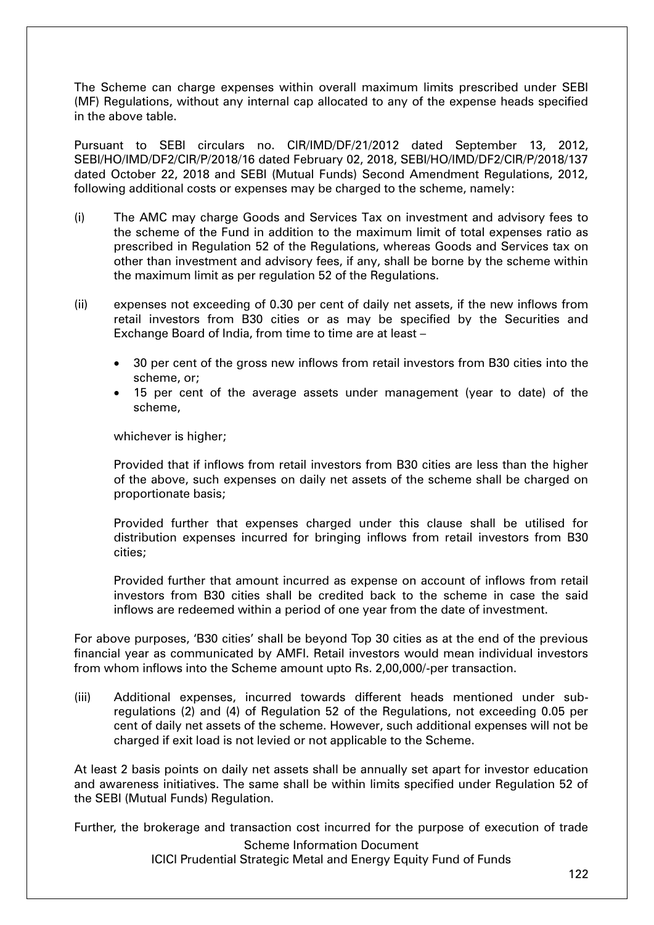The Scheme can charge expenses within overall maximum limits prescribed under SEBI (MF) Regulations, without any internal cap allocated to any of the expense heads specified in the above table.

Pursuant to SEBI circulars no. CIR/IMD/DF/21/2012 dated September 13, 2012, SEBI/HO/IMD/DF2/CIR/P/2018/16 dated February 02, 2018, SEBI/HO/IMD/DF2/CIR/P/2018/137 dated October 22, 2018 and SEBI (Mutual Funds) Second Amendment Regulations, 2012, following additional costs or expenses may be charged to the scheme, namely:

- (i) The AMC may charge Goods and Services Tax on investment and advisory fees to the scheme of the Fund in addition to the maximum limit of total expenses ratio as prescribed in Regulation 52 of the Regulations, whereas Goods and Services tax on other than investment and advisory fees, if any, shall be borne by the scheme within the maximum limit as per regulation 52 of the Regulations.
- (ii) expenses not exceeding of 0.30 per cent of daily net assets, if the new inflows from retail investors from B30 cities or as may be specified by the Securities and Exchange Board of India, from time to time are at least –
	- 30 per cent of the gross new inflows from retail investors from B30 cities into the scheme, or;
	- 15 per cent of the average assets under management (year to date) of the scheme,

whichever is higher;

Provided that if inflows from retail investors from B30 cities are less than the higher of the above, such expenses on daily net assets of the scheme shall be charged on proportionate basis;

Provided further that expenses charged under this clause shall be utilised for distribution expenses incurred for bringing inflows from retail investors from B30 cities;

Provided further that amount incurred as expense on account of inflows from retail investors from B30 cities shall be credited back to the scheme in case the said inflows are redeemed within a period of one year from the date of investment.

For above purposes, 'B30 cities' shall be beyond Top 30 cities as at the end of the previous financial year as communicated by AMFI. Retail investors would mean individual investors from whom inflows into the Scheme amount upto Rs. 2,00,000/-per transaction.

(iii) Additional expenses, incurred towards different heads mentioned under subregulations (2) and (4) of Regulation 52 of the Regulations, not exceeding 0.05 per cent of daily net assets of the scheme. However, such additional expenses will not be charged if exit load is not levied or not applicable to the Scheme.

At least 2 basis points on daily net assets shall be annually set apart for investor education and awareness initiatives. The same shall be within limits specified under Regulation 52 of the SEBI (Mutual Funds) Regulation.

Further, the brokerage and transaction cost incurred for the purpose of execution of trade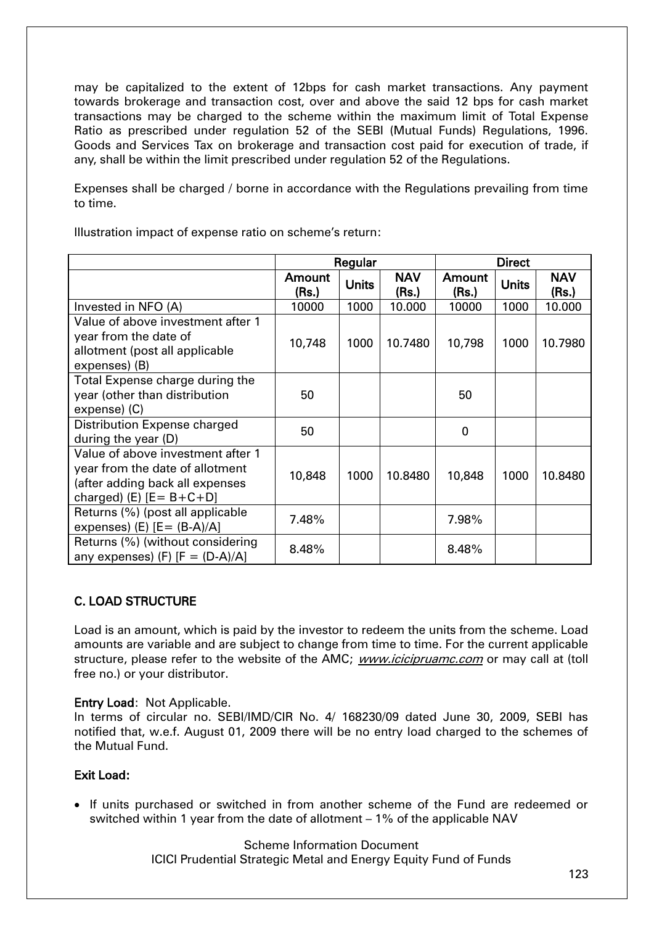may be capitalized to the extent of 12bps for cash market transactions. Any payment towards brokerage and transaction cost, over and above the said 12 bps for cash market transactions may be charged to the scheme within the maximum limit of Total Expense Ratio as prescribed under regulation 52 of the SEBI (Mutual Funds) Regulations, 1996. Goods and Services Tax on brokerage and transaction cost paid for execution of trade, if any, shall be within the limit prescribed under regulation 52 of the Regulations.

Expenses shall be charged / borne in accordance with the Regulations prevailing from time to time.

|                                                                                                                                           | Regular         |              |                     | <b>Direct</b>   |              |                     |
|-------------------------------------------------------------------------------------------------------------------------------------------|-----------------|--------------|---------------------|-----------------|--------------|---------------------|
|                                                                                                                                           | Amount<br>(Rs.) | <b>Units</b> | <b>NAV</b><br>(Rs.) | Amount<br>(Rs.) | <b>Units</b> | <b>NAV</b><br>(Rs.) |
| Invested in NFO (A)                                                                                                                       | 10000           | 1000         | 10,000              | 10000           | 1000         | 10.000              |
| Value of above investment after 1<br>year from the date of<br>allotment (post all applicable<br>expenses) (B)                             | 10,748          | 1000         | 10.7480             | 10,798          | 1000         | 10.7980             |
| Total Expense charge during the<br>year (other than distribution<br>expense) (C)                                                          | 50              |              |                     | 50              |              |                     |
| Distribution Expense charged<br>during the year $(D)$                                                                                     | 50              |              |                     | $\mathbf 0$     |              |                     |
| Value of above investment after 1<br>year from the date of allotment<br>(after adding back all expenses<br>charged) (E) $[E = B + C + D]$ | 10,848          | 1000         | 10.8480             | 10,848          | 1000         | 10.8480             |
| Returns (%) (post all applicable<br>expenses) $(E)$ $[E = (B-A)/A]$                                                                       | 7.48%           |              |                     | 7.98%           |              |                     |
| Returns (%) (without considering<br>any expenses) $(F)$ $[F = (D-A)/A]$                                                                   | 8.48%           |              |                     | 8.48%           |              |                     |

Illustration impact of expense ratio on scheme's return:

# C. LOAD STRUCTURE

Load is an amount, which is paid by the investor to redeem the units from the scheme. Load amounts are variable and are subject to change from time to time. For the current applicable structure, please refer to the website of the AMC; *[www.icicipruamc.com](http://www.icicipruamc.com/)* or may call at (toll free no.) or your distributor.

### Entry Load: Not Applicable.

In terms of circular no. SEBI/IMD/CIR No. 4/ 168230/09 dated June 30, 2009, SEBI has notified that, w.e.f. August 01, 2009 there will be no entry load charged to the schemes of the Mutual Fund.

# Exit Load:

• If units purchased or switched in from another scheme of the Fund are redeemed or switched within 1 year from the date of allotment – 1% of the applicable NAV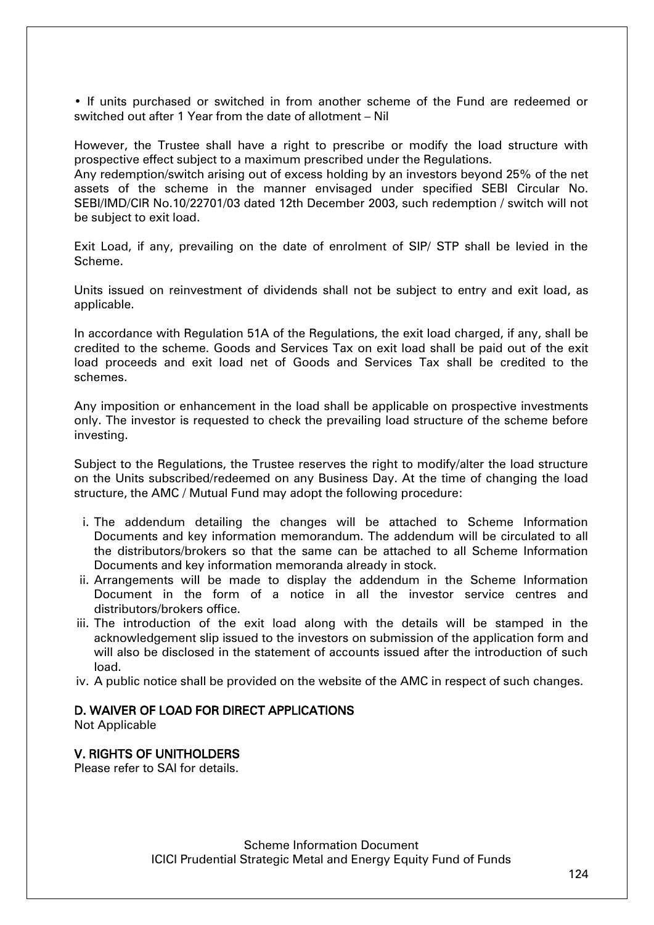• If units purchased or switched in from another scheme of the Fund are redeemed or switched out after 1 Year from the date of allotment – Nil

However, the Trustee shall have a right to prescribe or modify the load structure with prospective effect subject to a maximum prescribed under the Regulations.

Any redemption/switch arising out of excess holding by an investors beyond 25% of the net assets of the scheme in the manner envisaged under specified SEBI Circular No. SEBI/IMD/CIR No.10/22701/03 dated 12th December 2003, such redemption / switch will not be subject to exit load.

Exit Load, if any, prevailing on the date of enrolment of SIP/ STP shall be levied in the Scheme.

Units issued on reinvestment of dividends shall not be subject to entry and exit load, as applicable.

In accordance with Regulation 51A of the Regulations, the exit load charged, if any, shall be credited to the scheme. Goods and Services Tax on exit load shall be paid out of the exit load proceeds and exit load net of Goods and Services Tax shall be credited to the schemes.

Any imposition or enhancement in the load shall be applicable on prospective investments only. The investor is requested to check the prevailing load structure of the scheme before investing.

Subject to the Regulations, the Trustee reserves the right to modify/alter the load structure on the Units subscribed/redeemed on any Business Day. At the time of changing the load structure, the AMC / Mutual Fund may adopt the following procedure:

- i. The addendum detailing the changes will be attached to Scheme Information Documents and key information memorandum. The addendum will be circulated to all the distributors/brokers so that the same can be attached to all Scheme Information Documents and key information memoranda already in stock.
- ii. Arrangements will be made to display the addendum in the Scheme Information Document in the form of a notice in all the investor service centres and distributors/brokers office.
- iii. The introduction of the exit load along with the details will be stamped in the acknowledgement slip issued to the investors on submission of the application form and will also be disclosed in the statement of accounts issued after the introduction of such load.
- iv. A public notice shall be provided on the website of the AMC in respect of such changes.

### D. WAIVER OF LOAD FOR DIRECT APPLICATIONS

Not Applicable

### V. RIGHTS OF UNITHOLDERS

Please refer to SAI for details.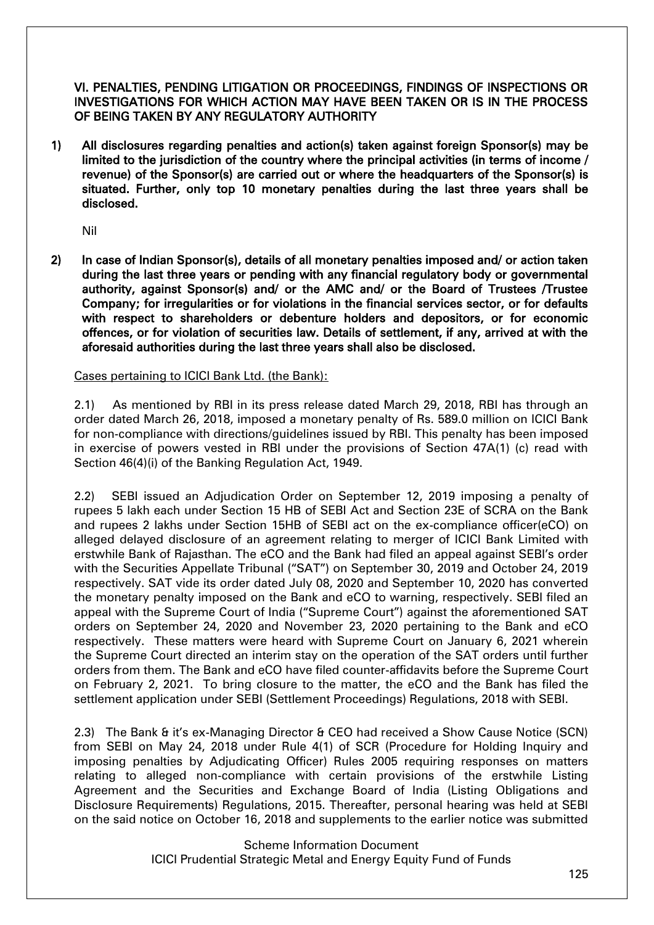VI. PENALTIES, PENDING LITIGATION OR PROCEEDINGS, FINDINGS OF INSPECTIONS OR INVESTIGATIONS FOR WHICH ACTION MAY HAVE BEEN TAKEN OR IS IN THE PROCESS OF BEING TAKEN BY ANY REGULATORY AUTHORITY

1) All disclosures regarding penalties and action(s) taken against foreign Sponsor(s) may be limited to the jurisdiction of the country where the principal activities (in terms of income / revenue) of the Sponsor(s) are carried out or where the headquarters of the Sponsor(s) is situated. Further, only top 10 monetary penalties during the last three years shall be disclosed.

Nil

2) In case of Indian Sponsor(s), details of all monetary penalties imposed and/ or action taken during the last three years or pending with any financial regulatory body or governmental authority, against Sponsor(s) and/ or the AMC and/ or the Board of Trustees /Trustee Company; for irregularities or for violations in the financial services sector, or for defaults with respect to shareholders or debenture holders and depositors, or for economic offences, or for violation of securities law. Details of settlement, if any, arrived at with the aforesaid authorities during the last three years shall also be disclosed.

Cases pertaining to ICICI Bank Ltd. (the Bank):

2.1) As mentioned by RBI in its press release dated March 29, 2018, RBI has through an order dated March 26, 2018, imposed a monetary penalty of Rs. 589.0 million on ICICI Bank for non-compliance with directions/guidelines issued by RBI. This penalty has been imposed in exercise of powers vested in RBI under the provisions of Section 47A(1) (c) read with Section 46(4)(i) of the Banking Regulation Act, 1949.

2.2) SEBI issued an Adjudication Order on September 12, 2019 imposing a penalty of rupees 5 lakh each under Section 15 HB of SEBI Act and Section 23E of SCRA on the Bank and rupees 2 lakhs under Section 15HB of SEBI act on the ex-compliance officer(eCO) on alleged delayed disclosure of an agreement relating to merger of ICICI Bank Limited with erstwhile Bank of Rajasthan. The eCO and the Bank had filed an appeal against SEBI's order with the Securities Appellate Tribunal ("SAT") on September 30, 2019 and October 24, 2019 respectively. SAT vide its order dated July 08, 2020 and September 10, 2020 has converted the monetary penalty imposed on the Bank and eCO to warning, respectively. SEBI filed an appeal with the Supreme Court of India ("Supreme Court") against the aforementioned SAT orders on September 24, 2020 and November 23, 2020 pertaining to the Bank and eCO respectively. These matters were heard with Supreme Court on January 6, 2021 wherein the Supreme Court directed an interim stay on the operation of the SAT orders until further orders from them. The Bank and eCO have filed counter-affidavits before the Supreme Court on February 2, 2021. To bring closure to the matter, the eCO and the Bank has filed the settlement application under SEBI (Settlement Proceedings) Regulations, 2018 with SEBI.

2.3) The Bank & it's ex-Managing Director & CEO had received a Show Cause Notice (SCN) from SEBI on May 24, 2018 under Rule 4(1) of SCR (Procedure for Holding Inquiry and imposing penalties by Adjudicating Officer) Rules 2005 requiring responses on matters relating to alleged non-compliance with certain provisions of the erstwhile Listing Agreement and the Securities and Exchange Board of India (Listing Obligations and Disclosure Requirements) Regulations, 2015. Thereafter, personal hearing was held at SEBI on the said notice on October 16, 2018 and supplements to the earlier notice was submitted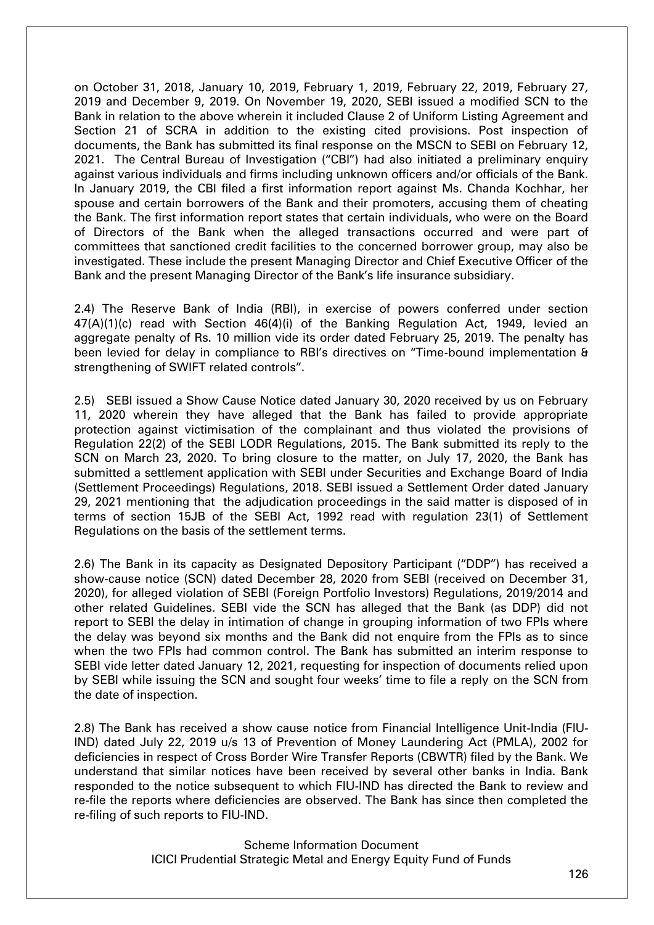on October 31, 2018, January 10, 2019, February 1, 2019, February 22, 2019, February 27, 2019 and December 9, 2019. On November 19, 2020, SEBI issued a modified SCN to the Bank in relation to the above wherein it included Clause 2 of Uniform Listing Agreement and Section 21 of SCRA in addition to the existing cited provisions. Post inspection of documents, the Bank has submitted its final response on the MSCN to SEBI on February 12, 2021. The Central Bureau of Investigation ("CBI") had also initiated a preliminary enquiry against various individuals and firms including unknown officers and/or officials of the Bank. In January 2019, the CBI filed a first information report against Ms. Chanda Kochhar, her spouse and certain borrowers of the Bank and their promoters, accusing them of cheating the Bank. The first information report states that certain individuals, who were on the Board of Directors of the Bank when the alleged transactions occurred and were part of committees that sanctioned credit facilities to the concerned borrower group, may also be investigated. These include the present Managing Director and Chief Executive Officer of the Bank and the present Managing Director of the Bank's life insurance subsidiary.

2.4) The Reserve Bank of India (RBI), in exercise of powers conferred under section  $47(A)(1)(c)$  read with Section  $46(4)(i)$  of the Banking Regulation Act, 1949, levied an aggregate penalty of Rs. 10 million vide its order dated February 25, 2019. The penalty has been levied for delay in compliance to RBI's directives on "Time-bound implementation & strengthening of SWIFT related controls".

2.5) SEBI issued a Show Cause Notice dated January 30, 2020 received by us on February 11, 2020 wherein they have alleged that the Bank has failed to provide appropriate protection against victimisation of the complainant and thus violated the provisions of Regulation 22(2) of the SEBI LODR Regulations, 2015. The Bank submitted its reply to the SCN on March 23, 2020. To bring closure to the matter, on July 17, 2020, the Bank has submitted a settlement application with SEBI under Securities and Exchange Board of India (Settlement Proceedings) Regulations, 2018. SEBI issued a Settlement Order dated January 29, 2021 mentioning that the adjudication proceedings in the said matter is disposed of in terms of section 15JB of the SEBI Act, 1992 read with regulation 23(1) of Settlement Regulations on the basis of the settlement terms.

2.6) The Bank in its capacity as Designated Depository Participant ("DDP") has received a show-cause notice (SCN) dated December 28, 2020 from SEBI (received on December 31, 2020), for alleged violation of SEBI (Foreign Portfolio Investors) Regulations, 2019/2014 and other related Guidelines. SEBI vide the SCN has alleged that the Bank (as DDP) did not report to SEBI the delay in intimation of change in grouping information of two FPIs where the delay was beyond six months and the Bank did not enquire from the FPIs as to since when the two FPIs had common control. The Bank has submitted an interim response to SEBI vide letter dated January 12, 2021, requesting for inspection of documents relied upon by SEBI while issuing the SCN and sought four weeks' time to file a reply on the SCN from the date of inspection.

2.8) The Bank has received a show cause notice from Financial Intelligence Unit-India (FIU-IND) dated July 22, 2019 u/s 13 of Prevention of Money Laundering Act (PMLA), 2002 for deficiencies in respect of Cross Border Wire Transfer Reports (CBWTR) filed by the Bank. We understand that similar notices have been received by several other banks in India. Bank responded to the notice subsequent to which FIU-IND has directed the Bank to review and re-file the reports where deficiencies are observed. The Bank has since then completed the re-filing of such reports to FIU-IND.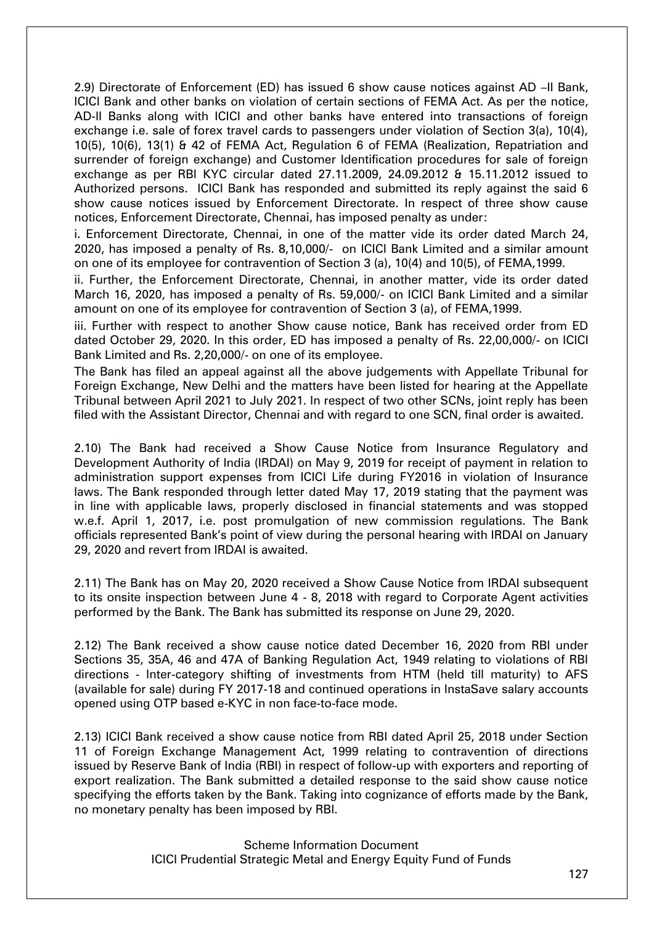2.9) Directorate of Enforcement (ED) has issued 6 show cause notices against AD –II Bank, ICICI Bank and other banks on violation of certain sections of FEMA Act. As per the notice, AD-II Banks along with ICICI and other banks have entered into transactions of foreign exchange i.e. sale of forex travel cards to passengers under violation of Section 3(a), 10(4), 10(5), 10(6), 13(1) & 42 of FEMA Act, Regulation 6 of FEMA (Realization, Repatriation and surrender of foreign exchange) and Customer Identification procedures for sale of foreign exchange as per RBI KYC circular dated 27.11.2009, 24.09.2012 & 15.11.2012 issued to Authorized persons. ICICI Bank has responded and submitted its reply against the said 6 show cause notices issued by Enforcement Directorate. In respect of three show cause notices, Enforcement Directorate, Chennai, has imposed penalty as under:

i. Enforcement Directorate, Chennai, in one of the matter vide its order dated March 24, 2020, has imposed a penalty of Rs. 8,10,000/- on ICICI Bank Limited and a similar amount on one of its employee for contravention of Section 3 (a), 10(4) and 10(5), of FEMA,1999.

ii. Further, the Enforcement Directorate, Chennai, in another matter, vide its order dated March 16, 2020, has imposed a penalty of Rs. 59,000/- on ICICI Bank Limited and a similar amount on one of its employee for contravention of Section 3 (a), of FEMA,1999.

iii. Further with respect to another Show cause notice, Bank has received order from ED dated October 29, 2020. In this order, ED has imposed a penalty of Rs. 22,00,000/- on ICICI Bank Limited and Rs. 2,20,000/- on one of its employee.

The Bank has filed an appeal against all the above judgements with Appellate Tribunal for Foreign Exchange, New Delhi and the matters have been listed for hearing at the Appellate Tribunal between April 2021 to July 2021. In respect of two other SCNs, joint reply has been filed with the Assistant Director, Chennai and with regard to one SCN, final order is awaited.

2.10) The Bank had received a Show Cause Notice from Insurance Regulatory and Development Authority of India (IRDAI) on May 9, 2019 for receipt of payment in relation to administration support expenses from ICICI Life during FY2016 in violation of Insurance laws. The Bank responded through letter dated May 17, 2019 stating that the payment was in line with applicable laws, properly disclosed in financial statements and was stopped w.e.f. April 1, 2017, i.e. post promulgation of new commission regulations. The Bank officials represented Bank's point of view during the personal hearing with IRDAI on January 29, 2020 and revert from IRDAI is awaited.

2.11) The Bank has on May 20, 2020 received a Show Cause Notice from IRDAI subsequent to its onsite inspection between June 4 - 8, 2018 with regard to Corporate Agent activities performed by the Bank. The Bank has submitted its response on June 29, 2020.

2.12) The Bank received a show cause notice dated December 16, 2020 from RBI under Sections 35, 35A, 46 and 47A of Banking Regulation Act, 1949 relating to violations of RBI directions - Inter-category shifting of investments from HTM (held till maturity) to AFS (available for sale) during FY 2017-18 and continued operations in InstaSave salary accounts opened using OTP based e-KYC in non face-to-face mode.

2.13) ICICI Bank received a show cause notice from RBI dated April 25, 2018 under Section 11 of Foreign Exchange Management Act, 1999 relating to contravention of directions issued by Reserve Bank of India (RBI) in respect of follow-up with exporters and reporting of export realization. The Bank submitted a detailed response to the said show cause notice specifying the efforts taken by the Bank. Taking into cognizance of efforts made by the Bank, no monetary penalty has been imposed by RBI.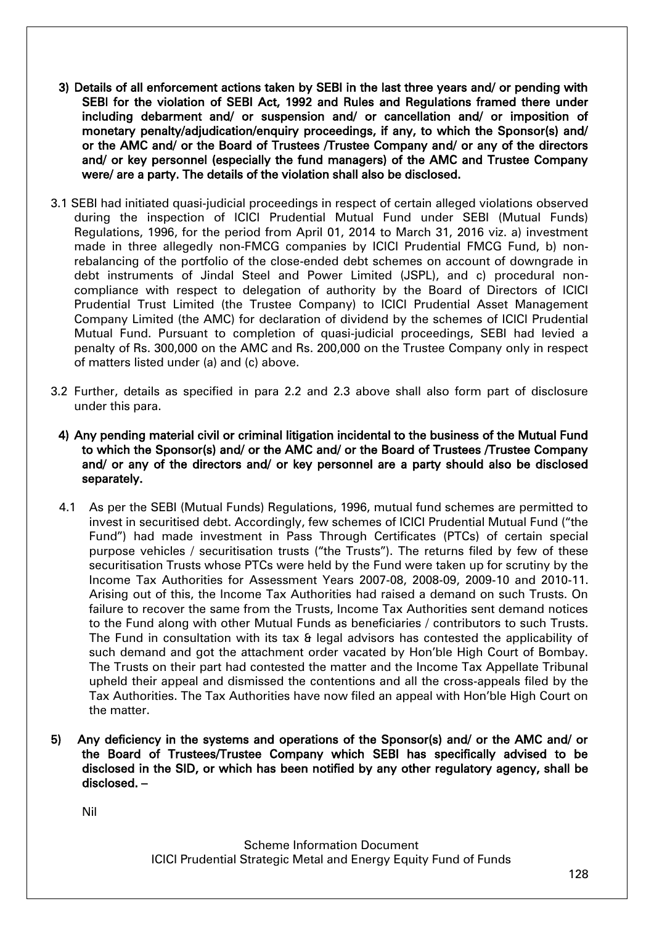- 3) Details of all enforcement actions taken by SEBI in the last three years and/ or pending with SEBI for the violation of SEBI Act, 1992 and Rules and Regulations framed there under including debarment and/ or suspension and/ or cancellation and/ or imposition of monetary penalty/adjudication/enquiry proceedings, if any, to which the Sponsor(s) and/ or the AMC and/ or the Board of Trustees /Trustee Company and/ or any of the directors and/ or key personnel (especially the fund managers) of the AMC and Trustee Company were/ are a party. The details of the violation shall also be disclosed.
- 3.1 SEBI had initiated quasi-judicial proceedings in respect of certain alleged violations observed during the inspection of ICICI Prudential Mutual Fund under SEBI (Mutual Funds) Regulations, 1996, for the period from April 01, 2014 to March 31, 2016 viz. a) investment made in three allegedly non-FMCG companies by ICICI Prudential FMCG Fund, b) nonrebalancing of the portfolio of the close-ended debt schemes on account of downgrade in debt instruments of Jindal Steel and Power Limited (JSPL), and c) procedural noncompliance with respect to delegation of authority by the Board of Directors of ICICI Prudential Trust Limited (the Trustee Company) to ICICI Prudential Asset Management Company Limited (the AMC) for declaration of dividend by the schemes of ICICI Prudential Mutual Fund. Pursuant to completion of quasi-judicial proceedings, SEBI had levied a penalty of Rs. 300,000 on the AMC and Rs. 200,000 on the Trustee Company only in respect of matters listed under (a) and (c) above.
- 3.2 Further, details as specified in para 2.2 and 2.3 above shall also form part of disclosure under this para.
	- 4) Any pending material civil or criminal litigation incidental to the business of the Mutual Fund to which the Sponsor(s) and/ or the AMC and/ or the Board of Trustees /Trustee Company and/ or any of the directors and/ or key personnel are a party should also be disclosed separately.
	- 4.1 As per the SEBI (Mutual Funds) Regulations, 1996, mutual fund schemes are permitted to invest in securitised debt. Accordingly, few schemes of ICICI Prudential Mutual Fund ("the Fund") had made investment in Pass Through Certificates (PTCs) of certain special purpose vehicles / securitisation trusts ("the Trusts"). The returns filed by few of these securitisation Trusts whose PTCs were held by the Fund were taken up for scrutiny by the Income Tax Authorities for Assessment Years 2007-08, 2008-09, 2009-10 and 2010-11. Arising out of this, the Income Tax Authorities had raised a demand on such Trusts. On failure to recover the same from the Trusts, Income Tax Authorities sent demand notices to the Fund along with other Mutual Funds as beneficiaries / contributors to such Trusts. The Fund in consultation with its tax & legal advisors has contested the applicability of such demand and got the attachment order vacated by Hon'ble High Court of Bombay. The Trusts on their part had contested the matter and the Income Tax Appellate Tribunal upheld their appeal and dismissed the contentions and all the cross-appeals filed by the Tax Authorities. The Tax Authorities have now filed an appeal with Hon'ble High Court on the matter.
- 5) Any deficiency in the systems and operations of the Sponsor(s) and/ or the AMC and/ or the Board of Trustees/Trustee Company which SEBI has specifically advised to be disclosed in the SID, or which has been notified by any other regulatory agency, shall be disclosed. –

Nil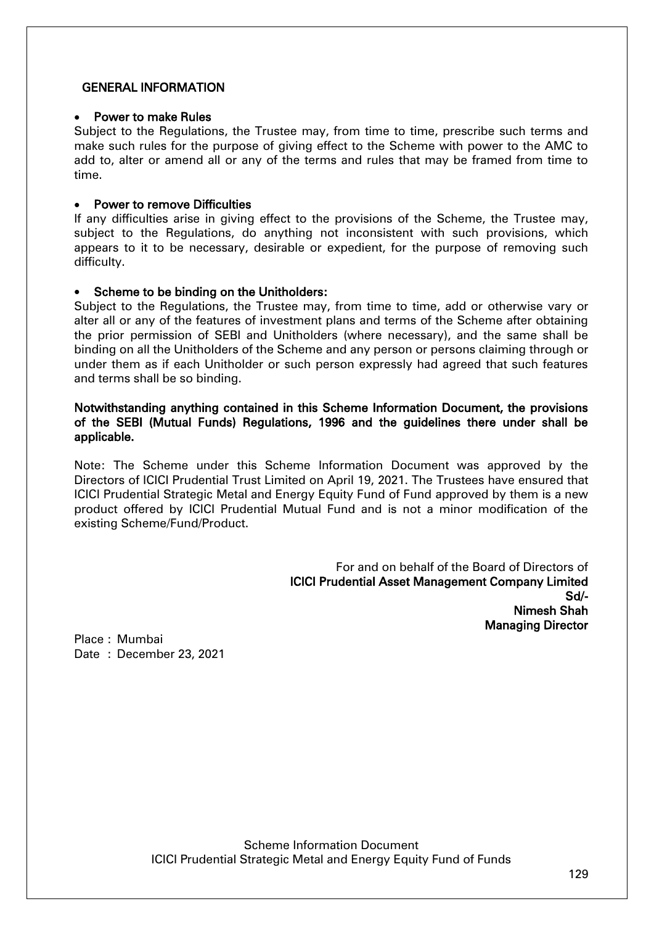### GENERAL INFORMATION

### Power to make Rules

Subject to the Regulations, the Trustee may, from time to time, prescribe such terms and make such rules for the purpose of giving effect to the Scheme with power to the AMC to add to, alter or amend all or any of the terms and rules that may be framed from time to time.

## Power to remove Difficulties

If any difficulties arise in giving effect to the provisions of the Scheme, the Trustee may, subject to the Regulations, do anything not inconsistent with such provisions, which appears to it to be necessary, desirable or expedient, for the purpose of removing such difficulty.

## Scheme to be binding on the Unitholders:

Subject to the Regulations, the Trustee may, from time to time, add or otherwise vary or alter all or any of the features of investment plans and terms of the Scheme after obtaining the prior permission of SEBI and Unitholders (where necessary), and the same shall be binding on all the Unitholders of the Scheme and any person or persons claiming through or under them as if each Unitholder or such person expressly had agreed that such features and terms shall be so binding.

### Notwithstanding anything contained in this Scheme Information Document, the provisions of the SEBI (Mutual Funds) Regulations, 1996 and the guidelines there under shall be applicable.

Note: The Scheme under this Scheme Information Document was approved by the Directors of ICICI Prudential Trust Limited on April 19, 2021. The Trustees have ensured that ICICI Prudential Strategic Metal and Energy Equity Fund of Fund approved by them is a new product offered by ICICI Prudential Mutual Fund and is not a minor modification of the existing Scheme/Fund/Product.

> For and on behalf of the Board of Directors of ICICI Prudential Asset Management Company Limited Sd/- Nimesh Shah Managing Director

Place : Mumbai Date : December 23, 2021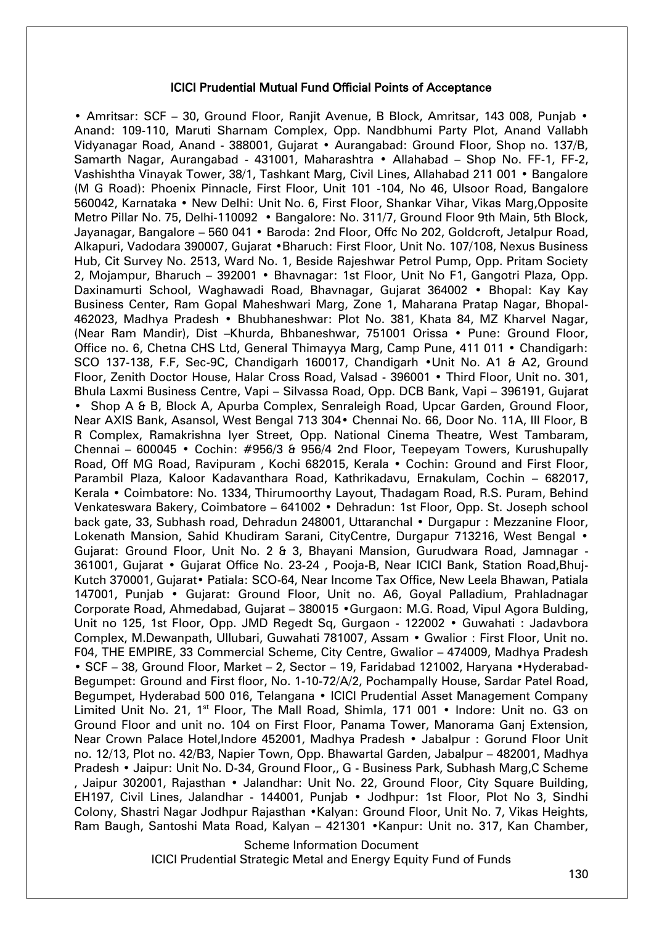#### ICICI Prudential Mutual Fund Official Points of Acceptance

• Amritsar: SCF - 30, Ground Floor, Ranjit Avenue, B Block, Amritsar, 143 008, Punjab • Anand: 109-110, Maruti Sharnam Complex, Opp. Nandbhumi Party Plot, Anand Vallabh Vidyanagar Road, Anand - 388001, Gujarat • Aurangabad: Ground Floor, Shop no. 137/B, Samarth Nagar, Aurangabad - 431001, Maharashtra • Allahabad – Shop No. FF-1, FF-2, Vashishtha Vinayak Tower, 38/1, Tashkant Marg, Civil Lines, Allahabad 211 001 • Bangalore (M G Road): Phoenix Pinnacle, First Floor, Unit 101 -104, No 46, Ulsoor Road, Bangalore 560042, Karnataka • New Delhi: Unit No. 6, First Floor, Shankar Vihar, Vikas Marg,Opposite Metro Pillar No. 75, Delhi-110092 • Bangalore: No. 311/7, Ground Floor 9th Main, 5th Block, Jayanagar, Bangalore – 560 041 • Baroda: 2nd Floor, Offc No 202, Goldcroft, Jetalpur Road, Alkapuri, Vadodara 390007, Gujarat •Bharuch: First Floor, Unit No. 107/108, Nexus Business Hub, Cit Survey No. 2513, Ward No. 1, Beside Rajeshwar Petrol Pump, Opp. Pritam Society 2, Mojampur, Bharuch – 392001 • Bhavnagar: 1st Floor, Unit No F1, Gangotri Plaza, Opp. Daxinamurti School, Waghawadi Road, Bhavnagar, Gujarat 364002 • Bhopal: Kay Kay Business Center, Ram Gopal Maheshwari Marg, Zone 1, Maharana Pratap Nagar, Bhopal-462023, Madhya Pradesh • Bhubhaneshwar: Plot No. 381, Khata 84, MZ Kharvel Nagar, (Near Ram Mandir), Dist –Khurda, Bhbaneshwar, 751001 Orissa • Pune: Ground Floor, Office no. 6, Chetna CHS Ltd, General Thimayya Marg, Camp Pune, 411 011 • Chandigarh: SCO 137-138, F.F, Sec-9C, Chandigarh 160017, Chandigarh •Unit No. A1 & A2, Ground Floor, Zenith Doctor House, Halar Cross Road, Valsad - 396001 • Third Floor, Unit no. 301, Bhula Laxmi Business Centre, Vapi – Silvassa Road, Opp. DCB Bank, Vapi – 396191, Gujarat • Shop A & B, Block A, Apurba Complex, Senraleigh Road, Upcar Garden, Ground Floor, Near AXIS Bank, Asansol, West Bengal 713 304• Chennai No. 66, Door No. 11A, III Floor, B R Complex, Ramakrishna Iyer Street, Opp. National Cinema Theatre, West Tambaram, Chennai – 600045 • Cochin: #956/3 & 956/4 2nd Floor, Teepeyam Towers, Kurushupally Road, Off MG Road, Ravipuram , Kochi 682015, Kerala • Cochin: Ground and First Floor, Parambil Plaza, Kaloor Kadavanthara Road, Kathrikadavu, Ernakulam, Cochin – 682017, Kerala • Coimbatore: No. 1334, Thirumoorthy Layout, Thadagam Road, R.S. Puram, Behind Venkateswara Bakery, Coimbatore – 641002 • Dehradun: 1st Floor, Opp. St. Joseph school back gate, 33, Subhash road, Dehradun 248001, Uttaranchal • Durgapur : Mezzanine Floor, Lokenath Mansion, Sahid Khudiram Sarani, CityCentre, Durgapur 713216, West Bengal • Gujarat: Ground Floor, Unit No. 2 & 3, Bhayani Mansion, Gurudwara Road, Jamnagar - 361001, Gujarat • Gujarat Office No. 23-24 , Pooja-B, Near ICICI Bank, Station Road,Bhuj-Kutch 370001, Gujarat• Patiala: SCO-64, Near Income Tax Office, New Leela Bhawan, Patiala 147001, Punjab • Gujarat: Ground Floor, Unit no. A6, Goyal Palladium, Prahladnagar Corporate Road, Ahmedabad, Gujarat – 380015 •Gurgaon: M.G. Road, Vipul Agora Bulding, Unit no 125, 1st Floor, Opp. JMD Regedt Sq, Gurgaon - 122002 • Guwahati : Jadavbora Complex, M.Dewanpath, Ullubari, Guwahati 781007, Assam • Gwalior : First Floor, Unit no. F04, THE EMPIRE, 33 Commercial Scheme, City Centre, Gwalior – 474009, Madhya Pradesh • SCF – 38, Ground Floor, Market – 2, Sector – 19, Faridabad 121002, Haryana •Hyderabad-Begumpet: Ground and First floor, No. 1-10-72/A/2, Pochampally House, Sardar Patel Road, Begumpet, Hyderabad 500 016, Telangana • ICICI Prudential Asset Management Company Limited Unit No. 21, 1<sup>st</sup> Floor, The Mall Road, Shimla, 171 001 • Indore: Unit no. G3 on Ground Floor and unit no. 104 on First Floor, Panama Tower, Manorama Ganj Extension, Near Crown Palace Hotel, Indore 452001, Madhya Pradesh • Jabalpur : Gorund Floor Unit no. 12/13, Plot no. 42/B3, Napier Town, Opp. Bhawartal Garden, Jabalpur – 482001, Madhya Pradesh • Jaipur: Unit No. D-34, Ground Floor,, G - Business Park, Subhash Marg,C Scheme , Jaipur 302001, Rajasthan • Jalandhar: Unit No. 22, Ground Floor, City Square Building, EH197, Civil Lines, Jalandhar - 144001, Punjab • Jodhpur: 1st Floor, Plot No 3, Sindhi Colony, Shastri Nagar Jodhpur Rajasthan •Kalyan: Ground Floor, Unit No. 7, Vikas Heights, Ram Baugh, Santoshi Mata Road, Kalyan – 421301 •Kanpur: Unit no. 317, Kan Chamber,

Scheme Information Document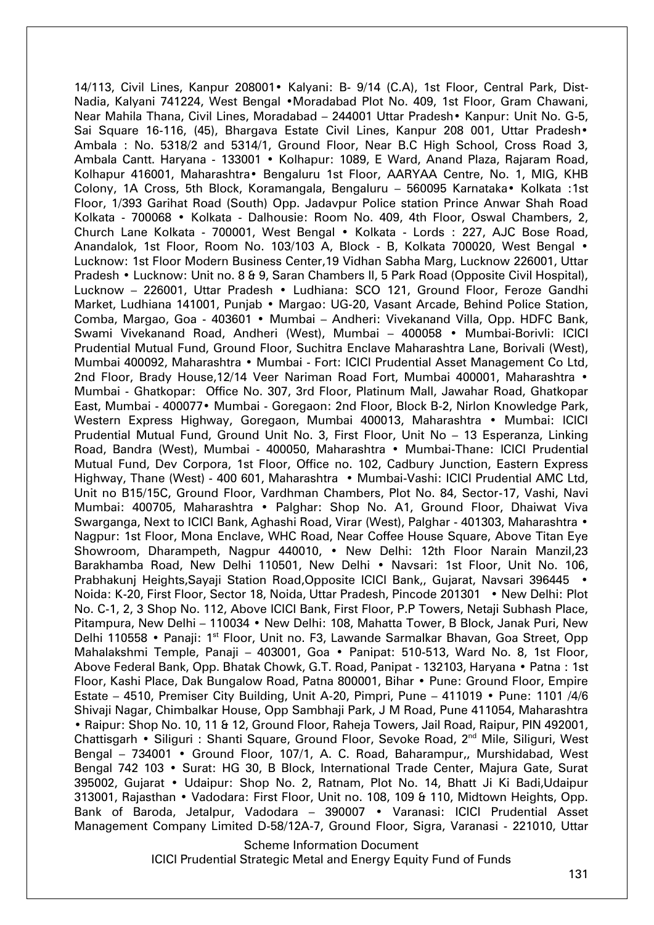14/113, Civil Lines, Kanpur 208001• Kalyani: B- 9/14 (C.A), 1st Floor, Central Park, Dist-Nadia, Kalyani 741224, West Bengal •Moradabad Plot No. 409, 1st Floor, Gram Chawani, Near Mahila Thana, Civil Lines, Moradabad – 244001 Uttar Pradesh• Kanpur: Unit No. G-5, Sai Square 16-116, (45), Bhargava Estate Civil Lines, Kanpur 208 001, Uttar Pradesh• Ambala : No. 5318/2 and 5314/1, Ground Floor, Near B.C High School, Cross Road 3, Ambala Cantt. Haryana - 133001 • Kolhapur: 1089, E Ward, Anand Plaza, Rajaram Road, Kolhapur 416001, Maharashtra• Bengaluru 1st Floor, AARYAA Centre, No. 1, MIG, KHB Colony, 1A Cross, 5th Block, Koramangala, Bengaluru – 560095 Karnataka• Kolkata :1st Floor, 1/393 Garihat Road (South) Opp. Jadavpur Police station Prince Anwar Shah Road Kolkata - 700068 • Kolkata - Dalhousie: Room No. 409, 4th Floor, Oswal Chambers, 2, Church Lane Kolkata - 700001, West Bengal • Kolkata - Lords : 227, AJC Bose Road, Anandalok, 1st Floor, Room No. 103/103 A, Block - B, Kolkata 700020, West Bengal • Lucknow: 1st Floor Modern Business Center,19 Vidhan Sabha Marg, Lucknow 226001, Uttar Pradesh • Lucknow: Unit no. 8 & 9, Saran Chambers II, 5 Park Road (Opposite Civil Hospital), Lucknow – 226001, Uttar Pradesh • Ludhiana: SCO 121, Ground Floor, Feroze Gandhi Market, Ludhiana 141001, Punjab • Margao: UG-20, Vasant Arcade, Behind Police Station, Comba, Margao, Goa - 403601 • Mumbai – Andheri: Vivekanand Villa, Opp. HDFC Bank, Swami Vivekanand Road, Andheri (West), Mumbai – 400058 • Mumbai-Borivli: ICICI Prudential Mutual Fund, Ground Floor, Suchitra Enclave Maharashtra Lane, Borivali (West), Mumbai 400092, Maharashtra • Mumbai - Fort: ICICI Prudential Asset Management Co Ltd, 2nd Floor, Brady House, 12/14 Veer Nariman Road Fort, Mumbai 400001, Maharashtra • Mumbai - Ghatkopar: Office No. 307, 3rd Floor, Platinum Mall, Jawahar Road, Ghatkopar East, Mumbai - 400077• Mumbai - Goregaon: 2nd Floor, Block B-2, Nirlon Knowledge Park, Western Express Highway, Goregaon, Mumbai 400013, Maharashtra • Mumbai: ICICI Prudential Mutual Fund, Ground Unit No. 3, First Floor, Unit No – 13 Esperanza, Linking Road, Bandra (West), Mumbai - 400050, Maharashtra • Mumbai-Thane: ICICI Prudential Mutual Fund, Dev Corpora, 1st Floor, Office no. 102, Cadbury Junction, Eastern Express Highway, Thane (West) - 400 601, Maharashtra • Mumbai-Vashi: ICICI Prudential AMC Ltd, Unit no B15/15C, Ground Floor, Vardhman Chambers, Plot No. 84, Sector-17, Vashi, Navi Mumbai: 400705, Maharashtra • Palghar: Shop No. A1, Ground Floor, Dhaiwat Viva Swarganga, Next to ICICI Bank, Aghashi Road, Virar (West), Palghar - 401303, Maharashtra • Nagpur: 1st Floor, Mona Enclave, WHC Road, Near Coffee House Square, Above Titan Eye Showroom, Dharampeth, Nagpur 440010, • New Delhi: 12th Floor Narain Manzil,23 Barakhamba Road, New Delhi 110501, New Delhi • Navsari: 1st Floor, Unit No. 106, Prabhakunj Heights,Sayaji Station Road,Opposite ICICI Bank,, Gujarat, Navsari 396445 • Noida: K-20, First Floor, Sector 18, Noida, Uttar Pradesh, Pincode 201301 • New Delhi: Plot No. C-1, 2, 3 Shop No. 112, Above ICICI Bank, First Floor, P.P Towers, Netaji Subhash Place, Pitampura, New Delhi – 110034 • New Delhi: 108, Mahatta Tower, B Block, Janak Puri, New Delhi 110558 • Panaji: 1<sup>st</sup> Floor, Unit no. F3, Lawande Sarmalkar Bhavan, Goa Street, Opp Mahalakshmi Temple, Panaji – 403001, Goa • Panipat: 510-513, Ward No. 8, 1st Floor, Above Federal Bank, Opp. Bhatak Chowk, G.T. Road, Panipat - 132103, Haryana • Patna : 1st Floor, Kashi Place, Dak Bungalow Road, Patna 800001, Bihar • Pune: Ground Floor, Empire Estate – 4510, Premiser City Building, Unit A-20, Pimpri, Pune – 411019 • Pune: 1101 /4/6 Shivaji Nagar, Chimbalkar House, Opp Sambhaji Park, J M Road, Pune 411054, Maharashtra • Raipur: Shop No. 10, 11 & 12, Ground Floor, Raheja Towers, Jail Road, Raipur, PIN 492001, Chattisgarh • Siliguri : Shanti Square, Ground Floor, Sevoke Road, 2<sup>nd</sup> Mile, Siliguri, West Bengal – 734001 • Ground Floor, 107/1, A. C. Road, Baharampur,, Murshidabad, West Bengal 742 103 • Surat: HG 30, B Block, International Trade Center, Majura Gate, Surat 395002, Gujarat • Udaipur: Shop No. 2, Ratnam, Plot No. 14, Bhatt Ji Ki Badi,Udaipur 313001, Rajasthan • Vadodara: First Floor, Unit no. 108, 109 & 110, Midtown Heights, Opp. Bank of Baroda, Jetalpur, Vadodara – 390007 • Varanasi: ICICI Prudential Asset Management Company Limited D-58/12A-7, Ground Floor, Sigra, Varanasi - 221010, Uttar

Scheme Information Document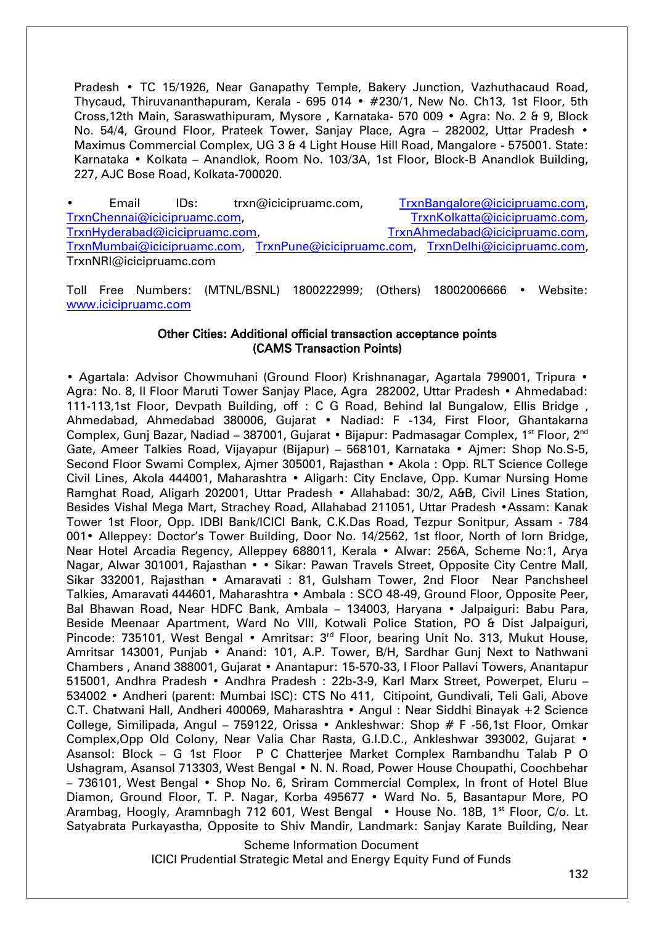Pradesh • TC 15/1926, Near Ganapathy Temple, Bakery Junction, Vazhuthacaud Road, Thycaud, Thiruvananthapuram, Kerala - 695 014 • #230/1, New No. Ch13, 1st Floor, 5th Cross,12th Main, Saraswathipuram, Mysore , Karnataka- 570 009 • Agra: No. 2 & 9, Block No. 54/4, Ground Floor, Prateek Tower, Sanjay Place, Agra - 282002, Uttar Pradesh • Maximus Commercial Complex, UG 3 & 4 Light House Hill Road, Mangalore - 575001. State: Karnataka • Kolkata – Anandlok, Room No. 103/3A, 1st Floor, Block-B Anandlok Building, 227, AJC Bose Road, Kolkata-700020.

• Email IDs: trxn@icicipruamc.com, [TrxnBangalore@icicipruamc.com,](mailto:TrxnBangalore@icicipruamc.com) [TrxnChennai@icicipruamc.com,](mailto:TrxnChennai@icicipruamc.com) [TrxnKolkatta@icicipruamc.com,](mailto:TrxnKolkatta@icicipruamc.com) [TrxnHyderabad@icicipruamc.com,](mailto:TrxnHyderabad@icicipruamc.com) [TrxnAhmedabad@icicipruamc.com,](mailto:TrxnAhmedabad@icicipruamc.com) [TrxnMumbai@icicipruamc.com,](mailto:TrxnMumbai@icicipruamc.com) [TrxnPune@icicipruamc.com,](mailto:TrxnPune@icicipruamc.com) [TrxnDelhi@icicipruamc.com,](mailto:TrxnDelhi@icicipruamc.com) TrxnNRI@icicipruamc.com

Toll Free Numbers: (MTNL/BSNL) 1800222999; (Others) 18002006666 • Website: [www.icicipruamc.com](http://www.icicipruamc.com/)

#### Other Cities: Additional official transaction acceptance points (CAMS Transaction Points)

• Agartala: Advisor Chowmuhani (Ground Floor) Krishnanagar, Agartala 799001, Tripura • Agra: No. 8, II Floor Maruti Tower Sanjay Place, Agra 282002, Uttar Pradesh • Ahmedabad: 111-113,1st Floor, Devpath Building, off : C G Road, Behind lal Bungalow, Ellis Bridge , Ahmedabad, Ahmedabad 380006, Gujarat • Nadiad: F -134, First Floor, Ghantakarna Complex, Gunj Bazar, Nadiad – 387001, Gujarat • Bijapur: Padmasagar Complex, 1<sup>st</sup> Floor, 2<sup>nd</sup> Gate, Ameer Talkies Road, Vijayapur (Bijapur) – 568101, Karnataka • Ajmer: Shop No.S-5, Second Floor Swami Complex, Ajmer 305001, Rajasthan • Akola : Opp. RLT Science College Civil Lines, Akola 444001, Maharashtra • Aligarh: City Enclave, Opp. Kumar Nursing Home Ramghat Road, Aligarh 202001, Uttar Pradesh • Allahabad: 30/2, A&B, Civil Lines Station, Besides Vishal Mega Mart, Strachey Road, Allahabad 211051, Uttar Pradesh •Assam: Kanak Tower 1st Floor, Opp. IDBI Bank/ICICI Bank, C.K.Das Road, Tezpur Sonitpur, Assam - 784 001• Alleppey: Doctor's Tower Building, Door No. 14/2562, 1st floor, North of Iorn Bridge, Near Hotel Arcadia Regency, Alleppey 688011, Kerala • Alwar: 256A, Scheme No:1, Arya Nagar, Alwar 301001, Rajasthan • • Sikar: Pawan Travels Street, Opposite City Centre Mall, Sikar 332001, Rajasthan • Amaravati : 81, Gulsham Tower, 2nd Floor Near Panchsheel Talkies, Amaravati 444601, Maharashtra • Ambala : SCO 48-49, Ground Floor, Opposite Peer, Bal Bhawan Road, Near HDFC Bank, Ambala – 134003, Haryana • Jalpaiguri: Babu Para, Beside Meenaar Apartment, Ward No VIII, Kotwali Police Station, PO & Dist Jalpaiguri, Pincode: 735101, West Bengal • Amritsar: 3<sup>rd</sup> Floor, bearing Unit No. 313, Mukut House, Amritsar 143001, Punjab • Anand: 101, A.P. Tower, B/H, Sardhar Gunj Next to Nathwani Chambers , Anand 388001, Gujarat • Anantapur: 15-570-33, I Floor Pallavi Towers, Anantapur 515001, Andhra Pradesh • Andhra Pradesh : 22b-3-9, Karl Marx Street, Powerpet, Eluru – 534002 • Andheri (parent: Mumbai ISC): CTS No 411, Citipoint, Gundivali, Teli Gali, Above C.T. Chatwani Hall, Andheri 400069, Maharashtra • Angul : Near Siddhi Binayak +2 Science College, Similipada, Angul – 759122, Orissa • Ankleshwar: Shop # F -56,1st Floor, Omkar Complex,Opp Old Colony, Near Valia Char Rasta, G.I.D.C., Ankleshwar 393002, Gujarat • Asansol: Block – G 1st Floor P C Chatterjee Market Complex Rambandhu Talab P O Ushagram, Asansol 713303, West Bengal • N. N. Road, Power House Choupathi, Coochbehar – 736101, West Bengal • Shop No. 6, Sriram Commercial Complex, In front of Hotel Blue Diamon, Ground Floor, T. P. Nagar, Korba 495677 • Ward No. 5, Basantapur More, PO Arambag, Hoogly, Aramnbagh 712 601, West Bengal • House No. 18B, 1<sup>st</sup> Floor, C/o. Lt. Satyabrata Purkayastha, Opposite to Shiv Mandir, Landmark: Sanjay Karate Building, Near

Scheme Information Document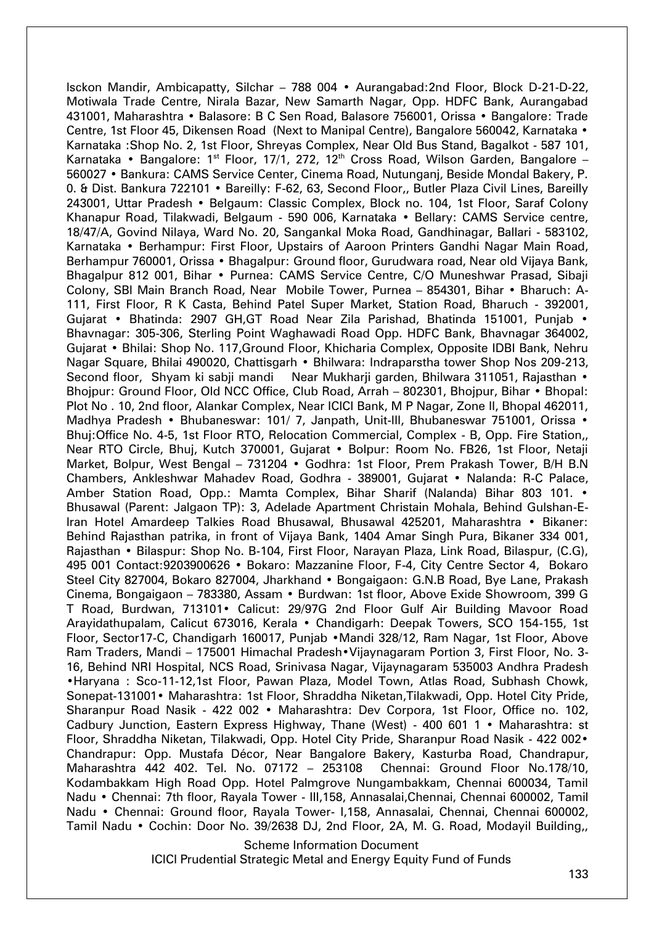Isckon Mandir, Ambicapatty, Silchar – 788 004 • Aurangabad:2nd Floor, Block D-21-D-22, Motiwala Trade Centre, Nirala Bazar, New Samarth Nagar, Opp. HDFC Bank, Aurangabad 431001, Maharashtra • Balasore: B C Sen Road, Balasore 756001, Orissa • Bangalore: Trade Centre, 1st Floor 45, Dikensen Road (Next to Manipal Centre), Bangalore 560042, Karnataka • Karnataka :Shop No. 2, 1st Floor, Shreyas Complex, Near Old Bus Stand, Bagalkot - 587 101, Karnataka • Bangalore: 1<sup>st</sup> Floor, 17/1, 272, 12<sup>th</sup> Cross Road, Wilson Garden, Bangalore -560027 • Bankura: CAMS Service Center, Cinema Road, Nutunganj, Beside Mondal Bakery, P. 0. & Dist. Bankura 722101 • Bareilly: F-62, 63, Second Floor,, Butler Plaza Civil Lines, Bareilly 243001, Uttar Pradesh • Belgaum: Classic Complex, Block no. 104, 1st Floor, Saraf Colony Khanapur Road, Tilakwadi, Belgaum - 590 006, Karnataka • Bellary: CAMS Service centre, 18/47/A, Govind Nilaya, Ward No. 20, Sangankal Moka Road, Gandhinagar, Ballari - 583102, Karnataka • Berhampur: First Floor, Upstairs of Aaroon Printers Gandhi Nagar Main Road, Berhampur 760001, Orissa • Bhagalpur: Ground floor, Gurudwara road, Near old Vijaya Bank, Bhagalpur 812 001, Bihar • Purnea: CAMS Service Centre, C/O Muneshwar Prasad, Sibaji Colony, SBI Main Branch Road, Near Mobile Tower, Purnea – 854301, Bihar • Bharuch: A-111, First Floor, R K Casta, Behind Patel Super Market, Station Road, Bharuch - 392001, Gujarat • Bhatinda: 2907 GH,GT Road Near Zila Parishad, Bhatinda 151001, Punjab • Bhavnagar: 305-306, Sterling Point Waghawadi Road Opp. HDFC Bank, Bhavnagar 364002, Gujarat • Bhilai: Shop No. 117,Ground Floor, Khicharia Complex, Opposite IDBI Bank, Nehru Nagar Square, Bhilai 490020, Chattisgarh • Bhilwara: Indraparstha tower Shop Nos 209-213, Second floor, Shyam ki sabji mandi Near Mukharji garden, Bhilwara 311051, Rajasthan • Bhojpur: Ground Floor, Old NCC Office, Club Road, Arrah – 802301, Bhojpur, Bihar • Bhopal: Plot No . 10, 2nd floor, Alankar Complex, Near ICICI Bank, M P Nagar, Zone II, Bhopal 462011, Madhya Pradesh • Bhubaneswar: 101/ 7, Janpath, Unit-III, Bhubaneswar 751001, Orissa • Bhuj:Office No. 4-5, 1st Floor RTO, Relocation Commercial, Complex - B, Opp. Fire Station,, Near RTO Circle, Bhuj, Kutch 370001, Gujarat • Bolpur: Room No. FB26, 1st Floor, Netaji Market, Bolpur, West Bengal – 731204 • Godhra: 1st Floor, Prem Prakash Tower, B/H B.N Chambers, Ankleshwar Mahadev Road, Godhra - 389001, Gujarat • Nalanda: R-C Palace, Amber Station Road, Opp.: Mamta Complex, Bihar Sharif (Nalanda) Bihar 803 101. • Bhusawal (Parent: Jalgaon TP): 3, Adelade Apartment Christain Mohala, Behind Gulshan-E-Iran Hotel Amardeep Talkies Road Bhusawal, Bhusawal 425201, Maharashtra • Bikaner: Behind Rajasthan patrika, in front of Vijaya Bank, 1404 Amar Singh Pura, Bikaner 334 001, Rajasthan • Bilaspur: Shop No. B-104, First Floor, Narayan Plaza, Link Road, Bilaspur, (C.G), 495 001 Contact:9203900626 • Bokaro: Mazzanine Floor, F-4, City Centre Sector 4, Bokaro Steel City 827004, Bokaro 827004, Jharkhand • Bongaigaon: G.N.B Road, Bye Lane, Prakash Cinema, Bongaigaon – 783380, Assam • Burdwan: 1st floor, Above Exide Showroom, 399 G T Road, Burdwan, 713101• Calicut: 29/97G 2nd Floor Gulf Air Building Mavoor Road Arayidathupalam, Calicut 673016, Kerala • Chandigarh: Deepak Towers, SCO 154-155, 1st Floor, Sector17-C, Chandigarh 160017, Punjab •Mandi 328/12, Ram Nagar, 1st Floor, Above Ram Traders, Mandi – 175001 Himachal Pradesh•Vijaynagaram Portion 3, First Floor, No. 3- 16, Behind NRI Hospital, NCS Road, Srinivasa Nagar, Vijaynagaram 535003 Andhra Pradesh •Haryana : Sco-11-12,1st Floor, Pawan Plaza, Model Town, Atlas Road, Subhash Chowk, Sonepat-131001• Maharashtra: 1st Floor, Shraddha Niketan,Tilakwadi, Opp. Hotel City Pride, Sharanpur Road Nasik - 422 002 • Maharashtra: Dev Corpora, 1st Floor, Office no. 102, Cadbury Junction, Eastern Express Highway, Thane (West) - 400 601 1 • Maharashtra: st Floor, Shraddha Niketan, Tilakwadi, Opp. Hotel City Pride, Sharanpur Road Nasik - 422 002• Chandrapur: Opp. Mustafa Décor, Near Bangalore Bakery, Kasturba Road, Chandrapur, Maharashtra 442 402. Tel. No. 07172 – 253108 Chennai: Ground Floor No.178/10, Kodambakkam High Road Opp. Hotel Palmgrove Nungambakkam, Chennai 600034, Tamil Nadu • Chennai: 7th floor, Rayala Tower - III,158, Annasalai,Chennai, Chennai 600002, Tamil Nadu • Chennai: Ground floor, Rayala Tower- I,158, Annasalai, Chennai, Chennai 600002, Tamil Nadu • Cochin: Door No. 39/2638 DJ, 2nd Floor, 2A, M. G. Road, Modayil Building,,

Scheme Information Document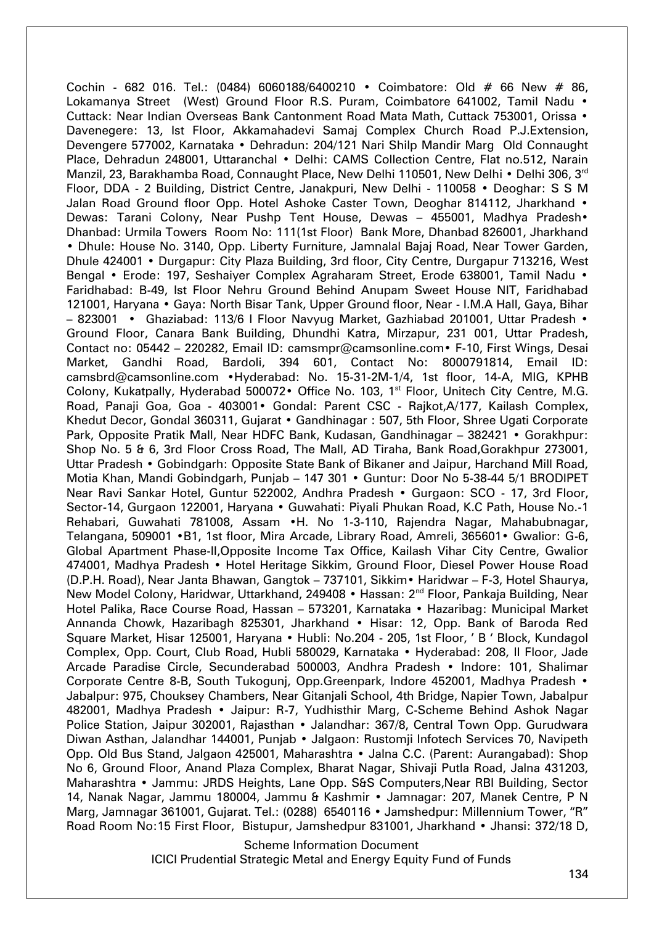Cochin - 682 016. Tel.: (0484) 6060188/6400210 • Coimbatore: Old # 66 New # 86, Lokamanya Street (West) Ground Floor R.S. Puram, Coimbatore 641002, Tamil Nadu • Cuttack: Near Indian Overseas Bank Cantonment Road Mata Math, Cuttack 753001, Orissa • Davenegere: 13, Ist Floor, Akkamahadevi Samaj Complex Church Road P.J.Extension, Devengere 577002, Karnataka • Dehradun: 204/121 Nari Shilp Mandir Marg Old Connaught Place, Dehradun 248001, Uttaranchal • Delhi: CAMS Collection Centre, Flat no.512, Narain Manzil, 23, Barakhamba Road, Connaught Place, New Delhi 110501, New Delhi • Delhi 306, 3<sup>rd</sup> Floor, DDA - 2 Building, District Centre, Janakpuri, New Delhi - 110058 • Deoghar: S S M Jalan Road Ground floor Opp. Hotel Ashoke Caster Town, Deoghar 814112, Jharkhand • Dewas: Tarani Colony, Near Pushp Tent House, Dewas – 455001, Madhya Pradesh• Dhanbad: Urmila Towers Room No: 111(1st Floor) Bank More, Dhanbad 826001, Jharkhand • Dhule: House No. 3140, Opp. Liberty Furniture, Jamnalal Bajaj Road, Near Tower Garden, Dhule 424001 • Durgapur: City Plaza Building, 3rd floor, City Centre, Durgapur 713216, West Bengal • Erode: 197, Seshaiyer Complex Agraharam Street, Erode 638001, Tamil Nadu • Faridhabad: B-49, Ist Floor Nehru Ground Behind Anupam Sweet House NIT, Faridhabad 121001, Haryana • Gaya: North Bisar Tank, Upper Ground floor, Near - I.M.A Hall, Gaya, Bihar – 823001 • Ghaziabad: 113/6 I Floor Navyug Market, Gazhiabad 201001, Uttar Pradesh • Ground Floor, Canara Bank Building, Dhundhi Katra, Mirzapur, 231 001, Uttar Pradesh, Contact no: 05442 – 220282, Email ID: camsmpr@camsonline.com• F-10, First Wings, Desai Market, Gandhi Road, Bardoli, 394 601, Contact No: 8000791814, Email ID: camsbrd@camsonline.com •Hyderabad: No. 15-31-2M-1/4, 1st floor, 14-A, MIG, KPHB Colony, Kukatpally, Hyderabad 500072• Office No. 103, 1<sup>st</sup> Floor, Unitech City Centre, M.G. Road, Panaji Goa, Goa - 403001• Gondal: Parent CSC - Rajkot,A/177, Kailash Complex, Khedut Decor, Gondal 360311, Gujarat • Gandhinagar : 507, 5th Floor, Shree Ugati Corporate Park, Opposite Pratik Mall, Near HDFC Bank, Kudasan, Gandhinagar – 382421 • Gorakhpur: Shop No. 5 & 6, 3rd Floor Cross Road, The Mall, AD Tiraha, Bank Road,Gorakhpur 273001, Uttar Pradesh • Gobindgarh: Opposite State Bank of Bikaner and Jaipur, Harchand Mill Road, Motia Khan, Mandi Gobindgarh, Punjab – 147 301 • Guntur: Door No 5-38-44 5/1 BRODIPET Near Ravi Sankar Hotel, Guntur 522002, Andhra Pradesh • Gurgaon: SCO - 17, 3rd Floor, Sector-14, Gurgaon 122001, Haryana • Guwahati: Piyali Phukan Road, K.C Path, House No.-1 Rehabari, Guwahati 781008, Assam •H. No 1-3-110, Rajendra Nagar, Mahabubnagar, Telangana, 509001 •B1, 1st floor, Mira Arcade, Library Road, Amreli, 365601• Gwalior: G-6, Global Apartment Phase-II,Opposite Income Tax Office, Kailash Vihar City Centre, Gwalior 474001, Madhya Pradesh • Hotel Heritage Sikkim, Ground Floor, Diesel Power House Road (D.P.H. Road), Near Janta Bhawan, Gangtok – 737101, Sikkim• Haridwar – F-3, Hotel Shaurya, New Model Colony, Haridwar, Uttarkhand, 249408 • Hassan: 2<sup>nd</sup> Floor, Pankaja Building, Near Hotel Palika, Race Course Road, Hassan – 573201, Karnataka • Hazaribag: Municipal Market Annanda Chowk, Hazaribagh 825301, Jharkhand • Hisar: 12, Opp. Bank of Baroda Red Square Market, Hisar 125001, Haryana • Hubli: No.204 - 205, 1st Floor, ' B ' Block, Kundagol Complex, Opp. Court, Club Road, Hubli 580029, Karnataka • Hyderabad: 208, II Floor, Jade Arcade Paradise Circle, Secunderabad 500003, Andhra Pradesh • Indore: 101, Shalimar Corporate Centre 8-B, South Tukogunj, Opp.Greenpark, Indore 452001, Madhya Pradesh • Jabalpur: 975, Chouksey Chambers, Near Gitanjali School, 4th Bridge, Napier Town, Jabalpur 482001, Madhya Pradesh • Jaipur: R-7, Yudhisthir Marg, C-Scheme Behind Ashok Nagar Police Station, Jaipur 302001, Rajasthan • Jalandhar: 367/8, Central Town Opp. Gurudwara Diwan Asthan, Jalandhar 144001, Punjab • Jalgaon: Rustomji Infotech Services 70, Navipeth Opp. Old Bus Stand, Jalgaon 425001, Maharashtra • Jalna C.C. (Parent: Aurangabad): Shop No 6, Ground Floor, Anand Plaza Complex, Bharat Nagar, Shivaji Putla Road, Jalna 431203, Maharashtra • Jammu: JRDS Heights, Lane Opp. S&S Computers,Near RBI Building, Sector 14, Nanak Nagar, Jammu 180004, Jammu & Kashmir • Jamnagar: 207, Manek Centre, P N Marg, Jamnagar 361001, Gujarat. Tel.: (0288) 6540116 • Jamshedpur: Millennium Tower, "R" Road Room No:15 First Floor, Bistupur, Jamshedpur 831001, Jharkhand • Jhansi: 372/18 D,

Scheme Information Document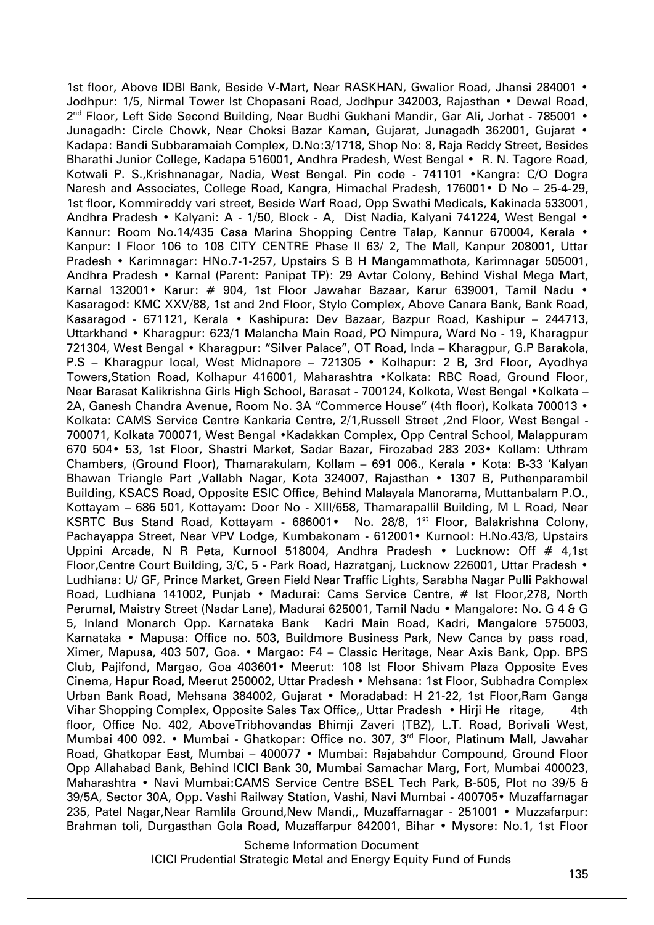1st floor, Above IDBI Bank, Beside V-Mart, Near RASKHAN, Gwalior Road, Jhansi 284001 • Jodhpur: 1/5, Nirmal Tower Ist Chopasani Road, Jodhpur 342003, Rajasthan • Dewal Road, 2<sup>nd</sup> Floor, Left Side Second Building, Near Budhi Gukhani Mandir, Gar Ali, Jorhat - 785001 • Junagadh: Circle Chowk, Near Choksi Bazar Kaman, Gujarat, Junagadh 362001, Gujarat • Kadapa: Bandi Subbaramaiah Complex, D.No:3/1718, Shop No: 8, Raja Reddy Street, Besides Bharathi Junior College, Kadapa 516001, Andhra Pradesh, West Bengal • R. N. Tagore Road, Kotwali P. S.,Krishnanagar, Nadia, West Bengal. Pin code - 741101 •Kangra: C/O Dogra Naresh and Associates, College Road, Kangra, Himachal Pradesh, 176001• D No – 25-4-29, 1st floor, Kommireddy vari street, Beside Warf Road, Opp Swathi Medicals, Kakinada 533001, Andhra Pradesh • Kalyani: A - 1/50, Block - A, Dist Nadia, Kalyani 741224, West Bengal • Kannur: Room No.14/435 Casa Marina Shopping Centre Talap, Kannur 670004, Kerala • Kanpur: I Floor 106 to 108 CITY CENTRE Phase II 63/ 2, The Mall, Kanpur 208001, Uttar Pradesh • Karimnagar: HNo.7-1-257, Upstairs S B H Mangammathota, Karimnagar 505001, Andhra Pradesh • Karnal (Parent: Panipat TP): 29 Avtar Colony, Behind Vishal Mega Mart, Karnal 132001• Karur: # 904, 1st Floor Jawahar Bazaar, Karur 639001, Tamil Nadu • Kasaragod: KMC XXV/88, 1st and 2nd Floor, Stylo Complex, Above Canara Bank, Bank Road, Kasaragod - 671121, Kerala • Kashipura: Dev Bazaar, Bazpur Road, Kashipur – 244713, Uttarkhand • Kharagpur: 623/1 Malancha Main Road, PO Nimpura, Ward No - 19, Kharagpur 721304, West Bengal • Kharagpur: "Silver Palace", OT Road, Inda – Kharagpur, G.P Barakola, P.S – Kharagpur local, West Midnapore – 721305 • Kolhapur: 2 B, 3rd Floor, Ayodhya Towers,Station Road, Kolhapur 416001, Maharashtra •Kolkata: RBC Road, Ground Floor, Near Barasat Kalikrishna Girls High School, Barasat - 700124, Kolkota, West Bengal •Kolkata – 2A, Ganesh Chandra Avenue, Room No. 3A "Commerce House" (4th floor), Kolkata 700013 • Kolkata: CAMS Service Centre Kankaria Centre, 2/1,Russell Street ,2nd Floor, West Bengal - 700071, Kolkata 700071, West Bengal •Kadakkan Complex, Opp Central School, Malappuram 670 504• 53, 1st Floor, Shastri Market, Sadar Bazar, Firozabad 283 203• Kollam: Uthram Chambers, (Ground Floor), Thamarakulam, Kollam – 691 006., Kerala • Kota: B-33 'Kalyan Bhawan Triangle Part ,Vallabh Nagar, Kota 324007, Rajasthan • 1307 B, Puthenparambil Building, KSACS Road, Opposite ESIC Office, Behind Malayala Manorama, Muttanbalam P.O., Kottayam – 686 501, Kottayam: Door No - XIII/658, Thamarapallil Building, M L Road, Near KSRTC Bus Stand Road, Kottayam - 686001• No. 28/8, 1<sup>st</sup> Floor, Balakrishna Colony, Pachayappa Street, Near VPV Lodge, Kumbakonam - 612001• Kurnool: H.No.43/8, Upstairs Uppini Arcade, N R Peta, Kurnool 518004, Andhra Pradesh • Lucknow: Off # 4,1st Floor,Centre Court Building, 3/C, 5 - Park Road, Hazratganj, Lucknow 226001, Uttar Pradesh • Ludhiana: U/ GF, Prince Market, Green Field Near Traffic Lights, Sarabha Nagar Pulli Pakhowal Road, Ludhiana 141002, Punjab • Madurai: Cams Service Centre, # Ist Floor,278, North Perumal, Maistry Street (Nadar Lane), Madurai 625001, Tamil Nadu • Mangalore: No. G 4 & G 5, Inland Monarch Opp. Karnataka Bank Kadri Main Road, Kadri, Mangalore 575003, Karnataka • Mapusa: Office no. 503, Buildmore Business Park, New Canca by pass road, Ximer, Mapusa, 403 507, Goa. • Margao: F4 – Classic Heritage, Near Axis Bank, Opp. BPS Club, Pajifond, Margao, Goa 403601• Meerut: 108 Ist Floor Shivam Plaza Opposite Eves Cinema, Hapur Road, Meerut 250002, Uttar Pradesh • Mehsana: 1st Floor, Subhadra Complex Urban Bank Road, Mehsana 384002, Gujarat • Moradabad: H 21-22, 1st Floor,Ram Ganga Vihar Shopping Complex, Opposite Sales Tax Office,, Uttar Pradesh • Hirji He ritage, 4th floor, Office No. 402, AboveTribhovandas Bhimji Zaveri (TBZ), L.T. Road, Borivali West, Mumbai 400 092. • Mumbai - Ghatkopar: Office no. 307, 3<sup>rd</sup> Floor, Platinum Mall, Jawahar Road, Ghatkopar East, Mumbai – 400077 • Mumbai: Rajabahdur Compound, Ground Floor Opp Allahabad Bank, Behind ICICI Bank 30, Mumbai Samachar Marg, Fort, Mumbai 400023, Maharashtra • Navi Mumbai:CAMS Service Centre BSEL Tech Park, B-505, Plot no 39/5 & 39/5A, Sector 30A, Opp. Vashi Railway Station, Vashi, Navi Mumbai - 400705• Muzaffarnagar 235, Patel Nagar,Near Ramlila Ground,New Mandi,, Muzaffarnagar - 251001 • Muzzafarpur: Brahman toli, Durgasthan Gola Road, Muzaffarpur 842001, Bihar • Mysore: No.1, 1st Floor

Scheme Information Document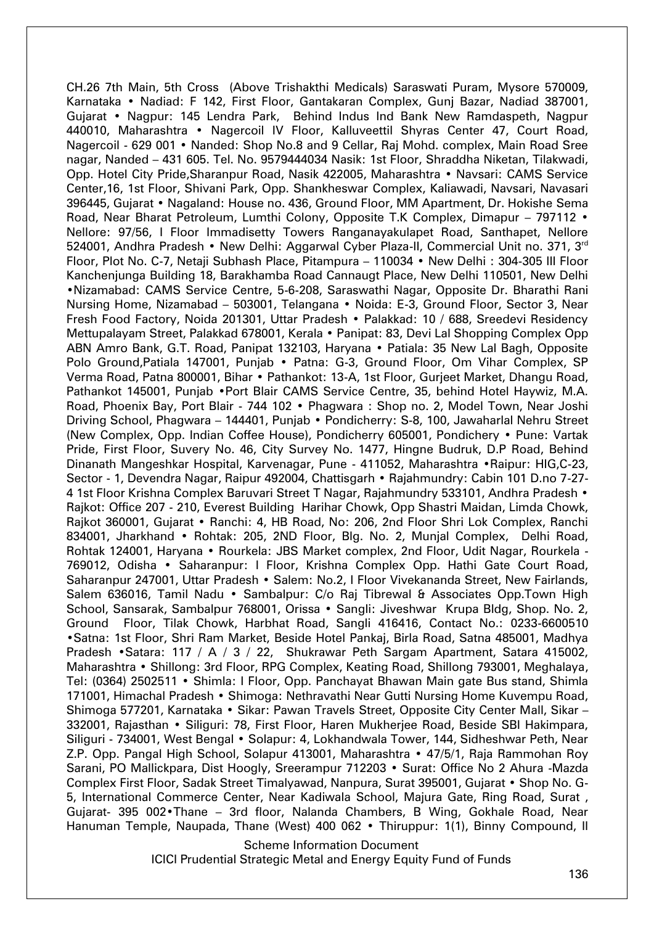CH.26 7th Main, 5th Cross (Above Trishakthi Medicals) Saraswati Puram, Mysore 570009, Karnataka • Nadiad: F 142, First Floor, Gantakaran Complex, Gunj Bazar, Nadiad 387001, Gujarat • Nagpur: 145 Lendra Park, Behind Indus Ind Bank New Ramdaspeth, Nagpur 440010, Maharashtra • Nagercoil IV Floor, Kalluveettil Shyras Center 47, Court Road, Nagercoil - 629 001 • Nanded: Shop No.8 and 9 Cellar, Raj Mohd. complex, Main Road Sree nagar, Nanded – 431 605. Tel. No. 9579444034 Nasik: 1st Floor, Shraddha Niketan, Tilakwadi, Opp. Hotel City Pride,Sharanpur Road, Nasik 422005, Maharashtra • Navsari: CAMS Service Center,16, 1st Floor, Shivani Park, Opp. Shankheswar Complex, Kaliawadi, Navsari, Navasari 396445, Gujarat • Nagaland: House no. 436, Ground Floor, MM Apartment, Dr. Hokishe Sema Road, Near Bharat Petroleum, Lumthi Colony, Opposite T.K Complex, Dimapur - 797112 • Nellore: 97/56, I Floor Immadisetty Towers Ranganayakulapet Road, Santhapet, Nellore 524001, Andhra Pradesh • New Delhi: Aggarwal Cyber Plaza-II, Commercial Unit no. 371, 3<sup>rd</sup> Floor, Plot No. C-7, Netaji Subhash Place, Pitampura – 110034 • New Delhi : 304-305 III Floor Kanchenjunga Building 18, Barakhamba Road Cannaugt Place, New Delhi 110501, New Delhi •Nizamabad: CAMS Service Centre, 5-6-208, Saraswathi Nagar, Opposite Dr. Bharathi Rani Nursing Home, Nizamabad – 503001, Telangana • Noida: E-3, Ground Floor, Sector 3, Near Fresh Food Factory, Noida 201301, Uttar Pradesh • Palakkad: 10 / 688, Sreedevi Residency Mettupalayam Street, Palakkad 678001, Kerala • Panipat: 83, Devi Lal Shopping Complex Opp ABN Amro Bank, G.T. Road, Panipat 132103, Haryana • Patiala: 35 New Lal Bagh, Opposite Polo Ground, Patiala 147001, Punjab • Patna: G-3, Ground Floor, Om Vihar Complex, SP Verma Road, Patna 800001, Bihar • Pathankot: 13-A, 1st Floor, Gurjeet Market, Dhangu Road, Pathankot 145001, Punjab •Port Blair CAMS Service Centre, 35, behind Hotel Haywiz, M.A. Road, Phoenix Bay, Port Blair - 744 102 • Phagwara : Shop no. 2, Model Town, Near Joshi Driving School, Phagwara – 144401, Punjab • Pondicherry: S-8, 100, Jawaharlal Nehru Street (New Complex, Opp. Indian Coffee House), Pondicherry 605001, Pondichery • Pune: Vartak Pride, First Floor, Suvery No. 46, City Survey No. 1477, Hingne Budruk, D.P Road, Behind Dinanath Mangeshkar Hospital, Karvenagar, Pune - 411052, Maharashtra •Raipur: HIG,C-23, Sector - 1, Devendra Nagar, Raipur 492004, Chattisgarh • Rajahmundry: Cabin 101 D.no 7-27- 4 1st Floor Krishna Complex Baruvari Street T Nagar, Rajahmundry 533101, Andhra Pradesh • Rajkot: Office 207 - 210, Everest Building Harihar Chowk, Opp Shastri Maidan, Limda Chowk, Rajkot 360001, Gujarat • Ranchi: 4, HB Road, No: 206, 2nd Floor Shri Lok Complex, Ranchi 834001, Jharkhand • Rohtak: 205, 2ND Floor, Blg. No. 2, Munjal Complex, Delhi Road, Rohtak 124001, Haryana • Rourkela: JBS Market complex, 2nd Floor, Udit Nagar, Rourkela - 769012, Odisha • Saharanpur: I Floor, Krishna Complex Opp. Hathi Gate Court Road, Saharanpur 247001, Uttar Pradesh • Salem: No.2, I Floor Vivekananda Street, New Fairlands, Salem 636016, Tamil Nadu • Sambalpur: C/o Raj Tibrewal & Associates Opp.Town High School, Sansarak, Sambalpur 768001, Orissa • Sangli: Jiveshwar Krupa Bldg, Shop. No. 2, Ground Floor, Tilak Chowk, Harbhat Road, Sangli 416416, Contact No.: 0233-6600510 •Satna: 1st Floor, Shri Ram Market, Beside Hotel Pankaj, Birla Road, Satna 485001, Madhya Pradesh • Satara: 117 / A / 3 / 22, Shukrawar Peth Sargam Apartment, Satara 415002, Maharashtra • Shillong: 3rd Floor, RPG Complex, Keating Road, Shillong 793001, Meghalaya, Tel: (0364) 2502511 • Shimla: I Floor, Opp. Panchayat Bhawan Main gate Bus stand, Shimla 171001, Himachal Pradesh • Shimoga: Nethravathi Near Gutti Nursing Home Kuvempu Road, Shimoga 577201, Karnataka • Sikar: Pawan Travels Street, Opposite City Center Mall, Sikar – 332001, Rajasthan • Siliguri: 78, First Floor, Haren Mukherjee Road, Beside SBI Hakimpara, Siliguri - 734001, West Bengal • Solapur: 4, Lokhandwala Tower, 144, Sidheshwar Peth, Near Z.P. Opp. Pangal High School, Solapur 413001, Maharashtra • 47/5/1, Raja Rammohan Roy Sarani, PO Mallickpara, Dist Hoogly, Sreerampur 712203 • Surat: Office No 2 Ahura -Mazda Complex First Floor, Sadak Street Timalyawad, Nanpura, Surat 395001, Gujarat • Shop No. G-5, International Commerce Center, Near Kadiwala School, Majura Gate, Ring Road, Surat , Gujarat- 395 002•Thane – 3rd floor, Nalanda Chambers, B Wing, Gokhale Road, Near Hanuman Temple, Naupada, Thane (West) 400 062 • Thiruppur: 1(1), Binny Compound, II

Scheme Information Document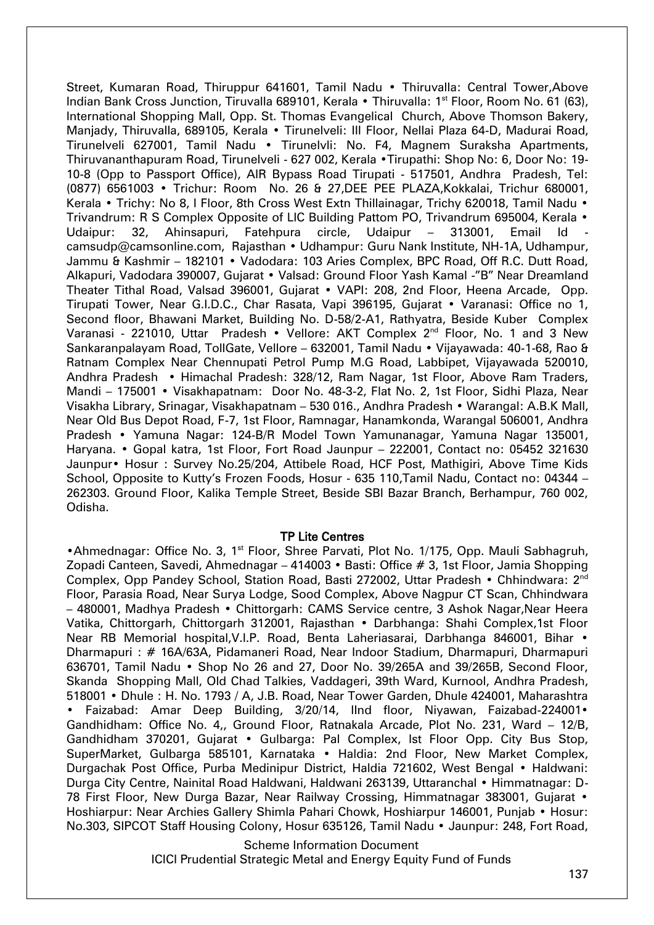Street, Kumaran Road, Thiruppur 641601, Tamil Nadu • Thiruvalla: Central Tower,Above Indian Bank Cross Junction, Tiruvalla 689101, Kerala • Thiruvalla: 1<sup>st</sup> Floor, Room No. 61 (63), International Shopping Mall, Opp. St. Thomas Evangelical Church, Above Thomson Bakery, Manjady, Thiruvalla, 689105, Kerala • Tirunelveli: III Floor, Nellai Plaza 64-D, Madurai Road, Tirunelveli 627001, Tamil Nadu • Tirunelvli: No. F4, Magnem Suraksha Apartments, Thiruvananthapuram Road, Tirunelveli - 627 002, Kerala •Tirupathi: Shop No: 6, Door No: 19- 10-8 (Opp to Passport Office), AIR Bypass Road Tirupati - 517501, Andhra Pradesh, Tel: (0877) 6561003 • Trichur: Room No. 26 & 27,DEE PEE PLAZA,Kokkalai, Trichur 680001, Kerala • Trichy: No 8, I Floor, 8th Cross West Extn Thillainagar, Trichy 620018, Tamil Nadu • Trivandrum: R S Complex Opposite of LIC Building Pattom PO, Trivandrum 695004, Kerala • Udaipur: 32, Ahinsapuri, Fatehpura circle, Udaipur – 313001, Email Id camsudp@camsonline.com, Rajasthan • Udhampur: Guru Nank Institute, NH-1A, Udhampur, Jammu & Kashmir – 182101 • Vadodara: 103 Aries Complex, BPC Road, Off R.C. Dutt Road, Alkapuri, Vadodara 390007, Gujarat • Valsad: Ground Floor Yash Kamal -"B" Near Dreamland Theater Tithal Road, Valsad 396001, Gujarat • VAPI: 208, 2nd Floor, Heena Arcade, Opp. Tirupati Tower, Near G.I.D.C., Char Rasata, Vapi 396195, Gujarat • Varanasi: Office no 1, Second floor, Bhawani Market, Building No. D-58/2-A1, Rathyatra, Beside Kuber Complex Varanasi - 221010, Uttar Pradesh • Vellore: AKT Complex 2<sup>nd</sup> Floor, No. 1 and 3 New Sankaranpalayam Road, TollGate, Vellore – 632001, Tamil Nadu • Vijayawada: 40-1-68, Rao & Ratnam Complex Near Chennupati Petrol Pump M.G Road, Labbipet, Vijayawada 520010, Andhra Pradesh • Himachal Pradesh: 328/12, Ram Nagar, 1st Floor, Above Ram Traders, Mandi – 175001 • Visakhapatnam: Door No. 48-3-2, Flat No. 2, 1st Floor, Sidhi Plaza, Near Visakha Library, Srinagar, Visakhapatnam – 530 016., Andhra Pradesh • Warangal: A.B.K Mall, Near Old Bus Depot Road, F-7, 1st Floor, Ramnagar, Hanamkonda, Warangal 506001, Andhra Pradesh • Yamuna Nagar: 124-B/R Model Town Yamunanagar, Yamuna Nagar 135001, Haryana. • Gopal katra, 1st Floor, Fort Road Jaunpur – 222001, Contact no: 05452 321630 Jaunpur• Hosur : Survey No.25/204, Attibele Road, HCF Post, Mathigiri, Above Time Kids School, Opposite to Kutty's Frozen Foods, Hosur - 635 110,Tamil Nadu, Contact no: 04344 – 262303. Ground Floor, Kalika Temple Street, Beside SBI Bazar Branch, Berhampur, 760 002, Odisha.

#### TP Lite Centres

•Ahmednagar: Office No. 3, 1<sup>st</sup> Floor, Shree Parvati, Plot No. 1/175, Opp. Mauli Sabhagruh, Zopadi Canteen, Savedi, Ahmednagar – 414003 • Basti: Office # 3, 1st Floor, Jamia Shopping Complex, Opp Pandey School, Station Road, Basti 272002, Uttar Pradesh • Chhindwara: 2nd Floor, Parasia Road, Near Surya Lodge, Sood Complex, Above Nagpur CT Scan, Chhindwara – 480001, Madhya Pradesh • Chittorgarh: CAMS Service centre, 3 Ashok Nagar,Near Heera Vatika, Chittorgarh, Chittorgarh 312001, Rajasthan • Darbhanga: Shahi Complex,1st Floor Near RB Memorial hospital, V.I.P. Road, Benta Laheriasarai, Darbhanga 846001, Bihar • Dharmapuri : # 16A/63A, Pidamaneri Road, Near Indoor Stadium, Dharmapuri, Dharmapuri 636701, Tamil Nadu • Shop No 26 and 27, Door No. 39/265A and 39/265B, Second Floor, Skanda Shopping Mall, Old Chad Talkies, Vaddageri, 39th Ward, Kurnool, Andhra Pradesh, 518001 • Dhule : H. No. 1793 / A, J.B. Road, Near Tower Garden, Dhule 424001, Maharashtra • Faizabad: Amar Deep Building, 3/20/14, IInd floor, Niyawan, Faizabad-224001• Gandhidham: Office No. 4,, Ground Floor, Ratnakala Arcade, Plot No. 231, Ward – 12/B, Gandhidham 370201, Gujarat • Gulbarga: Pal Complex, Ist Floor Opp. City Bus Stop, SuperMarket, Gulbarga 585101, Karnataka • Haldia: 2nd Floor, New Market Complex, Durgachak Post Office, Purba Medinipur District, Haldia 721602, West Bengal • Haldwani: Durga City Centre, Nainital Road Haldwani, Haldwani 263139, Uttaranchal • Himmatnagar: D-78 First Floor, New Durga Bazar, Near Railway Crossing, Himmatnagar 383001, Gujarat • Hoshiarpur: Near Archies Gallery Shimla Pahari Chowk, Hoshiarpur 146001, Punjab • Hosur: No.303, SIPCOT Staff Housing Colony, Hosur 635126, Tamil Nadu • Jaunpur: 248, Fort Road,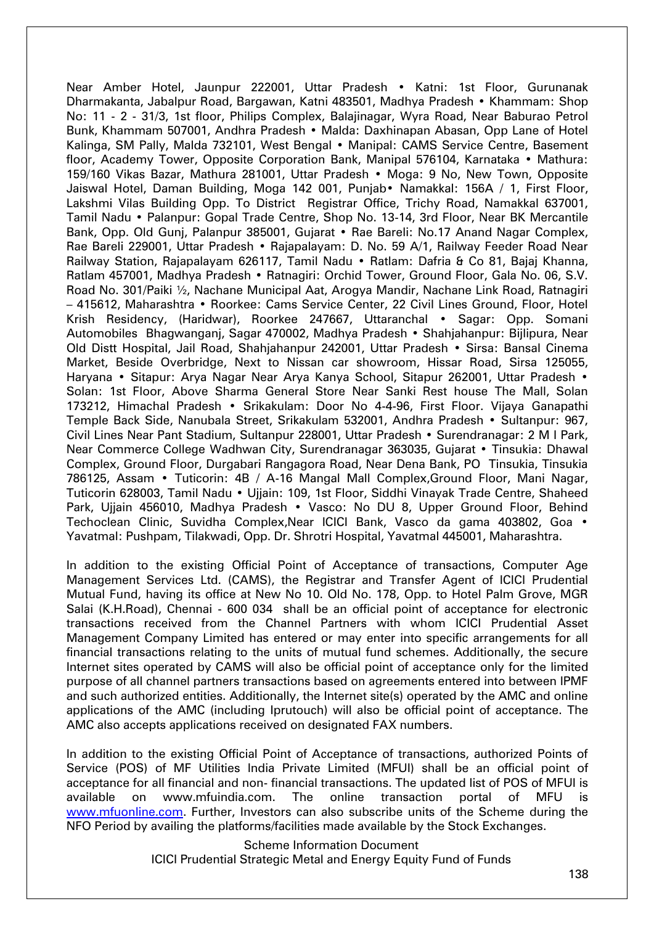Near Amber Hotel, Jaunpur 222001, Uttar Pradesh • Katni: 1st Floor, Gurunanak Dharmakanta, Jabalpur Road, Bargawan, Katni 483501, Madhya Pradesh • Khammam: Shop No: 11 - 2 - 31/3, 1st floor, Philips Complex, Balajinagar, Wyra Road, Near Baburao Petrol Bunk, Khammam 507001, Andhra Pradesh • Malda: Daxhinapan Abasan, Opp Lane of Hotel Kalinga, SM Pally, Malda 732101, West Bengal • Manipal: CAMS Service Centre, Basement floor, Academy Tower, Opposite Corporation Bank, Manipal 576104, Karnataka • Mathura: 159/160 Vikas Bazar, Mathura 281001, Uttar Pradesh • Moga: 9 No, New Town, Opposite Jaiswal Hotel, Daman Building, Moga 142 001, Punjab• Namakkal: 156A / 1, First Floor, Lakshmi Vilas Building Opp. To District Registrar Office, Trichy Road, Namakkal 637001, Tamil Nadu • Palanpur: Gopal Trade Centre, Shop No. 13-14, 3rd Floor, Near BK Mercantile Bank, Opp. Old Gunj, Palanpur 385001, Gujarat • Rae Bareli: No.17 Anand Nagar Complex, Rae Bareli 229001, Uttar Pradesh • Rajapalayam: D. No. 59 A/1, Railway Feeder Road Near Railway Station, Rajapalayam 626117, Tamil Nadu • Ratlam: Dafria & Co 81, Bajaj Khanna, Ratlam 457001, Madhya Pradesh • Ratnagiri: Orchid Tower, Ground Floor, Gala No. 06, S.V. Road No. 301/Paiki ½, Nachane Municipal Aat, Arogya Mandir, Nachane Link Road, Ratnagiri – 415612, Maharashtra • Roorkee: Cams Service Center, 22 Civil Lines Ground, Floor, Hotel Krish Residency, (Haridwar), Roorkee 247667, Uttaranchal • Sagar: Opp. Somani Automobiles Bhagwanganj, Sagar 470002, Madhya Pradesh • Shahjahanpur: Bijlipura, Near Old Distt Hospital, Jail Road, Shahjahanpur 242001, Uttar Pradesh • Sirsa: Bansal Cinema Market, Beside Overbridge, Next to Nissan car showroom, Hissar Road, Sirsa 125055, Haryana • Sitapur: Arya Nagar Near Arya Kanya School, Sitapur 262001, Uttar Pradesh • Solan: 1st Floor, Above Sharma General Store Near Sanki Rest house The Mall, Solan 173212, Himachal Pradesh • Srikakulam: Door No 4-4-96, First Floor. Vijaya Ganapathi Temple Back Side, Nanubala Street, Srikakulam 532001, Andhra Pradesh • Sultanpur: 967, Civil Lines Near Pant Stadium, Sultanpur 228001, Uttar Pradesh • Surendranagar: 2 M I Park, Near Commerce College Wadhwan City, Surendranagar 363035, Gujarat • Tinsukia: Dhawal Complex, Ground Floor, Durgabari Rangagora Road, Near Dena Bank, PO Tinsukia, Tinsukia 786125, Assam • Tuticorin: 4B / A-16 Mangal Mall Complex,Ground Floor, Mani Nagar, Tuticorin 628003, Tamil Nadu • Ujjain: 109, 1st Floor, Siddhi Vinayak Trade Centre, Shaheed Park, Ujjain 456010, Madhya Pradesh • Vasco: No DU 8, Upper Ground Floor, Behind Techoclean Clinic, Suvidha Complex,Near ICICI Bank, Vasco da gama 403802, Goa • Yavatmal: Pushpam, Tilakwadi, Opp. Dr. Shrotri Hospital, Yavatmal 445001, Maharashtra.

In addition to the existing Official Point of Acceptance of transactions, Computer Age Management Services Ltd. (CAMS), the Registrar and Transfer Agent of ICICI Prudential Mutual Fund, having its office at New No 10. Old No. 178, Opp. to Hotel Palm Grove, MGR Salai (K.H.Road), Chennai - 600 034 shall be an official point of acceptance for electronic transactions received from the Channel Partners with whom ICICI Prudential Asset Management Company Limited has entered or may enter into specific arrangements for all financial transactions relating to the units of mutual fund schemes. Additionally, the secure Internet sites operated by CAMS will also be official point of acceptance only for the limited purpose of all channel partners transactions based on agreements entered into between IPMF and such authorized entities. Additionally, the Internet site(s) operated by the AMC and online applications of the AMC (including Iprutouch) will also be official point of acceptance. The AMC also accepts applications received on designated FAX numbers.

In addition to the existing Official Point of Acceptance of transactions, authorized Points of Service (POS) of MF Utilities India Private Limited (MFUI) shall be an official point of acceptance for all financial and non- financial transactions. The updated list of POS of MFUI is available on www.mfuindia.com. The online transaction portal of MFU is [www.mfuonline.com.](http://www.mfuonline.com/) Further, Investors can also subscribe units of the Scheme during the NFO Period by availing the platforms/facilities made available by the Stock Exchanges.